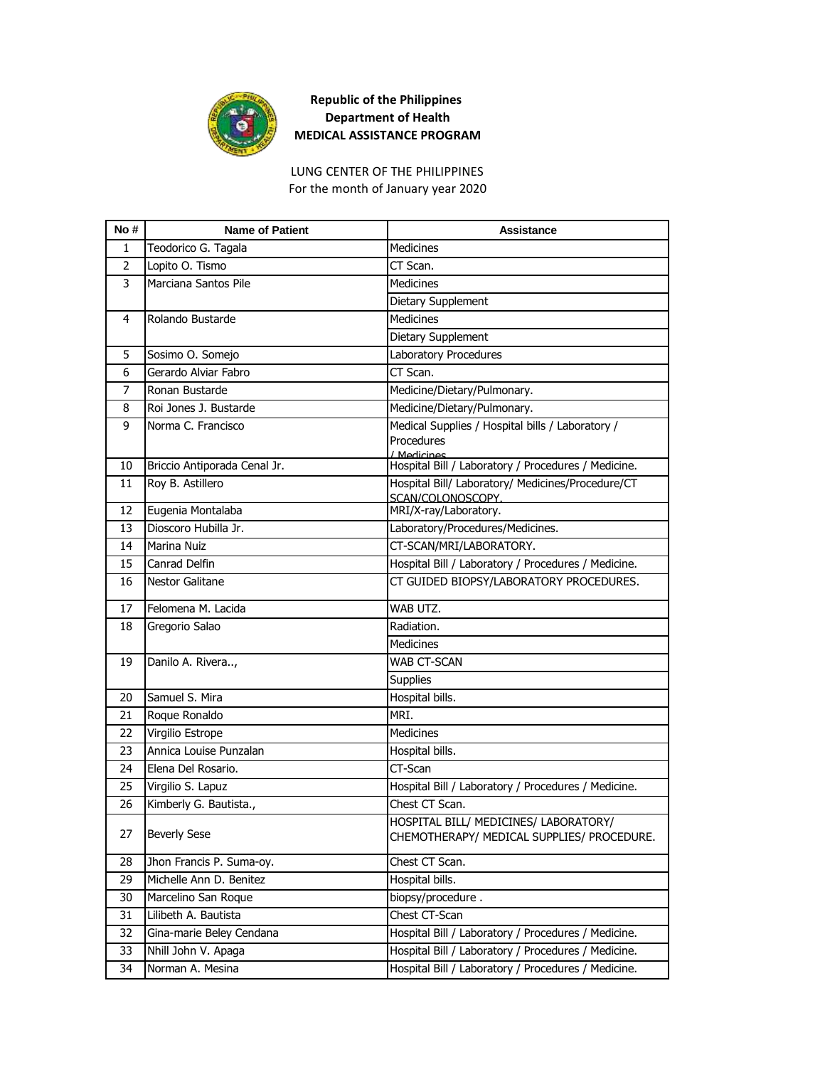

## **Republic of the Philippines Department of Health MEDICAL ASSISTANCE PROGRAM**

## For the month of January year 2020 LUNG CENTER OF THE PHILIPPINES

| No #           | <b>Name of Patient</b>       | <b>Assistance</b>                                                                   |
|----------------|------------------------------|-------------------------------------------------------------------------------------|
| 1              | Teodorico G. Tagala          | <b>Medicines</b>                                                                    |
| $\overline{2}$ | Lopito O. Tismo              | CT Scan.                                                                            |
| 3              | Marciana Santos Pile         | <b>Medicines</b>                                                                    |
|                |                              | Dietary Supplement                                                                  |
| 4              | Rolando Bustarde             | <b>Medicines</b>                                                                    |
|                |                              | Dietary Supplement                                                                  |
| 5              | Sosimo O. Somejo             | Laboratory Procedures                                                               |
| 6              | Gerardo Alviar Fabro         | CT Scan.                                                                            |
| 7              | Ronan Bustarde               | Medicine/Dietary/Pulmonary.                                                         |
| 8              | Roi Jones J. Bustarde        | Medicine/Dietary/Pulmonary.                                                         |
| 9              | Norma C. Francisco           | Medical Supplies / Hospital bills / Laboratory /<br>Procedures                      |
|                |                              | / Medicines                                                                         |
| 10             | Briccio Antiporada Cenal Jr. | Hospital Bill / Laboratory / Procedures / Medicine.                                 |
| 11             | Roy B. Astillero             | Hospital Bill/ Laboratory/ Medicines/Procedure/CT                                   |
| 12             | Eugenia Montalaba            | SCAN/COLONOSCOPY.<br>MRI/X-ray/Laboratory.                                          |
| 13             | Dioscoro Hubilla Jr.         | Laboratory/Procedures/Medicines.                                                    |
| 14             | Marina Nuiz                  | CT-SCAN/MRI/LABORATORY.                                                             |
| 15             | Canrad Delfin                | Hospital Bill / Laboratory / Procedures / Medicine.                                 |
| 16             | <b>Nestor Galitane</b>       | CT GUIDED BIOPSY/LABORATORY PROCEDURES.                                             |
|                |                              |                                                                                     |
| 17             | Felomena M. Lacida           | WAB UTZ.                                                                            |
| 18             | Gregorio Salao               | Radiation.                                                                          |
|                |                              | <b>Medicines</b>                                                                    |
| 19             | Danilo A. Rivera,            | WAB CT-SCAN                                                                         |
|                |                              | <b>Supplies</b>                                                                     |
| 20             | Samuel S. Mira               | Hospital bills.                                                                     |
| 21             | Roque Ronaldo                | MRI.                                                                                |
| 22             | Virgilio Estrope             | <b>Medicines</b>                                                                    |
| 23             | Annica Louise Punzalan       | Hospital bills.                                                                     |
| 24             | Elena Del Rosario.           | CT-Scan                                                                             |
| 25             | Virgilio S. Lapuz            | Hospital Bill / Laboratory / Procedures / Medicine.                                 |
| 26             | Kimberly G. Bautista.,       | Chest CT Scan.                                                                      |
| 27             | <b>Beverly Sese</b>          | HOSPITAL BILL/ MEDICINES/ LABORATORY/<br>CHEMOTHERAPY/ MEDICAL SUPPLIES/ PROCEDURE. |
| 28             | Jhon Francis P. Suma-oy.     | Chest CT Scan.                                                                      |
| 29             | Michelle Ann D. Benitez      | Hospital bills.                                                                     |
| 30             | Marcelino San Roque          | biopsy/procedure.                                                                   |
| 31             | Lilibeth A. Bautista         | Chest CT-Scan                                                                       |
| 32             | Gina-marie Beley Cendana     | Hospital Bill / Laboratory / Procedures / Medicine.                                 |
| 33             | Nhill John V. Apaga          | Hospital Bill / Laboratory / Procedures / Medicine.                                 |
| 34             | Norman A. Mesina             | Hospital Bill / Laboratory / Procedures / Medicine.                                 |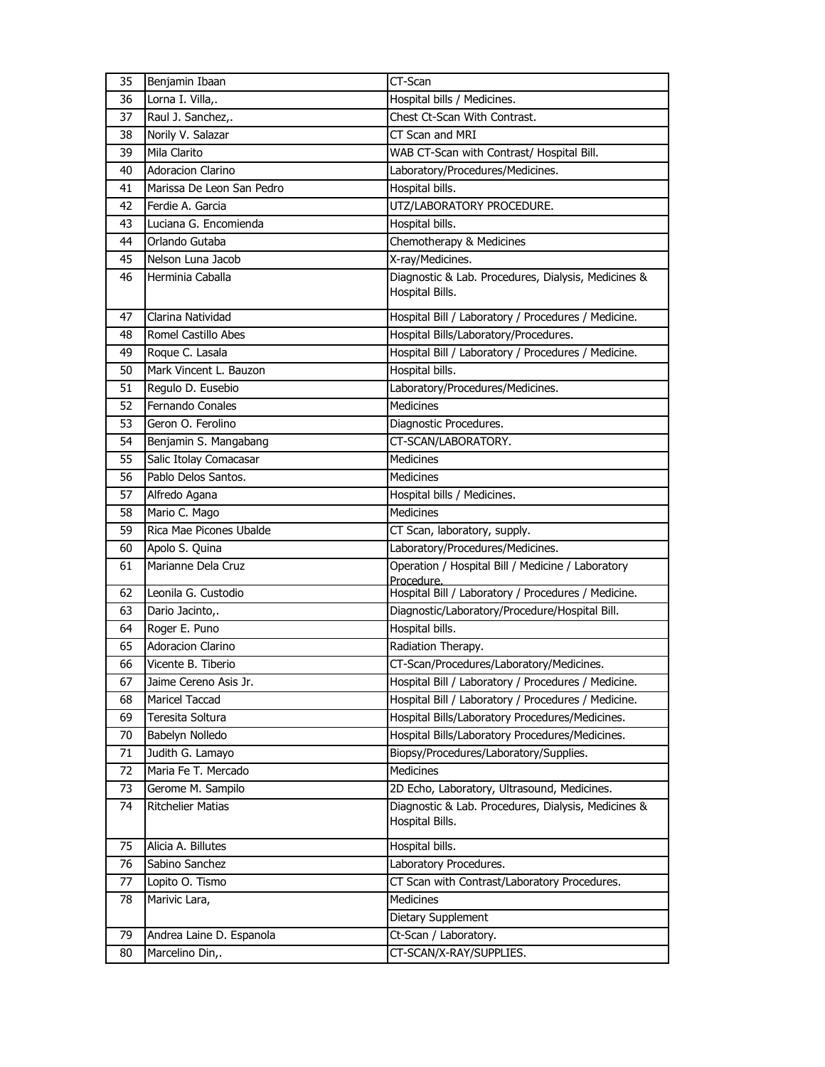| 35 | Benjamin Ibaan            | CT-Scan                                                                |
|----|---------------------------|------------------------------------------------------------------------|
| 36 | Lorna I. Villa,.          | Hospital bills / Medicines.                                            |
| 37 | Raul J. Sanchez,.         | Chest Ct-Scan With Contrast.                                           |
| 38 | Norily V. Salazar         | CT Scan and MRI                                                        |
| 39 | Mila Clarito              | WAB CT-Scan with Contrast/ Hospital Bill.                              |
| 40 | <b>Adoracion Clarino</b>  | Laboratory/Procedures/Medicines.                                       |
| 41 | Marissa De Leon San Pedro | Hospital bills.                                                        |
| 42 | Ferdie A. Garcia          | UTZ/LABORATORY PROCEDURE.                                              |
| 43 | Luciana G. Encomienda     | Hospital bills.                                                        |
| 44 | Orlando Gutaba            | Chemotherapy & Medicines                                               |
| 45 | Nelson Luna Jacob         | X-ray/Medicines.                                                       |
| 46 | Herminia Caballa          | Diagnostic & Lab. Procedures, Dialysis, Medicines &<br>Hospital Bills. |
| 47 | Clarina Natividad         | Hospital Bill / Laboratory / Procedures / Medicine.                    |
| 48 | Romel Castillo Abes       | Hospital Bills/Laboratory/Procedures.                                  |
| 49 | Roque C. Lasala           | Hospital Bill / Laboratory / Procedures / Medicine.                    |
| 50 | Mark Vincent L. Bauzon    | Hospital bills.                                                        |
| 51 | Regulo D. Eusebio         | Laboratory/Procedures/Medicines.                                       |
| 52 | Fernando Conales          | <b>Medicines</b>                                                       |
| 53 | Geron O. Ferolino         | Diagnostic Procedures.                                                 |
| 54 | Benjamin S. Mangabang     | CT-SCAN/LABORATORY.                                                    |
| 55 | Salic Itolay Comacasar    | Medicines                                                              |
| 56 | Pablo Delos Santos.       | Medicines                                                              |
| 57 | Alfredo Agana             | Hospital bills / Medicines.                                            |
| 58 | Mario C. Mago             | Medicines                                                              |
| 59 | Rica Mae Picones Ubalde   | CT Scan, laboratory, supply.                                           |
| 60 | Apolo S. Quina            | Laboratory/Procedures/Medicines.                                       |
| 61 | Marianne Dela Cruz        | Operation / Hospital Bill / Medicine / Laboratory<br>Procedure.        |
| 62 | Leonila G. Custodio       | Hospital Bill / Laboratory / Procedures / Medicine.                    |
| 63 | Dario Jacinto,.           | Diagnostic/Laboratory/Procedure/Hospital Bill.                         |
| 64 | Roger E. Puno             | Hospital bills.                                                        |
| 65 | <b>Adoracion Clarino</b>  | Radiation Therapy.                                                     |
| 66 | Vicente B. Tiberio        | CT-Scan/Procedures/Laboratory/Medicines.                               |
| 67 | Jaime Cereno Asis Jr.     | Hospital Bill / Laboratory / Procedures / Medicine.                    |
| 68 | Maricel Taccad            | Hospital Bill / Laboratory / Procedures / Medicine.                    |
| 69 | Teresita Soltura          | Hospital Bills/Laboratory Procedures/Medicines.                        |
| 70 | Babelyn Nolledo           | Hospital Bills/Laboratory Procedures/Medicines.                        |
| 71 | Judith G. Lamayo          | Biopsy/Procedures/Laboratory/Supplies.                                 |
| 72 | Maria Fe T. Mercado       | <b>Medicines</b>                                                       |
| 73 | Gerome M. Sampilo         | 2D Echo, Laboratory, Ultrasound, Medicines.                            |
| 74 | <b>Ritchelier Matias</b>  | Diagnostic & Lab. Procedures, Dialysis, Medicines &<br>Hospital Bills. |
| 75 | Alicia A. Billutes        | Hospital bills.                                                        |
| 76 | Sabino Sanchez            | Laboratory Procedures.                                                 |
| 77 | Lopito O. Tismo           | CT Scan with Contrast/Laboratory Procedures.                           |
| 78 | Marivic Lara,             | Medicines                                                              |
|    |                           | Dietary Supplement                                                     |
| 79 | Andrea Laine D. Espanola  | Ct-Scan / Laboratory.                                                  |
| 80 | Marcelino Din,.           | CT-SCAN/X-RAY/SUPPLIES.                                                |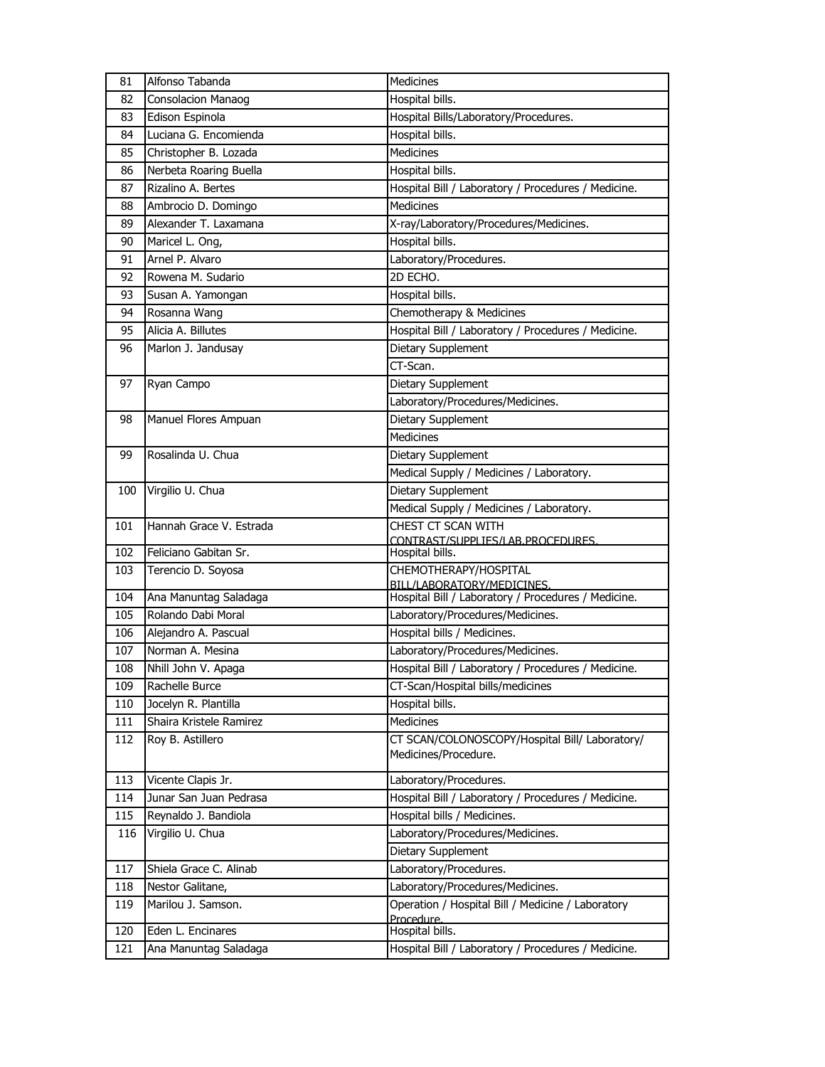| 81         | Alfonso Tabanda                            | Medicines                                                                         |
|------------|--------------------------------------------|-----------------------------------------------------------------------------------|
| 82         | Consolacion Manaog                         | Hospital bills.                                                                   |
| 83         | Edison Espinola                            | Hospital Bills/Laboratory/Procedures.                                             |
| 84         | Luciana G. Encomienda                      | Hospital bills.                                                                   |
| 85         | Christopher B. Lozada                      | Medicines                                                                         |
| 86         | Nerbeta Roaring Buella                     | Hospital bills.                                                                   |
| 87         | Rizalino A. Bertes                         | Hospital Bill / Laboratory / Procedures / Medicine.                               |
| 88         | Ambrocio D. Domingo                        | Medicines                                                                         |
| 89         | Alexander T. Laxamana                      | X-ray/Laboratory/Procedures/Medicines.                                            |
| 90         | Maricel L. Ong,                            | Hospital bills.                                                                   |
| 91         | Arnel P. Alvaro                            | Laboratory/Procedures.                                                            |
| 92         | Rowena M. Sudario                          | 2D ECHO.                                                                          |
| 93         | Susan A. Yamongan                          | Hospital bills.                                                                   |
| 94         | Rosanna Wang                               | Chemotherapy & Medicines                                                          |
| 95         | Alicia A. Billutes                         | Hospital Bill / Laboratory / Procedures / Medicine.                               |
| 96         | Marlon J. Jandusay                         | Dietary Supplement                                                                |
|            |                                            | CT-Scan.                                                                          |
| 97         | Ryan Campo                                 | Dietary Supplement                                                                |
|            |                                            | Laboratory/Procedures/Medicines.                                                  |
| 98         | Manuel Flores Ampuan                       | Dietary Supplement                                                                |
|            |                                            | <b>Medicines</b>                                                                  |
| 99         | Rosalinda U. Chua                          | Dietary Supplement                                                                |
|            |                                            | Medical Supply / Medicines / Laboratory.                                          |
| 100        | Virgilio U. Chua                           | Dietary Supplement                                                                |
|            |                                            | Medical Supply / Medicines / Laboratory.                                          |
| 101        | Hannah Grace V. Estrada                    | CHEST CT SCAN WITH                                                                |
|            |                                            | CONTRAST/SUPPLIES/LAB.PROCEDURES.                                                 |
|            |                                            |                                                                                   |
| 102        | Feliciano Gabitan Sr.                      | Hospital bills.                                                                   |
| 103        | Terencio D. Soyosa                         | CHEMOTHERAPY/HOSPITAL                                                             |
| 104        | Ana Manuntag Saladaga                      | BILL/LABORATORY/MEDICINES.<br>Hospital Bill / Laboratory / Procedures / Medicine. |
| 105        | Rolando Dabi Moral                         | Laboratory/Procedures/Medicines.                                                  |
| 106        | Alejandro A. Pascual                       | Hospital bills / Medicines.                                                       |
| 107        | Norman A. Mesina                           | Laboratory/Procedures/Medicines.                                                  |
| 108        | Nhill John V. Apaga                        | Hospital Bill / Laboratory / Procedures / Medicine.                               |
| 109        | Rachelle Burce                             | CT-Scan/Hospital bills/medicines                                                  |
| 110        | Jocelyn R. Plantilla                       | Hospital bills.                                                                   |
| 111        | Shaira Kristele Ramirez                    | <b>Medicines</b>                                                                  |
| 112        | Roy B. Astillero                           | CT SCAN/COLONOSCOPY/Hospital Bill/ Laboratory/                                    |
|            |                                            | Medicines/Procedure.                                                              |
|            |                                            |                                                                                   |
| 113        | Vicente Clapis Jr.                         | Laboratory/Procedures.                                                            |
| 114        | Junar San Juan Pedrasa                     | Hospital Bill / Laboratory / Procedures / Medicine.                               |
| 115        | Reynaldo J. Bandiola                       | Hospital bills / Medicines.                                                       |
| 116        | Virgilio U. Chua                           | Laboratory/Procedures/Medicines.                                                  |
|            |                                            | Dietary Supplement                                                                |
| 117        | Shiela Grace C. Alinab                     | Laboratory/Procedures.                                                            |
| 118        | Nestor Galitane,                           | Laboratory/Procedures/Medicines.                                                  |
| 119        | Marilou J. Samson.                         | Operation / Hospital Bill / Medicine / Laboratory<br>Procedure.                   |
| 120<br>121 | Eden L. Encinares<br>Ana Manuntag Saladaga | Hospital bills.<br>Hospital Bill / Laboratory / Procedures / Medicine.            |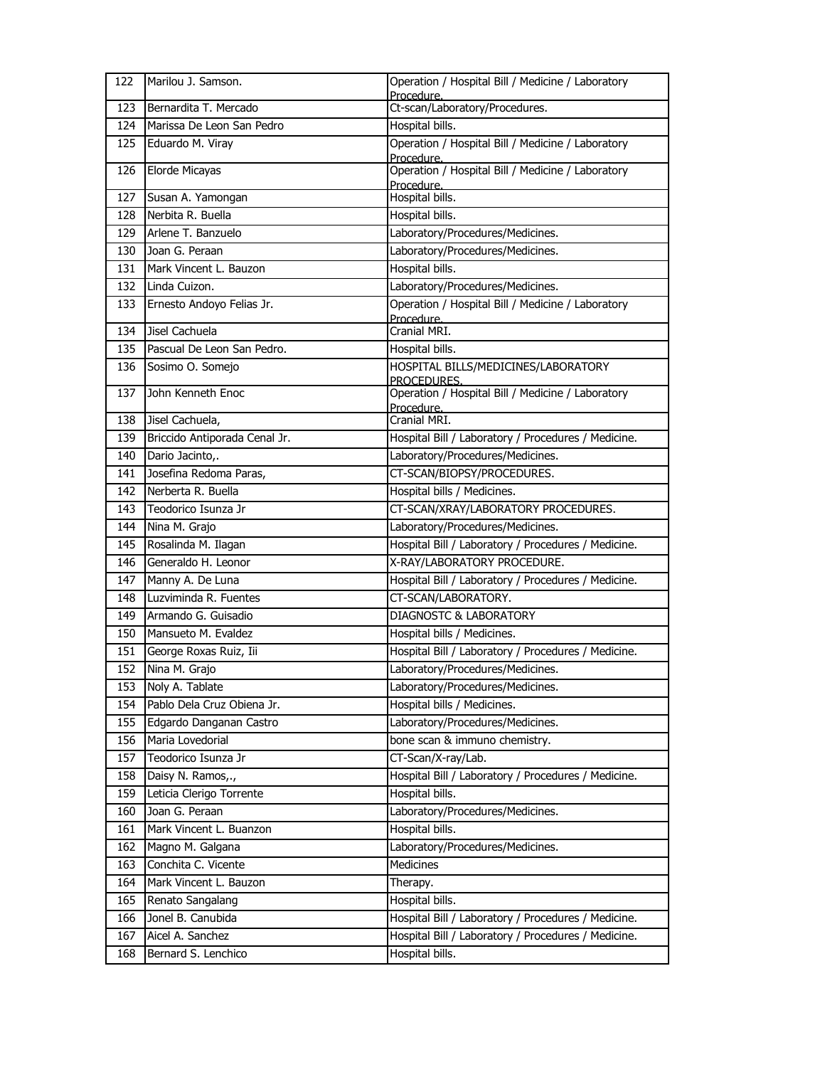| 122        | Marilou J. Samson.                      | Operation / Hospital Bill / Medicine / Laboratory<br>Procedure.        |
|------------|-----------------------------------------|------------------------------------------------------------------------|
| 123        | Bernardita T. Mercado                   | Ct-scan/Laboratory/Procedures.                                         |
| 124        | Marissa De Leon San Pedro               | Hospital bills.                                                        |
| 125        | Eduardo M. Viray                        | Operation / Hospital Bill / Medicine / Laboratory                      |
| 126        | Elorde Micayas                          | Procedure.<br>Operation / Hospital Bill / Medicine / Laboratory        |
| 127        | Susan A. Yamongan                       | Procedure.<br>Hospital bills.                                          |
| 128        | Nerbita R. Buella                       | Hospital bills.                                                        |
| 129        | Arlene T. Banzuelo                      | Laboratory/Procedures/Medicines.                                       |
| 130        | Joan G. Peraan                          | Laboratory/Procedures/Medicines.                                       |
| 131        | Mark Vincent L. Bauzon                  | Hospital bills.                                                        |
| 132        | Linda Cuizon.                           | Laboratory/Procedures/Medicines.                                       |
| 133        | Ernesto Andoyo Felias Jr.               | Operation / Hospital Bill / Medicine / Laboratory                      |
|            |                                         | Procedure.                                                             |
| 134        | Jisel Cachuela                          | Cranial MRI.                                                           |
| 135        | Pascual De Leon San Pedro.              | Hospital bills.                                                        |
| 136        | Sosimo O. Somejo                        | HOSPITAL BILLS/MEDICINES/LABORATORY                                    |
| 137        | John Kenneth Enoc                       | PROCEDURES.<br>Operation / Hospital Bill / Medicine / Laboratory       |
|            |                                         | Procedure.                                                             |
| 138        | Jisel Cachuela,                         | Cranial MRI.                                                           |
| 139        | Briccido Antiporada Cenal Jr.           | Hospital Bill / Laboratory / Procedures / Medicine.                    |
| 140        | Dario Jacinto,.                         | Laboratory/Procedures/Medicines.                                       |
| 141        | Josefina Redoma Paras,                  | CT-SCAN/BIOPSY/PROCEDURES.                                             |
| 142        | Nerberta R. Buella                      | Hospital bills / Medicines.                                            |
| 143        | Teodorico Isunza Jr                     | CT-SCAN/XRAY/LABORATORY PROCEDURES.                                    |
|            |                                         |                                                                        |
| 144        | Nina M. Grajo                           | Laboratory/Procedures/Medicines.                                       |
| 145        | Rosalinda M. Ilagan                     | Hospital Bill / Laboratory / Procedures / Medicine.                    |
| 146        | Generaldo H. Leonor                     | X-RAY/LABORATORY PROCEDURE.                                            |
| 147        | Manny A. De Luna                        | Hospital Bill / Laboratory / Procedures / Medicine.                    |
| 148        | Luzviminda R. Fuentes                   | CT-SCAN/LABORATORY.                                                    |
| 149        | Armando G. Guisadio                     | <b>DIAGNOSTC &amp; LABORATORY</b>                                      |
| 150        | Mansueto M. Evaldez                     | Hospital bills / Medicines.                                            |
| 151        | George Roxas Ruiz, Iii                  | Hospital Bill / Laboratory / Procedures / Medicine.                    |
| 152        | Nina M. Grajo                           | Laboratory/Procedures/Medicines.                                       |
| 153        | Noly A. Tablate                         | Laboratory/Procedures/Medicines.                                       |
| 154        | Pablo Dela Cruz Obiena Jr.              | Hospital bills / Medicines.                                            |
| 155        | Edgardo Danganan Castro                 | Laboratory/Procedures/Medicines.                                       |
| 156        | Maria Lovedorial                        | bone scan & immuno chemistry.                                          |
| 157        | Teodorico Isunza Jr                     | CT-Scan/X-ray/Lab.                                                     |
| 158        | Daisy N. Ramos,.,                       | Hospital Bill / Laboratory / Procedures / Medicine.                    |
| 159        | Leticia Clerigo Torrente                | Hospital bills.                                                        |
| 160        | Joan G. Peraan                          | Laboratory/Procedures/Medicines.                                       |
| 161        | Mark Vincent L. Buanzon                 | Hospital bills.                                                        |
| 162        | Magno M. Galgana                        | Laboratory/Procedures/Medicines.                                       |
| 163        | Conchita C. Vicente                     | Medicines                                                              |
| 164        | Mark Vincent L. Bauzon                  | Therapy.                                                               |
| 165        | Renato Sangalang                        | Hospital bills.                                                        |
| 166        | Jonel B. Canubida                       | Hospital Bill / Laboratory / Procedures / Medicine.                    |
| 167<br>168 | Aicel A. Sanchez<br>Bernard S. Lenchico | Hospital Bill / Laboratory / Procedures / Medicine.<br>Hospital bills. |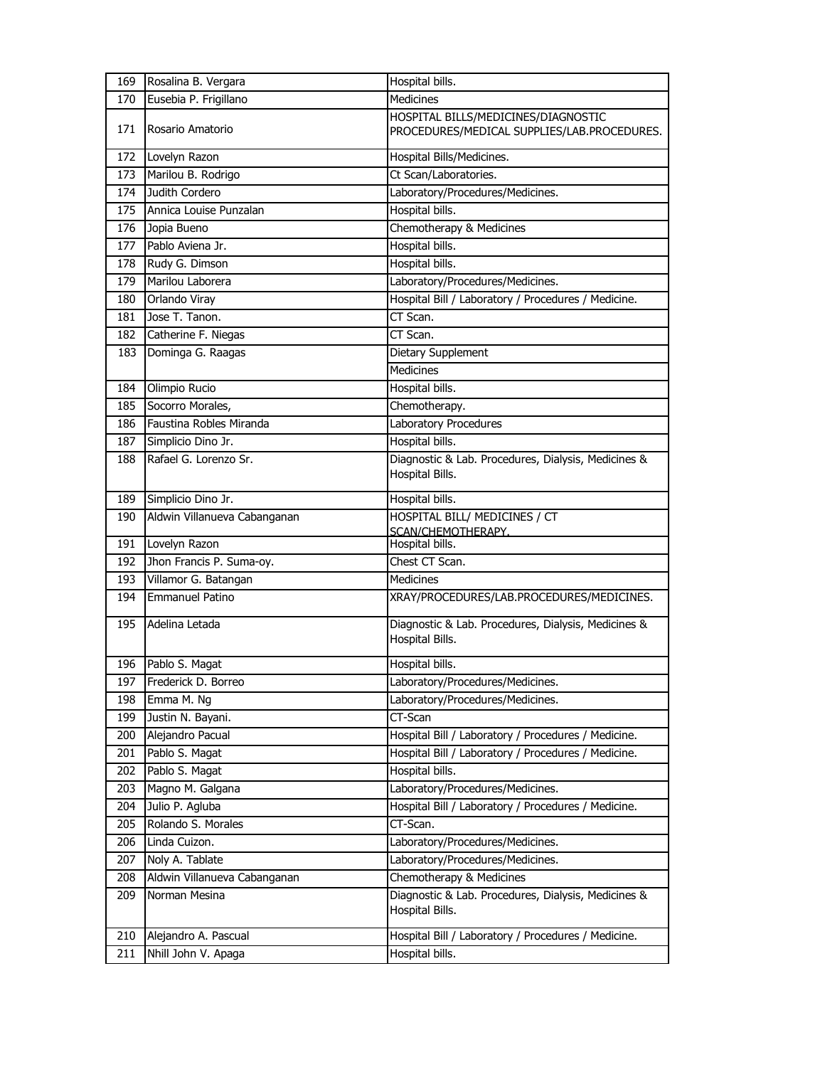| 169 | Rosalina B. Vergara          | Hospital bills.                                                                    |
|-----|------------------------------|------------------------------------------------------------------------------------|
| 170 | Eusebia P. Frigillano        | <b>Medicines</b>                                                                   |
| 171 | Rosario Amatorio             | HOSPITAL BILLS/MEDICINES/DIAGNOSTIC<br>PROCEDURES/MEDICAL SUPPLIES/LAB.PROCEDURES. |
| 172 | Lovelyn Razon                | Hospital Bills/Medicines.                                                          |
| 173 | Marilou B. Rodrigo           | Ct Scan/Laboratories.                                                              |
| 174 | Judith Cordero               | Laboratory/Procedures/Medicines.                                                   |
| 175 | Annica Louise Punzalan       | Hospital bills.                                                                    |
| 176 | Jopia Bueno                  | Chemotherapy & Medicines                                                           |
| 177 | Pablo Aviena Jr.             | Hospital bills.                                                                    |
| 178 | Rudy G. Dimson               | Hospital bills.                                                                    |
| 179 | Marilou Laborera             | Laboratory/Procedures/Medicines.                                                   |
| 180 | Orlando Viray                | Hospital Bill / Laboratory / Procedures / Medicine.                                |
| 181 | Jose T. Tanon.               | CT Scan.                                                                           |
| 182 | Catherine F. Niegas          | CT Scan.                                                                           |
| 183 | Dominga G. Raagas            | Dietary Supplement                                                                 |
|     |                              | Medicines                                                                          |
| 184 | Olimpio Rucio                | Hospital bills.                                                                    |
| 185 | Socorro Morales,             | Chemotherapy.                                                                      |
| 186 | Faustina Robles Miranda      | Laboratory Procedures                                                              |
| 187 | Simplicio Dino Jr.           | Hospital bills.                                                                    |
| 188 | Rafael G. Lorenzo Sr.        | Diagnostic & Lab. Procedures, Dialysis, Medicines &<br>Hospital Bills.             |
| 189 | Simplicio Dino Jr.           | Hospital bills.                                                                    |
| 190 | Aldwin Villanueva Cabanganan | <b>HOSPITAL BILL/ MEDICINES / CT</b>                                               |
| 191 | Lovelyn Razon                | SCAN/CHEMOTHERAPY.<br>Hospital bills.                                              |
| 192 | Jhon Francis P. Suma-oy.     | Chest CT Scan.                                                                     |
| 193 | Villamor G. Batangan         | <b>Medicines</b>                                                                   |
| 194 | <b>Emmanuel Patino</b>       | XRAY/PROCEDURES/LAB.PROCEDURES/MEDICINES.                                          |
|     |                              |                                                                                    |
| 195 | Adelina Letada               | Diagnostic & Lab. Procedures, Dialysis, Medicines &<br>Hospital Bills.             |
| 196 | Pablo S. Magat               | Hospital bills.                                                                    |
| 197 | Frederick D. Borreo          | Laboratory/Procedures/Medicines.                                                   |
| 198 | Emma M. Ng                   | Laboratory/Procedures/Medicines.                                                   |
| 199 | Justin N. Bayani.            | CT-Scan                                                                            |
| 200 | Alejandro Pacual             | Hospital Bill / Laboratory / Procedures / Medicine.                                |
| 201 | Pablo S. Magat               | Hospital Bill / Laboratory / Procedures / Medicine.                                |
| 202 | Pablo S. Magat               | Hospital bills.                                                                    |
| 203 | Magno M. Galgana             | Laboratory/Procedures/Medicines.                                                   |
| 204 | Julio P. Agluba              | Hospital Bill / Laboratory / Procedures / Medicine.                                |
| 205 | Rolando S. Morales           | CT-Scan.                                                                           |
| 206 | Linda Cuizon.                | Laboratory/Procedures/Medicines.                                                   |
| 207 | Noly A. Tablate              | Laboratory/Procedures/Medicines.                                                   |
| 208 | Aldwin Villanueva Cabanganan | Chemotherapy & Medicines                                                           |
| 209 | Norman Mesina                | Diagnostic & Lab. Procedures, Dialysis, Medicines &<br>Hospital Bills.             |
| 210 | Alejandro A. Pascual         | Hospital Bill / Laboratory / Procedures / Medicine.                                |
| 211 | Nhill John V. Apaga          | Hospital bills.                                                                    |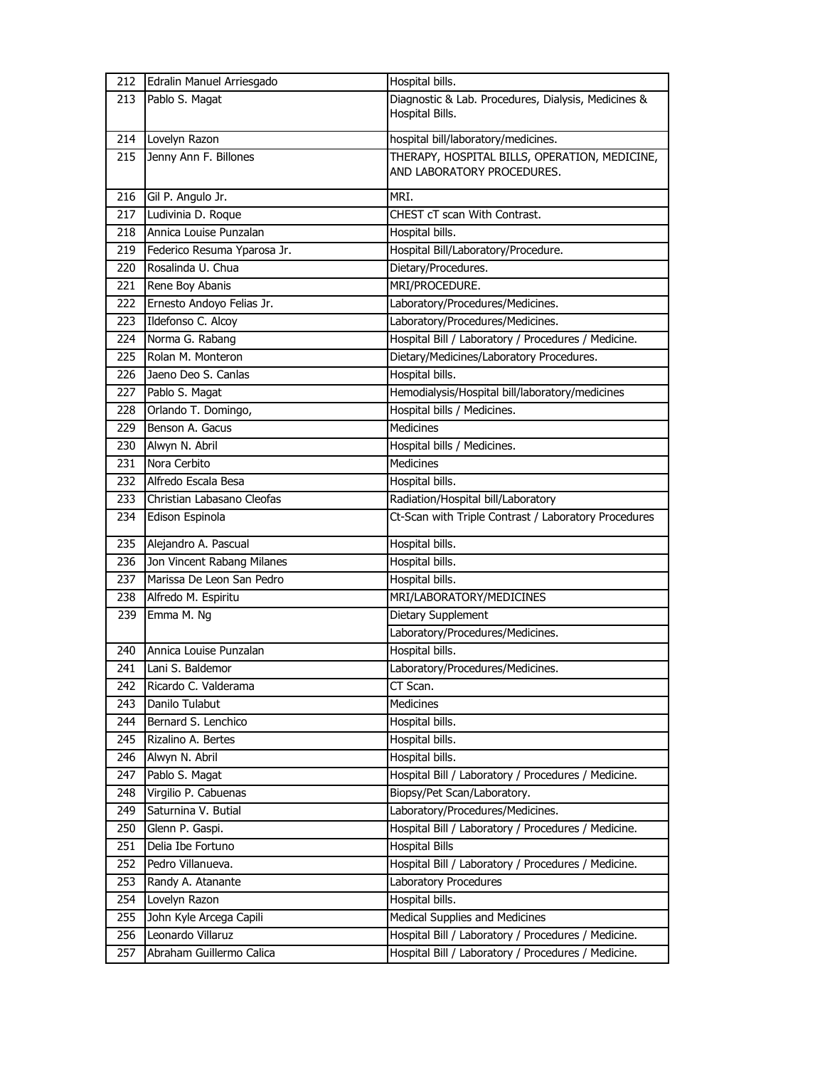|     | 212 Edralin Manuel Arriesgado | Hospital bills.                                      |
|-----|-------------------------------|------------------------------------------------------|
| 213 | Pablo S. Magat                | Diagnostic & Lab. Procedures, Dialysis, Medicines &  |
|     |                               | Hospital Bills.                                      |
| 214 | Lovelyn Razon                 | hospital bill/laboratory/medicines.                  |
| 215 | Jenny Ann F. Billones         | THERAPY, HOSPITAL BILLS, OPERATION, MEDICINE,        |
|     |                               | AND LABORATORY PROCEDURES.                           |
| 216 | Gil P. Angulo Jr.             | MRI.                                                 |
| 217 | Ludivinia D. Roque            | CHEST cT scan With Contrast.                         |
| 218 | Annica Louise Punzalan        | Hospital bills.                                      |
| 219 | Federico Resuma Yparosa Jr.   | Hospital Bill/Laboratory/Procedure.                  |
| 220 | Rosalinda U. Chua             | Dietary/Procedures.                                  |
| 221 | Rene Boy Abanis               | MRI/PROCEDURE.                                       |
| 222 | Ernesto Andoyo Felias Jr.     | Laboratory/Procedures/Medicines.                     |
| 223 | Ildefonso C. Alcoy            | Laboratory/Procedures/Medicines.                     |
| 224 | Norma G. Rabang               | Hospital Bill / Laboratory / Procedures / Medicine.  |
| 225 | Rolan M. Monteron             | Dietary/Medicines/Laboratory Procedures.             |
| 226 | Jaeno Deo S. Canlas           | Hospital bills.                                      |
| 227 | Pablo S. Magat                | Hemodialysis/Hospital bill/laboratory/medicines      |
| 228 | Orlando T. Domingo,           | Hospital bills / Medicines.                          |
| 229 | Benson A. Gacus               | <b>Medicines</b>                                     |
| 230 | Alwyn N. Abril                | Hospital bills / Medicines.                          |
| 231 | Nora Cerbito                  | Medicines                                            |
| 232 | Alfredo Escala Besa           | Hospital bills.                                      |
| 233 | Christian Labasano Cleofas    | Radiation/Hospital bill/Laboratory                   |
| 234 | Edison Espinola               | Ct-Scan with Triple Contrast / Laboratory Procedures |
| 235 | Alejandro A. Pascual          | Hospital bills.                                      |
| 236 | Jon Vincent Rabang Milanes    | Hospital bills.                                      |
| 237 | Marissa De Leon San Pedro     | Hospital bills.                                      |
| 238 | Alfredo M. Espiritu           | MRI/LABORATORY/MEDICINES                             |
| 239 | Emma M. Ng                    | Dietary Supplement                                   |
|     |                               | Laboratory/Procedures/Medicines.                     |
| 240 | Annica Louise Punzalan        | Hospital bills.                                      |
| 241 | Lani S. Baldemor              | Laboratory/Procedures/Medicines.                     |
| 242 | Ricardo C. Valderama          | CT Scan.                                             |
| 243 | Danilo Tulabut                | Medicines                                            |
| 244 | Bernard S. Lenchico           | Hospital bills.                                      |
| 245 | Rizalino A. Bertes            | Hospital bills.                                      |
| 246 | Alwyn N. Abril                | Hospital bills.                                      |
| 247 | Pablo S. Magat                | Hospital Bill / Laboratory / Procedures / Medicine.  |
| 248 | Virgilio P. Cabuenas          | Biopsy/Pet Scan/Laboratory.                          |
| 249 | Saturnina V. Butial           | Laboratory/Procedures/Medicines.                     |
| 250 | Glenn P. Gaspi.               | Hospital Bill / Laboratory / Procedures / Medicine.  |
| 251 | Delia Ibe Fortuno             | <b>Hospital Bills</b>                                |
| 252 | Pedro Villanueva.             | Hospital Bill / Laboratory / Procedures / Medicine.  |
| 253 | Randy A. Atanante             | Laboratory Procedures                                |
| 254 | Lovelyn Razon                 | Hospital bills.                                      |
| 255 | John Kyle Arcega Capili       | Medical Supplies and Medicines                       |
| 256 | Leonardo Villaruz             | Hospital Bill / Laboratory / Procedures / Medicine.  |
| 257 | Abraham Guillermo Calica      | Hospital Bill / Laboratory / Procedures / Medicine.  |
|     |                               |                                                      |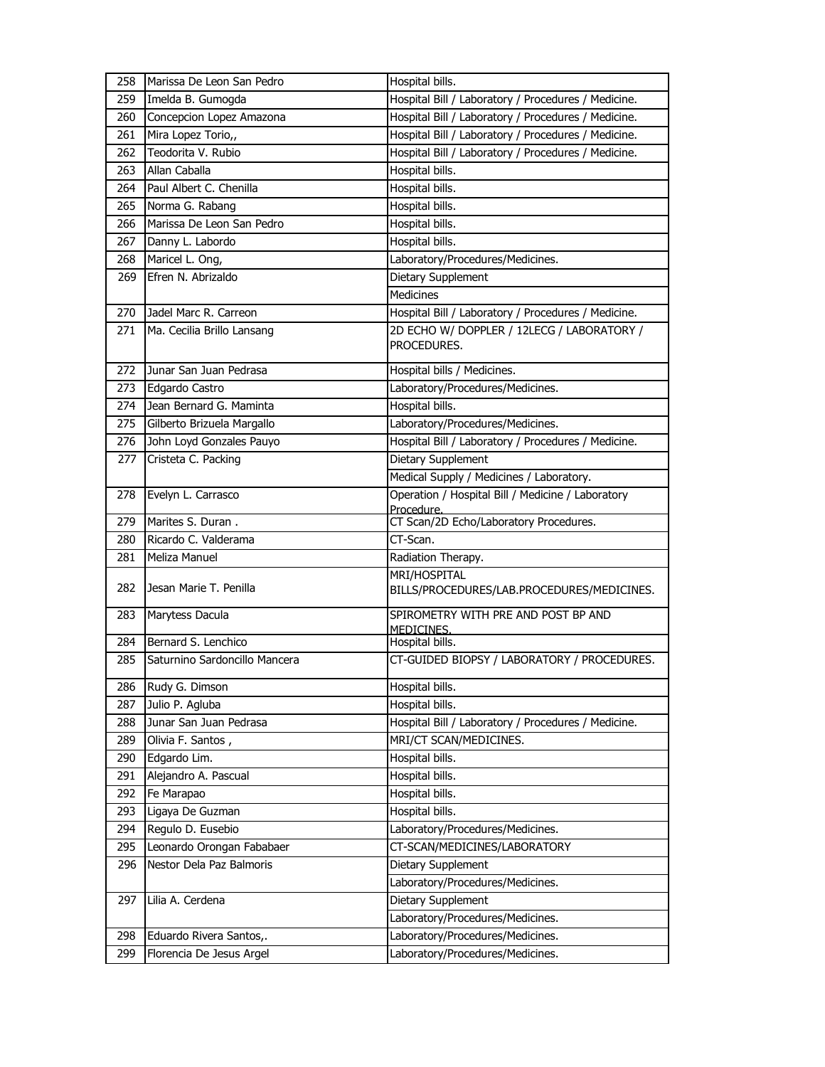| 258        | Marissa De Leon San Pedro                 | Hospital bills.                                                 |
|------------|-------------------------------------------|-----------------------------------------------------------------|
| 259        | Imelda B. Gumogda                         | Hospital Bill / Laboratory / Procedures / Medicine.             |
| 260        | Concepcion Lopez Amazona                  | Hospital Bill / Laboratory / Procedures / Medicine.             |
| 261        | Mira Lopez Torio,,                        | Hospital Bill / Laboratory / Procedures / Medicine.             |
| 262        | Teodorita V. Rubio                        | Hospital Bill / Laboratory / Procedures / Medicine.             |
| 263        | Allan Caballa                             | Hospital bills.                                                 |
| 264        | Paul Albert C. Chenilla                   | Hospital bills.                                                 |
| 265        | Norma G. Rabang                           | Hospital bills.                                                 |
| 266        | Marissa De Leon San Pedro                 | Hospital bills.                                                 |
| 267        | Danny L. Labordo                          | Hospital bills.                                                 |
| 268        | Maricel L. Ong,                           | Laboratory/Procedures/Medicines.                                |
| 269        | Efren N. Abrizaldo                        | Dietary Supplement                                              |
|            |                                           | <b>Medicines</b>                                                |
| 270        | Jadel Marc R. Carreon                     | Hospital Bill / Laboratory / Procedures / Medicine.             |
| 271        | Ma. Cecilia Brillo Lansang                | 2D ECHO W/ DOPPLER / 12LECG / LABORATORY /                      |
|            |                                           | PROCEDURES.                                                     |
| 272        | Junar San Juan Pedrasa                    | Hospital bills / Medicines.                                     |
| 273        |                                           | Laboratory/Procedures/Medicines.                                |
|            | Edgardo Castro<br>Jean Bernard G. Maminta | Hospital bills.                                                 |
| 274        |                                           |                                                                 |
| 275        | Gilberto Brizuela Margallo                | Laboratory/Procedures/Medicines.                                |
| 276        | John Loyd Gonzales Pauyo                  | Hospital Bill / Laboratory / Procedures / Medicine.             |
| 277        | Cristeta C. Packing                       | Dietary Supplement                                              |
|            |                                           | Medical Supply / Medicines / Laboratory.                        |
| 278        | Evelyn L. Carrasco                        | Operation / Hospital Bill / Medicine / Laboratory<br>Procedure. |
| 279        | Marites S. Duran.                         | CT Scan/2D Echo/Laboratory Procedures.                          |
| 280        | Ricardo C. Valderama                      | CT-Scan.                                                        |
| 281        | Meliza Manuel                             | Radiation Therapy.                                              |
|            |                                           | MRI/HOSPITAL                                                    |
| 282        | Jesan Marie T. Penilla                    | BILLS/PROCEDURES/LAB.PROCEDURES/MEDICINES.                      |
| 283        | Marytess Dacula                           | SPIROMETRY WITH PRE AND POST BP AND                             |
|            |                                           | MEDICINES.                                                      |
| 284        | Bernard S. Lenchico                       | Hospital bills.                                                 |
| 285        | Saturnino Sardoncillo Mancera             | CT-GUIDED BIOPSY / LABORATORY / PROCEDURES.                     |
| 286        | Rudy G. Dimson                            | Hospital bills.                                                 |
| 287        | Julio P. Agluba                           | Hospital bills.                                                 |
| 288        | Junar San Juan Pedrasa                    | Hospital Bill / Laboratory / Procedures / Medicine.             |
| 289        | Olivia F. Santos,                         | MRI/CT SCAN/MEDICINES.                                          |
| 290        | Edgardo Lim.                              | Hospital bills.                                                 |
| 291        | Alejandro A. Pascual                      | Hospital bills.                                                 |
| 292        | Fe Marapao                                | Hospital bills.                                                 |
|            | Ligaya De Guzman                          | Hospital bills.                                                 |
| 293<br>294 | Regulo D. Eusebio                         | Laboratory/Procedures/Medicines.                                |
| 295        | Leonardo Orongan Fababaer                 | CT-SCAN/MEDICINES/LABORATORY                                    |
|            |                                           |                                                                 |
| 296        | Nestor Dela Paz Balmoris                  | Dietary Supplement                                              |
|            |                                           | Laboratory/Procedures/Medicines.                                |
| 297        | Lilia A. Cerdena                          | Dietary Supplement                                              |
|            |                                           | Laboratory/Procedures/Medicines.                                |
| 298        | Eduardo Rivera Santos,.                   | Laboratory/Procedures/Medicines.                                |
| 299        | Florencia De Jesus Argel                  | Laboratory/Procedures/Medicines.                                |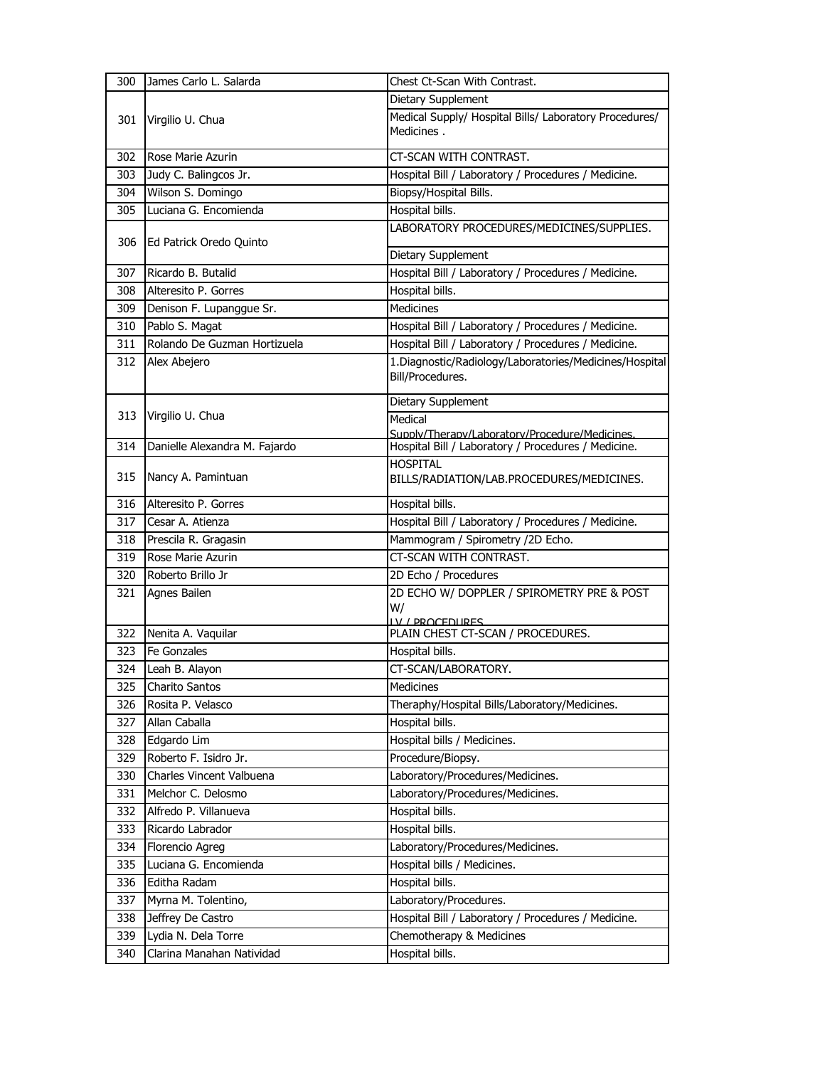| 300 | James Carlo L. Salarda        | Chest Ct-Scan With Contrast.                                                |
|-----|-------------------------------|-----------------------------------------------------------------------------|
|     |                               | Dietary Supplement                                                          |
| 301 | Virgilio U. Chua              | Medical Supply/ Hospital Bills/ Laboratory Procedures/<br>Medicines.        |
| 302 | Rose Marie Azurin             | CT-SCAN WITH CONTRAST.                                                      |
| 303 | Judy C. Balingcos Jr.         | Hospital Bill / Laboratory / Procedures / Medicine.                         |
| 304 | Wilson S. Domingo             | Biopsy/Hospital Bills.                                                      |
| 305 | Luciana G. Encomienda         | Hospital bills.                                                             |
| 306 | Ed Patrick Oredo Quinto       | LABORATORY PROCEDURES/MEDICINES/SUPPLIES.                                   |
|     |                               | Dietary Supplement                                                          |
| 307 | Ricardo B. Butalid            | Hospital Bill / Laboratory / Procedures / Medicine.                         |
| 308 | Alteresito P. Gorres          | Hospital bills.                                                             |
| 309 | Denison F. Lupanggue Sr.      | Medicines                                                                   |
| 310 | Pablo S. Magat                | Hospital Bill / Laboratory / Procedures / Medicine.                         |
| 311 | Rolando De Guzman Hortizuela  | Hospital Bill / Laboratory / Procedures / Medicine.                         |
| 312 | Alex Abejero                  | 1. Diagnostic/Radiology/Laboratories/Medicines/Hospital<br>Bill/Procedures. |
|     |                               | Dietary Supplement                                                          |
| 313 | Virgilio U. Chua              | Medical                                                                     |
|     |                               | Supply/Therapy/Laboratory/Procedure/Medicines.                              |
| 314 | Danielle Alexandra M. Fajardo | Hospital Bill / Laboratory / Procedures / Medicine.                         |
| 315 | Nancy A. Pamintuan            | <b>HOSPITAL</b><br>BILLS/RADIATION/LAB.PROCEDURES/MEDICINES.                |
| 316 | Alteresito P. Gorres          | Hospital bills.                                                             |
| 317 | Cesar A. Atienza              | Hospital Bill / Laboratory / Procedures / Medicine.                         |
| 318 | Prescila R. Gragasin          | Mammogram / Spirometry /2D Echo.                                            |
| 319 | Rose Marie Azurin             | CT-SCAN WITH CONTRAST.                                                      |
| 320 | Roberto Brillo Jr             | 2D Echo / Procedures                                                        |
| 321 | Agnes Bailen                  | 2D ECHO W/ DOPPLER / SPIROMETRY PRE & POST<br>W/<br><u>IV / PROCEDURES</u>  |
| 322 | Nenita A. Vaquilar            | PLAIN CHEST CT-SCAN / PROCEDURES.                                           |
| 323 | <b>Fe Gonzales</b>            | Hospital bills.                                                             |
| 324 | Leah B. Alayon                | CT-SCAN/LABORATORY.                                                         |
| 325 | Charito Santos                | Medicines                                                                   |
| 326 | Rosita P. Velasco             | Theraphy/Hospital Bills/Laboratory/Medicines.                               |
| 327 | Allan Caballa                 | Hospital bills.                                                             |
| 328 | Edgardo Lim                   | Hospital bills / Medicines.                                                 |
| 329 | Roberto F. Isidro Jr.         | Procedure/Biopsy.                                                           |
| 330 | Charles Vincent Valbuena      | Laboratory/Procedures/Medicines.                                            |
| 331 | Melchor C. Delosmo            | Laboratory/Procedures/Medicines.                                            |
| 332 | Alfredo P. Villanueva         | Hospital bills.                                                             |
| 333 | Ricardo Labrador              | Hospital bills.                                                             |
| 334 | Florencio Agreg               | Laboratory/Procedures/Medicines.                                            |
| 335 | Luciana G. Encomienda         | Hospital bills / Medicines.                                                 |
| 336 | Editha Radam                  | Hospital bills.                                                             |
| 337 | Myrna M. Tolentino,           | Laboratory/Procedures.                                                      |
| 338 | Jeffrey De Castro             | Hospital Bill / Laboratory / Procedures / Medicine.                         |
| 339 | Lydia N. Dela Torre           | Chemotherapy & Medicines                                                    |
| 340 | Clarina Manahan Natividad     | Hospital bills.                                                             |
|     |                               |                                                                             |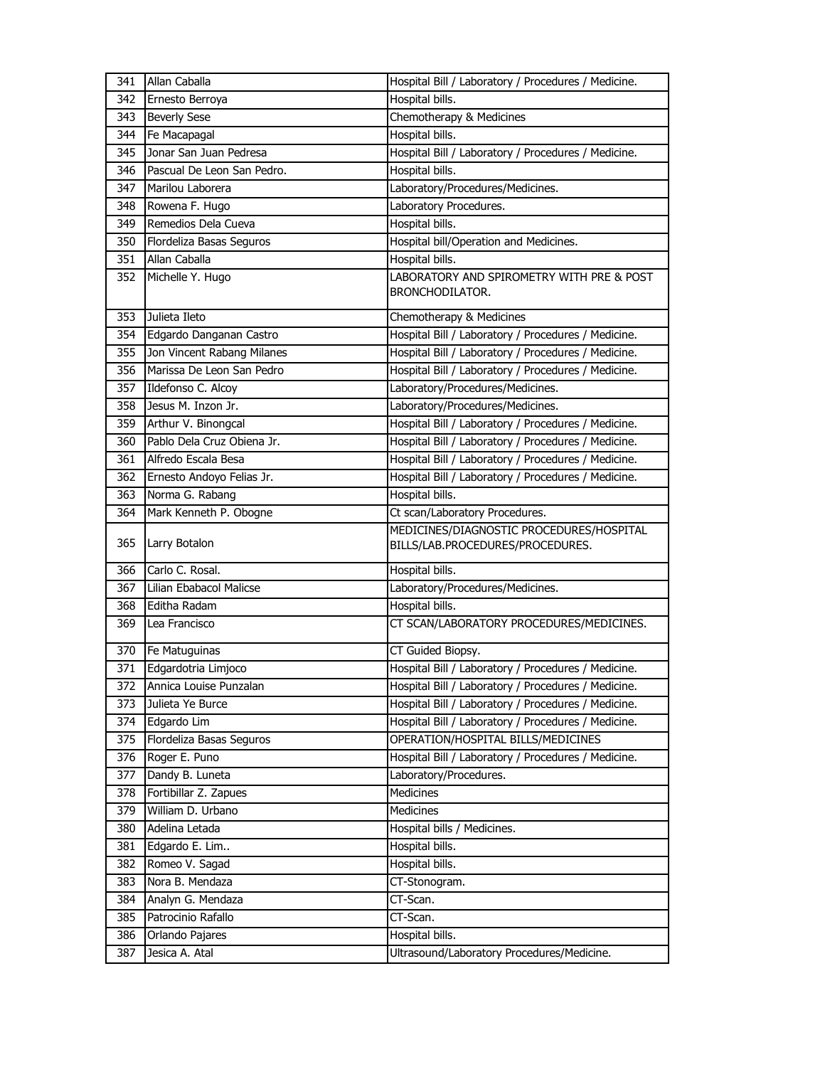| 341 | Allan Caballa              | Hospital Bill / Laboratory / Procedures / Medicine.                          |
|-----|----------------------------|------------------------------------------------------------------------------|
| 342 | Ernesto Berroya            | Hospital bills.                                                              |
| 343 | <b>Beverly Sese</b>        | Chemotherapy & Medicines                                                     |
| 344 | Fe Macapagal               | Hospital bills.                                                              |
| 345 | Jonar San Juan Pedresa     | Hospital Bill / Laboratory / Procedures / Medicine.                          |
| 346 | Pascual De Leon San Pedro. | Hospital bills.                                                              |
| 347 | Marilou Laborera           | Laboratory/Procedures/Medicines.                                             |
| 348 | Rowena F. Hugo             | Laboratory Procedures.                                                       |
| 349 | Remedios Dela Cueva        | Hospital bills.                                                              |
| 350 | Flordeliza Basas Seguros   | Hospital bill/Operation and Medicines.                                       |
| 351 | Allan Caballa              | Hospital bills.                                                              |
| 352 | Michelle Y. Hugo           | LABORATORY AND SPIROMETRY WITH PRE & POST<br><b>BRONCHODILATOR.</b>          |
| 353 | Julieta Ileto              | Chemotherapy & Medicines                                                     |
| 354 | Edgardo Danganan Castro    | Hospital Bill / Laboratory / Procedures / Medicine.                          |
| 355 | Jon Vincent Rabang Milanes | Hospital Bill / Laboratory / Procedures / Medicine.                          |
| 356 | Marissa De Leon San Pedro  | Hospital Bill / Laboratory / Procedures / Medicine.                          |
| 357 | Ildefonso C. Alcoy         | Laboratory/Procedures/Medicines.                                             |
| 358 | Jesus M. Inzon Jr.         | Laboratory/Procedures/Medicines.                                             |
| 359 | Arthur V. Binongcal        | Hospital Bill / Laboratory / Procedures / Medicine.                          |
| 360 | Pablo Dela Cruz Obiena Jr. | Hospital Bill / Laboratory / Procedures / Medicine.                          |
| 361 | Alfredo Escala Besa        | Hospital Bill / Laboratory / Procedures / Medicine.                          |
| 362 | Ernesto Andoyo Felias Jr.  | Hospital Bill / Laboratory / Procedures / Medicine.                          |
| 363 | Norma G. Rabang            | Hospital bills.                                                              |
| 364 | Mark Kenneth P. Obogne     | Ct scan/Laboratory Procedures.                                               |
| 365 | Larry Botalon              | MEDICINES/DIAGNOSTIC PROCEDURES/HOSPITAL<br>BILLS/LAB.PROCEDURES/PROCEDURES. |
| 366 | Carlo C. Rosal.            | Hospital bills.                                                              |
| 367 | Lilian Ebabacol Malicse    | Laboratory/Procedures/Medicines.                                             |
| 368 | Editha Radam               | Hospital bills.                                                              |
| 369 | Lea Francisco              | CT SCAN/LABORATORY PROCEDURES/MEDICINES.                                     |
| 370 | Fe Matuguinas              | CT Guided Biopsy.                                                            |
| 371 | Edgardotria Limjoco        | Hospital Bill / Laboratory / Procedures / Medicine.                          |
| 372 | Annica Louise Punzalan     | Hospital Bill / Laboratory / Procedures / Medicine.                          |
| 373 | Julieta Ye Burce           | Hospital Bill / Laboratory / Procedures / Medicine.                          |
| 374 | Edgardo Lim                | Hospital Bill / Laboratory / Procedures / Medicine.                          |
| 375 | Flordeliza Basas Seguros   | OPERATION/HOSPITAL BILLS/MEDICINES                                           |
| 376 | Roger E. Puno              | Hospital Bill / Laboratory / Procedures / Medicine.                          |
| 377 | Dandy B. Luneta            | Laboratory/Procedures.                                                       |
| 378 | Fortibillar Z. Zapues      | Medicines                                                                    |
| 379 | William D. Urbano          | Medicines                                                                    |
| 380 | Adelina Letada             | Hospital bills / Medicines.                                                  |
| 381 | Edgardo E. Lim             | Hospital bills.                                                              |
| 382 | Romeo V. Sagad             | Hospital bills.                                                              |
| 383 | Nora B. Mendaza            | CT-Stonogram.                                                                |
| 384 | Analyn G. Mendaza          | CT-Scan.                                                                     |
| 385 | Patrocinio Rafallo         | CT-Scan.                                                                     |
| 386 | Orlando Pajares            | Hospital bills.                                                              |
| 387 | Jesica A. Atal             | Ultrasound/Laboratory Procedures/Medicine.                                   |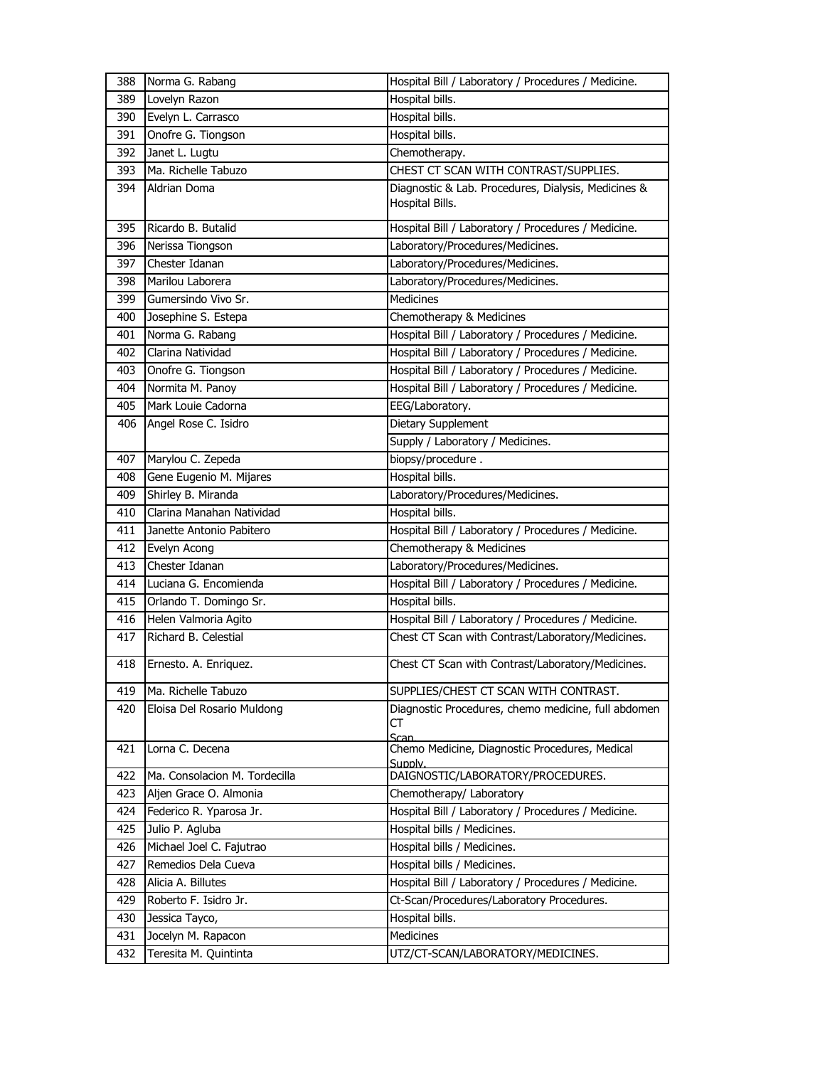| 388 | Norma G. Rabang               | Hospital Bill / Laboratory / Procedures / Medicine.                    |
|-----|-------------------------------|------------------------------------------------------------------------|
| 389 | Lovelyn Razon                 | Hospital bills.                                                        |
| 390 | Evelyn L. Carrasco            | Hospital bills.                                                        |
| 391 | Onofre G. Tiongson            | Hospital bills.                                                        |
| 392 | Janet L. Lugtu                | Chemotherapy.                                                          |
| 393 | Ma. Richelle Tabuzo           | CHEST CT SCAN WITH CONTRAST/SUPPLIES.                                  |
| 394 | Aldrian Doma                  | Diagnostic & Lab. Procedures, Dialysis, Medicines &<br>Hospital Bills. |
| 395 | Ricardo B. Butalid            | Hospital Bill / Laboratory / Procedures / Medicine.                    |
| 396 | Nerissa Tiongson              | Laboratory/Procedures/Medicines.                                       |
| 397 | Chester Idanan                | Laboratory/Procedures/Medicines.                                       |
| 398 | Marilou Laborera              | Laboratory/Procedures/Medicines.                                       |
| 399 | Gumersindo Vivo Sr.           | <b>Medicines</b>                                                       |
| 400 | Josephine S. Estepa           | Chemotherapy & Medicines                                               |
| 401 | Norma G. Rabang               | Hospital Bill / Laboratory / Procedures / Medicine.                    |
| 402 | Clarina Natividad             | Hospital Bill / Laboratory / Procedures / Medicine.                    |
| 403 | Onofre G. Tiongson            | Hospital Bill / Laboratory / Procedures / Medicine.                    |
| 404 | Normita M. Panoy              | Hospital Bill / Laboratory / Procedures / Medicine.                    |
| 405 | Mark Louie Cadorna            | EEG/Laboratory.                                                        |
| 406 | Angel Rose C. Isidro          | Dietary Supplement                                                     |
|     |                               | Supply / Laboratory / Medicines.                                       |
| 407 | Marylou C. Zepeda             | biopsy/procedure.                                                      |
| 408 | Gene Eugenio M. Mijares       | Hospital bills.                                                        |
| 409 | Shirley B. Miranda            | Laboratory/Procedures/Medicines.                                       |
| 410 | Clarina Manahan Natividad     | Hospital bills.                                                        |
| 411 | Janette Antonio Pabitero      | Hospital Bill / Laboratory / Procedures / Medicine.                    |
| 412 | Evelyn Acong                  | Chemotherapy & Medicines                                               |
| 413 | Chester Idanan                | Laboratory/Procedures/Medicines.                                       |
| 414 | Luciana G. Encomienda         | Hospital Bill / Laboratory / Procedures / Medicine.                    |
| 415 | Orlando T. Domingo Sr.        | Hospital bills.                                                        |
| 416 | Helen Valmoria Agito          | Hospital Bill / Laboratory / Procedures / Medicine.                    |
| 417 | Richard B. Celestial          | Chest CT Scan with Contrast/Laboratory/Medicines.                      |
| 418 | Ernesto. A. Enriquez.         | Chest CT Scan with Contrast/Laboratory/Medicines.                      |
| 419 | Ma. Richelle Tabuzo           | SUPPLIES/CHEST CT SCAN WITH CONTRAST.                                  |
| 420 | Eloisa Del Rosario Muldong    | Diagnostic Procedures, chemo medicine, full abdomen<br>CT              |
| 421 | Lorna C. Decena               | Scan<br>Chemo Medicine, Diagnostic Procedures, Medical<br>Supply.      |
| 422 | Ma. Consolacion M. Tordecilla | DAIGNOSTIC/LABORATORY/PROCEDURES.                                      |
| 423 | Aljen Grace O. Almonia        | Chemotherapy/ Laboratory                                               |
| 424 | Federico R. Yparosa Jr.       | Hospital Bill / Laboratory / Procedures / Medicine.                    |
| 425 | Julio P. Agluba               | Hospital bills / Medicines.                                            |
| 426 | Michael Joel C. Fajutrao      | Hospital bills / Medicines.                                            |
| 427 | Remedios Dela Cueva           | Hospital bills / Medicines.                                            |
| 428 | Alicia A. Billutes            | Hospital Bill / Laboratory / Procedures / Medicine.                    |
| 429 | Roberto F. Isidro Jr.         | Ct-Scan/Procedures/Laboratory Procedures.                              |
| 430 | Jessica Tayco,                | Hospital bills.                                                        |
| 431 | Jocelyn M. Rapacon            | Medicines                                                              |
| 432 | Teresita M. Quintinta         | UTZ/CT-SCAN/LABORATORY/MEDICINES.                                      |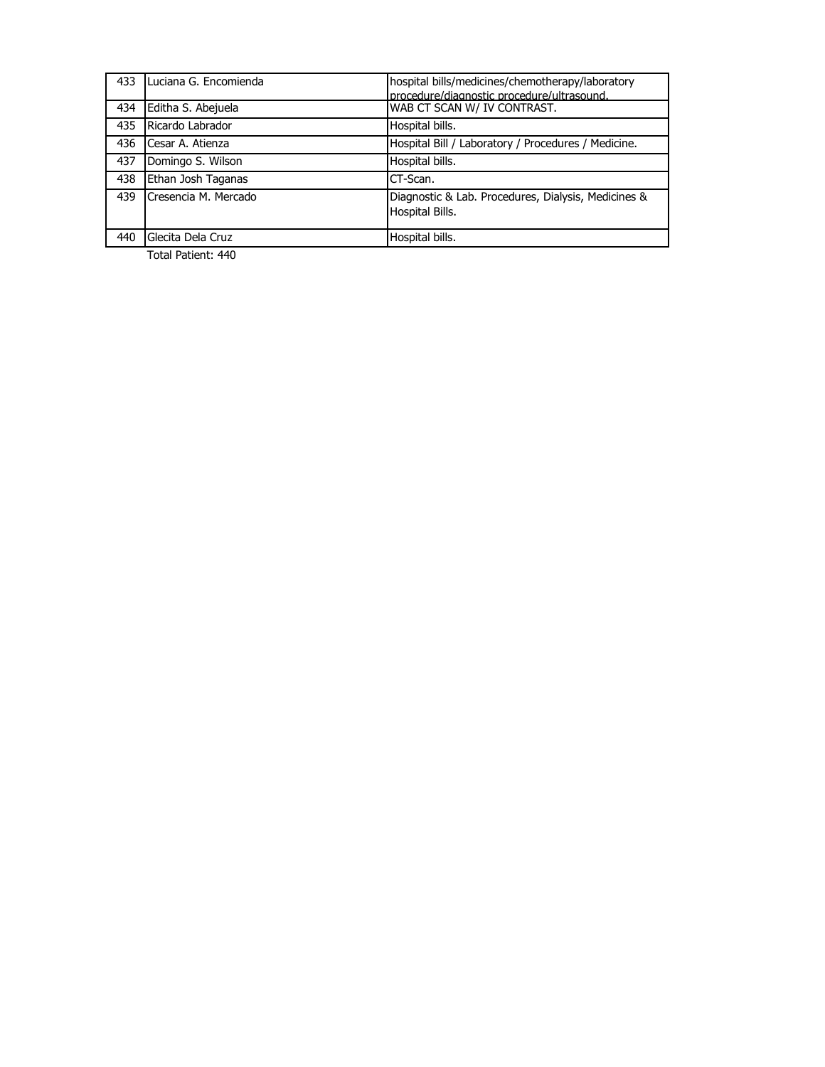| 433 | Luciana G. Encomienda | hospital bills/medicines/chemotherapy/laboratory<br>procedure/diagnostic procedure/ultrasound. |
|-----|-----------------------|------------------------------------------------------------------------------------------------|
| 434 | Editha S. Abejuela    | WAB CT SCAN W/ IV CONTRAST.                                                                    |
| 435 | Ricardo Labrador      | Hospital bills.                                                                                |
| 436 | Cesar A. Atienza      | Hospital Bill / Laboratory / Procedures / Medicine.                                            |
| 437 | Domingo S. Wilson     | Hospital bills.                                                                                |
| 438 | Ethan Josh Taganas    | CT-Scan.                                                                                       |
| 439 | Cresencia M. Mercado  | Diagnostic & Lab. Procedures, Dialysis, Medicines &<br>Hospital Bills.                         |
| 440 | Glecita Dela Cruz     | Hospital bills.                                                                                |

Total Patient: 440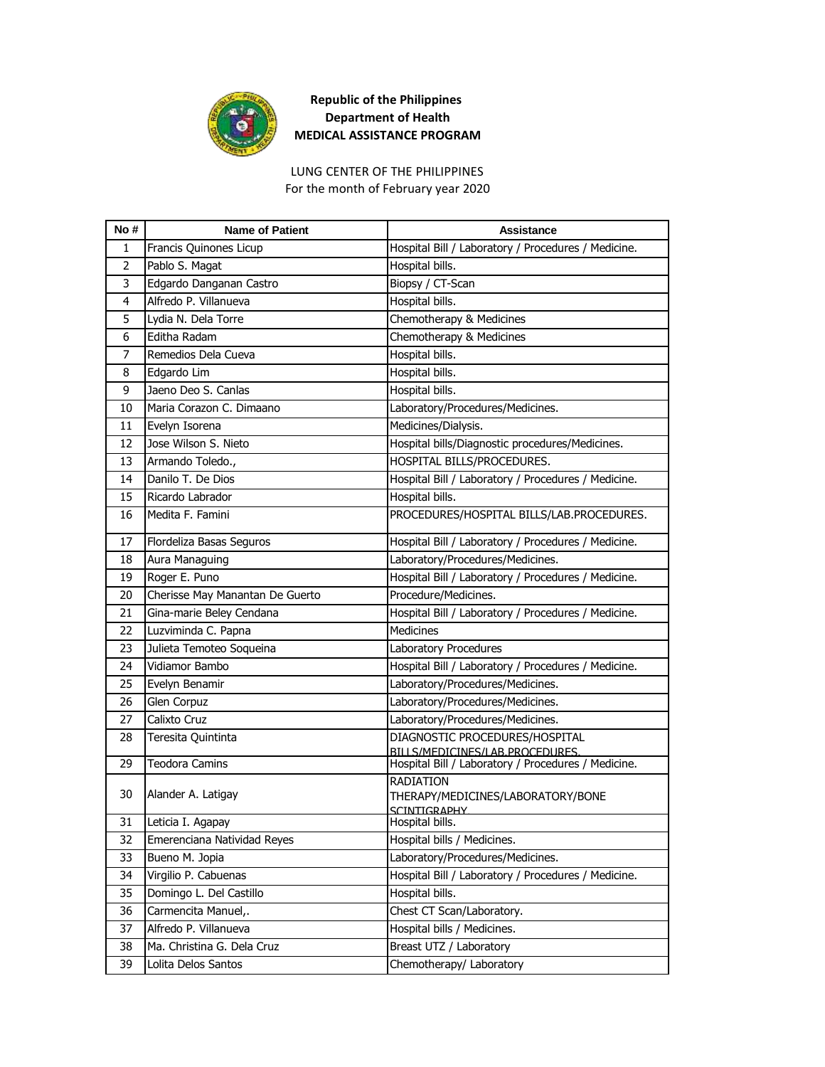

## **Republic of the Philippines Department of Health MEDICAL ASSISTANCE PROGRAM**

For the month of February year 2020 LUNG CENTER OF THE PHILIPPINES

| No#            | <b>Name of Patient</b>          | <b>Assistance</b>                                                     |
|----------------|---------------------------------|-----------------------------------------------------------------------|
| 1              | Francis Quinones Licup          | Hospital Bill / Laboratory / Procedures / Medicine.                   |
| $\overline{2}$ | Pablo S. Magat                  | Hospital bills.                                                       |
| 3              | Edgardo Danganan Castro         | Biopsy / CT-Scan                                                      |
| 4              | Alfredo P. Villanueva           | Hospital bills.                                                       |
| 5              | Lydia N. Dela Torre             | Chemotherapy & Medicines                                              |
| 6              | Editha Radam                    | Chemotherapy & Medicines                                              |
| 7              | Remedios Dela Cueva             | Hospital bills.                                                       |
| 8              | Edgardo Lim                     | Hospital bills.                                                       |
| 9              | Jaeno Deo S. Canlas             | Hospital bills.                                                       |
| 10             | Maria Corazon C. Dimaano        | Laboratory/Procedures/Medicines.                                      |
| 11             | Evelyn Isorena                  | Medicines/Dialysis.                                                   |
| 12             | Jose Wilson S. Nieto            | Hospital bills/Diagnostic procedures/Medicines.                       |
| 13             | Armando Toledo.,                | HOSPITAL BILLS/PROCEDURES.                                            |
| 14             | Danilo T. De Dios               | Hospital Bill / Laboratory / Procedures / Medicine.                   |
| 15             | Ricardo Labrador                | Hospital bills.                                                       |
| 16             | Medita F. Famini                | PROCEDURES/HOSPITAL BILLS/LAB.PROCEDURES.                             |
| 17             | Flordeliza Basas Seguros        | Hospital Bill / Laboratory / Procedures / Medicine.                   |
| 18             | Aura Managuing                  | Laboratory/Procedures/Medicines.                                      |
| 19             | Roger E. Puno                   | Hospital Bill / Laboratory / Procedures / Medicine.                   |
| 20             | Cherisse May Manantan De Guerto | Procedure/Medicines.                                                  |
| 21             | Gina-marie Beley Cendana        | Hospital Bill / Laboratory / Procedures / Medicine.                   |
| 22             | Luzviminda C. Papna             | <b>Medicines</b>                                                      |
| 23             | Julieta Temoteo Soqueina        | Laboratory Procedures                                                 |
| 24             | Vidiamor Bambo                  | Hospital Bill / Laboratory / Procedures / Medicine.                   |
| 25             | Evelyn Benamir                  | Laboratory/Procedures/Medicines.                                      |
| 26             | Glen Corpuz                     | Laboratory/Procedures/Medicines.                                      |
| 27             | Calixto Cruz                    | Laboratory/Procedures/Medicines.                                      |
| 28             | Teresita Quintinta              | DIAGNOSTIC PROCEDURES/HOSPITAL<br>BILLS/MEDICINES/LAB.PROCEDURES.     |
| 29             | <b>Teodora Camins</b>           | Hospital Bill / Laboratory / Procedures / Medicine.                   |
| 30             | Alander A. Latigay              | RADIATION<br>THERAPY/MEDICINES/LABORATORY/BONE<br><b>SCINTIGRAPHY</b> |
| 31             | Leticia I. Agapay               | Hospital bills.                                                       |
| 32             | Emerenciana Natividad Reyes     | Hospital bills / Medicines.                                           |
| 33             | Bueno M. Jopia                  | Laboratory/Procedures/Medicines.                                      |
| 34             | Virgilio P. Cabuenas            | Hospital Bill / Laboratory / Procedures / Medicine.                   |
| 35             | Domingo L. Del Castillo         | Hospital bills.                                                       |
| 36             | Carmencita Manuel,.             | Chest CT Scan/Laboratory.                                             |
| 37             | Alfredo P. Villanueva           | Hospital bills / Medicines.                                           |
| 38             | Ma. Christina G. Dela Cruz      | Breast UTZ / Laboratory                                               |
| 39             | Lolita Delos Santos             | Chemotherapy/ Laboratory                                              |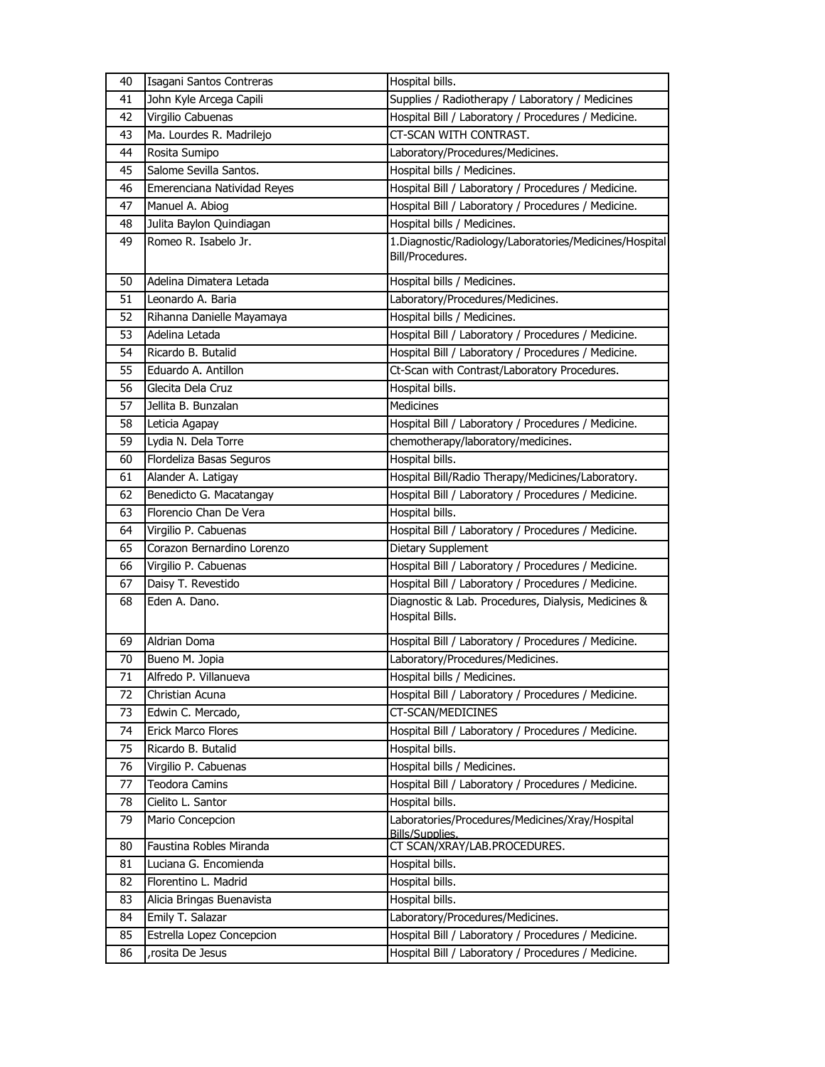| 40 | Isagani Santos Contreras    | Hospital bills.                                                             |
|----|-----------------------------|-----------------------------------------------------------------------------|
| 41 | John Kyle Arcega Capili     | Supplies / Radiotherapy / Laboratory / Medicines                            |
| 42 | Virgilio Cabuenas           | Hospital Bill / Laboratory / Procedures / Medicine.                         |
| 43 | Ma. Lourdes R. Madrilejo    | CT-SCAN WITH CONTRAST.                                                      |
| 44 | Rosita Sumipo               | Laboratory/Procedures/Medicines.                                            |
| 45 | Salome Sevilla Santos.      | Hospital bills / Medicines.                                                 |
| 46 | Emerenciana Natividad Reyes | Hospital Bill / Laboratory / Procedures / Medicine.                         |
| 47 | Manuel A. Abiog             | Hospital Bill / Laboratory / Procedures / Medicine.                         |
| 48 | Julita Baylon Quindiagan    | Hospital bills / Medicines.                                                 |
| 49 | Romeo R. Isabelo Jr.        | 1. Diagnostic/Radiology/Laboratories/Medicines/Hospital<br>Bill/Procedures. |
| 50 | Adelina Dimatera Letada     | Hospital bills / Medicines.                                                 |
| 51 | Leonardo A. Baria           | Laboratory/Procedures/Medicines.                                            |
| 52 | Rihanna Danielle Mayamaya   | Hospital bills / Medicines.                                                 |
| 53 | Adelina Letada              | Hospital Bill / Laboratory / Procedures / Medicine.                         |
| 54 | Ricardo B. Butalid          | Hospital Bill / Laboratory / Procedures / Medicine.                         |
| 55 | Eduardo A. Antillon         | Ct-Scan with Contrast/Laboratory Procedures.                                |
| 56 | Glecita Dela Cruz           | Hospital bills.                                                             |
| 57 | Jellita B. Bunzalan         | <b>Medicines</b>                                                            |
| 58 | Leticia Agapay              | Hospital Bill / Laboratory / Procedures / Medicine.                         |
| 59 | Lydia N. Dela Torre         | chemotherapy/laboratory/medicines.                                          |
| 60 | Flordeliza Basas Seguros    | Hospital bills.                                                             |
| 61 | Alander A. Latigay          | Hospital Bill/Radio Therapy/Medicines/Laboratory.                           |
| 62 | Benedicto G. Macatangay     | Hospital Bill / Laboratory / Procedures / Medicine.                         |
| 63 | Florencio Chan De Vera      | Hospital bills.                                                             |
| 64 | Virgilio P. Cabuenas        | Hospital Bill / Laboratory / Procedures / Medicine.                         |
| 65 | Corazon Bernardino Lorenzo  | Dietary Supplement                                                          |
| 66 | Virgilio P. Cabuenas        | Hospital Bill / Laboratory / Procedures / Medicine.                         |
| 67 | Daisy T. Revestido          | Hospital Bill / Laboratory / Procedures / Medicine.                         |
| 68 | Eden A. Dano.               | Diagnostic & Lab. Procedures, Dialysis, Medicines &<br>Hospital Bills.      |
| 69 | Aldrian Doma                | Hospital Bill / Laboratory / Procedures / Medicine.                         |
| 70 | Bueno M. Jopia              | Laboratory/Procedures/Medicines.                                            |
| 71 | Alfredo P. Villanueva       | Hospital bills / Medicines.                                                 |
| 72 | Christian Acuna             | Hospital Bill / Laboratory / Procedures / Medicine.                         |
| 73 | Edwin C. Mercado,           | CT-SCAN/MEDICINES                                                           |
| 74 | <b>Erick Marco Flores</b>   | Hospital Bill / Laboratory / Procedures / Medicine.                         |
| 75 | Ricardo B. Butalid          | Hospital bills.                                                             |
| 76 | Virgilio P. Cabuenas        | Hospital bills / Medicines.                                                 |
| 77 | <b>Teodora Camins</b>       | Hospital Bill / Laboratory / Procedures / Medicine.                         |
| 78 | Cielito L. Santor           | Hospital bills.                                                             |
| 79 | Mario Concepcion            | Laboratories/Procedures/Medicines/Xray/Hospital<br><b>Bills/Supplies.</b>   |
| 80 | Faustina Robles Miranda     | CT SCAN/XRAY/LAB.PROCEDURES.                                                |
| 81 | Luciana G. Encomienda       | Hospital bills.                                                             |
| 82 | Florentino L. Madrid        | Hospital bills.                                                             |
| 83 | Alicia Bringas Buenavista   | Hospital bills.                                                             |
| 84 | Emily T. Salazar            | Laboratory/Procedures/Medicines.                                            |
| 85 | Estrella Lopez Concepcion   | Hospital Bill / Laboratory / Procedures / Medicine.                         |
| 86 | rosita De Jesus             | Hospital Bill / Laboratory / Procedures / Medicine.                         |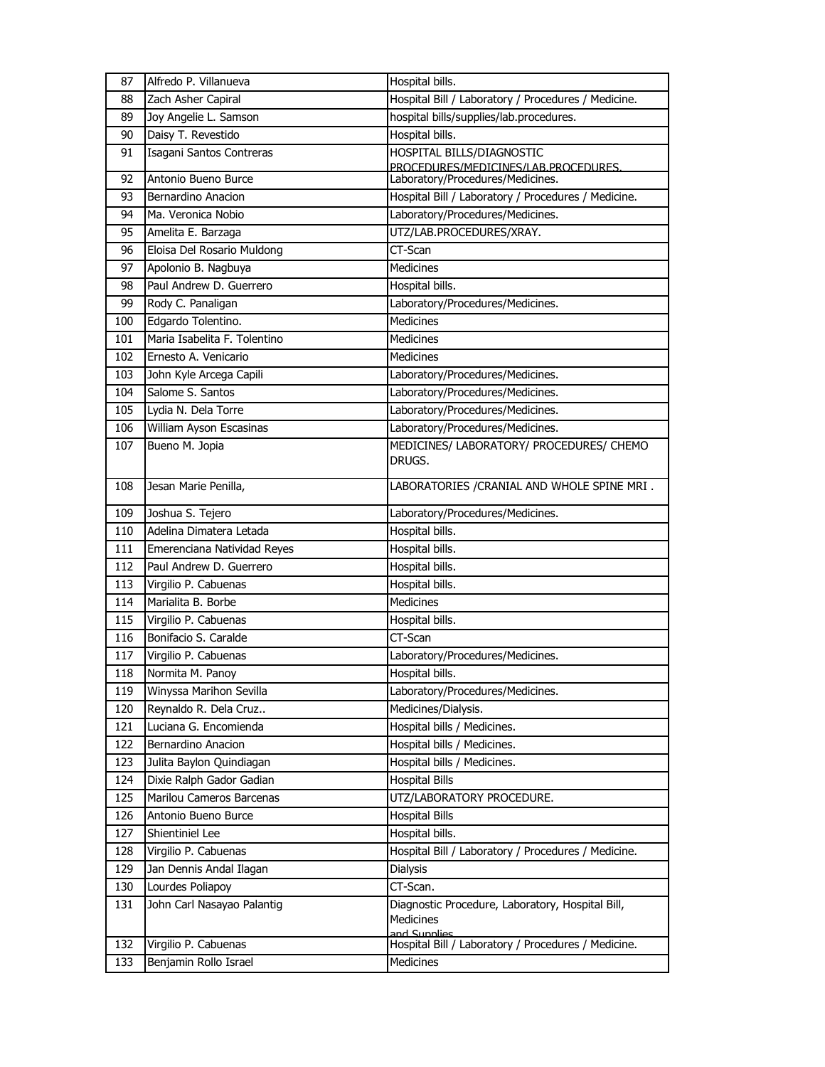| 87         | Alfredo P. Villanueva                            | Hospital bills.                                                                         |
|------------|--------------------------------------------------|-----------------------------------------------------------------------------------------|
| 88         | Zach Asher Capiral                               | Hospital Bill / Laboratory / Procedures / Medicine.                                     |
| 89         | Joy Angelie L. Samson                            | hospital bills/supplies/lab.procedures.                                                 |
| 90         | Daisy T. Revestido                               | Hospital bills.                                                                         |
| 91         | Isagani Santos Contreras                         | <b>HOSPITAL BILLS/DIAGNOSTIC</b>                                                        |
|            |                                                  | PROCEDURES/MEDICINES/LAB.PROCEDURES.<br>Laboratory/Procedures/Medicines.                |
| 92         | Antonio Bueno Burce                              |                                                                                         |
| 93<br>94   | Bernardino Anacion<br>Ma. Veronica Nobio         | Hospital Bill / Laboratory / Procedures / Medicine.<br>Laboratory/Procedures/Medicines. |
|            |                                                  | UTZ/LAB.PROCEDURES/XRAY.                                                                |
| 95         | Amelita E. Barzaga                               |                                                                                         |
| 96         | Eloisa Del Rosario Muldong                       | CT-Scan                                                                                 |
| 97         | Apolonio B. Nagbuya                              | <b>Medicines</b>                                                                        |
| 98         | Paul Andrew D. Guerrero                          | Hospital bills.                                                                         |
| 99         | Rody C. Panaligan                                | Laboratory/Procedures/Medicines.                                                        |
| 100        | Edgardo Tolentino.                               | <b>Medicines</b>                                                                        |
| 101        | Maria Isabelita F. Tolentino                     | <b>Medicines</b>                                                                        |
| 102        | Ernesto A. Venicario                             | <b>Medicines</b>                                                                        |
| 103        | John Kyle Arcega Capili                          | Laboratory/Procedures/Medicines.                                                        |
| 104        | Salome S. Santos                                 | Laboratory/Procedures/Medicines.                                                        |
| 105        | Lydia N. Dela Torre                              | Laboratory/Procedures/Medicines.                                                        |
| 106        | William Ayson Escasinas                          | Laboratory/Procedures/Medicines.                                                        |
| 107        | Bueno M. Jopia                                   | MEDICINES/ LABORATORY/ PROCEDURES/ CHEMO                                                |
|            |                                                  | DRUGS.                                                                                  |
| 108        | Jesan Marie Penilla,                             | LABORATORIES / CRANIAL AND WHOLE SPINE MRI.                                             |
| 109        | Joshua S. Tejero                                 | Laboratory/Procedures/Medicines.                                                        |
| 110        | Adelina Dimatera Letada                          | Hospital bills.                                                                         |
| 111        | Emerenciana Natividad Reyes                      | Hospital bills.                                                                         |
|            |                                                  |                                                                                         |
| 112        | Paul Andrew D. Guerrero                          |                                                                                         |
| 113        |                                                  | Hospital bills.<br>Hospital bills.                                                      |
| 114        | Virgilio P. Cabuenas<br>Marialita B. Borbe       | Medicines                                                                               |
| 115        |                                                  |                                                                                         |
| 116        | Virgilio P. Cabuenas<br>Bonifacio S. Caralde     | Hospital bills.<br>CT-Scan                                                              |
| 117        | Virgilio P. Cabuenas                             | Laboratory/Procedures/Medicines.                                                        |
| 118        | Normita M. Panoy                                 | Hospital bills.                                                                         |
| 119        |                                                  | Laboratory/Procedures/Medicines.                                                        |
|            | Winyssa Marihon Sevilla<br>Reynaldo R. Dela Cruz |                                                                                         |
| 120<br>121 | Luciana G. Encomienda                            | Medicines/Dialysis.<br>Hospital bills / Medicines.                                      |
| 122        | Bernardino Anacion                               | Hospital bills / Medicines.                                                             |
| 123        |                                                  | Hospital bills / Medicines.                                                             |
| 124        | Julita Baylon Quindiagan                         |                                                                                         |
|            | Dixie Ralph Gador Gadian                         | <b>Hospital Bills</b>                                                                   |
| 125        | Marilou Cameros Barcenas<br>Antonio Bueno Burce  | UTZ/LABORATORY PROCEDURE.<br><b>Hospital Bills</b>                                      |
| 126<br>127 | Shientiniel Lee                                  | Hospital bills.                                                                         |
| 128        |                                                  |                                                                                         |
| 129        | Virgilio P. Cabuenas                             | Hospital Bill / Laboratory / Procedures / Medicine.                                     |
|            | Jan Dennis Andal Ilagan                          | <b>Dialysis</b>                                                                         |
| 130        | Lourdes Poliapoy                                 | CT-Scan.                                                                                |
| 131        | John Carl Nasayao Palantig                       | Diagnostic Procedure, Laboratory, Hospital Bill,<br>Medicines                           |
|            |                                                  | and Sunnlies                                                                            |
| 132<br>133 | Virgilio P. Cabuenas<br>Benjamin Rollo Israel    | Hospital Bill / Laboratory / Procedures / Medicine.<br>Medicines                        |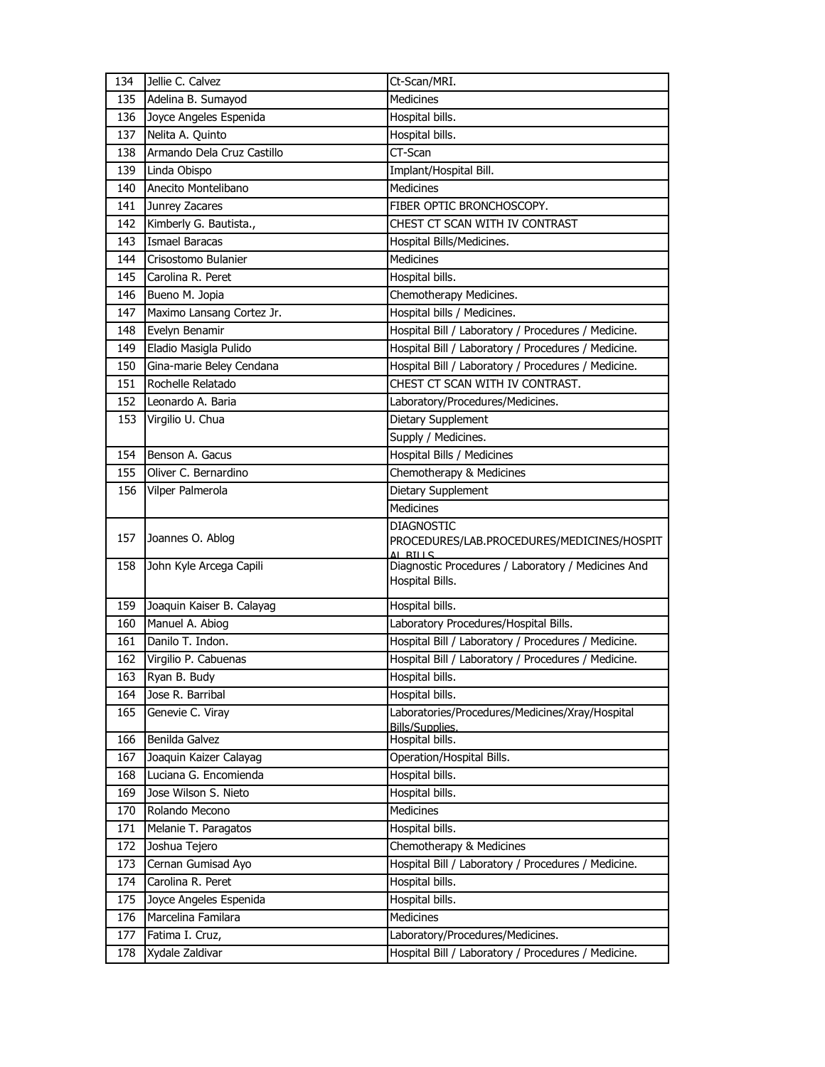| 134        | Jellie C. Calvez                   | Ct-Scan/MRI.                                                                            |
|------------|------------------------------------|-----------------------------------------------------------------------------------------|
| 135        | Adelina B. Sumayod                 | <b>Medicines</b>                                                                        |
| 136        | Joyce Angeles Espenida             | Hospital bills.                                                                         |
| 137        | Nelita A. Quinto                   | Hospital bills.                                                                         |
| 138        | Armando Dela Cruz Castillo         | $CT-Scan$                                                                               |
| 139        | Linda Obispo                       | Implant/Hospital Bill.                                                                  |
| 140        | Anecito Montelibano                | <b>Medicines</b>                                                                        |
| 141        | Junrey Zacares                     | FIBER OPTIC BRONCHOSCOPY.                                                               |
| 142        | Kimberly G. Bautista.,             | CHEST CT SCAN WITH IV CONTRAST                                                          |
| 143        | Ismael Baracas                     | Hospital Bills/Medicines.                                                               |
| 144        | Crisostomo Bulanier                | <b>Medicines</b>                                                                        |
| 145        | Carolina R. Peret                  | Hospital bills.                                                                         |
| 146        | Bueno M. Jopia                     | Chemotherapy Medicines.                                                                 |
| 147        | Maximo Lansang Cortez Jr.          | Hospital bills / Medicines.                                                             |
| 148        | Evelyn Benamir                     | Hospital Bill / Laboratory / Procedures / Medicine.                                     |
| 149        | Eladio Masigla Pulido              | Hospital Bill / Laboratory / Procedures / Medicine.                                     |
| 150        | Gina-marie Beley Cendana           | Hospital Bill / Laboratory / Procedures / Medicine.                                     |
| 151        | Rochelle Relatado                  | CHEST CT SCAN WITH IV CONTRAST.                                                         |
| 152        | Leonardo A. Baria                  | Laboratory/Procedures/Medicines.                                                        |
| 153        | Virgilio U. Chua                   | Dietary Supplement                                                                      |
|            |                                    | Supply / Medicines.                                                                     |
| 154        | Benson A. Gacus                    | Hospital Bills / Medicines                                                              |
| 155        | Oliver C. Bernardino               | Chemotherapy & Medicines                                                                |
| 156        | Vilper Palmerola                   | Dietary Supplement                                                                      |
|            |                                    | <b>Medicines</b>                                                                        |
|            |                                    |                                                                                         |
|            |                                    |                                                                                         |
| 157        | Joannes O. Ablog                   | <b>DIAGNOSTIC</b><br>PROCEDURES/LAB.PROCEDURES/MEDICINES/HOSPIT                         |
|            |                                    | <b>RTIIS</b>                                                                            |
| 158        | John Kyle Arcega Capili            | Diagnostic Procedures / Laboratory / Medicines And                                      |
|            |                                    | Hospital Bills.                                                                         |
| 159        | Joaquin Kaiser B. Calayag          | Hospital bills.                                                                         |
| 160        | Manuel A. Abiog                    | Laboratory Procedures/Hospital Bills.                                                   |
| 161        | Danilo T. Indon.                   | Hospital Bill / Laboratory / Procedures / Medicine.                                     |
| 162        | Virgilio P. Cabuenas               | Hospital Bill / Laboratory / Procedures / Medicine.                                     |
| 163        | Ryan B. Budy                       | Hospital bills.                                                                         |
| 164        | Jose R. Barribal                   | Hospital bills.                                                                         |
| 165        | Genevie C. Viray                   | Laboratories/Procedures/Medicines/Xray/Hospital                                         |
|            |                                    | <b>Bills/Supplies.</b>                                                                  |
| 166        | Benilda Galvez                     | Hospital bills.                                                                         |
| 167        | Joaquin Kaizer Calayag             | Operation/Hospital Bills.                                                               |
| 168        | Luciana G. Encomienda              | Hospital bills.                                                                         |
| 169        | Jose Wilson S. Nieto               | Hospital bills.                                                                         |
| 170        | Rolando Mecono                     | Medicines                                                                               |
| 171        | Melanie T. Paragatos               | Hospital bills.                                                                         |
| 172        | Joshua Tejero                      | Chemotherapy & Medicines                                                                |
| 173        | Cernan Gumisad Ayo                 | Hospital Bill / Laboratory / Procedures / Medicine.                                     |
| 174        | Carolina R. Peret                  | Hospital bills.                                                                         |
| 175        | Joyce Angeles Espenida             | Hospital bills.                                                                         |
| 176        | Marcelina Familara                 | <b>Medicines</b>                                                                        |
| 177<br>178 | Fatima I. Cruz,<br>Xydale Zaldivar | Laboratory/Procedures/Medicines.<br>Hospital Bill / Laboratory / Procedures / Medicine. |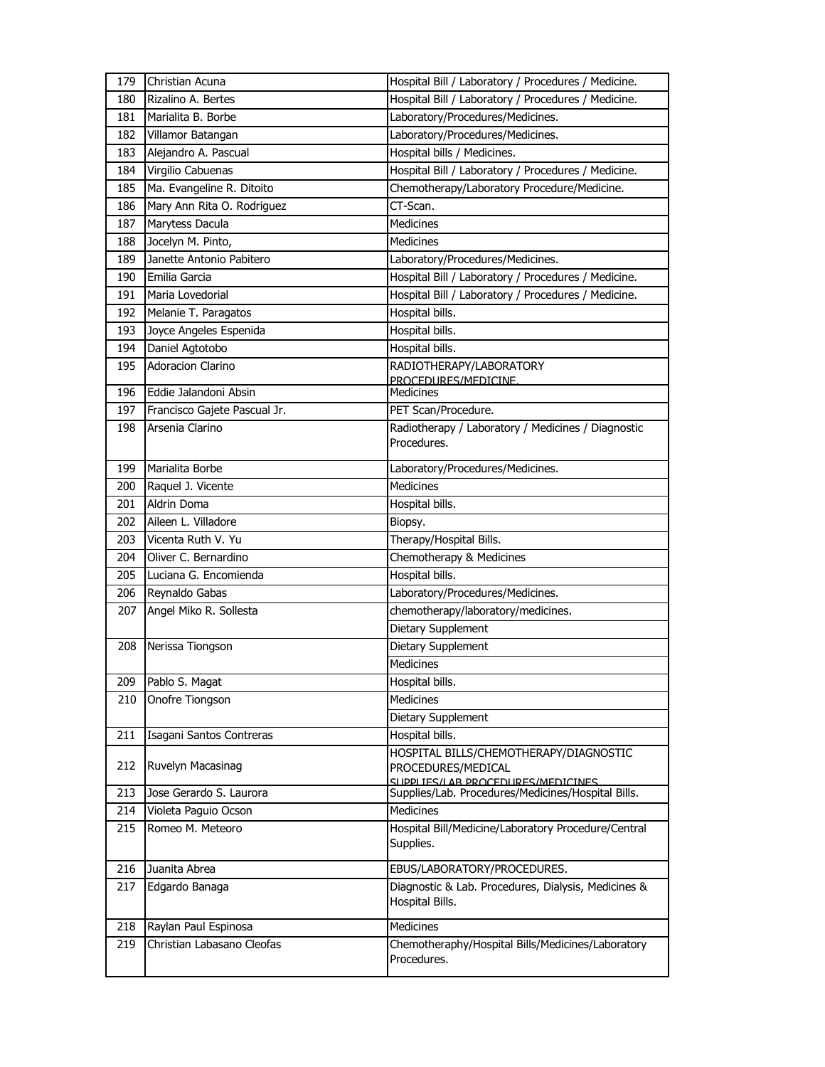| 179 | Christian Acuna              | Hospital Bill / Laboratory / Procedures / Medicine.                                                |
|-----|------------------------------|----------------------------------------------------------------------------------------------------|
| 180 | Rizalino A. Bertes           | Hospital Bill / Laboratory / Procedures / Medicine.                                                |
| 181 | Marialita B. Borbe           | Laboratory/Procedures/Medicines.                                                                   |
| 182 | Villamor Batangan            | Laboratory/Procedures/Medicines.                                                                   |
| 183 | Alejandro A. Pascual         | Hospital bills / Medicines.                                                                        |
| 184 | Virgilio Cabuenas            | Hospital Bill / Laboratory / Procedures / Medicine.                                                |
| 185 | Ma. Evangeline R. Ditoito    | Chemotherapy/Laboratory Procedure/Medicine.                                                        |
| 186 | Mary Ann Rita O. Rodriguez   | CT-Scan.                                                                                           |
| 187 | Marytess Dacula              | Medicines                                                                                          |
| 188 | Jocelyn M. Pinto,            | <b>Medicines</b>                                                                                   |
| 189 | Janette Antonio Pabitero     | Laboratory/Procedures/Medicines.                                                                   |
| 190 | Emilia Garcia                | Hospital Bill / Laboratory / Procedures / Medicine.                                                |
| 191 | Maria Lovedorial             | Hospital Bill / Laboratory / Procedures / Medicine.                                                |
| 192 | Melanie T. Paragatos         | Hospital bills.                                                                                    |
| 193 | Joyce Angeles Espenida       | Hospital bills.                                                                                    |
| 194 | Daniel Agtotobo              | Hospital bills.                                                                                    |
| 195 | <b>Adoracion Clarino</b>     | RADIOTHERAPY/LABORATORY                                                                            |
|     |                              | PROCEDURES/MEDICINE.                                                                               |
| 196 | Eddie Jalandoni Absin        | Medicines                                                                                          |
| 197 | Francisco Gajete Pascual Jr. | PET Scan/Procedure.                                                                                |
| 198 | Arsenia Clarino              | Radiotherapy / Laboratory / Medicines / Diagnostic<br>Procedures.                                  |
| 199 | Marialita Borbe              | Laboratory/Procedures/Medicines.                                                                   |
| 200 | Raquel J. Vicente            | <b>Medicines</b>                                                                                   |
| 201 | <b>Aldrin Doma</b>           | Hospital bills.                                                                                    |
| 202 | Aileen L. Villadore          | Biopsy.                                                                                            |
| 203 | Vicenta Ruth V. Yu           | Therapy/Hospital Bills.                                                                            |
| 204 | Oliver C. Bernardino         | Chemotherapy & Medicines                                                                           |
| 205 | Luciana G. Encomienda        | Hospital bills.                                                                                    |
| 206 | Reynaldo Gabas               | Laboratory/Procedures/Medicines.                                                                   |
| 207 | Angel Miko R. Sollesta       | chemotherapy/laboratory/medicines.                                                                 |
|     |                              | Dietary Supplement                                                                                 |
| 208 | Nerissa Tiongson             | <b>Dietary Supplement</b>                                                                          |
|     |                              | Medicines                                                                                          |
| 209 | Pablo S. Magat               | Hospital bills.                                                                                    |
| 210 | Onofre Tiongson              | <b>Medicines</b>                                                                                   |
|     |                              | Dietary Supplement                                                                                 |
| 211 | Isagani Santos Contreras     | Hospital bills.                                                                                    |
| 212 | Ruvelyn Macasinag            | HOSPITAL BILLS/CHEMOTHERAPY/DIAGNOSTIC<br>PROCEDURES/MEDICAL<br>SLIPPLIES/LAR PROCEDURES/MEDICINES |
| 213 | Jose Gerardo S. Laurora      | Supplies/Lab. Procedures/Medicines/Hospital Bills.                                                 |
| 214 | Violeta Paguio Ocson         | <b>Medicines</b>                                                                                   |
| 215 | Romeo M. Meteoro             | Hospital Bill/Medicine/Laboratory Procedure/Central<br>Supplies.                                   |
|     |                              |                                                                                                    |
| 216 | Juanita Abrea                | EBUS/LABORATORY/PROCEDURES.                                                                        |
| 217 | Edgardo Banaga               | Diagnostic & Lab. Procedures, Dialysis, Medicines &<br>Hospital Bills.                             |
| 218 | Raylan Paul Espinosa         | <b>Medicines</b>                                                                                   |
| 219 | Christian Labasano Cleofas   | Chemotheraphy/Hospital Bills/Medicines/Laboratory<br>Procedures.                                   |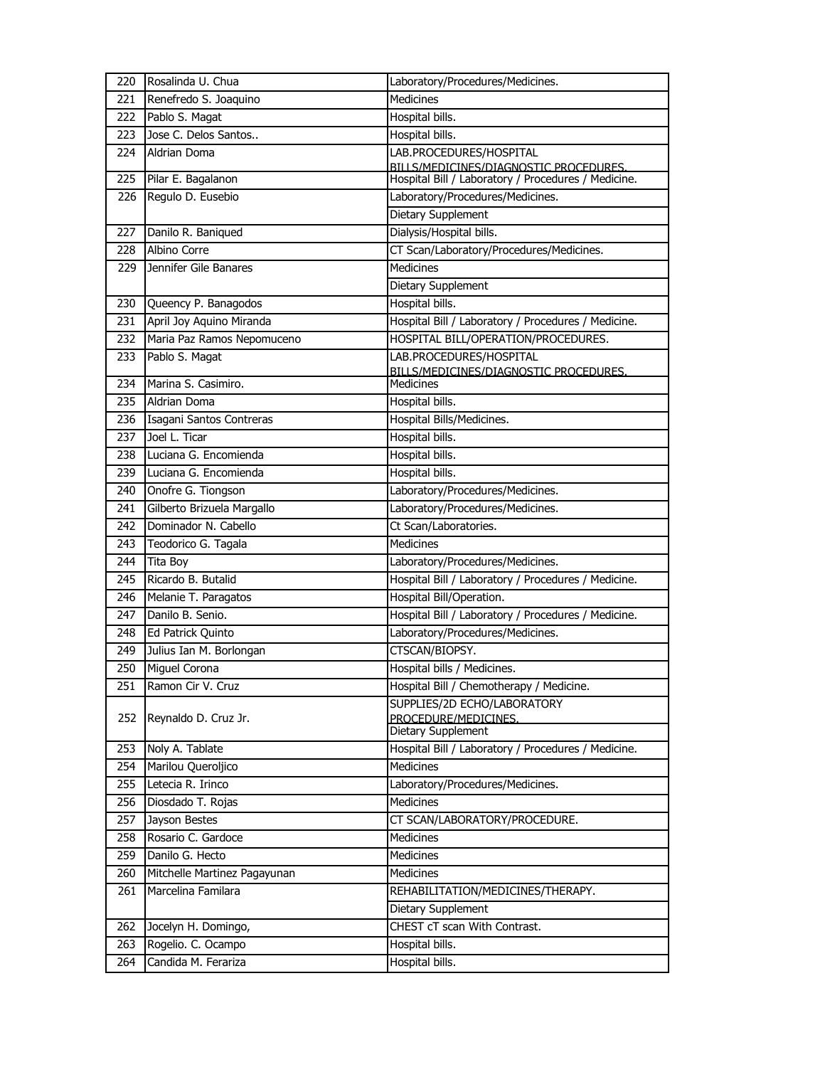| 220        | Rosalinda U. Chua                       | Laboratory/Procedures/Medicines.                                                        |
|------------|-----------------------------------------|-----------------------------------------------------------------------------------------|
| 221        | Renefredo S. Joaquino                   | <b>Medicines</b>                                                                        |
| 222        | Pablo S. Magat                          | Hospital bills.                                                                         |
| 223        | Jose C. Delos Santos                    | Hospital bills.                                                                         |
| 224        | Aldrian Doma                            | LAB.PROCEDURES/HOSPITAL                                                                 |
|            |                                         | BILLS/MEDICINES/DIAGNOSTIC PROCEDURES.                                                  |
| 225<br>226 | Pilar E. Bagalanon<br>Regulo D. Eusebio | Hospital Bill / Laboratory / Procedures / Medicine.<br>Laboratory/Procedures/Medicines. |
|            |                                         | <b>Dietary Supplement</b>                                                               |
|            | Danilo R. Baniqued                      |                                                                                         |
| 227        | Albino Corre                            | Dialysis/Hospital bills.                                                                |
| 228        | Jennifer Gile Banares                   | CT Scan/Laboratory/Procedures/Medicines.<br><b>Medicines</b>                            |
| 229        |                                         |                                                                                         |
|            |                                         | Dietary Supplement                                                                      |
| 230        | Queency P. Banagodos                    | Hospital bills.                                                                         |
| 231        | April Joy Aquino Miranda                | Hospital Bill / Laboratory / Procedures / Medicine.                                     |
| 232        | Maria Paz Ramos Nepomuceno              | HOSPITAL BILL/OPERATION/PROCEDURES.                                                     |
| 233        | Pablo S. Magat                          | LAB.PROCEDURES/HOSPITAL<br>BILLS/MEDICINES/DIAGNOSTIC PROCEDURES.                       |
| 234        | Marina S. Casimiro.                     | $M$ edicines                                                                            |
| 235        | Aldrian Doma                            | Hospital bills.                                                                         |
| 236        | Isagani Santos Contreras                | Hospital Bills/Medicines.                                                               |
| 237        | Joel L. Ticar                           | Hospital bills.                                                                         |
| 238        | Luciana G. Encomienda                   | Hospital bills.                                                                         |
| 239        | Luciana G. Encomienda                   | Hospital bills.                                                                         |
| 240        | Onofre G. Tiongson                      | Laboratory/Procedures/Medicines.                                                        |
| 241        | Gilberto Brizuela Margallo              | Laboratory/Procedures/Medicines.                                                        |
| 242        | Dominador N. Cabello                    | Ct Scan/Laboratories.                                                                   |
| 243        | Teodorico G. Tagala                     | <b>Medicines</b>                                                                        |
| 244        | Tita Boy                                | Laboratory/Procedures/Medicines.                                                        |
| 245        | Ricardo B. Butalid                      | Hospital Bill / Laboratory / Procedures / Medicine.                                     |
| 246        | Melanie T. Paragatos                    | Hospital Bill/Operation.                                                                |
| 247        | Danilo B. Senio.                        | Hospital Bill / Laboratory / Procedures / Medicine.                                     |
| 248        | <b>Ed Patrick Quinto</b>                | Laboratory/Procedures/Medicines.                                                        |
| 249        | Julius Ian M. Borlongan                 | CTSCAN/BIOPSY.                                                                          |
| 250        | Miguel Corona                           | Hospital bills / Medicines.                                                             |
| 251        | Ramon Cir V. Cruz                       | Hospital Bill / Chemotherapy / Medicine.                                                |
|            |                                         | SUPPLIES/2D ECHO/LABORATORY                                                             |
| 252        | Reynaldo D. Cruz Jr.                    | PROCEDURE/MEDICINES.                                                                    |
|            |                                         | Dietary Supplement                                                                      |
| 253        | Noly A. Tablate                         | Hospital Bill / Laboratory / Procedures / Medicine.                                     |
| 254        | Marilou Queroljico                      | <b>Medicines</b>                                                                        |
| 255        | Letecia R. Irinco                       | Laboratory/Procedures/Medicines.                                                        |
| 256        | Diosdado T. Rojas                       | Medicines                                                                               |
| 257        | Jayson Bestes                           | CT SCAN/LABORATORY/PROCEDURE.                                                           |
| 258        | Rosario C. Gardoce                      | <b>Medicines</b>                                                                        |
| 259        | Danilo G. Hecto                         | Medicines                                                                               |
| 260        | Mitchelle Martinez Pagayunan            | Medicines                                                                               |
| 261        | Marcelina Familara                      | REHABILITATION/MEDICINES/THERAPY.                                                       |
|            |                                         | Dietary Supplement                                                                      |
| 262        | Jocelyn H. Domingo,                     | CHEST cT scan With Contrast.                                                            |
| 263        | Rogelio. C. Ocampo                      | Hospital bills.                                                                         |
| 264        | Candida M. Ferariza                     | Hospital bills.                                                                         |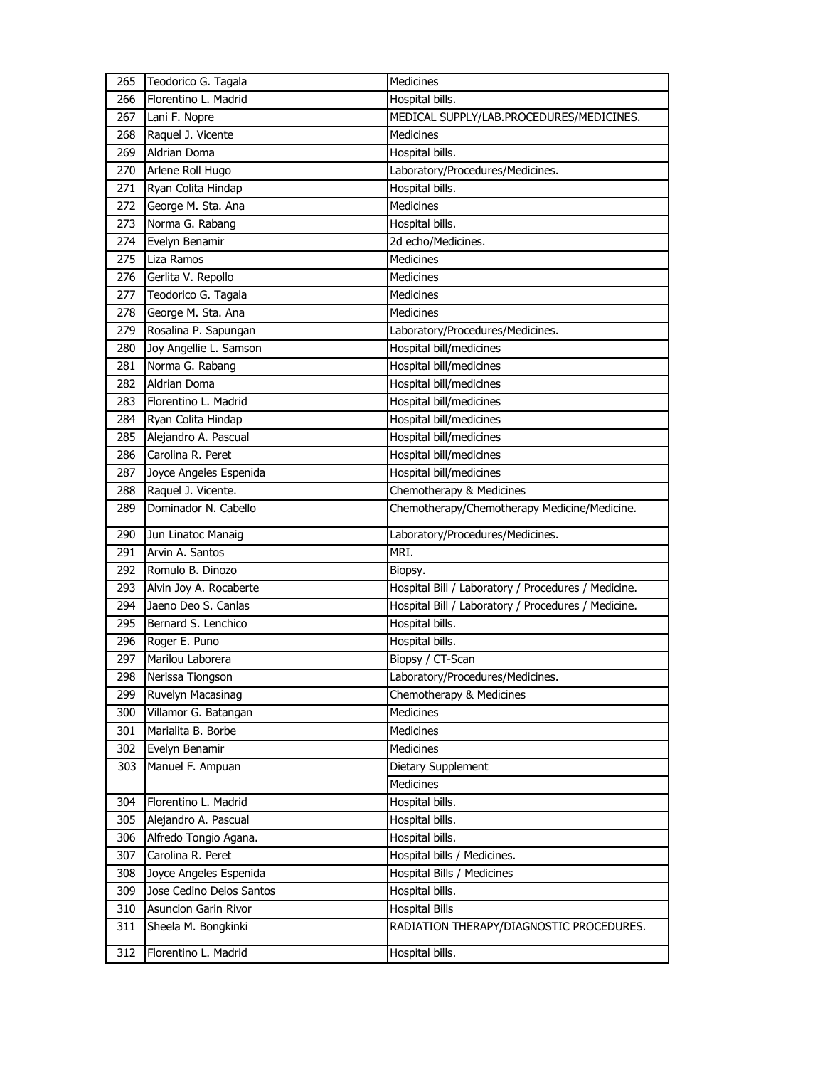| 265 | Teodorico G. Tagala      | Medicines                                           |
|-----|--------------------------|-----------------------------------------------------|
| 266 | Florentino L. Madrid     | Hospital bills.                                     |
| 267 | Lani F. Nopre            | MEDICAL SUPPLY/LAB.PROCEDURES/MEDICINES.            |
| 268 | Raquel J. Vicente        | Medicines                                           |
| 269 | Aldrian Doma             | Hospital bills.                                     |
| 270 | Arlene Roll Hugo         | Laboratory/Procedures/Medicines.                    |
| 271 | Ryan Colita Hindap       | Hospital bills.                                     |
| 272 | George M. Sta. Ana       | Medicines                                           |
| 273 | Norma G. Rabang          | Hospital bills.                                     |
| 274 | Evelyn Benamir           | 2d echo/Medicines.                                  |
| 275 | Liza Ramos               | <b>Medicines</b>                                    |
| 276 | Gerlita V. Repollo       | <b>Medicines</b>                                    |
| 277 | Teodorico G. Tagala      | Medicines                                           |
| 278 | George M. Sta. Ana       | Medicines                                           |
| 279 | Rosalina P. Sapungan     | Laboratory/Procedures/Medicines.                    |
| 280 | Joy Angellie L. Samson   | Hospital bill/medicines                             |
| 281 | Norma G. Rabang          | Hospital bill/medicines                             |
| 282 | Aldrian Doma             | Hospital bill/medicines                             |
| 283 | Florentino L. Madrid     | Hospital bill/medicines                             |
| 284 | Ryan Colita Hindap       | Hospital bill/medicines                             |
| 285 | Alejandro A. Pascual     | Hospital bill/medicines                             |
| 286 | Carolina R. Peret        | Hospital bill/medicines                             |
| 287 | Joyce Angeles Espenida   | Hospital bill/medicines                             |
| 288 | Raquel J. Vicente.       | Chemotherapy & Medicines                            |
| 289 | Dominador N. Cabello     | Chemotherapy/Chemotherapy Medicine/Medicine.        |
|     |                          |                                                     |
| 290 | Jun Linatoc Manaig       | Laboratory/Procedures/Medicines.                    |
| 291 | Arvin A. Santos          | MRI.                                                |
| 292 | Romulo B. Dinozo         | Biopsy.                                             |
| 293 | Alvin Joy A. Rocaberte   | Hospital Bill / Laboratory / Procedures / Medicine. |
| 294 | Jaeno Deo S. Canlas      | Hospital Bill / Laboratory / Procedures / Medicine. |
| 295 | Bernard S. Lenchico      | Hospital bills.                                     |
| 296 | Roger E. Puno            | Hospital bills.                                     |
| 297 | Marilou Laborera         | Biopsy / CT-Scan                                    |
| 298 | Nerissa Tiongson         | Laboratory/Procedures/Medicines.                    |
| 299 | Ruvelyn Macasinag        | Chemotherapy & Medicines                            |
| 300 | Villamor G. Batangan     | Medicines                                           |
| 301 | Marialita B. Borbe       | Medicines                                           |
| 302 | Evelyn Benamir           | Medicines                                           |
| 303 | Manuel F. Ampuan         | Dietary Supplement                                  |
|     |                          | <b>Medicines</b>                                    |
| 304 | Florentino L. Madrid     | Hospital bills.                                     |
| 305 | Alejandro A. Pascual     | Hospital bills.                                     |
| 306 | Alfredo Tongio Agana.    | Hospital bills.                                     |
| 307 | Carolina R. Peret        | Hospital bills / Medicines.                         |
| 308 | Joyce Angeles Espenida   | Hospital Bills / Medicines                          |
| 309 | Jose Cedino Delos Santos | Hospital bills.                                     |
| 310 | Asuncion Garin Rivor     | Hospital Bills                                      |
| 311 | Sheela M. Bongkinki      | RADIATION THERAPY/DIAGNOSTIC PROCEDURES.            |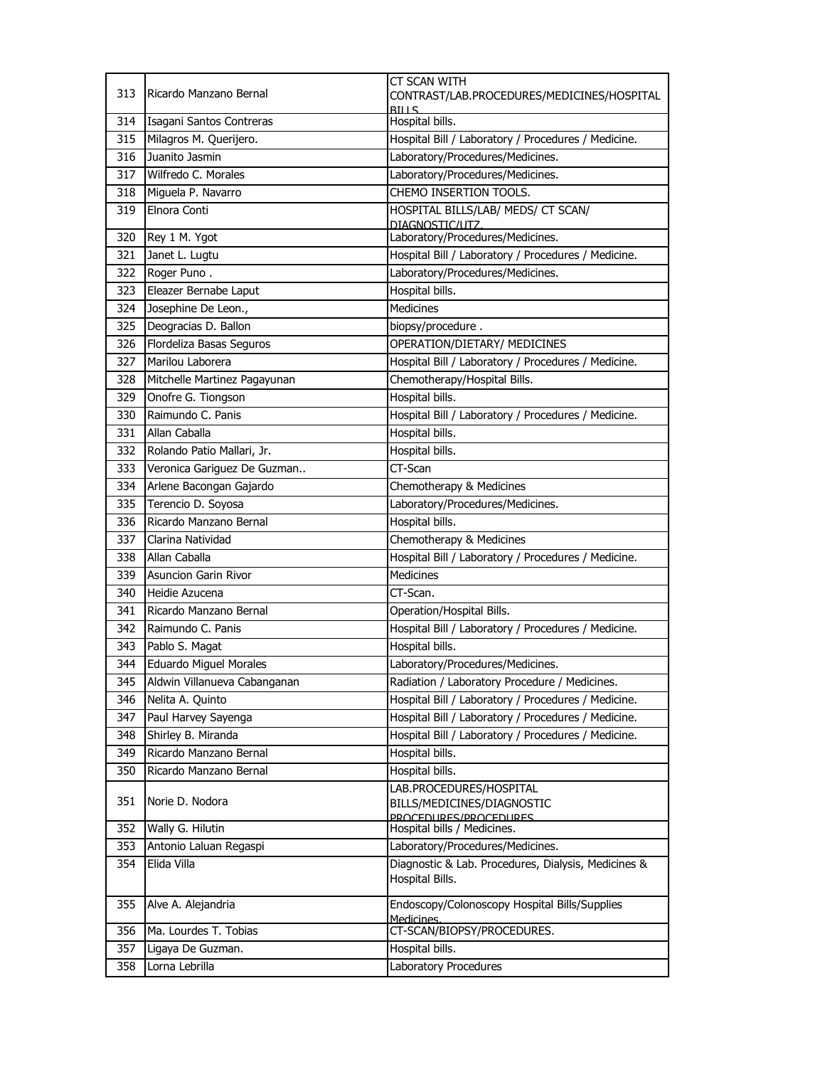|     |                               | <b>CT SCAN WITH</b>                                         |
|-----|-------------------------------|-------------------------------------------------------------|
| 313 | Ricardo Manzano Bernal        | CONTRAST/LAB.PROCEDURES/MEDICINES/HOSPITAL                  |
| 314 | Isagani Santos Contreras      | <b>RTIIS</b><br>Hospital bills.                             |
| 315 | Milagros M. Querijero.        | Hospital Bill / Laboratory / Procedures / Medicine.         |
| 316 | Juanito Jasmin                | Laboratory/Procedures/Medicines.                            |
| 317 | Wilfredo C. Morales           | Laboratory/Procedures/Medicines.                            |
| 318 | Miguela P. Navarro            | CHEMO INSERTION TOOLS.                                      |
| 319 | Elnora Conti                  | HOSPITAL BILLS/LAB/ MEDS/ CT SCAN/                          |
|     |                               | DIAGNOSTIC/UTZ                                              |
| 320 | Rey 1 M. Ygot                 | Laboratory/Procedures/Medicines.                            |
| 321 | Janet L. Lugtu                | Hospital Bill / Laboratory / Procedures / Medicine.         |
| 322 | Roger Puno.                   | Laboratory/Procedures/Medicines.                            |
| 323 | Eleazer Bernabe Laput         | Hospital bills.                                             |
| 324 | Josephine De Leon.,           | <b>Medicines</b>                                            |
| 325 | Deogracias D. Ballon          | biopsy/procedure.                                           |
| 326 | Flordeliza Basas Seguros      | OPERATION/DIETARY/ MEDICINES                                |
| 327 | Marilou Laborera              | Hospital Bill / Laboratory / Procedures / Medicine.         |
| 328 | Mitchelle Martinez Pagayunan  | Chemotherapy/Hospital Bills.                                |
| 329 | Onofre G. Tiongson            | Hospital bills.                                             |
| 330 | Raimundo C. Panis             | Hospital Bill / Laboratory / Procedures / Medicine.         |
| 331 | Allan Caballa                 | Hospital bills.                                             |
| 332 | Rolando Patio Mallari, Jr.    | Hospital bills.                                             |
| 333 | Veronica Gariguez De Guzman   | CT-Scan                                                     |
| 334 | Arlene Bacongan Gajardo       | Chemotherapy & Medicines                                    |
| 335 | Terencio D. Soyosa            | Laboratory/Procedures/Medicines.                            |
| 336 | Ricardo Manzano Bernal        | Hospital bills.                                             |
| 337 | Clarina Natividad             | Chemotherapy & Medicines                                    |
| 338 | Allan Caballa                 | Hospital Bill / Laboratory / Procedures / Medicine.         |
| 339 | Asuncion Garin Rivor          | <b>Medicines</b>                                            |
| 340 | Heidie Azucena                | CT-Scan.                                                    |
| 341 | Ricardo Manzano Bernal        | Operation/Hospital Bills.                                   |
| 342 | Raimundo C. Panis             | Hospital Bill / Laboratory / Procedures / Medicine.         |
| 343 | Pablo S. Magat                | Hospital bills.                                             |
| 344 | <b>Eduardo Miguel Morales</b> | Laboratory/Procedures/Medicines.                            |
| 345 | Aldwin Villanueva Cabanganan  | Radiation / Laboratory Procedure / Medicines.               |
| 346 | Nelita A. Quinto              | Hospital Bill / Laboratory / Procedures / Medicine.         |
| 347 | Paul Harvey Sayenga           | Hospital Bill / Laboratory / Procedures / Medicine.         |
| 348 | Shirley B. Miranda            | Hospital Bill / Laboratory / Procedures / Medicine.         |
| 349 | Ricardo Manzano Bernal        | Hospital bills.                                             |
| 350 | Ricardo Manzano Bernal        | Hospital bills.                                             |
|     |                               | LAB.PROCEDURES/HOSPITAL                                     |
| 351 | Norie D. Nodora               | BILLS/MEDICINES/DIAGNOSTIC                                  |
| 352 | Wally G. Hilutin              | PROCEDURES/PROCEDURES<br>Hospital bills / Medicines.        |
| 353 | Antonio Laluan Regaspi        | Laboratory/Procedures/Medicines.                            |
| 354 | Elida Villa                   | Diagnostic & Lab. Procedures, Dialysis, Medicines &         |
|     |                               | Hospital Bills.                                             |
|     |                               |                                                             |
| 355 | Alve A. Alejandria            | Endoscopy/Colonoscopy Hospital Bills/Supplies<br>Medicines. |
| 356 | Ma. Lourdes T. Tobias         | CT-SCAN/BIOPSY/PROCEDURES.                                  |
| 357 | Ligaya De Guzman.             | Hospital bills.                                             |
| 358 | Lorna Lebrilla                | Laboratory Procedures                                       |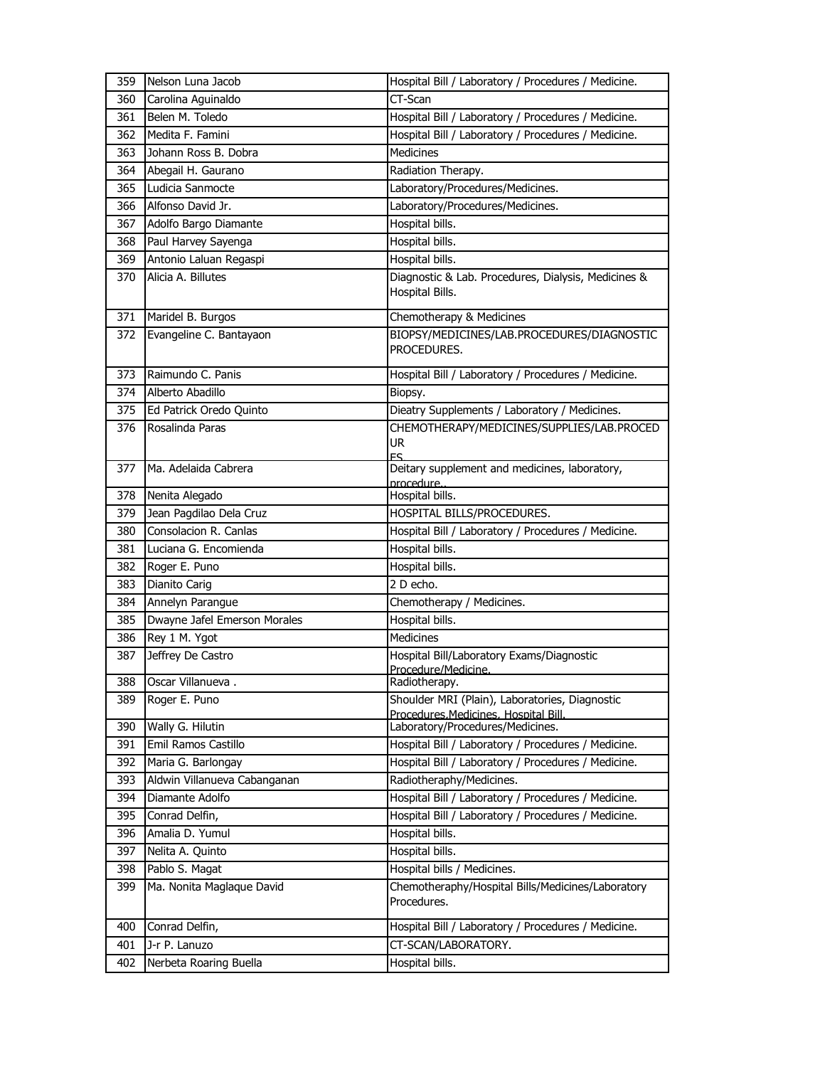| 359 | Nelson Luna Jacob            | Hospital Bill / Laboratory / Procedures / Medicine.                                    |
|-----|------------------------------|----------------------------------------------------------------------------------------|
| 360 | Carolina Aguinaldo           | CT-Scan                                                                                |
| 361 | Belen M. Toledo              | Hospital Bill / Laboratory / Procedures / Medicine.                                    |
| 362 | Medita F. Famini             | Hospital Bill / Laboratory / Procedures / Medicine.                                    |
| 363 | Johann Ross B. Dobra         | <b>Medicines</b>                                                                       |
| 364 | Abegail H. Gaurano           | Radiation Therapy.                                                                     |
| 365 | Ludicia Sanmocte             | Laboratory/Procedures/Medicines.                                                       |
| 366 | Alfonso David Jr.            | Laboratory/Procedures/Medicines.                                                       |
| 367 | Adolfo Bargo Diamante        | Hospital bills.                                                                        |
| 368 | Paul Harvey Sayenga          | Hospital bills.                                                                        |
| 369 | Antonio Laluan Regaspi       | Hospital bills.                                                                        |
| 370 | Alicia A. Billutes           | Diagnostic & Lab. Procedures, Dialysis, Medicines &<br>Hospital Bills.                 |
| 371 | Maridel B. Burgos            | Chemotherapy & Medicines                                                               |
| 372 | Evangeline C. Bantayaon      | BIOPSY/MEDICINES/LAB.PROCEDURES/DIAGNOSTIC<br>PROCEDURES.                              |
| 373 | Raimundo C. Panis            | Hospital Bill / Laboratory / Procedures / Medicine.                                    |
| 374 | Alberto Abadillo             | Biopsy.                                                                                |
| 375 | Ed Patrick Oredo Quinto      | Dieatry Supplements / Laboratory / Medicines.                                          |
| 376 | Rosalinda Paras              | CHEMOTHERAPY/MEDICINES/SUPPLIES/LAB.PROCED<br><b>UR</b><br>ES.                         |
| 377 | Ma. Adelaida Cabrera         | Deitary supplement and medicines, laboratory,                                          |
| 378 | Nenita Alegado               | procedure<br>Hospital bills.                                                           |
| 379 | Jean Pagdilao Dela Cruz      | HOSPITAL BILLS/PROCEDURES.                                                             |
| 380 | Consolacion R. Canlas        | Hospital Bill / Laboratory / Procedures / Medicine.                                    |
| 381 | Luciana G. Encomienda        | Hospital bills.                                                                        |
| 382 | Roger E. Puno                | Hospital bills.                                                                        |
| 383 | Dianito Carig                | 2 D echo.                                                                              |
| 384 | Annelyn Parangue             | Chemotherapy / Medicines.                                                              |
| 385 | Dwayne Jafel Emerson Morales | Hospital bills.                                                                        |
| 386 | Rey 1 M. Ygot                | <b>Medicines</b>                                                                       |
| 387 | Jeffrey De Castro            | Hospital Bill/Laboratory Exams/Diagnostic                                              |
|     |                              | Procedure/Medicine.                                                                    |
| 388 | Oscar Villanueva.            | Radiotherapy.                                                                          |
| 389 | Roger E. Puno                | Shoulder MRI (Plain), Laboratories, Diagnostic<br>Procedures.Medicines. Hospital Bill. |
| 390 | Wally G. Hilutin             | Laboratory/Procedures/Medicines.                                                       |
| 391 | Emil Ramos Castillo          | Hospital Bill / Laboratory / Procedures / Medicine.                                    |
| 392 | Maria G. Barlongay           | Hospital Bill / Laboratory / Procedures / Medicine.                                    |
| 393 | Aldwin Villanueva Cabanganan | Radiotheraphy/Medicines.                                                               |
| 394 | Diamante Adolfo              | Hospital Bill / Laboratory / Procedures / Medicine.                                    |
| 395 | Conrad Delfin,               | Hospital Bill / Laboratory / Procedures / Medicine.                                    |
| 396 | Amalia D. Yumul              | Hospital bills.                                                                        |
| 397 | Nelita A. Quinto             | Hospital bills.                                                                        |
| 398 | Pablo S. Magat               | Hospital bills / Medicines.                                                            |
| 399 | Ma. Nonita Maglaque David    | Chemotheraphy/Hospital Bills/Medicines/Laboratory<br>Procedures.                       |
| 400 | Conrad Delfin,               | Hospital Bill / Laboratory / Procedures / Medicine.                                    |
| 401 | J-r P. Lanuzo                | CT-SCAN/LABORATORY.                                                                    |
| 402 | Nerbeta Roaring Buella       | Hospital bills.                                                                        |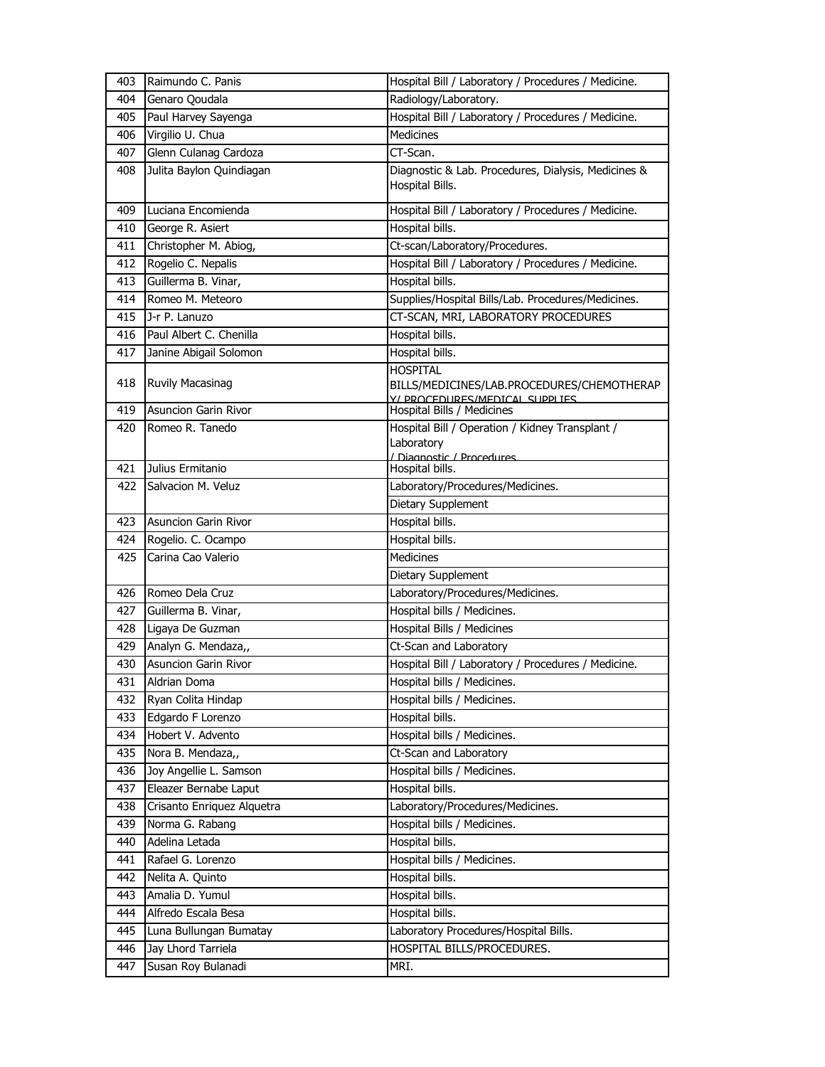| 403 | Raimundo C. Panis           | Hospital Bill / Laboratory / Procedures / Medicine.                                             |
|-----|-----------------------------|-------------------------------------------------------------------------------------------------|
| 404 | Genaro Qoudala              | Radiology/Laboratory.                                                                           |
| 405 | Paul Harvey Sayenga         | Hospital Bill / Laboratory / Procedures / Medicine.                                             |
| 406 | Virgilio U. Chua            | <b>Medicines</b>                                                                                |
| 407 | Glenn Culanag Cardoza       | $\overline{\text{CT}}$ -Scan.                                                                   |
| 408 | Julita Baylon Quindiagan    | Diagnostic & Lab. Procedures, Dialysis, Medicines &<br>Hospital Bills.                          |
| 409 | Luciana Encomienda          | Hospital Bill / Laboratory / Procedures / Medicine.                                             |
| 410 | George R. Asiert            | Hospital bills.                                                                                 |
| 411 | Christopher M. Abiog,       | Ct-scan/Laboratory/Procedures.                                                                  |
| 412 | Rogelio C. Nepalis          | Hospital Bill / Laboratory / Procedures / Medicine.                                             |
| 413 | Guillerma B. Vinar,         | Hospital bills.                                                                                 |
| 414 | Romeo M. Meteoro            | Supplies/Hospital Bills/Lab. Procedures/Medicines.                                              |
| 415 | J-r P. Lanuzo               | CT-SCAN, MRI, LABORATORY PROCEDURES                                                             |
| 416 | Paul Albert C. Chenilla     | Hospital bills.                                                                                 |
| 417 | Janine Abigail Solomon      | Hospital bills.                                                                                 |
| 418 | Ruvily Macasinag            | <b>HOSPITAL</b><br>BILLS/MEDICINES/LAB.PROCEDURES/CHEMOTHERAP<br>Y/ PROCEDURES/MEDICAL SUPPLIES |
| 419 | <b>Asuncion Garin Rivor</b> | Hospital Bills / Medicines                                                                      |
| 420 | Romeo R. Tanedo             | Hospital Bill / Operation / Kidney Transplant /<br>Laboratory<br>/ Diagnostic / Procedures      |
| 421 | Julius Ermitanio            | Hospital bills.                                                                                 |
| 422 | Salvacion M. Veluz          | Laboratory/Procedures/Medicines.<br>Dietary Supplement                                          |
| 423 | <b>Asuncion Garin Rivor</b> | Hospital bills.                                                                                 |
| 424 | Rogelio. C. Ocampo          | Hospital bills.                                                                                 |
| 425 | Carina Cao Valerio          | <b>Medicines</b>                                                                                |
|     |                             | Dietary Supplement                                                                              |
| 426 | Romeo Dela Cruz             | Laboratory/Procedures/Medicines.                                                                |
| 427 | Guillerma B. Vinar,         | Hospital bills / Medicines.                                                                     |
| 428 | Ligaya De Guzman            | <b>Hospital Bills / Medicines</b>                                                               |
| 429 | Analyn G. Mendaza,,         | Ct-Scan and Laboratory                                                                          |
| 430 | <b>Asuncion Garin Rivor</b> | Hospital Bill / Laboratory / Procedures / Medicine.                                             |
| 431 | Aldrian Doma                | Hospital bills / Medicines.                                                                     |
| 432 | Ryan Colita Hindap          | Hospital bills / Medicines.                                                                     |
| 433 | Edgardo F Lorenzo           | Hospital bills.                                                                                 |
| 434 | Hobert V. Advento           | Hospital bills / Medicines.                                                                     |
| 435 | Nora B. Mendaza,,           | Ct-Scan and Laboratory                                                                          |
| 436 | Joy Angellie L. Samson      | Hospital bills / Medicines.                                                                     |
| 437 | Eleazer Bernabe Laput       | Hospital bills.                                                                                 |
| 438 | Crisanto Enriquez Alquetra  | Laboratory/Procedures/Medicines.                                                                |
| 439 | Norma G. Rabang             | Hospital bills / Medicines.                                                                     |
| 440 | Adelina Letada              | Hospital bills.                                                                                 |
| 441 | Rafael G. Lorenzo           | Hospital bills / Medicines.                                                                     |
| 442 | Nelita A. Quinto            | Hospital bills.                                                                                 |
| 443 | Amalia D. Yumul             | Hospital bills.                                                                                 |
| 444 | Alfredo Escala Besa         | Hospital bills.                                                                                 |
| 445 | Luna Bullungan Bumatay      | Laboratory Procedures/Hospital Bills.                                                           |
| 446 | Jay Lhord Tarriela          | HOSPITAL BILLS/PROCEDURES.                                                                      |
| 447 | Susan Roy Bulanadi          | MRI.                                                                                            |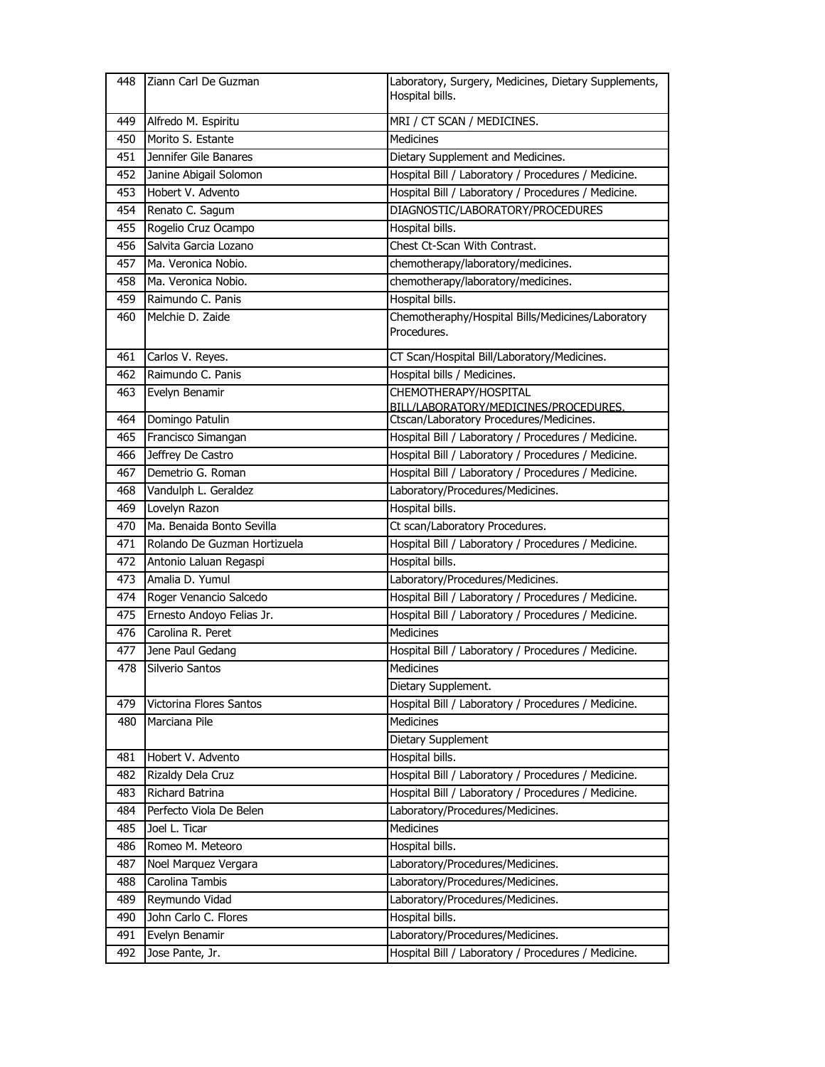| 448 | Ziann Carl De Guzman         | Laboratory, Surgery, Medicines, Dietary Supplements,<br>Hospital bills.          |
|-----|------------------------------|----------------------------------------------------------------------------------|
| 449 | Alfredo M. Espiritu          | MRI / CT SCAN / MEDICINES.                                                       |
| 450 | Morito S. Estante            | <b>Medicines</b>                                                                 |
| 451 | Jennifer Gile Banares        | Dietary Supplement and Medicines.                                                |
| 452 | Janine Abigail Solomon       | Hospital Bill / Laboratory / Procedures / Medicine.                              |
| 453 | Hobert V. Advento            | Hospital Bill / Laboratory / Procedures / Medicine.                              |
| 454 | Renato C. Sagum              | DIAGNOSTIC/LABORATORY/PROCEDURES                                                 |
| 455 | Rogelio Cruz Ocampo          | Hospital bills.                                                                  |
| 456 | Salvita Garcia Lozano        | Chest Ct-Scan With Contrast.                                                     |
| 457 | Ma. Veronica Nobio.          | chemotherapy/laboratory/medicines.                                               |
| 458 | Ma. Veronica Nobio.          | chemotherapy/laboratory/medicines.                                               |
| 459 | Raimundo C. Panis            | Hospital bills.                                                                  |
| 460 | Melchie D. Zaide             | Chemotheraphy/Hospital Bills/Medicines/Laboratory<br>Procedures.                 |
| 461 | Carlos V. Reyes.             | CT Scan/Hospital Bill/Laboratory/Medicines.                                      |
| 462 | Raimundo C. Panis            | Hospital bills / Medicines.                                                      |
| 463 | Evelyn Benamir               | CHEMOTHERAPY/HOSPITAL                                                            |
| 464 | Domingo Patulin              | BILL/LABORATORY/MEDICINES/PROCEDURES.<br>Ctscan/Laboratory Procedures/Medicines. |
| 465 | Francisco Simangan           | Hospital Bill / Laboratory / Procedures / Medicine.                              |
| 466 | Jeffrey De Castro            | Hospital Bill / Laboratory / Procedures / Medicine.                              |
| 467 | Demetrio G. Roman            | Hospital Bill / Laboratory / Procedures / Medicine.                              |
| 468 | Vandulph L. Geraldez         | Laboratory/Procedures/Medicines.                                                 |
| 469 | Lovelyn Razon                | Hospital bills.                                                                  |
| 470 | Ma. Benaida Bonto Sevilla    | Ct scan/Laboratory Procedures.                                                   |
| 471 | Rolando De Guzman Hortizuela | Hospital Bill / Laboratory / Procedures / Medicine.                              |
| 472 | Antonio Laluan Regaspi       | Hospital bills.                                                                  |
| 473 | Amalia D. Yumul              | Laboratory/Procedures/Medicines.                                                 |
| 474 | Roger Venancio Salcedo       | Hospital Bill / Laboratory / Procedures / Medicine.                              |
| 475 | Ernesto Andoyo Felias Jr.    | Hospital Bill / Laboratory / Procedures / Medicine.                              |
| 476 | Carolina R. Peret            | <b>Medicines</b>                                                                 |
| 477 | Jene Paul Gedang             | Hospital Bill / Laboratory / Procedures / Medicine.                              |
| 478 | Silverio Santos              | <b>Medicines</b>                                                                 |
|     |                              | Dietary Supplement.                                                              |
| 479 | Victorina Flores Santos      | Hospital Bill / Laboratory / Procedures / Medicine.                              |
| 480 | Marciana Pile                | <b>Medicines</b>                                                                 |
|     |                              | Dietary Supplement                                                               |
| 481 | Hobert V. Advento            | Hospital bills.                                                                  |
| 482 | Rizaldy Dela Cruz            | Hospital Bill / Laboratory / Procedures / Medicine.                              |
| 483 | Richard Batrina              | Hospital Bill / Laboratory / Procedures / Medicine.                              |
| 484 | Perfecto Viola De Belen      | Laboratory/Procedures/Medicines.                                                 |
| 485 | Joel L. Ticar                | Medicines                                                                        |
| 486 | Romeo M. Meteoro             | Hospital bills.                                                                  |
| 487 | Noel Marquez Vergara         | Laboratory/Procedures/Medicines.                                                 |
| 488 | Carolina Tambis              | Laboratory/Procedures/Medicines.                                                 |
| 489 | Reymundo Vidad               | Laboratory/Procedures/Medicines.                                                 |
|     |                              |                                                                                  |
| 490 | John Carlo C. Flores         | Hospital bills.                                                                  |
| 491 | Evelyn Benamir               | Laboratory/Procedures/Medicines.                                                 |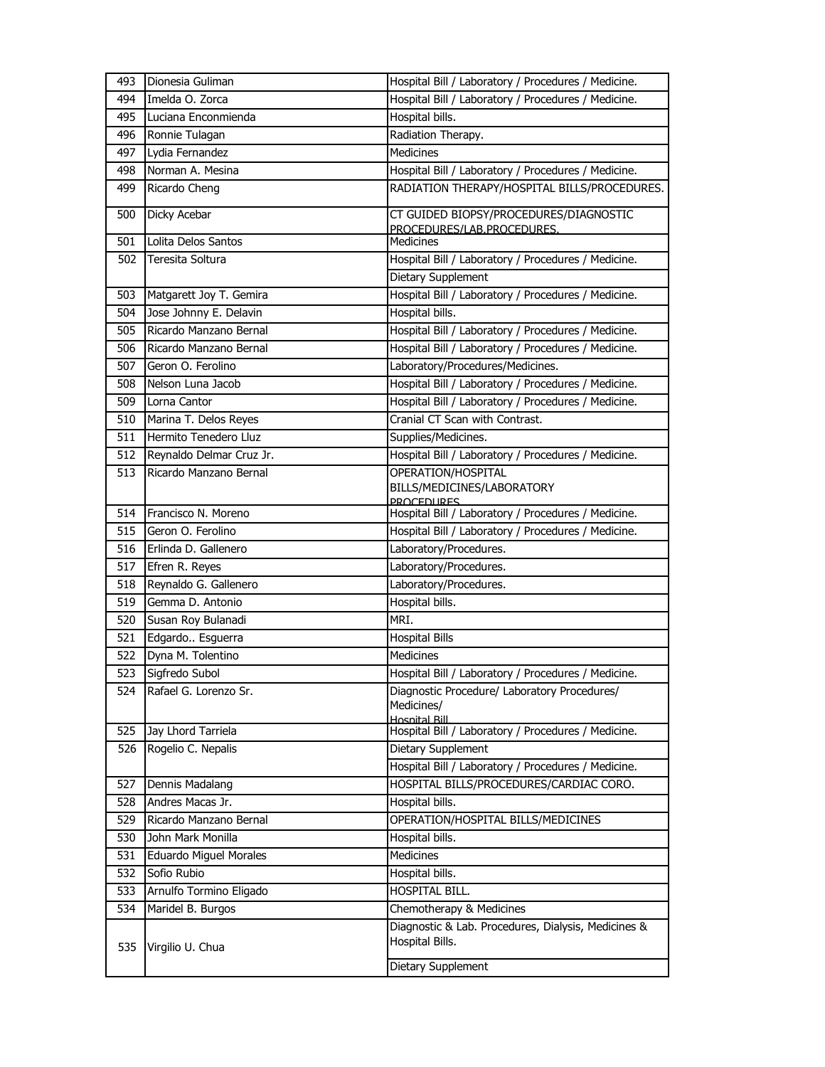| 493 | Dionesia Guliman         | Hospital Bill / Laboratory / Procedures / Medicine.                      |
|-----|--------------------------|--------------------------------------------------------------------------|
| 494 | Imelda O. Zorca          | Hospital Bill / Laboratory / Procedures / Medicine.                      |
| 495 | Luciana Enconmienda      | Hospital bills.                                                          |
| 496 | Ronnie Tulagan           | Radiation Therapy.                                                       |
| 497 | Lydia Fernandez          | <b>Medicines</b>                                                         |
| 498 | Norman A. Mesina         | Hospital Bill / Laboratory / Procedures / Medicine.                      |
| 499 | Ricardo Cheng            | RADIATION THERAPY/HOSPITAL BILLS/PROCEDURES.                             |
| 500 | Dicky Acebar             | CT GUIDED BIOPSY/PROCEDURES/DIAGNOSTIC                                   |
|     |                          | PROCEDURES/LAB.PROCEDURES.                                               |
| 501 | Lolita Delos Santos      | <b>Medicines</b>                                                         |
| 502 | Teresita Soltura         | Hospital Bill / Laboratory / Procedures / Medicine.                      |
|     |                          | Dietary Supplement                                                       |
| 503 | Matgarett Joy T. Gemira  | Hospital Bill / Laboratory / Procedures / Medicine.                      |
| 504 | Jose Johnny E. Delavin   | Hospital bills.                                                          |
| 505 | Ricardo Manzano Bernal   | Hospital Bill / Laboratory / Procedures / Medicine.                      |
| 506 | Ricardo Manzano Bernal   | Hospital Bill / Laboratory / Procedures / Medicine.                      |
| 507 | Geron O. Ferolino        | Laboratory/Procedures/Medicines.                                         |
| 508 | Nelson Luna Jacob        | Hospital Bill / Laboratory / Procedures / Medicine.                      |
| 509 | Lorna Cantor             | Hospital Bill / Laboratory / Procedures / Medicine.                      |
| 510 | Marina T. Delos Reyes    | Cranial CT Scan with Contrast.                                           |
| 511 | Hermito Tenedero Lluz    | Supplies/Medicines.                                                      |
| 512 | Reynaldo Delmar Cruz Jr. | Hospital Bill / Laboratory / Procedures / Medicine.                      |
| 513 | Ricardo Manzano Bernal   | OPERATION/HOSPITAL                                                       |
|     |                          | BILLS/MEDICINES/LABORATORY                                               |
| 514 | Francisco N. Moreno      | <b>PROCEDURES</b><br>Hospital Bill / Laboratory / Procedures / Medicine. |
| 515 | Geron O. Ferolino        | Hospital Bill / Laboratory / Procedures / Medicine.                      |
| 516 | Erlinda D. Gallenero     | Laboratory/Procedures.                                                   |
| 517 | Efren R. Reyes           | Laboratory/Procedures.                                                   |
| 518 | Reynaldo G. Gallenero    | Laboratory/Procedures.                                                   |
| 519 | Gemma D. Antonio         | Hospital bills.                                                          |
| 520 | Susan Roy Bulanadi       | MRI.                                                                     |
| 521 | Edgardo Esguerra         |                                                                          |
|     |                          | <b>Hospital Bills</b>                                                    |
| 522 | Dyna M. Tolentino        | Medicines                                                                |
| 523 | Sigfredo Subol           | Hospital Bill / Laboratory / Procedures / Medicine.                      |
| 524 | Rafael G. Lorenzo Sr.    | Diagnostic Procedure/ Laboratory Procedures/<br>Medicines/               |
|     |                          | Hosnital Rill                                                            |
| 525 | Jay Lhord Tarriela       | Hospital Bill / Laboratory / Procedures / Medicine.                      |
| 526 | Rogelio C. Nepalis       | Dietary Supplement                                                       |
|     |                          | Hospital Bill / Laboratory / Procedures / Medicine.                      |
| 527 | Dennis Madalang          | HOSPITAL BILLS/PROCEDURES/CARDIAC CORO.                                  |
| 528 | Andres Macas Jr.         | Hospital bills.                                                          |
| 529 | Ricardo Manzano Bernal   | OPERATION/HOSPITAL BILLS/MEDICINES                                       |
| 530 | John Mark Monilla        | Hospital bills.                                                          |
| 531 | Eduardo Miguel Morales   | Medicines                                                                |
| 532 | Sofio Rubio              | Hospital bills.                                                          |
| 533 | Arnulfo Tormino Eligado  | HOSPITAL BILL.                                                           |
| 534 | Maridel B. Burgos        | Chemotherapy & Medicines                                                 |
| 535 | Virgilio U. Chua         | Diagnostic & Lab. Procedures, Dialysis, Medicines &<br>Hospital Bills.   |
|     |                          | Dietary Supplement                                                       |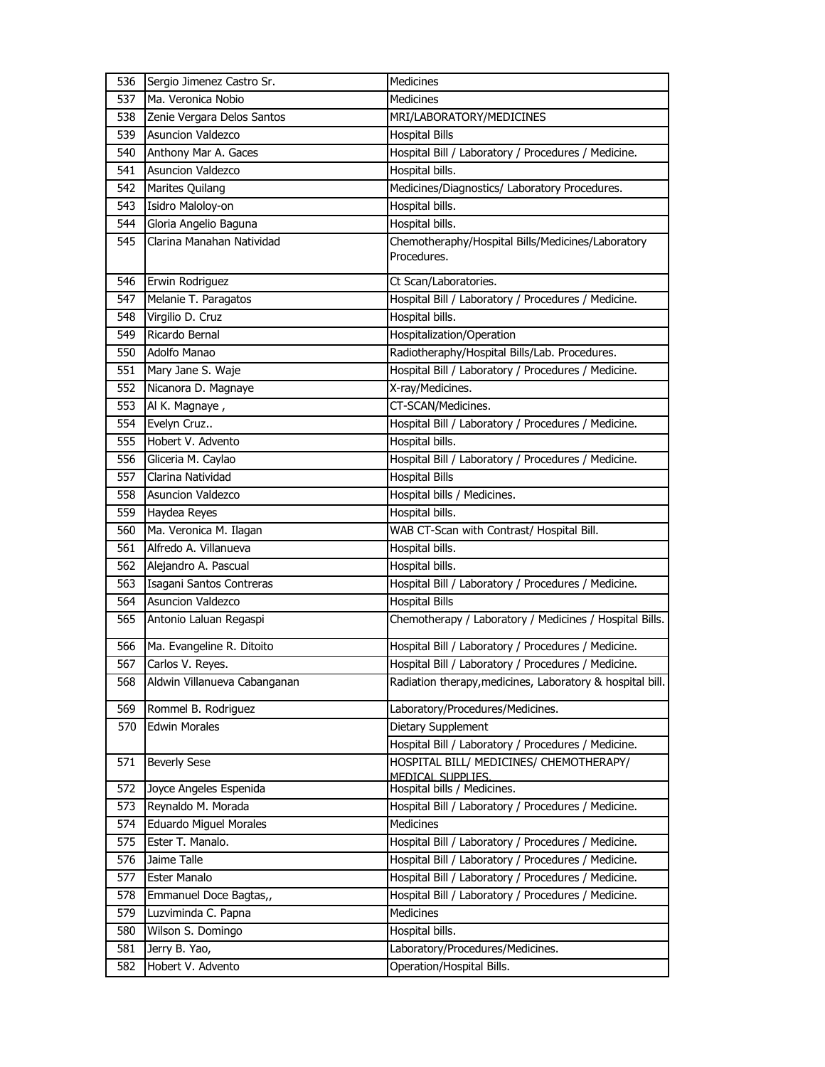| 536 | Sergio Jimenez Castro Sr.    | <b>Medicines</b>                                                 |
|-----|------------------------------|------------------------------------------------------------------|
| 537 | Ma. Veronica Nobio           | <b>Medicines</b>                                                 |
| 538 | Zenie Vergara Delos Santos   | MRI/LABORATORY/MEDICINES                                         |
| 539 | Asuncion Valdezco            | <b>Hospital Bills</b>                                            |
| 540 | Anthony Mar A. Gaces         | Hospital Bill / Laboratory / Procedures / Medicine.              |
| 541 | Asuncion Valdezco            | Hospital bills.                                                  |
| 542 | Marites Quilang              | Medicines/Diagnostics/ Laboratory Procedures.                    |
| 543 | Isidro Maloloy-on            | Hospital bills.                                                  |
| 544 | Gloria Angelio Baguna        | Hospital bills.                                                  |
| 545 | Clarina Manahan Natividad    | Chemotheraphy/Hospital Bills/Medicines/Laboratory<br>Procedures. |
| 546 | Erwin Rodriguez              | Ct Scan/Laboratories.                                            |
| 547 | Melanie T. Paragatos         | Hospital Bill / Laboratory / Procedures / Medicine.              |
| 548 | Virgilio D. Cruz             | Hospital bills.                                                  |
| 549 | Ricardo Bernal               | Hospitalization/Operation                                        |
| 550 | Adolfo Manao                 | Radiotheraphy/Hospital Bills/Lab. Procedures.                    |
| 551 | Mary Jane S. Waje            | Hospital Bill / Laboratory / Procedures / Medicine.              |
| 552 | Nicanora D. Magnaye          | X-ray/Medicines.                                                 |
| 553 | Al K. Magnaye,               | CT-SCAN/Medicines.                                               |
| 554 | Evelyn Cruz                  | Hospital Bill / Laboratory / Procedures / Medicine.              |
| 555 | Hobert V. Advento            | Hospital bills.                                                  |
| 556 | Gliceria M. Caylao           | Hospital Bill / Laboratory / Procedures / Medicine.              |
| 557 | Clarina Natividad            | <b>Hospital Bills</b>                                            |
| 558 | <b>Asuncion Valdezco</b>     | Hospital bills / Medicines.                                      |
| 559 | Haydea Reyes                 | Hospital bills.                                                  |
| 560 | Ma. Veronica M. Ilagan       | WAB CT-Scan with Contrast/ Hospital Bill.                        |
| 561 | Alfredo A. Villanueva        | Hospital bills.                                                  |
| 562 | Alejandro A. Pascual         | Hospital bills.                                                  |
| 563 | Isagani Santos Contreras     | Hospital Bill / Laboratory / Procedures / Medicine.              |
| 564 | Asuncion Valdezco            | <b>Hospital Bills</b>                                            |
| 565 | Antonio Laluan Regaspi       | Chemotherapy / Laboratory / Medicines / Hospital Bills.          |
| 566 | Ma. Evangeline R. Ditoito    | Hospital Bill / Laboratory / Procedures / Medicine.              |
| 567 | Carlos V. Reyes.             | Hospital Bill / Laboratory / Procedures / Medicine.              |
| 568 | Aldwin Villanueva Cabanganan | Radiation therapy, medicines, Laboratory & hospital bill.        |
| 569 | Rommel B. Rodriguez          | Laboratory/Procedures/Medicines.                                 |
| 570 | <b>Edwin Morales</b>         | Dietary Supplement                                               |
|     |                              | Hospital Bill / Laboratory / Procedures / Medicine.              |
| 571 | <b>Beverly Sese</b>          | HOSPITAL BILL/ MEDICINES/ CHEMOTHERAPY/<br>MEDICAL SUPPLIES.     |
| 572 | Joyce Angeles Espenida       | Hospital bills / Medicines.                                      |
| 573 | Reynaldo M. Morada           | Hospital Bill / Laboratory / Procedures / Medicine.              |
| 574 | Eduardo Miguel Morales       | Medicines                                                        |
| 575 | Ester T. Manalo.             | Hospital Bill / Laboratory / Procedures / Medicine.              |
| 576 | Jaime Talle                  | Hospital Bill / Laboratory / Procedures / Medicine.              |
| 577 | Ester Manalo                 | Hospital Bill / Laboratory / Procedures / Medicine.              |
| 578 | Emmanuel Doce Bagtas,,       | Hospital Bill / Laboratory / Procedures / Medicine.              |
| 579 | Luzviminda C. Papna          | Medicines                                                        |
| 580 | Wilson S. Domingo            | Hospital bills.                                                  |
| 581 | Jerry B. Yao,                | Laboratory/Procedures/Medicines.                                 |
| 582 | Hobert V. Advento            | Operation/Hospital Bills.                                        |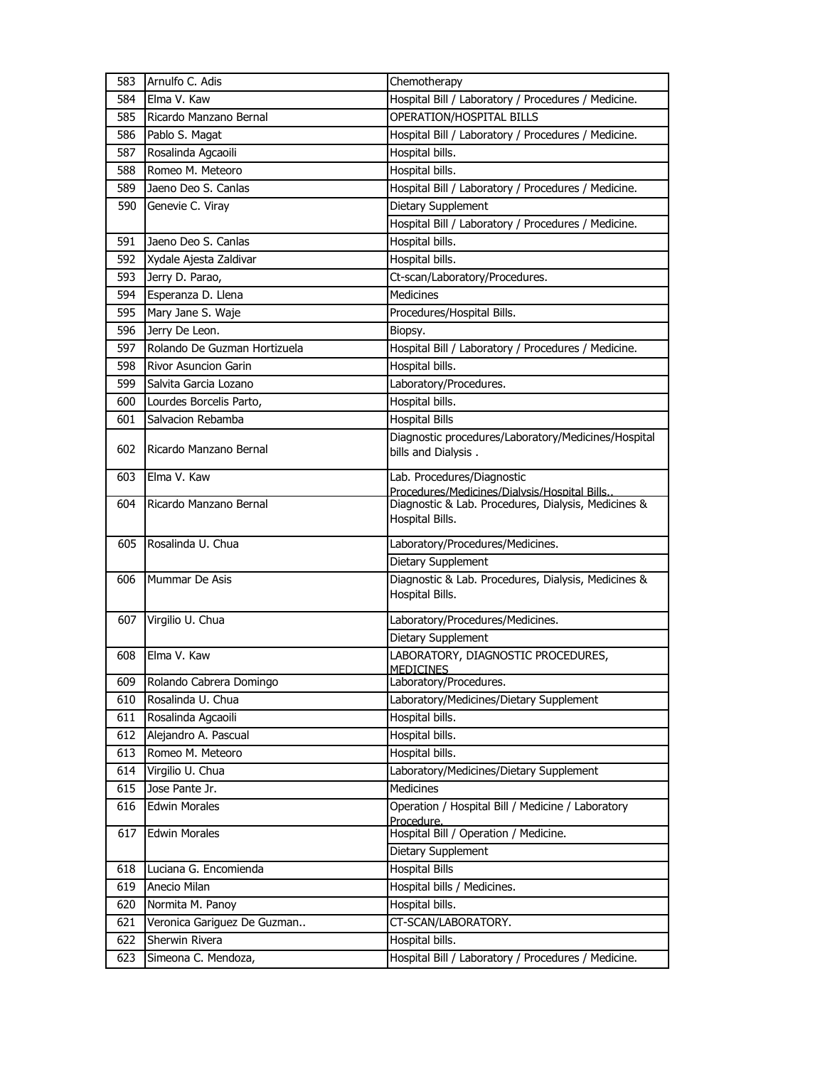| 583 | Arnulfo C. Adis              | Chemotherapy                                        |
|-----|------------------------------|-----------------------------------------------------|
| 584 | Elma V. Kaw                  | Hospital Bill / Laboratory / Procedures / Medicine. |
| 585 | Ricardo Manzano Bernal       | <b>OPERATION/HOSPITAL BILLS</b>                     |
| 586 | Pablo S. Magat               | Hospital Bill / Laboratory / Procedures / Medicine. |
| 587 | Rosalinda Agcaoili           | Hospital bills.                                     |
| 588 | Romeo M. Meteoro             | Hospital bills.                                     |
| 589 | Jaeno Deo S. Canlas          | Hospital Bill / Laboratory / Procedures / Medicine. |
| 590 | Genevie C. Viray             | Dietary Supplement                                  |
|     |                              | Hospital Bill / Laboratory / Procedures / Medicine. |
| 591 | Jaeno Deo S. Canlas          | Hospital bills.                                     |
| 592 | Xydale Ajesta Zaldivar       | Hospital bills.                                     |
| 593 | Jerry D. Parao,              | Ct-scan/Laboratory/Procedures.                      |
| 594 | Esperanza D. Llena           | <b>Medicines</b>                                    |
| 595 | Mary Jane S. Waje            | Procedures/Hospital Bills.                          |
| 596 | Jerry De Leon.               | Biopsy.                                             |
| 597 | Rolando De Guzman Hortizuela | Hospital Bill / Laboratory / Procedures / Medicine. |
| 598 | Rivor Asuncion Garin         | Hospital bills.                                     |
| 599 | Salvita Garcia Lozano        | Laboratory/Procedures.                              |
| 600 | Lourdes Borcelis Parto,      | Hospital bills.                                     |
| 601 | Salvacion Rebamba            | <b>Hospital Bills</b>                               |
|     |                              | Diagnostic procedures/Laboratory/Medicines/Hospital |
| 602 | Ricardo Manzano Bernal       | bills and Dialysis.                                 |
| 603 | Elma V. Kaw                  | Lab. Procedures/Diagnostic                          |
|     |                              | Procedures/Medicines/Dialysis/Hospital Bills.       |
| 604 | Ricardo Manzano Bernal       | Diagnostic & Lab. Procedures, Dialysis, Medicines & |
|     |                              | Hospital Bills.                                     |
| 605 | Rosalinda U. Chua            | Laboratory/Procedures/Medicines.                    |
|     |                              | Dietary Supplement                                  |
| 606 | Mummar De Asis               | Diagnostic & Lab. Procedures, Dialysis, Medicines & |
|     |                              | Hospital Bills.                                     |
| 607 | Virgilio U. Chua             | Laboratory/Procedures/Medicines.                    |
|     |                              | Dietary Supplement                                  |
| 608 | Elma V. Kaw                  | LABORATORY, DIAGNOSTIC PROCEDURES,                  |
|     |                              | <b>MEDICINES</b>                                    |
| 609 | Rolando Cabrera Domingo      | Laboratory/Procedures.                              |
| 610 | Rosalinda U. Chua            | Laboratory/Medicines/Dietary Supplement             |
| 611 | Rosalinda Agcaoili           | Hospital bills.                                     |
| 612 | Alejandro A. Pascual         | Hospital bills.                                     |
| 613 | Romeo M. Meteoro             | Hospital bills.                                     |
| 614 | Virgilio U. Chua             | Laboratory/Medicines/Dietary Supplement             |
| 615 | Jose Pante Jr.               | Medicines                                           |
| 616 | <b>Edwin Morales</b>         | Operation / Hospital Bill / Medicine / Laboratory   |
| 617 | <b>Edwin Morales</b>         | Procedure.<br>Hospital Bill / Operation / Medicine. |
|     |                              | Dietary Supplement                                  |
| 618 | Luciana G. Encomienda        | <b>Hospital Bills</b>                               |
| 619 | Anecio Milan                 | Hospital bills / Medicines.                         |
| 620 | Normita M. Panoy             | Hospital bills.                                     |
| 621 | Veronica Gariguez De Guzman  | CT-SCAN/LABORATORY.                                 |
| 622 | Sherwin Rivera               | Hospital bills.                                     |
| 623 | Simeona C. Mendoza,          | Hospital Bill / Laboratory / Procedures / Medicine. |
|     |                              |                                                     |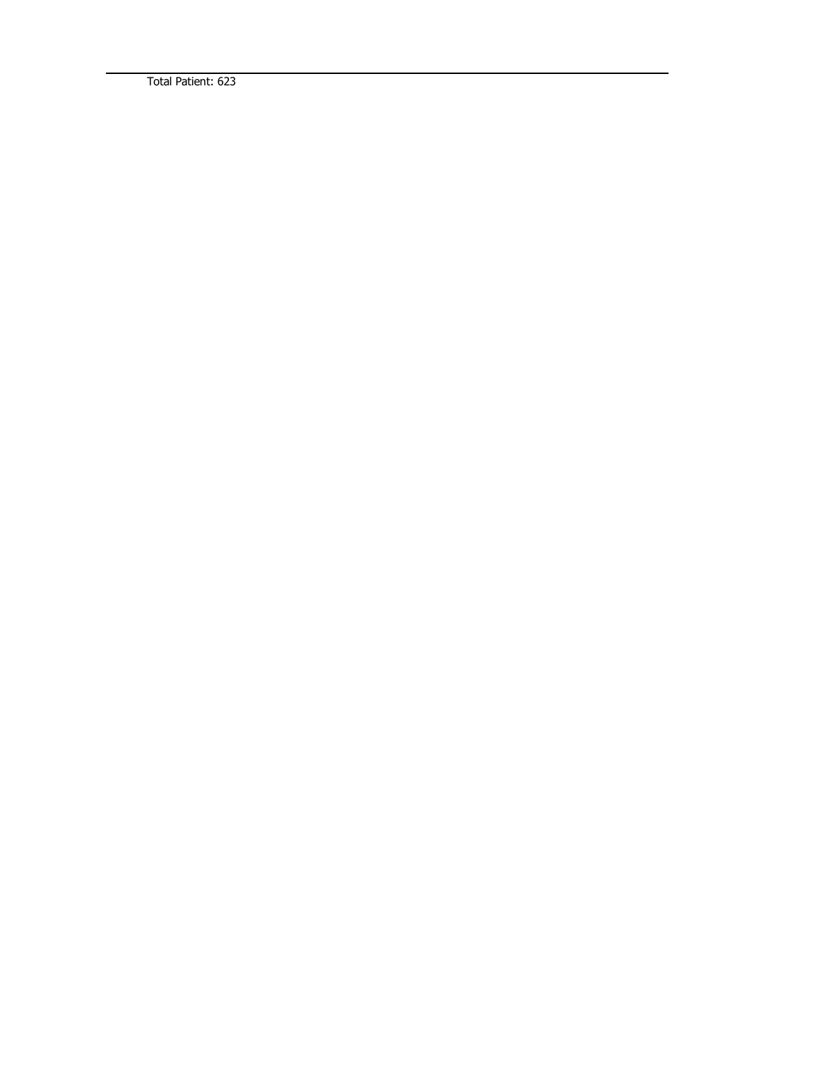Total Patient: 623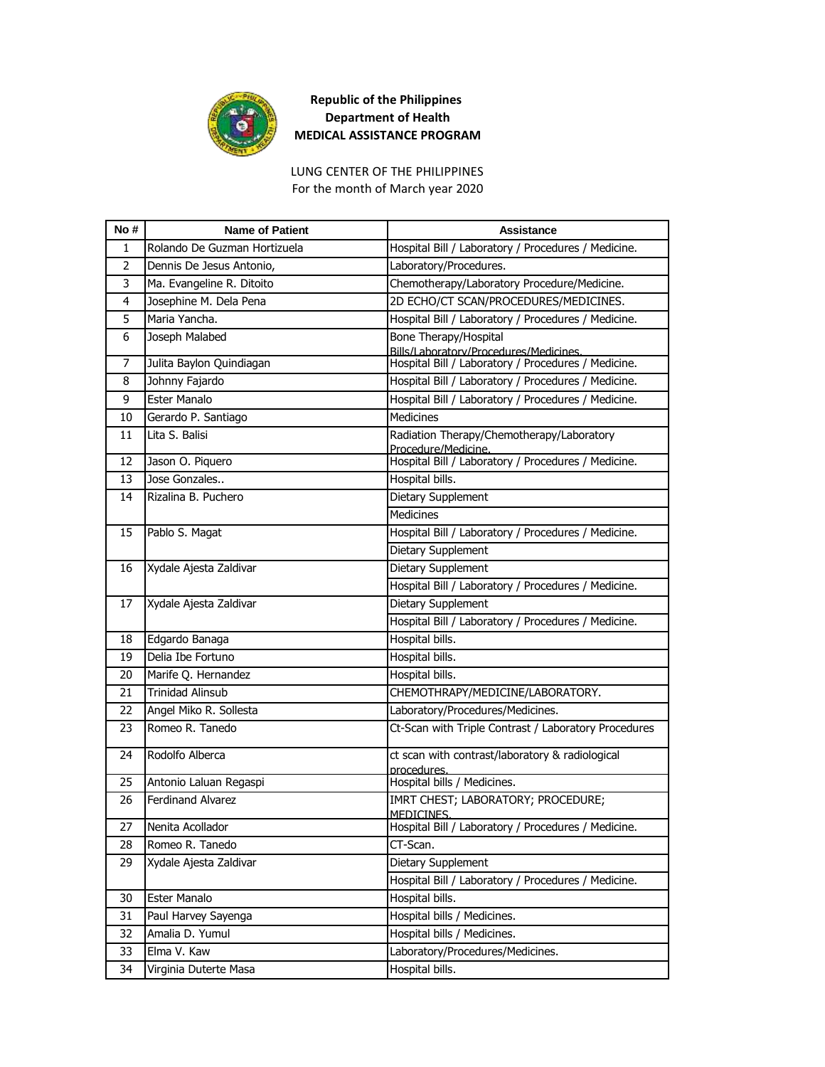

## **Republic of the Philippines Department of Health MEDICAL ASSISTANCE PROGRAM**

For the month of March year 2020 LUNG CENTER OF THE PHILIPPINES

| No# | <b>Name of Patient</b>       | Assistance                                                                                    |
|-----|------------------------------|-----------------------------------------------------------------------------------------------|
| 1   | Rolando De Guzman Hortizuela | Hospital Bill / Laboratory / Procedures / Medicine.                                           |
| 2   | Dennis De Jesus Antonio,     | Laboratory/Procedures.                                                                        |
| 3   | Ma. Evangeline R. Ditoito    | Chemotherapy/Laboratory Procedure/Medicine.                                                   |
| 4   | Josephine M. Dela Pena       | 2D ECHO/CT SCAN/PROCEDURES/MEDICINES.                                                         |
| 5   | Maria Yancha.                | Hospital Bill / Laboratory / Procedures / Medicine.                                           |
| 6   | Joseph Malabed               | Bone Therapy/Hospital                                                                         |
| 7   | Julita Baylon Quindiagan     | Bills/Laboratory/Procedures/Medicines.<br>Hospital Bill / Laboratory / Procedures / Medicine. |
| 8   | Johnny Fajardo               | Hospital Bill / Laboratory / Procedures / Medicine.                                           |
| 9   | Ester Manalo                 | Hospital Bill / Laboratory / Procedures / Medicine.                                           |
| 10  | Gerardo P. Santiago          | <b>Medicines</b>                                                                              |
| 11  | Lita S. Balisi               | Radiation Therapy/Chemotherapy/Laboratory                                                     |
|     |                              | Procedure/Medicine.                                                                           |
| 12  | Jason O. Piquero             | Hospital Bill / Laboratory / Procedures / Medicine.                                           |
| 13  | Jose Gonzales                | Hospital bills.                                                                               |
| 14  | Rizalina B. Puchero          | Dietary Supplement                                                                            |
|     |                              | Medicines                                                                                     |
| 15  | Pablo S. Magat               | Hospital Bill / Laboratory / Procedures / Medicine.                                           |
|     |                              | <b>Dietary Supplement</b>                                                                     |
| 16  | Xydale Ajesta Zaldivar       | Dietary Supplement                                                                            |
|     |                              | Hospital Bill / Laboratory / Procedures / Medicine.                                           |
| 17  | Xydale Ajesta Zaldivar       | Dietary Supplement                                                                            |
|     |                              | Hospital Bill / Laboratory / Procedures / Medicine.                                           |
| 18  | Edgardo Banaga               | Hospital bills.                                                                               |
| 19  | Delia Ibe Fortuno            | Hospital bills.                                                                               |
| 20  | Marife Q. Hernandez          | Hospital bills.                                                                               |
| 21  | <b>Trinidad Alinsub</b>      | CHEMOTHRAPY/MEDICINE/LABORATORY.                                                              |
| 22  | Angel Miko R. Sollesta       | Laboratory/Procedures/Medicines.                                                              |
| 23  | Romeo R. Tanedo              | Ct-Scan with Triple Contrast / Laboratory Procedures                                          |
| 24  | Rodolfo Alberca              | ct scan with contrast/laboratory & radiological<br>procedures.                                |
| 25  | Antonio Laluan Regaspi       | Hospital bills / Medicines.                                                                   |
| 26  | Ferdinand Alvarez            | IMRT CHEST; LABORATORY; PROCEDURE;<br>MEDICINES.                                              |
| 27  | Nenita Acollador             | Hospital Bill / Laboratory / Procedures / Medicine.                                           |
| 28  | Romeo R. Tanedo              | CT-Scan.                                                                                      |
| 29  | Xydale Ajesta Zaldivar       | Dietary Supplement                                                                            |
|     |                              | Hospital Bill / Laboratory / Procedures / Medicine.                                           |
| 30  | Ester Manalo                 | Hospital bills.                                                                               |
| 31  | Paul Harvey Sayenga          | Hospital bills / Medicines.                                                                   |
| 32  | Amalia D. Yumul              | Hospital bills / Medicines.                                                                   |
| 33  | Elma V. Kaw                  | Laboratory/Procedures/Medicines.                                                              |
| 34  | Virginia Duterte Masa        | Hospital bills.                                                                               |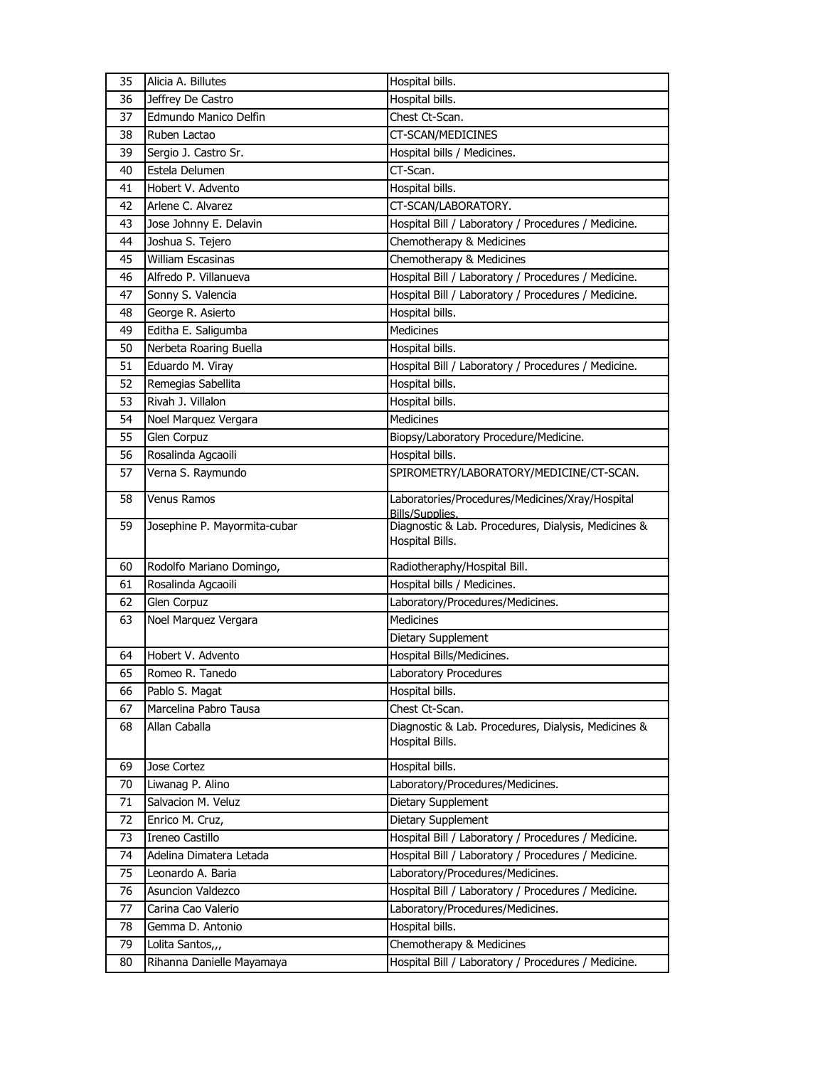| 35 | Alicia A. Billutes                     | Hospital bills.                                     |
|----|----------------------------------------|-----------------------------------------------------|
| 36 | Jeffrey De Castro                      | Hospital bills.                                     |
| 37 | Edmundo Manico Delfin                  | Chest Ct-Scan.                                      |
| 38 | Ruben Lactao                           | CT-SCAN/MEDICINES                                   |
| 39 | Sergio J. Castro Sr.                   | Hospital bills / Medicines.                         |
| 40 | Estela Delumen                         | CT-Scan.                                            |
| 41 | Hobert V. Advento                      | Hospital bills.                                     |
| 42 | Arlene C. Alvarez                      | CT-SCAN/LABORATORY.                                 |
| 43 | Jose Johnny E. Delavin                 | Hospital Bill / Laboratory / Procedures / Medicine. |
| 44 | Joshua S. Tejero                       | Chemotherapy & Medicines                            |
| 45 | <b>William Escasinas</b>               | Chemotherapy & Medicines                            |
| 46 | Alfredo P. Villanueva                  | Hospital Bill / Laboratory / Procedures / Medicine. |
| 47 | Sonny S. Valencia                      | Hospital Bill / Laboratory / Procedures / Medicine. |
| 48 | George R. Asierto                      | Hospital bills.                                     |
| 49 | Editha E. Saligumba                    | Medicines                                           |
| 50 | Nerbeta Roaring Buella                 | Hospital bills.                                     |
| 51 | Eduardo M. Viray                       | Hospital Bill / Laboratory / Procedures / Medicine. |
| 52 | Remegias Sabellita                     | Hospital bills.                                     |
| 53 | Rivah J. Villalon                      | Hospital bills.                                     |
| 54 | Noel Marquez Vergara                   | Medicines                                           |
| 55 | <b>Glen Corpuz</b>                     | Biopsy/Laboratory Procedure/Medicine.               |
| 56 | Rosalinda Agcaoili                     | Hospital bills.                                     |
| 57 | Verna S. Raymundo                      | SPIROMETRY/LABORATORY/MEDICINE/CT-SCAN.             |
| 58 | Venus Ramos                            | Laboratories/Procedures/Medicines/Xray/Hospital     |
|    |                                        | Bills/Supplies.                                     |
| 59 | Josephine P. Mayormita-cubar           | Diagnostic & Lab. Procedures, Dialysis, Medicines & |
|    |                                        | Hospital Bills.                                     |
| 60 | Rodolfo Mariano Domingo,               | Radiotheraphy/Hospital Bill.                        |
| 61 | Rosalinda Agcaoili                     | Hospital bills / Medicines.                         |
| 62 | Glen Corpuz                            | Laboratory/Procedures/Medicines.                    |
| 63 | Noel Marquez Vergara                   | Medicines                                           |
|    |                                        | Dietary Supplement                                  |
| 64 | Hobert V. Advento                      | Hospital Bills/Medicines.                           |
| 65 | Romeo R. Tanedo                        | Laboratory Procedures                               |
| 66 | Pablo S. Magat                         | Hospital bills.                                     |
| 67 | Marcelina Pabro Tausa                  | Chest Ct-Scan.                                      |
| 68 | Allan Caballa                          | Diagnostic & Lab. Procedures, Dialysis, Medicines & |
|    |                                        | Hospital Bills.                                     |
| 69 | Jose Cortez                            | Hospital bills.                                     |
| 70 | Liwanag P. Alino                       | Laboratory/Procedures/Medicines.                    |
| 71 | Salvacion M. Veluz                     | Dietary Supplement                                  |
| 72 | Enrico M. Cruz,                        | Dietary Supplement                                  |
| 73 | Ireneo Castillo                        | Hospital Bill / Laboratory / Procedures / Medicine. |
| 74 | Adelina Dimatera Letada                | Hospital Bill / Laboratory / Procedures / Medicine. |
| 75 |                                        | Laboratory/Procedures/Medicines.                    |
|    | Leonardo A. Baria<br>Asuncion Valdezco | Hospital Bill / Laboratory / Procedures / Medicine. |
| 76 |                                        |                                                     |
| 77 | Carina Cao Valerio                     | Laboratory/Procedures/Medicines.<br>Hospital bills. |
| 78 | Gemma D. Antonio                       |                                                     |
| 79 | Lolita Santos,,,                       | Chemotherapy & Medicines                            |
| 80 | Rihanna Danielle Mayamaya              | Hospital Bill / Laboratory / Procedures / Medicine. |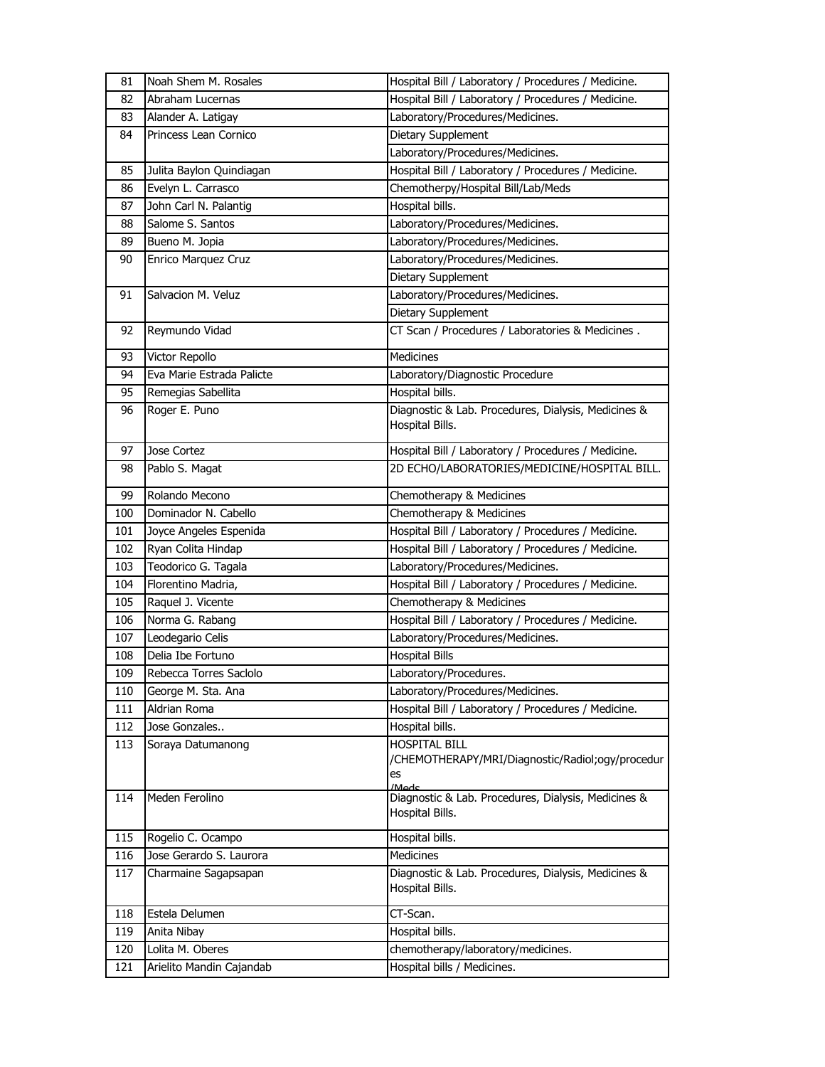| 81  | Noah Shem M. Rosales      | Hospital Bill / Laboratory / Procedures / Medicine.                                     |
|-----|---------------------------|-----------------------------------------------------------------------------------------|
| 82  | Abraham Lucernas          | Hospital Bill / Laboratory / Procedures / Medicine.                                     |
| 83  | Alander A. Latigay        | Laboratory/Procedures/Medicines.                                                        |
| 84  | Princess Lean Cornico     | Dietary Supplement                                                                      |
|     |                           | Laboratory/Procedures/Medicines.                                                        |
| 85  | Julita Baylon Quindiagan  | Hospital Bill / Laboratory / Procedures / Medicine.                                     |
| 86  | Evelyn L. Carrasco        | Chemotherpy/Hospital Bill/Lab/Meds                                                      |
| 87  | John Carl N. Palantig     | Hospital bills.                                                                         |
| 88  | Salome S. Santos          | Laboratory/Procedures/Medicines.                                                        |
| 89  | Bueno M. Jopia            | Laboratory/Procedures/Medicines.                                                        |
| 90  | Enrico Marquez Cruz       | Laboratory/Procedures/Medicines.                                                        |
|     |                           | Dietary Supplement                                                                      |
| 91  | Salvacion M. Veluz        | Laboratory/Procedures/Medicines.                                                        |
|     |                           | Dietary Supplement                                                                      |
| 92  | Reymundo Vidad            | CT Scan / Procedures / Laboratories & Medicines.                                        |
| 93  | Victor Repollo            | <b>Medicines</b>                                                                        |
| 94  | Eva Marie Estrada Palicte | Laboratory/Diagnostic Procedure                                                         |
| 95  | Remegias Sabellita        | Hospital bills.                                                                         |
| 96  | Roger E. Puno             | Diagnostic & Lab. Procedures, Dialysis, Medicines &<br>Hospital Bills.                  |
| 97  | Jose Cortez               | Hospital Bill / Laboratory / Procedures / Medicine.                                     |
| 98  | Pablo S. Magat            | 2D ECHO/LABORATORIES/MEDICINE/HOSPITAL BILL.                                            |
| 99  | Rolando Mecono            | Chemotherapy & Medicines                                                                |
| 100 | Dominador N. Cabello      | Chemotherapy & Medicines                                                                |
| 101 | Joyce Angeles Espenida    | Hospital Bill / Laboratory / Procedures / Medicine.                                     |
| 102 | Ryan Colita Hindap        | Hospital Bill / Laboratory / Procedures / Medicine.                                     |
| 103 | Teodorico G. Tagala       | Laboratory/Procedures/Medicines.                                                        |
| 104 | Florentino Madria,        | Hospital Bill / Laboratory / Procedures / Medicine.                                     |
| 105 | Raquel J. Vicente         | Chemotherapy & Medicines                                                                |
| 106 | Norma G. Rabang           | Hospital Bill / Laboratory / Procedures / Medicine.                                     |
| 107 | Leodegario Celis          | Laboratory/Procedures/Medicines.                                                        |
| 108 | Delia Ibe Fortuno         | <b>Hospital Bills</b>                                                                   |
| 109 | Rebecca Torres Saclolo    | Laboratory/Procedures.                                                                  |
| 110 | George M. Sta. Ana        | Laboratory/Procedures/Medicines.                                                        |
| 111 | Aldrian Roma              | Hospital Bill / Laboratory / Procedures / Medicine.                                     |
| 112 | Jose Gonzales             | Hospital bills.                                                                         |
| 113 | Soraya Datumanong         | <b>HOSPITAL BILL</b><br>/CHEMOTHERAPY/MRI/Diagnostic/Radiol;ogy/procedur<br>es<br>/Mode |
| 114 | Meden Ferolino            | Diagnostic & Lab. Procedures, Dialysis, Medicines &<br>Hospital Bills.                  |
| 115 | Rogelio C. Ocampo         | Hospital bills.                                                                         |
| 116 | Jose Gerardo S. Laurora   | Medicines                                                                               |
| 117 | Charmaine Sagapsapan      | Diagnostic & Lab. Procedures, Dialysis, Medicines &<br>Hospital Bills.                  |
| 118 |                           |                                                                                         |
|     | Estela Delumen            | CT-Scan.                                                                                |
| 119 | Anita Nibay               | Hospital bills.                                                                         |
| 120 | Lolita M. Oberes          | chemotherapy/laboratory/medicines.                                                      |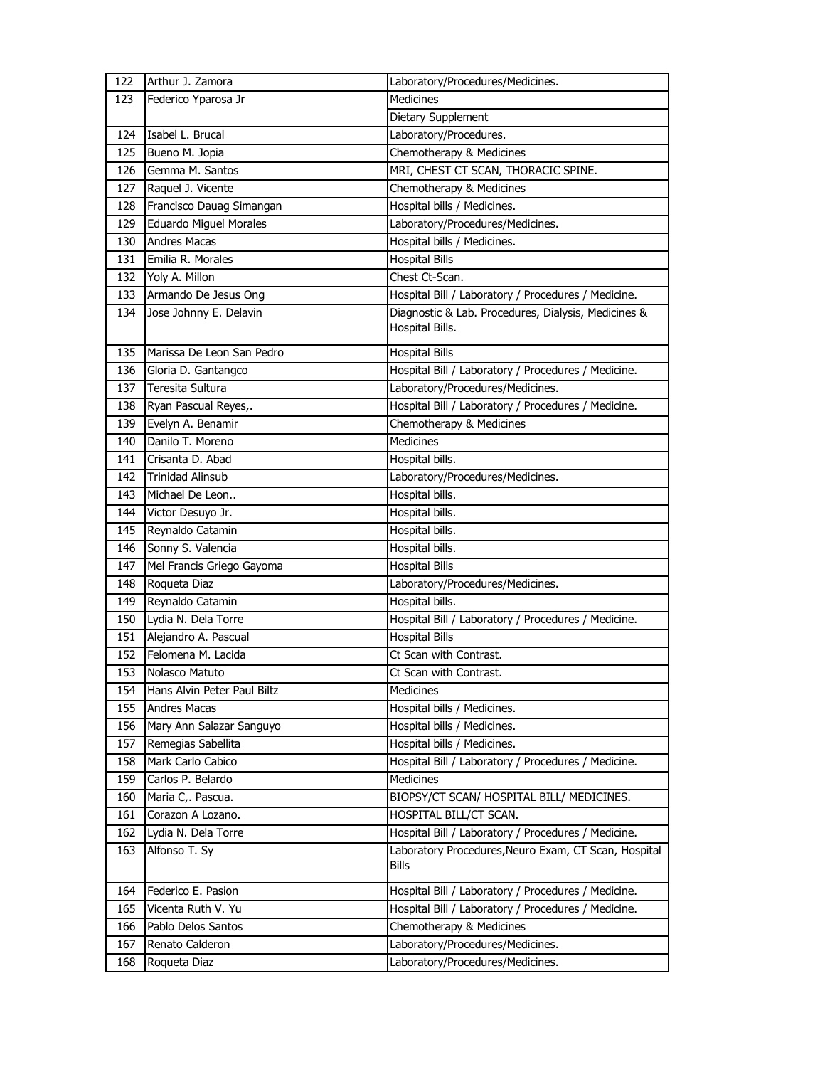| 122 | Arthur J. Zamora              | Laboratory/Procedures/Medicines.                                       |
|-----|-------------------------------|------------------------------------------------------------------------|
| 123 | Federico Yparosa Jr           | <b>Medicines</b>                                                       |
|     |                               | Dietary Supplement                                                     |
| 124 | Isabel L. Brucal              | Laboratory/Procedures.                                                 |
| 125 | Bueno M. Jopia                | Chemotherapy & Medicines                                               |
| 126 | Gemma M. Santos               | MRI, CHEST CT SCAN, THORACIC SPINE.                                    |
| 127 | Raquel J. Vicente             | Chemotherapy & Medicines                                               |
| 128 | Francisco Dauag Simangan      | Hospital bills / Medicines.                                            |
| 129 | <b>Eduardo Miguel Morales</b> | Laboratory/Procedures/Medicines.                                       |
| 130 | <b>Andres Macas</b>           | Hospital bills / Medicines.                                            |
| 131 | Emilia R. Morales             | <b>Hospital Bills</b>                                                  |
| 132 | Yoly A. Millon                | Chest Ct-Scan.                                                         |
| 133 | Armando De Jesus Ong          | Hospital Bill / Laboratory / Procedures / Medicine.                    |
| 134 | Jose Johnny E. Delavin        | Diagnostic & Lab. Procedures, Dialysis, Medicines &<br>Hospital Bills. |
| 135 | Marissa De Leon San Pedro     | <b>Hospital Bills</b>                                                  |
| 136 | Gloria D. Gantangco           | Hospital Bill / Laboratory / Procedures / Medicine.                    |
| 137 | Teresita Sultura              | Laboratory/Procedures/Medicines.                                       |
| 138 | Ryan Pascual Reyes,.          | Hospital Bill / Laboratory / Procedures / Medicine.                    |
| 139 | Evelyn A. Benamir             | Chemotherapy & Medicines                                               |
| 140 | Danilo T. Moreno              | <b>Medicines</b>                                                       |
| 141 | Crisanta D. Abad              | Hospital bills.                                                        |
| 142 | <b>Trinidad Alinsub</b>       | Laboratory/Procedures/Medicines.                                       |
| 143 | Michael De Leon               | Hospital bills.                                                        |
| 144 | Victor Desuyo Jr.             | Hospital bills.                                                        |
| 145 | Reynaldo Catamin              | Hospital bills.                                                        |
| 146 | Sonny S. Valencia             | Hospital bills.                                                        |
| 147 | Mel Francis Griego Gayoma     | <b>Hospital Bills</b>                                                  |
| 148 | Roqueta Diaz                  | Laboratory/Procedures/Medicines.                                       |
| 149 | Reynaldo Catamin              | Hospital bills.                                                        |
| 150 | Lydia N. Dela Torre           | Hospital Bill / Laboratory / Procedures / Medicine.                    |
| 151 | Alejandro A. Pascual          | <b>Hospital Bills</b>                                                  |
| 152 | Felomena M. Lacida            | Ct Scan with Contrast.                                                 |
| 153 | Nolasco Matuto                | Ct Scan with Contrast.                                                 |
| 154 | Hans Alvin Peter Paul Biltz   | Medicines                                                              |
| 155 | <b>Andres Macas</b>           | Hospital bills / Medicines.                                            |
| 156 | Mary Ann Salazar Sanguyo      | Hospital bills / Medicines.                                            |
| 157 | Remegias Sabellita            | Hospital bills / Medicines.                                            |
| 158 | Mark Carlo Cabico             | Hospital Bill / Laboratory / Procedures / Medicine.                    |
| 159 | Carlos P. Belardo             | Medicines                                                              |
| 160 | Maria C,. Pascua.             | BIOPSY/CT SCAN/ HOSPITAL BILL/ MEDICINES.                              |
| 161 | Corazon A Lozano.             | HOSPITAL BILL/CT SCAN.                                                 |
| 162 | Lydia N. Dela Torre           | Hospital Bill / Laboratory / Procedures / Medicine.                    |
| 163 | Alfonso T. Sy                 | Laboratory Procedures, Neuro Exam, CT Scan, Hospital<br><b>Bills</b>   |
| 164 | Federico E. Pasion            | Hospital Bill / Laboratory / Procedures / Medicine.                    |
| 165 | Vicenta Ruth V. Yu            | Hospital Bill / Laboratory / Procedures / Medicine.                    |
| 166 | Pablo Delos Santos            | Chemotherapy & Medicines                                               |
| 167 | Renato Calderon               | Laboratory/Procedures/Medicines.                                       |
| 168 | Roqueta Diaz                  | Laboratory/Procedures/Medicines.                                       |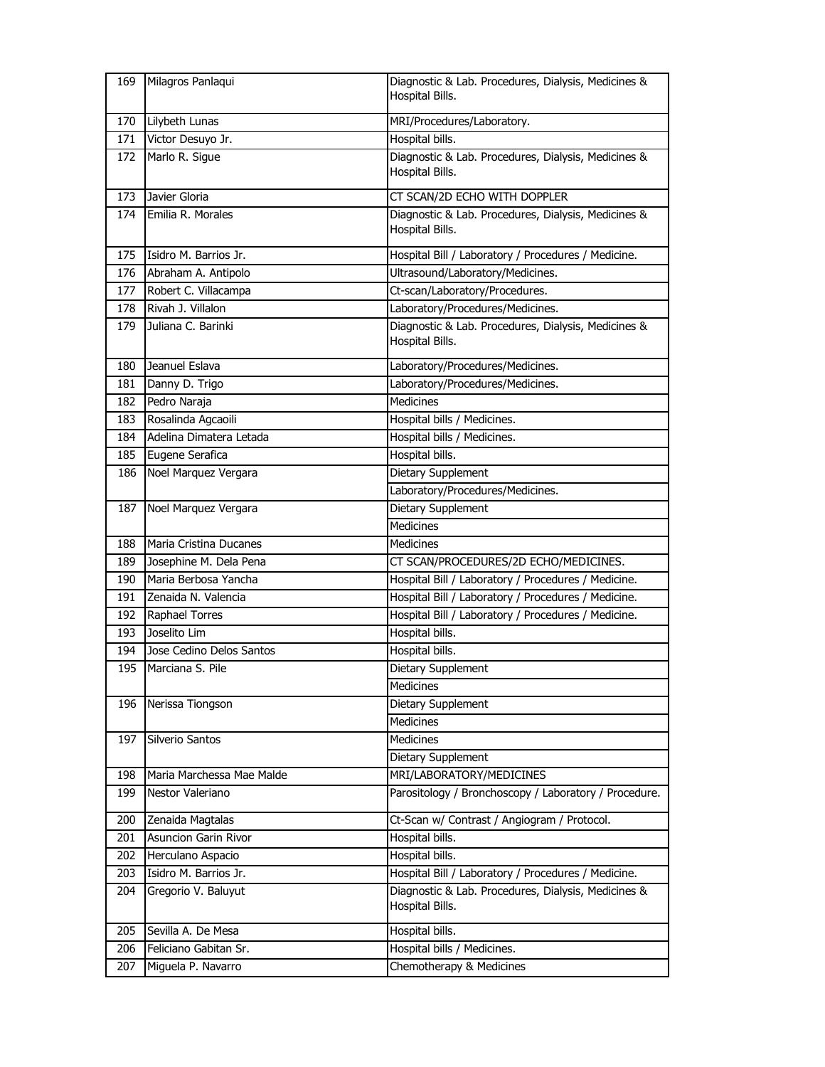| 169 | Milagros Panlaqui           | Diagnostic & Lab. Procedures, Dialysis, Medicines &<br>Hospital Bills. |
|-----|-----------------------------|------------------------------------------------------------------------|
| 170 | Lilybeth Lunas              | MRI/Procedures/Laboratory.                                             |
| 171 | Victor Desuyo Jr.           | Hospital bills.                                                        |
| 172 | Marlo R. Sigue              | Diagnostic & Lab. Procedures, Dialysis, Medicines &<br>Hospital Bills. |
| 173 | Javier Gloria               | CT SCAN/2D ECHO WITH DOPPLER                                           |
| 174 | Emilia R. Morales           | Diagnostic & Lab. Procedures, Dialysis, Medicines &<br>Hospital Bills. |
| 175 | Isidro M. Barrios Jr.       | Hospital Bill / Laboratory / Procedures / Medicine.                    |
| 176 | Abraham A. Antipolo         | Ultrasound/Laboratory/Medicines.                                       |
| 177 | Robert C. Villacampa        | Ct-scan/Laboratory/Procedures.                                         |
| 178 | Rivah J. Villalon           | Laboratory/Procedures/Medicines.                                       |
| 179 | Juliana C. Barinki          | Diagnostic & Lab. Procedures, Dialysis, Medicines &<br>Hospital Bills. |
| 180 | Jeanuel Eslava              | Laboratory/Procedures/Medicines.                                       |
| 181 | Danny D. Trigo              | Laboratory/Procedures/Medicines.                                       |
| 182 | Pedro Naraja                | <b>Medicines</b>                                                       |
| 183 | Rosalinda Agcaoili          | Hospital bills / Medicines.                                            |
| 184 | Adelina Dimatera Letada     | Hospital bills / Medicines.                                            |
| 185 | Eugene Serafica             | Hospital bills.                                                        |
| 186 | Noel Marquez Vergara        | Dietary Supplement                                                     |
|     |                             | Laboratory/Procedures/Medicines.                                       |
| 187 | Noel Marquez Vergara        | Dietary Supplement                                                     |
|     |                             | Medicines                                                              |
| 188 | Maria Cristina Ducanes      | <b>Medicines</b>                                                       |
| 189 | Josephine M. Dela Pena      | CT SCAN/PROCEDURES/2D ECHO/MEDICINES.                                  |
| 190 | Maria Berbosa Yancha        | Hospital Bill / Laboratory / Procedures / Medicine.                    |
| 191 | Zenaida N. Valencia         | Hospital Bill / Laboratory / Procedures / Medicine.                    |
| 192 | Raphael Torres              | Hospital Bill / Laboratory / Procedures / Medicine.                    |
| 193 | Joselito Lim                | Hospital bills.                                                        |
| 194 | Jose Cedino Delos Santos    | Hospital bills.                                                        |
| 195 | Marciana S. Pile            | Dietary Supplement                                                     |
|     |                             | Medicines                                                              |
| 196 | Nerissa Tiongson            | Dietary Supplement                                                     |
|     |                             | <b>Medicines</b>                                                       |
| 197 | Silverio Santos             | <b>Medicines</b>                                                       |
|     |                             | Dietary Supplement                                                     |
| 198 | Maria Marchessa Mae Malde   | MRI/LABORATORY/MEDICINES                                               |
| 199 | Nestor Valeriano            | Parositology / Bronchoscopy / Laboratory / Procedure.                  |
| 200 | Zenaida Magtalas            | Ct-Scan w/ Contrast / Angiogram / Protocol.                            |
| 201 | <b>Asuncion Garin Rivor</b> | Hospital bills.                                                        |
| 202 | Herculano Aspacio           | Hospital bills.                                                        |
| 203 | Isidro M. Barrios Jr.       | Hospital Bill / Laboratory / Procedures / Medicine.                    |
| 204 | Gregorio V. Baluyut         | Diagnostic & Lab. Procedures, Dialysis, Medicines &<br>Hospital Bills. |
| 205 | Sevilla A. De Mesa          | Hospital bills.                                                        |
| 206 | Feliciano Gabitan Sr.       | Hospital bills / Medicines.                                            |
| 207 | Miguela P. Navarro          | Chemotherapy & Medicines                                               |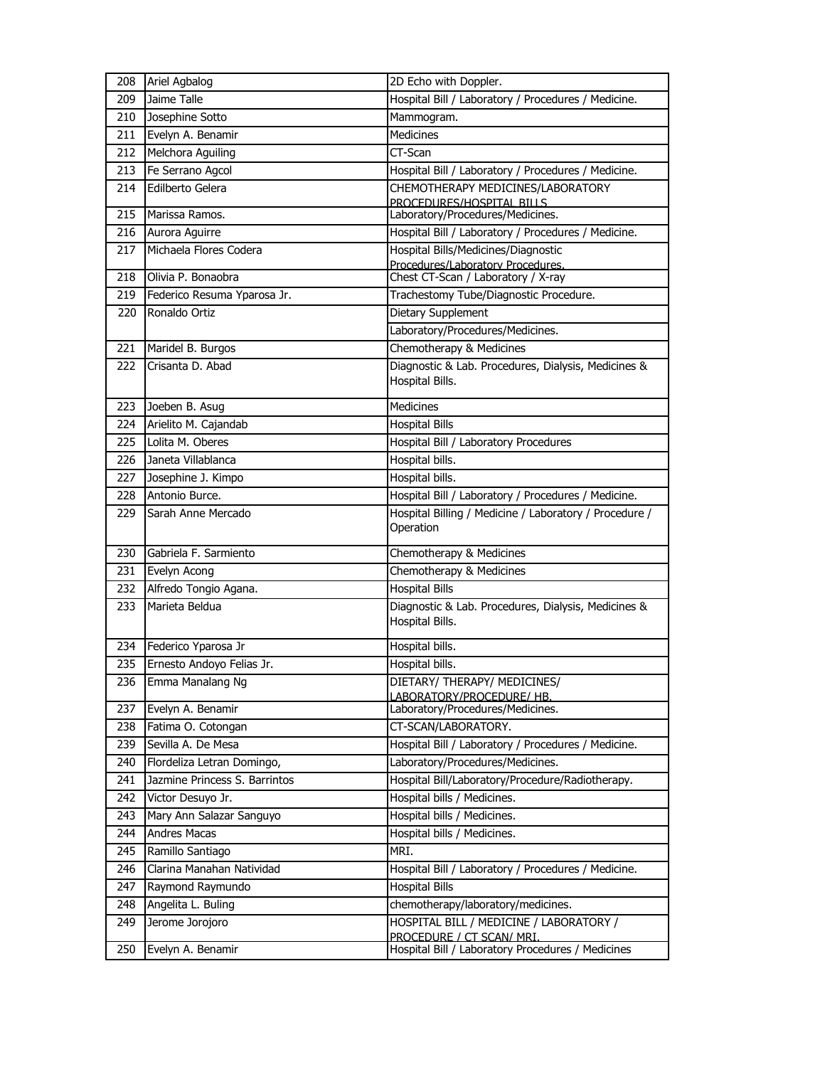| 208 | Ariel Agbalog                 | 2D Echo with Doppler.                                                          |
|-----|-------------------------------|--------------------------------------------------------------------------------|
| 209 | Jaime Talle                   | Hospital Bill / Laboratory / Procedures / Medicine.                            |
| 210 | Josephine Sotto               | Mammogram.                                                                     |
| 211 | Evelyn A. Benamir             | <b>Medicines</b>                                                               |
| 212 | Melchora Aguiling             | CT-Scan                                                                        |
| 213 | Fe Serrano Agcol              | Hospital Bill / Laboratory / Procedures / Medicine.                            |
| 214 | Edilberto Gelera              | CHEMOTHERAPY MEDICINES/LABORATORY<br>PROCEDURES/HOSPITAL BILLS                 |
| 215 | Marissa Ramos.                | Laboratory/Procedures/Medicines.                                               |
| 216 | Aurora Aguirre                | Hospital Bill / Laboratory / Procedures / Medicine.                            |
| 217 | Michaela Flores Codera        | Hospital Bills/Medicines/Diagnostic                                            |
|     |                               | Procedures/Laboratory Procedures.                                              |
| 218 | Olivia P. Bonaobra            | Chest CT-Scan / Laboratory / X-ray                                             |
| 219 | Federico Resuma Yparosa Jr.   | Trachestomy Tube/Diagnostic Procedure.                                         |
| 220 | Ronaldo Ortiz                 | Dietary Supplement                                                             |
|     |                               | Laboratory/Procedures/Medicines.                                               |
| 221 | Maridel B. Burgos             | Chemotherapy & Medicines                                                       |
| 222 | Crisanta D. Abad              | Diagnostic & Lab. Procedures, Dialysis, Medicines &<br>Hospital Bills.         |
| 223 | Joeben B. Asug                | <b>Medicines</b>                                                               |
| 224 | Arielito M. Cajandab          | <b>Hospital Bills</b>                                                          |
| 225 | Lolita M. Oberes              | Hospital Bill / Laboratory Procedures                                          |
| 226 | Janeta Villablanca            | Hospital bills.                                                                |
| 227 | Josephine J. Kimpo            | Hospital bills.                                                                |
| 228 | Antonio Burce.                | Hospital Bill / Laboratory / Procedures / Medicine.                            |
| 229 | Sarah Anne Mercado            | Hospital Billing / Medicine / Laboratory / Procedure /<br>Operation            |
| 230 | Gabriela F. Sarmiento         | Chemotherapy & Medicines                                                       |
| 231 | Evelyn Acong                  | Chemotherapy & Medicines                                                       |
| 232 | Alfredo Tongio Agana.         | <b>Hospital Bills</b>                                                          |
| 233 | Marieta Beldua                | Diagnostic & Lab. Procedures, Dialysis, Medicines &<br>Hospital Bills.         |
| 234 | Federico Yparosa Jr           | Hospital bills.                                                                |
| 235 | Ernesto Andoyo Felias Jr.     | Hospital bills.                                                                |
| 236 | Emma Manalang Ng              | DIETARY/ THERAPY/ MEDICINES/<br><b>I ABORATORY/PROCEDURE/ HB.</b>              |
| 237 | Evelyn A. Benamir             | Laboratory/Procedures/Medicines.                                               |
| 238 | Fatima O. Cotongan            | CT-SCAN/LABORATORY.                                                            |
| 239 | Sevilla A. De Mesa            | Hospital Bill / Laboratory / Procedures / Medicine.                            |
| 240 | Flordeliza Letran Domingo,    | Laboratory/Procedures/Medicines.                                               |
| 241 | Jazmine Princess S. Barrintos | Hospital Bill/Laboratory/Procedure/Radiotherapy.                               |
| 242 | Victor Desuyo Jr.             | Hospital bills / Medicines.                                                    |
| 243 | Mary Ann Salazar Sanguyo      | Hospital bills / Medicines.                                                    |
| 244 | <b>Andres Macas</b>           | Hospital bills / Medicines.                                                    |
| 245 | Ramillo Santiago              | MRI.                                                                           |
| 246 | Clarina Manahan Natividad     | Hospital Bill / Laboratory / Procedures / Medicine.                            |
| 247 | Raymond Raymundo              | <b>Hospital Bills</b>                                                          |
| 248 | Angelita L. Buling            | chemotherapy/laboratory/medicines.                                             |
| 249 | Jerome Jorojoro               | HOSPITAL BILL / MEDICINE / LABORATORY /                                        |
| 250 | Evelyn A. Benamir             | PROCEDURE / CT SCAN/ MRI.<br>Hospital Bill / Laboratory Procedures / Medicines |
|     |                               |                                                                                |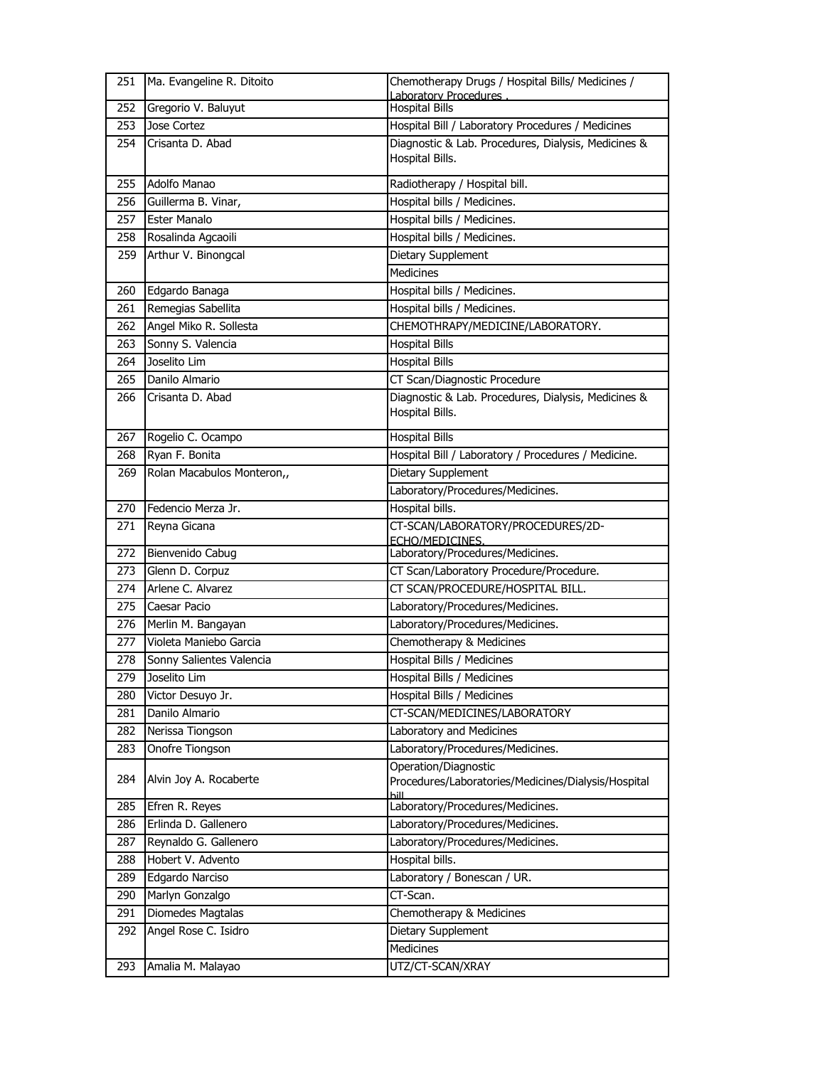| 251 | Ma. Evangeline R. Ditoito                  | Chemotherapy Drugs / Hospital Bills/ Medicines /           |
|-----|--------------------------------------------|------------------------------------------------------------|
| 252 | Gregorio V. Baluyut                        | Laboratory Procedures<br><b>Hospital Bills</b>             |
| 253 | Jose Cortez                                | Hospital Bill / Laboratory Procedures / Medicines          |
| 254 | Crisanta D. Abad                           | Diagnostic & Lab. Procedures, Dialysis, Medicines &        |
|     |                                            | Hospital Bills.                                            |
|     |                                            |                                                            |
| 255 | Adolfo Manao                               | Radiotherapy / Hospital bill.                              |
| 256 | Guillerma B. Vinar,<br><b>Ester Manalo</b> | Hospital bills / Medicines.<br>Hospital bills / Medicines. |
| 257 |                                            |                                                            |
| 258 | Rosalinda Agcaoili                         | Hospital bills / Medicines.                                |
| 259 | Arthur V. Binongcal                        | Dietary Supplement                                         |
|     |                                            | <b>Medicines</b>                                           |
| 260 | Edgardo Banaga                             | Hospital bills / Medicines.                                |
| 261 | Remegias Sabellita                         | Hospital bills / Medicines.                                |
| 262 | Angel Miko R. Sollesta                     | CHEMOTHRAPY/MEDICINE/LABORATORY.                           |
| 263 | Sonny S. Valencia                          | <b>Hospital Bills</b>                                      |
| 264 | Joselito Lim                               | <b>Hospital Bills</b>                                      |
| 265 | Danilo Almario                             | CT Scan/Diagnostic Procedure                               |
| 266 | Crisanta D. Abad                           | Diagnostic & Lab. Procedures, Dialysis, Medicines &        |
|     |                                            | Hospital Bills.                                            |
| 267 | Rogelio C. Ocampo                          | <b>Hospital Bills</b>                                      |
| 268 | Ryan F. Bonita                             | Hospital Bill / Laboratory / Procedures / Medicine.        |
| 269 | Rolan Macabulos Monteron,,                 | Dietary Supplement                                         |
|     |                                            | Laboratory/Procedures/Medicines.                           |
| 270 | Fedencio Merza Jr.                         | Hospital bills.                                            |
| 271 | Reyna Gicana                               | CT-SCAN/LABORATORY/PROCEDURES/2D-                          |
|     |                                            | ECHO/MEDICINES.                                            |
| 272 | Bienvenido Cabug                           | Laboratory/Procedures/Medicines.                           |
| 273 | Glenn D. Corpuz                            | CT Scan/Laboratory Procedure/Procedure.                    |
| 274 | Arlene C. Alvarez                          | CT SCAN/PROCEDURE/HOSPITAL BILL.                           |
| 275 | Caesar Pacio                               | Laboratory/Procedures/Medicines.                           |
| 276 | Merlin M. Bangayan                         | Laboratory/Procedures/Medicines.                           |
| 277 | Violeta Maniebo Garcia                     | Chemotherapy & Medicines                                   |
| 278 | Sonny Salientes Valencia                   | <b>Hospital Bills / Medicines</b>                          |
| 279 | Joselito Lim                               | <b>Hospital Bills / Medicines</b>                          |
| 280 | Victor Desuyo Jr.                          | Hospital Bills / Medicines                                 |
| 281 | Danilo Almario                             | CT-SCAN/MEDICINES/LABORATORY                               |
| 282 | Nerissa Tiongson                           | Laboratory and Medicines                                   |
| 283 | Onofre Tiongson                            | Laboratory/Procedures/Medicines.                           |
|     |                                            | Operation/Diagnostic                                       |
| 284 | Alvin Joy A. Rocaberte                     | Procedures/Laboratories/Medicines/Dialysis/Hospital        |
| 285 | Efren R. Reyes                             | hill<br>Laboratory/Procedures/Medicines.                   |
| 286 | Erlinda D. Gallenero                       | Laboratory/Procedures/Medicines.                           |
| 287 | Reynaldo G. Gallenero                      | Laboratory/Procedures/Medicines.                           |
| 288 | Hobert V. Advento                          | Hospital bills.                                            |
| 289 | Edgardo Narciso                            | Laboratory / Bonescan / UR.                                |
| 290 | Marlyn Gonzalgo                            | CT-Scan.                                                   |
| 291 | Diomedes Magtalas                          | Chemotherapy & Medicines                                   |
| 292 | Angel Rose C. Isidro                       | Dietary Supplement                                         |
|     |                                            | Medicines                                                  |
|     |                                            |                                                            |
| 293 | Amalia M. Malayao                          | UTZ/CT-SCAN/XRAY                                           |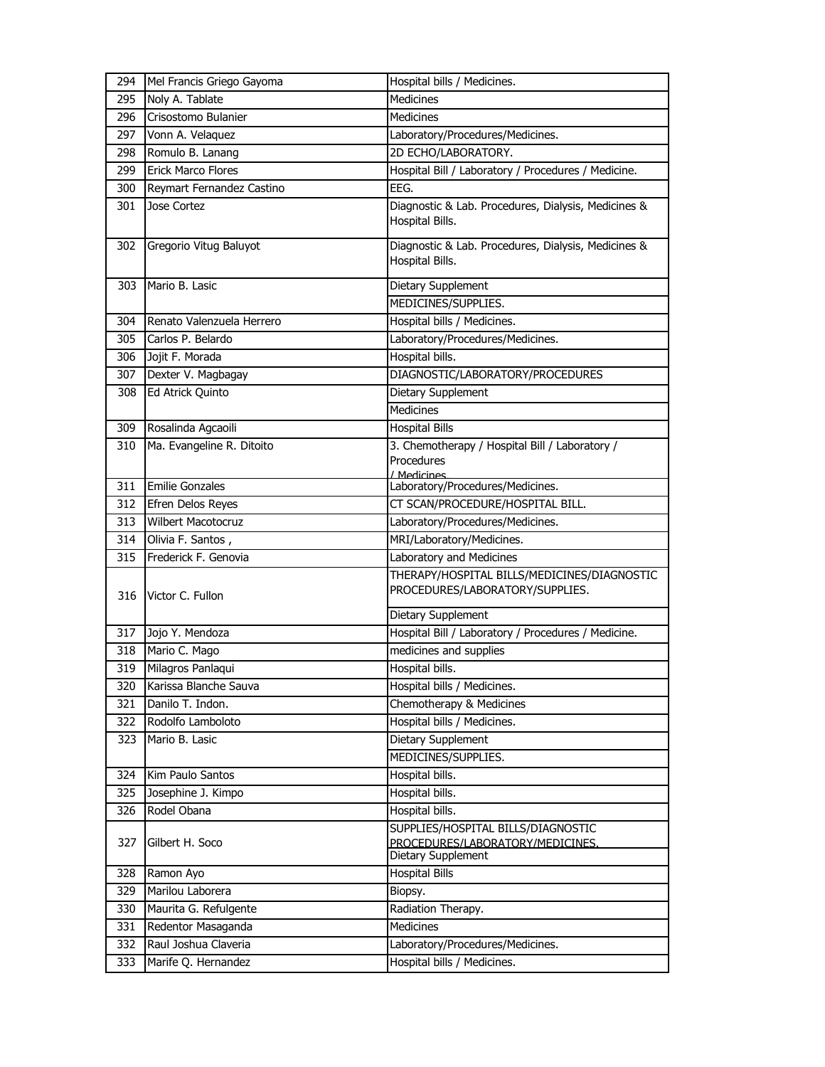| 294 | Mel Francis Griego Gayoma | Hospital bills / Medicines.                                                                  |
|-----|---------------------------|----------------------------------------------------------------------------------------------|
| 295 | Noly A. Tablate           | Medicines                                                                                    |
| 296 | Crisostomo Bulanier       | <b>Medicines</b>                                                                             |
| 297 | Vonn A. Velaquez          | Laboratory/Procedures/Medicines.                                                             |
| 298 | Romulo B. Lanang          | 2D ECHO/LABORATORY.                                                                          |
| 299 | <b>Erick Marco Flores</b> | Hospital Bill / Laboratory / Procedures / Medicine.                                          |
| 300 | Reymart Fernandez Castino | EEG.                                                                                         |
| 301 | Jose Cortez               | Diagnostic & Lab. Procedures, Dialysis, Medicines &<br>Hospital Bills.                       |
| 302 | Gregorio Vitug Baluyot    | Diagnostic & Lab. Procedures, Dialysis, Medicines &<br>Hospital Bills.                       |
| 303 | Mario B. Lasic            | Dietary Supplement                                                                           |
|     |                           | MEDICINES/SUPPLIES.                                                                          |
| 304 | Renato Valenzuela Herrero | Hospital bills / Medicines.                                                                  |
| 305 | Carlos P. Belardo         | Laboratory/Procedures/Medicines.                                                             |
| 306 | Jojit F. Morada           | Hospital bills.                                                                              |
| 307 | Dexter V. Magbagay        | DIAGNOSTIC/LABORATORY/PROCEDURES                                                             |
| 308 | Ed Atrick Quinto          | Dietary Supplement                                                                           |
|     |                           | <b>Medicines</b>                                                                             |
| 309 | Rosalinda Agcaoili        | <b>Hospital Bills</b>                                                                        |
| 310 | Ma. Evangeline R. Ditoito | 3. Chemotherapy / Hospital Bill / Laboratory /                                               |
|     |                           | Procedures<br>/ Medicines                                                                    |
| 311 | <b>Emilie Gonzales</b>    | Laboratory/Procedures/Medicines.                                                             |
| 312 | Efren Delos Reyes         | CT SCAN/PROCEDURE/HOSPITAL BILL.                                                             |
| 313 | <b>Wilbert Macotocruz</b> | Laboratory/Procedures/Medicines.                                                             |
| 314 | Olivia F. Santos,         | MRI/Laboratory/Medicines.                                                                    |
| 315 | Frederick F. Genovia      | Laboratory and Medicines                                                                     |
|     |                           |                                                                                              |
| 316 | Victor C. Fullon          | THERAPY/HOSPITAL BILLS/MEDICINES/DIAGNOSTIC<br>PROCEDURES/LABORATORY/SUPPLIES.               |
|     |                           | Dietary Supplement                                                                           |
| 317 | Jojo Y. Mendoza           | Hospital Bill / Laboratory / Procedures / Medicine.                                          |
| 318 | Mario C. Mago             | medicines and supplies                                                                       |
| 319 | Milagros Panlaqui         | Hospital bills.                                                                              |
| 320 | Karissa Blanche Sauva     | Hospital bills / Medicines.                                                                  |
| 321 | Danilo T. Indon.          | Chemotherapy & Medicines                                                                     |
| 322 | Rodolfo Lamboloto         | Hospital bills / Medicines.                                                                  |
| 323 | Mario B. Lasic            | Dietary Supplement                                                                           |
|     |                           | MEDICINES/SUPPLIES.                                                                          |
| 324 | Kim Paulo Santos          | Hospital bills.                                                                              |
| 325 | Josephine J. Kimpo        | Hospital bills.                                                                              |
| 326 | Rodel Obana               | Hospital bills.                                                                              |
| 327 | Gilbert H. Soco           | SUPPLIES/HOSPITAL BILLS/DIAGNOSTIC<br>PROCEDURES/LABORATORY/MEDICINES.<br>Dietary Supplement |
| 328 | Ramon Ayo                 | <b>Hospital Bills</b>                                                                        |
| 329 | Marilou Laborera          | Biopsy.                                                                                      |
| 330 | Maurita G. Refulgente     | Radiation Therapy.                                                                           |
| 331 | Redentor Masaganda        | Medicines                                                                                    |
| 332 | Raul Joshua Claveria      | Laboratory/Procedures/Medicines.                                                             |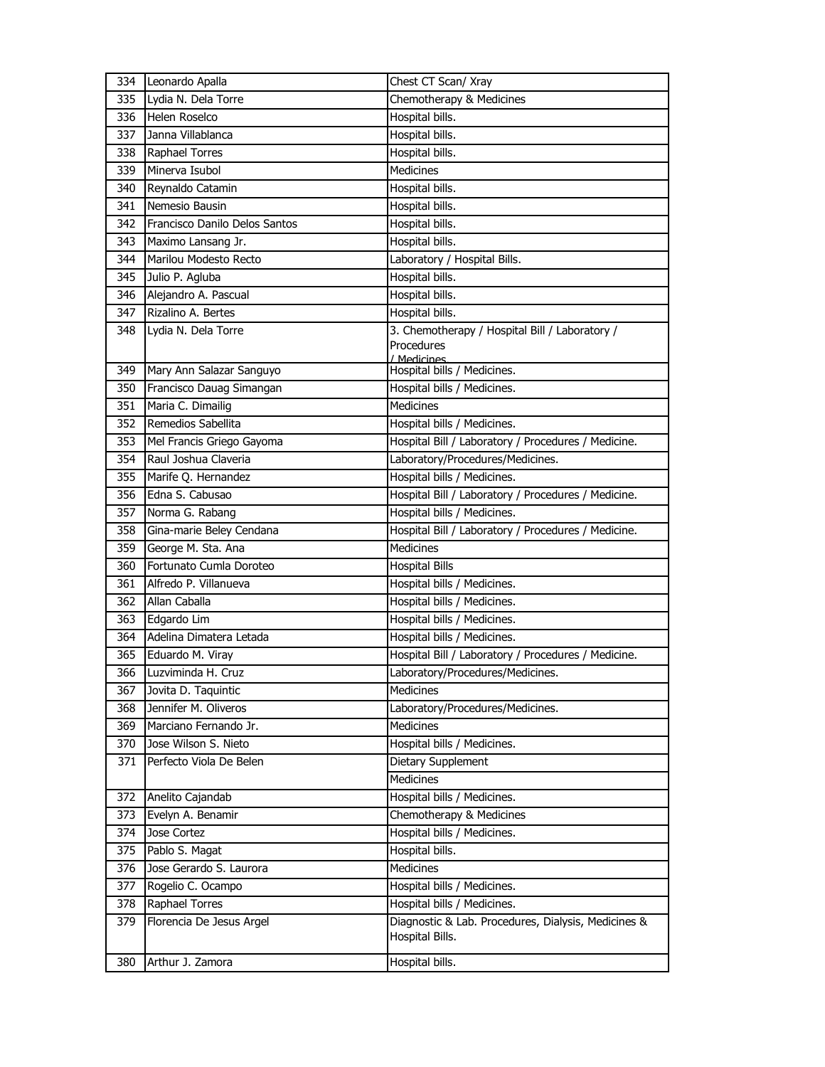| 334 | Leonardo Apalla               | Chest CT Scan/ Xray                                 |
|-----|-------------------------------|-----------------------------------------------------|
| 335 | Lydia N. Dela Torre           | Chemotherapy & Medicines                            |
| 336 | Helen Roselco                 | Hospital bills.                                     |
| 337 | Janna Villablanca             | Hospital bills.                                     |
| 338 | Raphael Torres                | Hospital bills.                                     |
| 339 | Minerva Isubol                | <b>Medicines</b>                                    |
| 340 | Reynaldo Catamin              | Hospital bills.                                     |
| 341 | Nemesio Bausin                | Hospital bills.                                     |
| 342 | Francisco Danilo Delos Santos | Hospital bills.                                     |
| 343 | Maximo Lansang Jr.            | Hospital bills.                                     |
| 344 | Marilou Modesto Recto         | Laboratory / Hospital Bills.                        |
| 345 | Julio P. Agluba               | Hospital bills.                                     |
| 346 | Alejandro A. Pascual          | Hospital bills.                                     |
| 347 | Rizalino A. Bertes            | Hospital bills.                                     |
| 348 | Lydia N. Dela Torre           | 3. Chemotherapy / Hospital Bill / Laboratory /      |
|     |                               | Procedures                                          |
| 349 | Mary Ann Salazar Sanguyo      | / Medicines<br>Hospital bills / Medicines.          |
| 350 | Francisco Dauag Simangan      | Hospital bills / Medicines.                         |
| 351 | Maria C. Dimailig             | Medicines                                           |
| 352 | Remedios Sabellita            | Hospital bills / Medicines.                         |
| 353 | Mel Francis Griego Gayoma     | Hospital Bill / Laboratory / Procedures / Medicine. |
| 354 | Raul Joshua Claveria          | Laboratory/Procedures/Medicines.                    |
| 355 | Marife Q. Hernandez           | Hospital bills / Medicines.                         |
| 356 | Edna S. Cabusao               | Hospital Bill / Laboratory / Procedures / Medicine. |
| 357 | Norma G. Rabang               | Hospital bills / Medicines.                         |
| 358 | Gina-marie Beley Cendana      | Hospital Bill / Laboratory / Procedures / Medicine. |
| 359 | George M. Sta. Ana            | <b>Medicines</b>                                    |
| 360 | Fortunato Cumla Doroteo       | Hospital Bills                                      |
| 361 | Alfredo P. Villanueva         | Hospital bills / Medicines.                         |
| 362 | Allan Caballa                 | Hospital bills / Medicines.                         |
| 363 | Edgardo Lim                   | Hospital bills / Medicines.                         |
| 364 | Adelina Dimatera Letada       | Hospital bills / Medicines.                         |
| 365 | Eduardo M. Viray              | Hospital Bill / Laboratory / Procedures / Medicine. |
| 366 | Luzviminda H. Cruz            | Laboratory/Procedures/Medicines.                    |
| 367 | Jovita D. Taquintic           | Medicines                                           |
| 368 | Jennifer M. Oliveros          | Laboratory/Procedures/Medicines.                    |
| 369 | Marciano Fernando Jr.         | <b>Medicines</b>                                    |
| 370 | Jose Wilson S. Nieto          | Hospital bills / Medicines.                         |
| 371 | Perfecto Viola De Belen       | Dietary Supplement                                  |
|     |                               | <b>Medicines</b>                                    |
| 372 | Anelito Cajandab              | Hospital bills / Medicines.                         |
| 373 | Evelyn A. Benamir             | Chemotherapy & Medicines                            |
| 374 | Jose Cortez                   | Hospital bills / Medicines.                         |
| 375 | Pablo S. Magat                | Hospital bills.                                     |
| 376 | Jose Gerardo S. Laurora       | Medicines                                           |
| 377 | Rogelio C. Ocampo             | Hospital bills / Medicines.                         |
| 378 | Raphael Torres                | Hospital bills / Medicines.                         |
| 379 | Florencia De Jesus Argel      | Diagnostic & Lab. Procedures, Dialysis, Medicines & |
|     |                               | Hospital Bills.                                     |
| 380 | Arthur J. Zamora              | Hospital bills.                                     |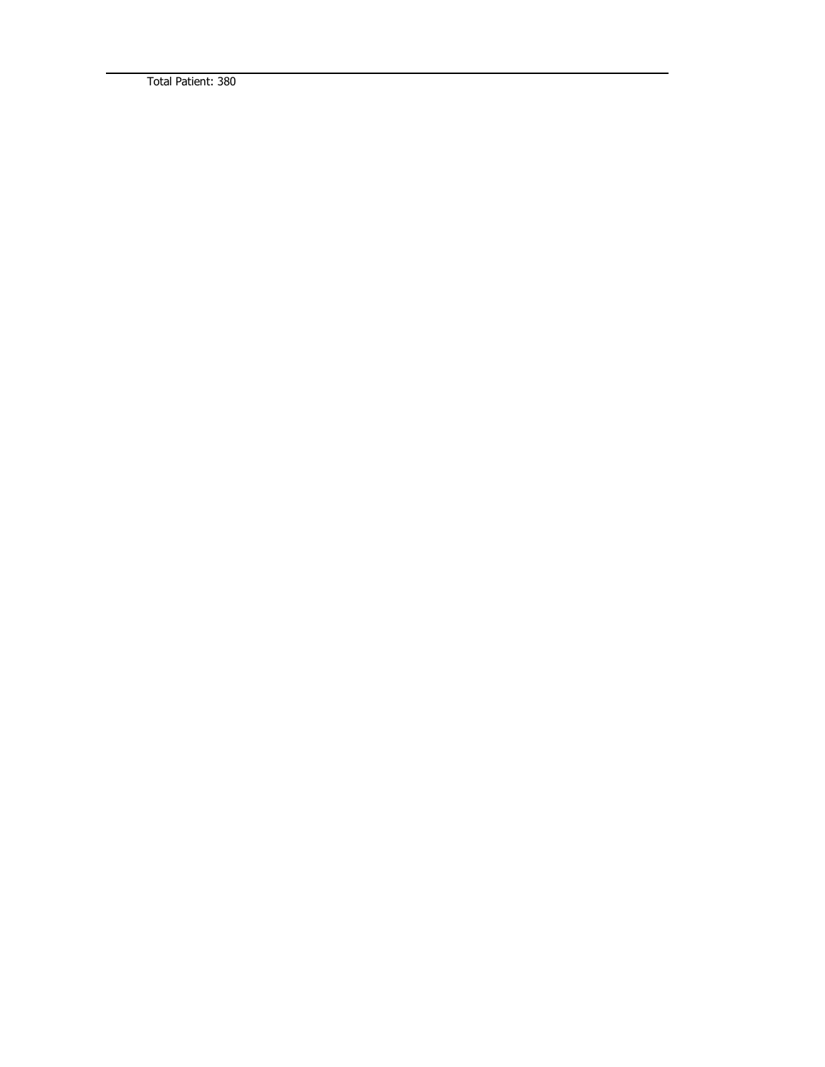Total Patient: 380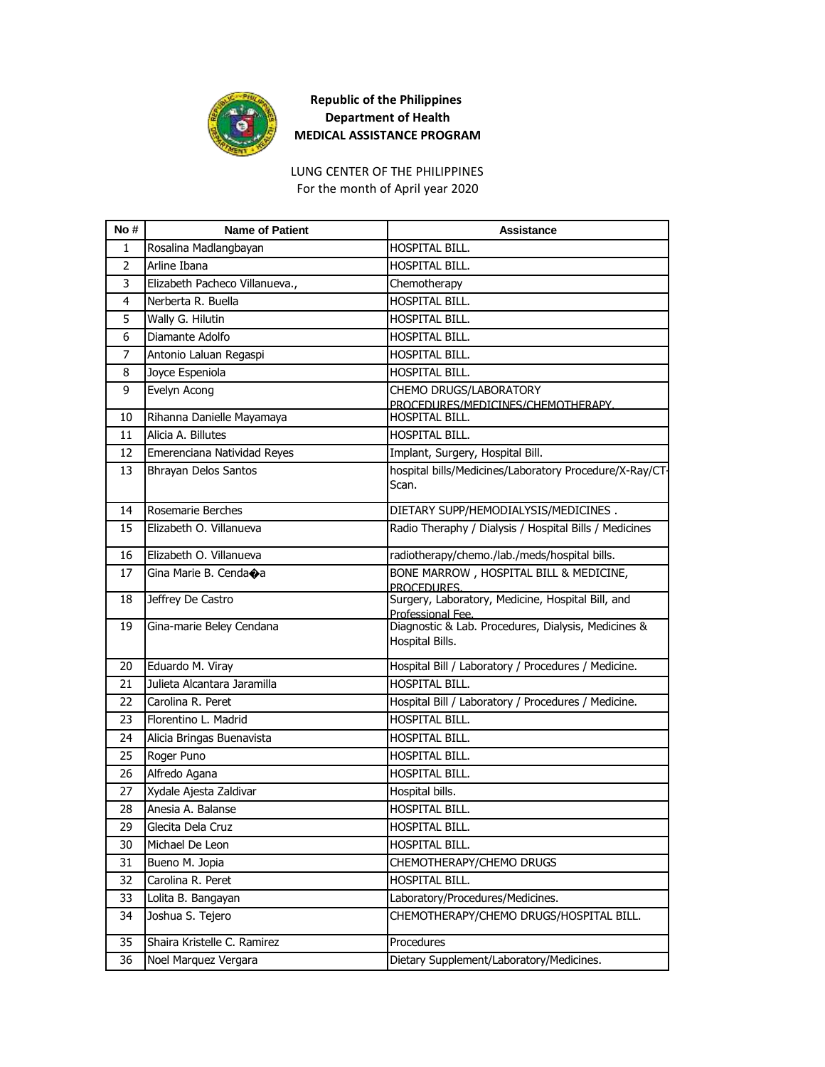

For the month of April year 2020 LUNG CENTER OF THE PHILIPPINES

| No #           | <b>Name of Patient</b>                          | <b>Assistance</b>                                                |
|----------------|-------------------------------------------------|------------------------------------------------------------------|
| 1              | Rosalina Madlangbayan                           | HOSPITAL BILL.                                                   |
| $\overline{2}$ | Arline Ibana                                    | HOSPITAL BILL.                                                   |
| 3              | Elizabeth Pacheco Villanueva.,                  | Chemotherapy                                                     |
| 4              | Nerberta R. Buella                              | HOSPITAL BILL.                                                   |
| 5              | Wally G. Hilutin                                | HOSPITAL BILL.                                                   |
| 6              | Diamante Adolfo                                 | HOSPITAL BILL.                                                   |
| $\overline{7}$ | Antonio Laluan Regaspi                          | HOSPITAL BILL.                                                   |
| 8              | Joyce Espeniola                                 | HOSPITAL BILL.                                                   |
| 9              | Evelyn Acong                                    | CHEMO DRUGS/LABORATORY                                           |
| 10             |                                                 | PROCEDURES/MEDICINES/CHEMOTHERAPY.<br>HOSPITAL BILL.             |
|                | Rihanna Danielle Mayamaya<br>Alicia A. Billutes | <b>HOSPITAL BILL.</b>                                            |
| 11             |                                                 |                                                                  |
| 12             | Emerenciana Natividad Reyes                     | Implant, Surgery, Hospital Bill.                                 |
| 13             | <b>Bhrayan Delos Santos</b>                     | hospital bills/Medicines/Laboratory Procedure/X-Ray/CT-<br>Scan. |
|                |                                                 |                                                                  |
| 14             | Rosemarie Berches                               | DIETARY SUPP/HEMODIALYSIS/MEDICINES.                             |
| 15             | Elizabeth O. Villanueva                         | Radio Theraphy / Dialysis / Hospital Bills / Medicines           |
| 16             | Elizabeth O. Villanueva                         | radiotherapy/chemo./lab./meds/hospital bills.                    |
| 17             | Gina Marie B. Cendaoa                           | BONE MARROW, HOSPITAL BILL & MEDICINE,                           |
| 18             | Jeffrey De Castro                               | PROCEDURES.<br>Surgery, Laboratory, Medicine, Hospital Bill, and |
|                |                                                 | Professional Fee.                                                |
| 19             | Gina-marie Beley Cendana                        | Diagnostic & Lab. Procedures, Dialysis, Medicines &              |
|                |                                                 | Hospital Bills.                                                  |
| 20             | Eduardo M. Viray                                | Hospital Bill / Laboratory / Procedures / Medicine.              |
| 21             | Julieta Alcantara Jaramilla                     | HOSPITAL BILL.                                                   |
| 22             | Carolina R. Peret                               | Hospital Bill / Laboratory / Procedures / Medicine.              |
| 23             | Florentino L. Madrid                            | <b>HOSPITAL BILL.</b>                                            |
| 24             | Alicia Bringas Buenavista                       | HOSPITAL BILL.                                                   |
| 25             | Roger Puno                                      | HOSPITAL BILL.                                                   |
| 26             | Alfredo Agana                                   | HOSPITAL BILL.                                                   |
| 27             | Xydale Ajesta Zaldivar                          | Hospital bills.                                                  |
| 28             | Anesia A. Balanse                               | HOSPITAL BILL.                                                   |
| 29             | Glecita Dela Cruz                               | <b>HOSPITAL BILL.</b>                                            |
| 30             | Michael De Leon                                 | HOSPITAL BILL.                                                   |
| 31             | Bueno M. Jopia                                  | CHEMOTHERAPY/CHEMO DRUGS                                         |
| 32             | Carolina R. Peret                               | <b>HOSPITAL BILL.</b>                                            |
| 33             | Lolita B. Bangayan                              | Laboratory/Procedures/Medicines.                                 |
| 34             | Joshua S. Tejero                                | CHEMOTHERAPY/CHEMO DRUGS/HOSPITAL BILL.                          |
| 35             | Shaira Kristelle C. Ramirez                     | Procedures                                                       |
| 36             | Noel Marquez Vergara                            | Dietary Supplement/Laboratory/Medicines.                         |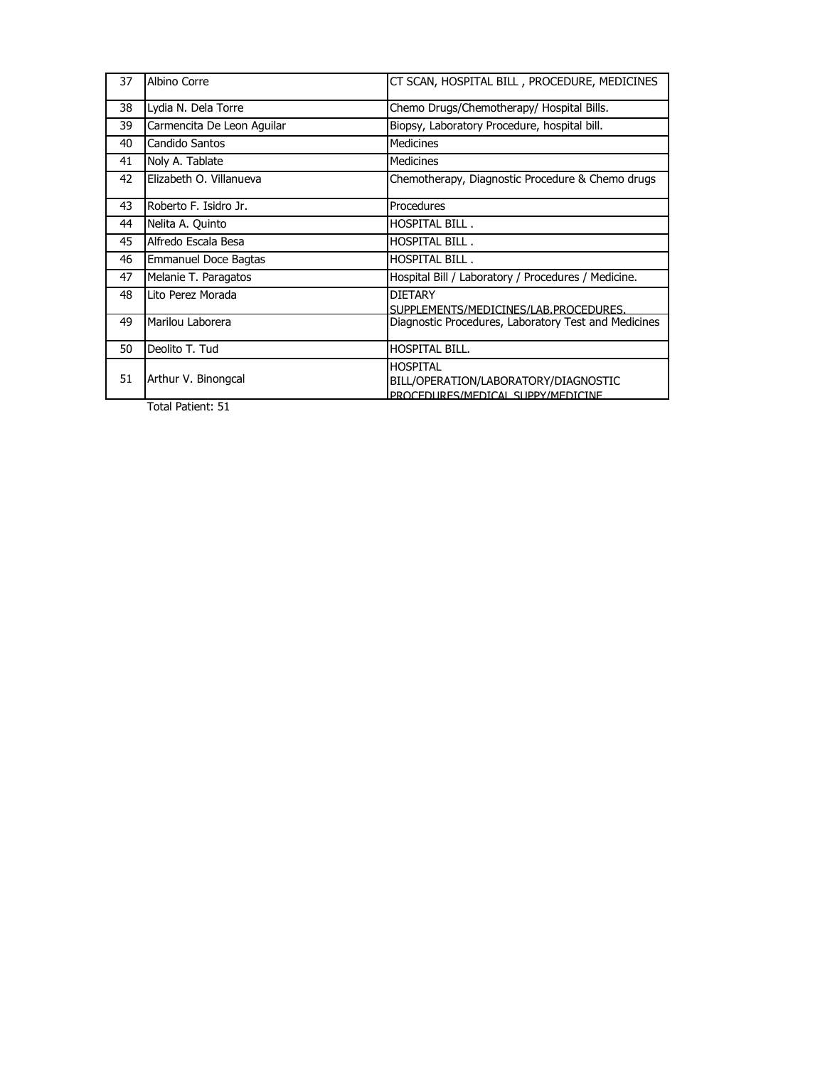| 37 | Albino Corre               | CT SCAN, HOSPITAL BILL, PROCEDURE, MEDICINES                                                 |
|----|----------------------------|----------------------------------------------------------------------------------------------|
| 38 | Lydia N. Dela Torre        | Chemo Drugs/Chemotherapy/ Hospital Bills.                                                    |
| 39 | Carmencita De Leon Aquilar | Biopsy, Laboratory Procedure, hospital bill.                                                 |
| 40 | Candido Santos             | <b>Medicines</b>                                                                             |
| 41 | Noly A. Tablate            | <b>Medicines</b>                                                                             |
| 42 | Elizabeth O. Villanueva    | Chemotherapy, Diagnostic Procedure & Chemo drugs                                             |
| 43 | Roberto F. Isidro Jr.      | Procedures                                                                                   |
| 44 | Nelita A. Quinto           | <b>HOSPITAL BILL.</b>                                                                        |
| 45 | Alfredo Escala Besa        | <b>HOSPITAL BILL.</b>                                                                        |
| 46 | Emmanuel Doce Bagtas       | HOSPITAL BILL.                                                                               |
| 47 | Melanie T. Paragatos       | Hospital Bill / Laboratory / Procedures / Medicine.                                          |
| 48 | Lito Perez Morada          | <b>DIETARY</b><br>SUPPLEMENTS/MEDICINES/LAB.PROCEDURES.                                      |
| 49 | Marilou Laborera           | Diagnostic Procedures, Laboratory Test and Medicines                                         |
| 50 | Deolito T. Tud             | <b>HOSPITAL BILL.</b>                                                                        |
| 51 | Arthur V. Binongcal        | <b>HOSPITAL</b><br>BILL/OPERATION/LABORATORY/DIAGNOSTIC<br>PROCEDURES/MEDICAL SUPPY/MEDICINE |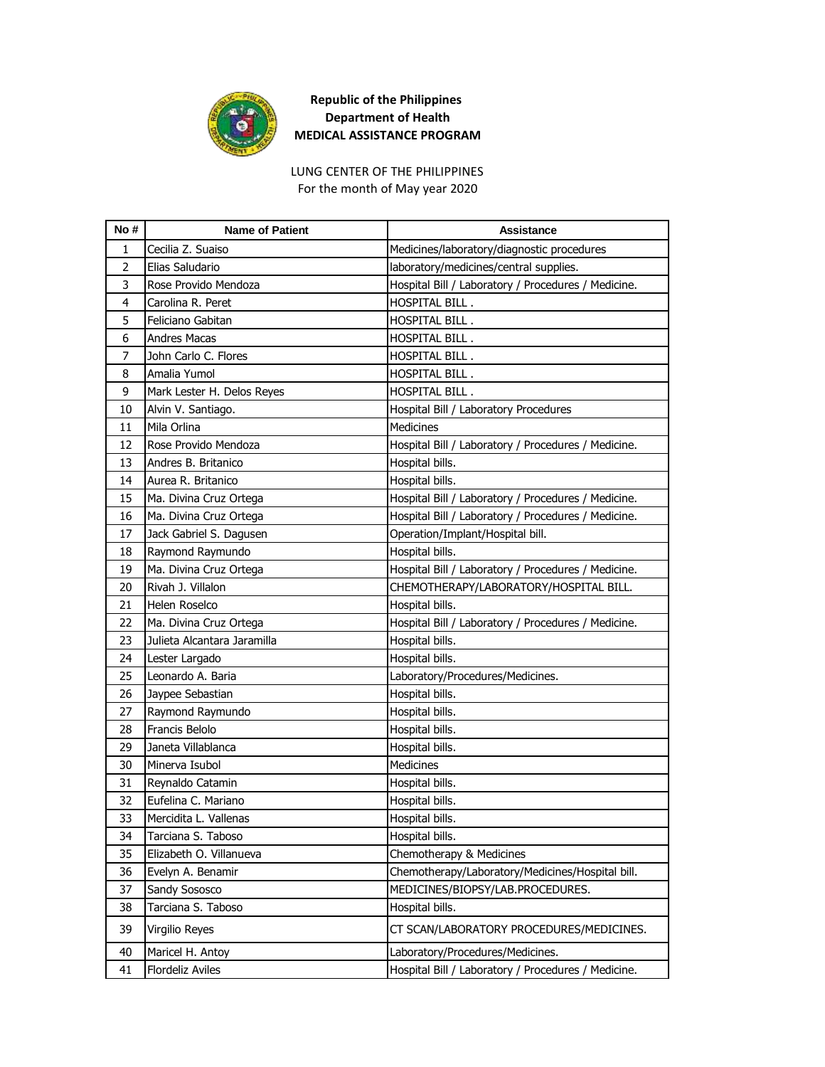

For the month of May year 2020 LUNG CENTER OF THE PHILIPPINES

| No#            | <b>Name of Patient</b>      | <b>Assistance</b>                                   |
|----------------|-----------------------------|-----------------------------------------------------|
| 1              | Cecilia Z. Suaiso           | Medicines/laboratory/diagnostic procedures          |
| $\overline{2}$ | Elias Saludario             | laboratory/medicines/central supplies.              |
| 3              | Rose Provido Mendoza        | Hospital Bill / Laboratory / Procedures / Medicine. |
| 4              | Carolina R. Peret           | HOSPITAL BILL.                                      |
| 5              | Feliciano Gabitan           | HOSPITAL BILL.                                      |
| 6              | <b>Andres Macas</b>         | <b>HOSPITAL BILL.</b>                               |
| 7              | John Carlo C. Flores        | HOSPITAL BILL.                                      |
| 8              | Amalia Yumol                | HOSPITAL BILL.                                      |
| 9              | Mark Lester H. Delos Reyes  | HOSPITAL BILL.                                      |
| 10             | Alvin V. Santiago.          | Hospital Bill / Laboratory Procedures               |
| 11             | Mila Orlina                 | <b>Medicines</b>                                    |
| 12             | Rose Provido Mendoza        | Hospital Bill / Laboratory / Procedures / Medicine. |
| 13             | Andres B. Britanico         | Hospital bills.                                     |
| 14             | Aurea R. Britanico          | Hospital bills.                                     |
| 15             | Ma. Divina Cruz Ortega      | Hospital Bill / Laboratory / Procedures / Medicine. |
| 16             | Ma. Divina Cruz Ortega      | Hospital Bill / Laboratory / Procedures / Medicine. |
| 17             | Jack Gabriel S. Dagusen     | Operation/Implant/Hospital bill.                    |
| 18             | Raymond Raymundo            | Hospital bills.                                     |
| 19             | Ma. Divina Cruz Ortega      | Hospital Bill / Laboratory / Procedures / Medicine. |
| 20             | Rivah J. Villalon           | CHEMOTHERAPY/LABORATORY/HOSPITAL BILL.              |
| 21             | Helen Roselco               | Hospital bills.                                     |
| 22             | Ma. Divina Cruz Ortega      | Hospital Bill / Laboratory / Procedures / Medicine. |
| 23             | Julieta Alcantara Jaramilla | Hospital bills.                                     |
| 24             | Lester Largado              | Hospital bills.                                     |
| 25             | Leonardo A. Baria           | Laboratory/Procedures/Medicines.                    |
| 26             | Jaypee Sebastian            | Hospital bills.                                     |
| 27             | Raymond Raymundo            | Hospital bills.                                     |
| 28             | Francis Belolo              | Hospital bills.                                     |
| 29             | Janeta Villablanca          | Hospital bills.                                     |
| 30             | Minerva Isubol              | <b>Medicines</b>                                    |
| 31             | Reynaldo Catamin            | Hospital bills.                                     |
| 32             | Eufelina C. Mariano         | Hospital bills.                                     |
| 33             | Mercidita L. Vallenas       | Hospital bills.                                     |
| 34             | Tarciana S. Taboso          | Hospital bills.                                     |
| 35             | Elizabeth O. Villanueva     | Chemotherapy & Medicines                            |
| 36             | Evelyn A. Benamir           | Chemotherapy/Laboratory/Medicines/Hospital bill.    |
| 37             | Sandy Sososco               | MEDICINES/BIOPSY/LAB.PROCEDURES.                    |
| 38             | Tarciana S. Taboso          | Hospital bills.                                     |
| 39             | Virgilio Reyes              | CT SCAN/LABORATORY PROCEDURES/MEDICINES.            |
| 40             | Maricel H. Antoy            | Laboratory/Procedures/Medicines.                    |
| 41             | <b>Flordeliz Aviles</b>     | Hospital Bill / Laboratory / Procedures / Medicine. |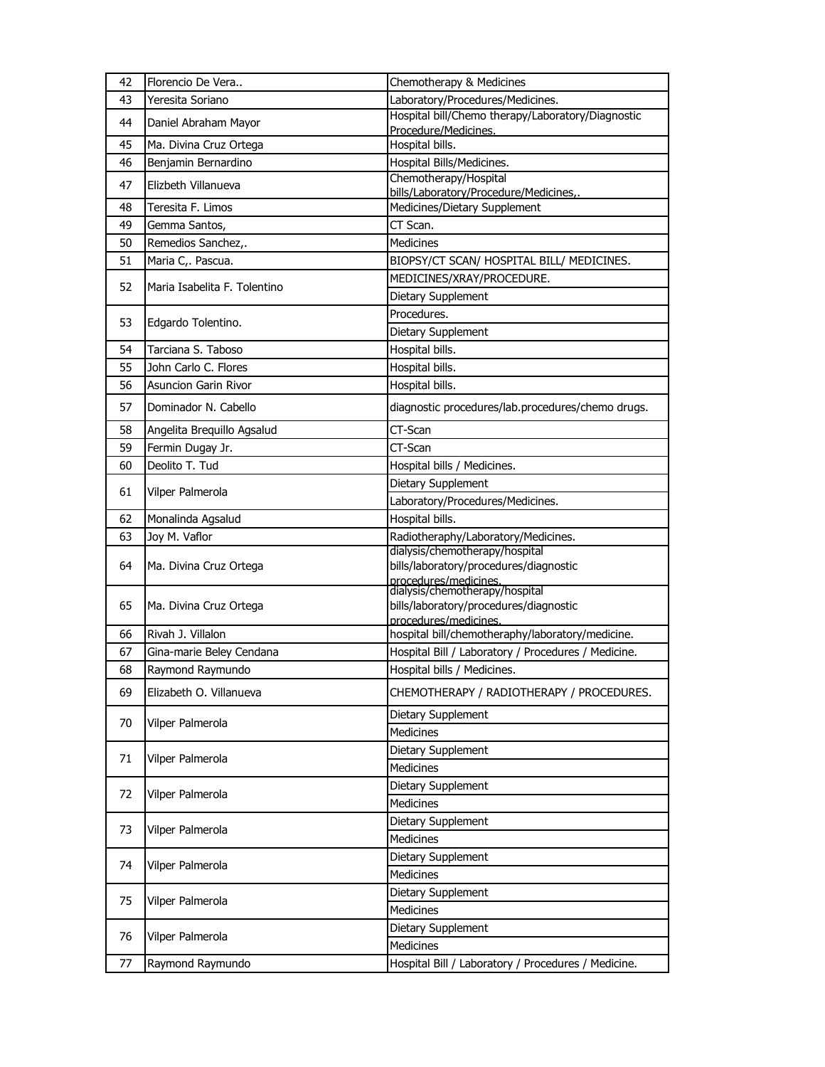| 42 | Florencio De Vera            | Chemotherapy & Medicines                                                  |
|----|------------------------------|---------------------------------------------------------------------------|
| 43 | Yeresita Soriano             | Laboratory/Procedures/Medicines.                                          |
| 44 | Daniel Abraham Mayor         | Hospital bill/Chemo therapy/Laboratory/Diagnostic<br>Procedure/Medicines. |
| 45 | Ma. Divina Cruz Ortega       | Hospital bills.                                                           |
| 46 | Benjamin Bernardino          | Hospital Bills/Medicines.                                                 |
| 47 | Elizbeth Villanueva          | Chemotherapy/Hospital                                                     |
|    |                              | bills/Laboratory/Procedure/Medicines,.                                    |
| 48 | Teresita F. Limos            | Medicines/Dietary Supplement                                              |
| 49 | Gemma Santos,                | CT Scan.                                                                  |
| 50 | Remedios Sanchez,.           | <b>Medicines</b>                                                          |
| 51 | Maria C,. Pascua.            | BIOPSY/CT SCAN/ HOSPITAL BILL/ MEDICINES.                                 |
| 52 | Maria Isabelita F. Tolentino | MEDICINES/XRAY/PROCEDURE.                                                 |
|    |                              | Dietary Supplement                                                        |
| 53 | Edgardo Tolentino.           | Procedures.                                                               |
|    |                              | Dietary Supplement                                                        |
| 54 | Tarciana S. Taboso           | Hospital bills.                                                           |
| 55 | John Carlo C. Flores         | Hospital bills.                                                           |
| 56 | <b>Asuncion Garin Rivor</b>  | Hospital bills.                                                           |
| 57 | Dominador N. Cabello         | diagnostic procedures/lab.procedures/chemo drugs.                         |
| 58 | Angelita Brequillo Agsalud   | CT-Scan                                                                   |
| 59 | Fermin Dugay Jr.             | CT-Scan                                                                   |
| 60 | Deolito T. Tud               | Hospital bills / Medicines.                                               |
| 61 | Vilper Palmerola             | Dietary Supplement                                                        |
|    |                              | Laboratory/Procedures/Medicines.                                          |
| 62 | Monalinda Agsalud            | Hospital bills.                                                           |
| 63 | Joy M. Vaflor                | Radiotheraphy/Laboratory/Medicines.                                       |
|    |                              | dialysis/chemotherapy/hospital                                            |
| 64 | Ma. Divina Cruz Ortega       | bills/laboratory/procedures/diagnostic<br>procedures/medicines.           |
|    |                              | dialysis/chemotherapy/hospital                                            |
| 65 | Ma. Divina Cruz Ortega       | bills/laboratory/procedures/diagnostic                                    |
|    |                              | procedures/medicines.                                                     |
| 66 | Rivah J. Villalon            | hospital bill/chemotheraphy/laboratory/medicine.                          |
| 67 | Gina-marie Beley Cendana     | Hospital Bill / Laboratory / Procedures / Medicine.                       |
| 68 | Raymond Raymundo             | Hospital bills / Medicines.                                               |
| 69 | Elizabeth O. Villanueva      | CHEMOTHERAPY / RADIOTHERAPY / PROCEDURES.                                 |
| 70 | Vilper Palmerola             | Dietary Supplement                                                        |
|    |                              | Medicines                                                                 |
| 71 | Vilper Palmerola             | Dietary Supplement                                                        |
|    |                              | Medicines                                                                 |
| 72 | Vilper Palmerola             | Dietary Supplement                                                        |
|    |                              | Medicines                                                                 |
| 73 | Vilper Palmerola             | Dietary Supplement                                                        |
|    |                              | Medicines                                                                 |
| 74 | Vilper Palmerola             | Dietary Supplement                                                        |
|    |                              | Medicines                                                                 |
| 75 |                              | Dietary Supplement                                                        |
|    | Vilper Palmerola             | Medicines                                                                 |
|    |                              | Dietary Supplement                                                        |
| 76 | Vilper Palmerola             | Medicines                                                                 |
|    |                              | Hospital Bill / Laboratory / Procedures / Medicine.                       |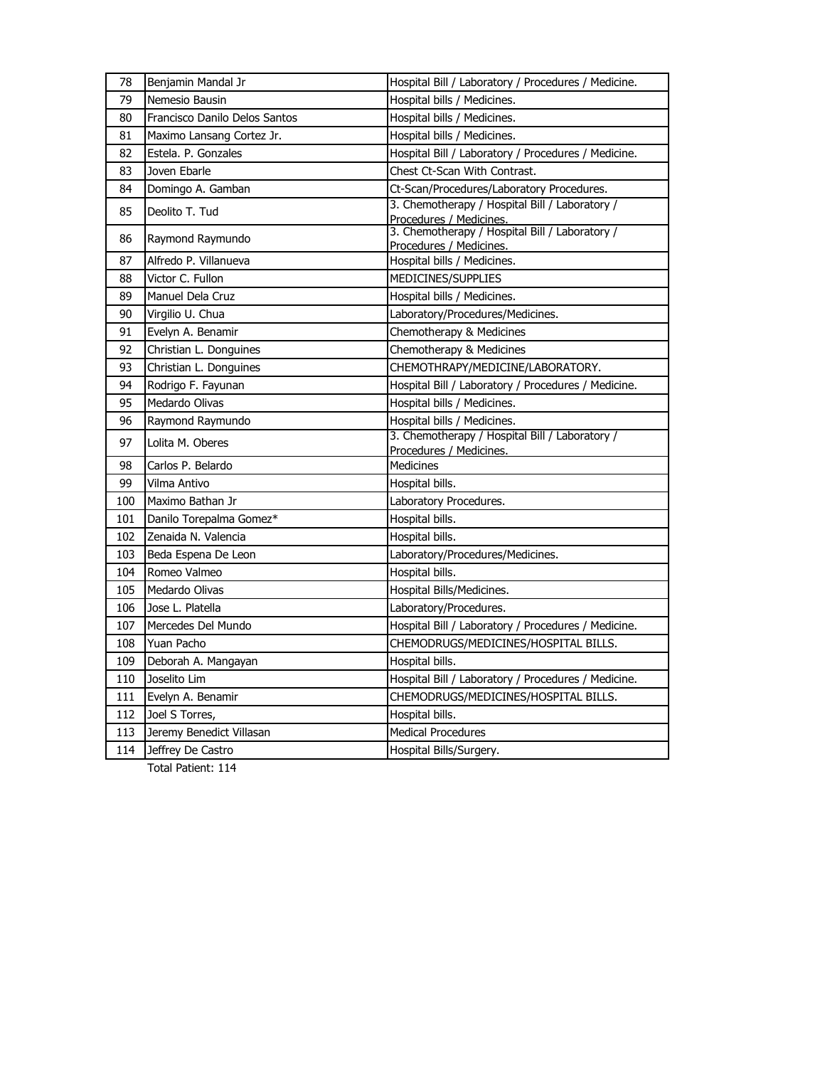| 78  | Benjamin Mandal Jr            | Hospital Bill / Laboratory / Procedures / Medicine.                       |
|-----|-------------------------------|---------------------------------------------------------------------------|
| 79  | Nemesio Bausin                | Hospital bills / Medicines.                                               |
| 80  | Francisco Danilo Delos Santos | Hospital bills / Medicines.                                               |
| 81  | Maximo Lansang Cortez Jr.     | Hospital bills / Medicines.                                               |
| 82  | Estela. P. Gonzales           | Hospital Bill / Laboratory / Procedures / Medicine.                       |
| 83  | Joven Ebarle                  | Chest Ct-Scan With Contrast.                                              |
| 84  | Domingo A. Gamban             | Ct-Scan/Procedures/Laboratory Procedures.                                 |
| 85  | Deolito T. Tud                | 3. Chemotherapy / Hospital Bill / Laboratory /<br>Procedures / Medicines. |
| 86  | Raymond Raymundo              | 3. Chemotherapy / Hospital Bill / Laboratory /<br>Procedures / Medicines. |
| 87  | Alfredo P. Villanueva         | Hospital bills / Medicines.                                               |
| 88  | Victor C. Fullon              | MEDICINES/SUPPLIES                                                        |
| 89  | Manuel Dela Cruz              | Hospital bills / Medicines.                                               |
| 90  | Virgilio U. Chua              | Laboratory/Procedures/Medicines.                                          |
| 91  | Evelyn A. Benamir             | Chemotherapy & Medicines                                                  |
| 92  | Christian L. Donguines        | Chemotherapy & Medicines                                                  |
| 93  | Christian L. Donguines        | CHEMOTHRAPY/MEDICINE/LABORATORY.                                          |
| 94  | Rodrigo F. Fayunan            | Hospital Bill / Laboratory / Procedures / Medicine.                       |
| 95  | Medardo Olivas                | Hospital bills / Medicines.                                               |
| 96  | Raymond Raymundo              | Hospital bills / Medicines.                                               |
| 97  | Lolita M. Oberes              | 3. Chemotherapy / Hospital Bill / Laboratory /<br>Procedures / Medicines. |
| 98  | Carlos P. Belardo             | Medicines                                                                 |
| 99  | Vilma Antivo                  | Hospital bills.                                                           |
| 100 | Maximo Bathan Jr              | Laboratory Procedures.                                                    |
| 101 | Danilo Torepalma Gomez*       | Hospital bills.                                                           |
| 102 | Zenaida N. Valencia           | Hospital bills.                                                           |
| 103 | Beda Espena De Leon           | Laboratory/Procedures/Medicines.                                          |
| 104 | Romeo Valmeo                  | Hospital bills.                                                           |
| 105 | Medardo Olivas                | Hospital Bills/Medicines.                                                 |
| 106 | Jose L. Platella              | Laboratory/Procedures.                                                    |
| 107 | Mercedes Del Mundo            | Hospital Bill / Laboratory / Procedures / Medicine.                       |
| 108 | Yuan Pacho                    | CHEMODRUGS/MEDICINES/HOSPITAL BILLS.                                      |
| 109 | Deborah A. Mangayan           | Hospital bills.                                                           |
| 110 | Joselito Lim                  | Hospital Bill / Laboratory / Procedures / Medicine.                       |
| 111 | Evelyn A. Benamir             | CHEMODRUGS/MEDICINES/HOSPITAL BILLS.                                      |
| 112 | Joel S Torres,                | Hospital bills.                                                           |
| 113 | Jeremy Benedict Villasan      | <b>Medical Procedures</b>                                                 |
| 114 | Jeffrey De Castro             | Hospital Bills/Surgery.                                                   |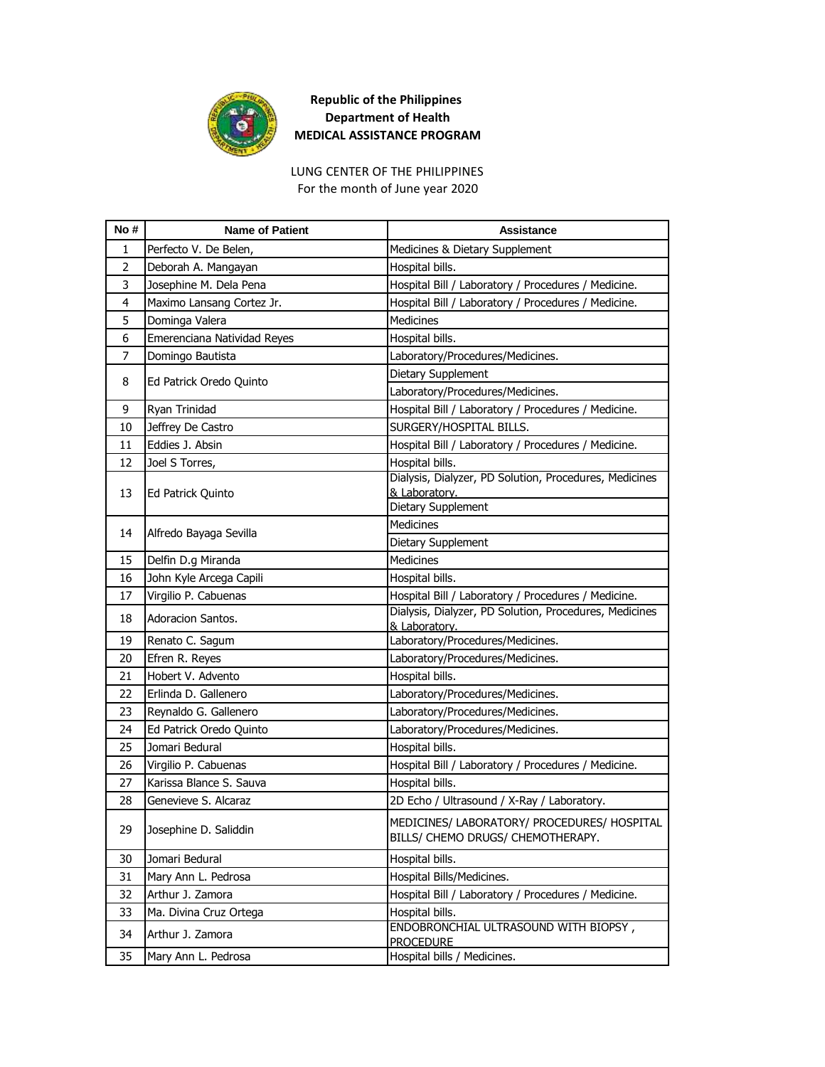

LUNG CENTER OF THE PHILIPPINES For the month of June year 2020

| No#            | <b>Name of Patient</b>      | <b>Assistance</b>                                                                                             |
|----------------|-----------------------------|---------------------------------------------------------------------------------------------------------------|
| 1              | Perfecto V. De Belen,       | Medicines & Dietary Supplement                                                                                |
| 2              | Deborah A. Mangayan         | Hospital bills.                                                                                               |
| 3              | Josephine M. Dela Pena      | Hospital Bill / Laboratory / Procedures / Medicine.                                                           |
| 4              | Maximo Lansang Cortez Jr.   | Hospital Bill / Laboratory / Procedures / Medicine.                                                           |
| 5              | Dominga Valera              | Medicines                                                                                                     |
| 6              | Emerenciana Natividad Reyes | Hospital bills.                                                                                               |
| $\overline{7}$ | Domingo Bautista            | Laboratory/Procedures/Medicines.                                                                              |
|                |                             | Dietary Supplement                                                                                            |
| 8              | Ed Patrick Oredo Quinto     | Laboratory/Procedures/Medicines.                                                                              |
| 9              | Ryan Trinidad               | Hospital Bill / Laboratory / Procedures / Medicine.                                                           |
| 10             | Jeffrey De Castro           | SURGERY/HOSPITAL BILLS.                                                                                       |
| 11             | Eddies J. Absin             | Hospital Bill / Laboratory / Procedures / Medicine.                                                           |
| 12             | Joel S Torres,              | Hospital bills.                                                                                               |
|                |                             | Dialysis, Dialyzer, PD Solution, Procedures, Medicines                                                        |
| 13             | Ed Patrick Quinto           | & Laboratory.                                                                                                 |
|                |                             | Dietary Supplement                                                                                            |
| 14             | Alfredo Bayaga Sevilla      | <b>Medicines</b>                                                                                              |
|                |                             | Dietary Supplement                                                                                            |
| 15             | Delfin D.g Miranda          | <b>Medicines</b>                                                                                              |
| 16             | John Kyle Arcega Capili     | Hospital bills.                                                                                               |
| 17             | Virgilio P. Cabuenas        | Hospital Bill / Laboratory / Procedures / Medicine.<br>Dialysis, Dialyzer, PD Solution, Procedures, Medicines |
| 18             | Adoracion Santos.           | & Laboratory.                                                                                                 |
| 19             | Renato C. Sagum             | Laboratory/Procedures/Medicines.                                                                              |
| 20             | Efren R. Reyes              | Laboratory/Procedures/Medicines.                                                                              |
| 21             | Hobert V. Advento           | Hospital bills.                                                                                               |
| 22             | Erlinda D. Gallenero        | Laboratory/Procedures/Medicines.                                                                              |
| 23             | Reynaldo G. Gallenero       | Laboratory/Procedures/Medicines.                                                                              |
| 24             | Ed Patrick Oredo Quinto     | Laboratory/Procedures/Medicines.                                                                              |
| 25             | Jomari Bedural              | Hospital bills.                                                                                               |
| 26             | Virgilio P. Cabuenas        | Hospital Bill / Laboratory / Procedures / Medicine.                                                           |
| 27             | Karissa Blance S. Sauva     | Hospital bills.                                                                                               |
| 28             | Genevieve S. Alcaraz        | 2D Echo / Ultrasound / X-Ray / Laboratory.                                                                    |
| 29             | Josephine D. Saliddin       | MEDICINES/ LABORATORY/ PROCEDURES/ HOSPITAL                                                                   |
|                |                             | BILLS/ CHEMO DRUGS/ CHEMOTHERAPY.                                                                             |
| 30             | Jomari Bedural              | Hospital bills.                                                                                               |
| 31             | Mary Ann L. Pedrosa         | Hospital Bills/Medicines.                                                                                     |
| 32             | Arthur J. Zamora            | Hospital Bill / Laboratory / Procedures / Medicine.                                                           |
| 33             | Ma. Divina Cruz Ortega      | Hospital bills.                                                                                               |
| 34             | Arthur J. Zamora            | ENDOBRONCHIAL ULTRASOUND WITH BIOPSY,<br><b>PROCEDURE</b>                                                     |
| 35             | Mary Ann L. Pedrosa         | Hospital bills / Medicines.                                                                                   |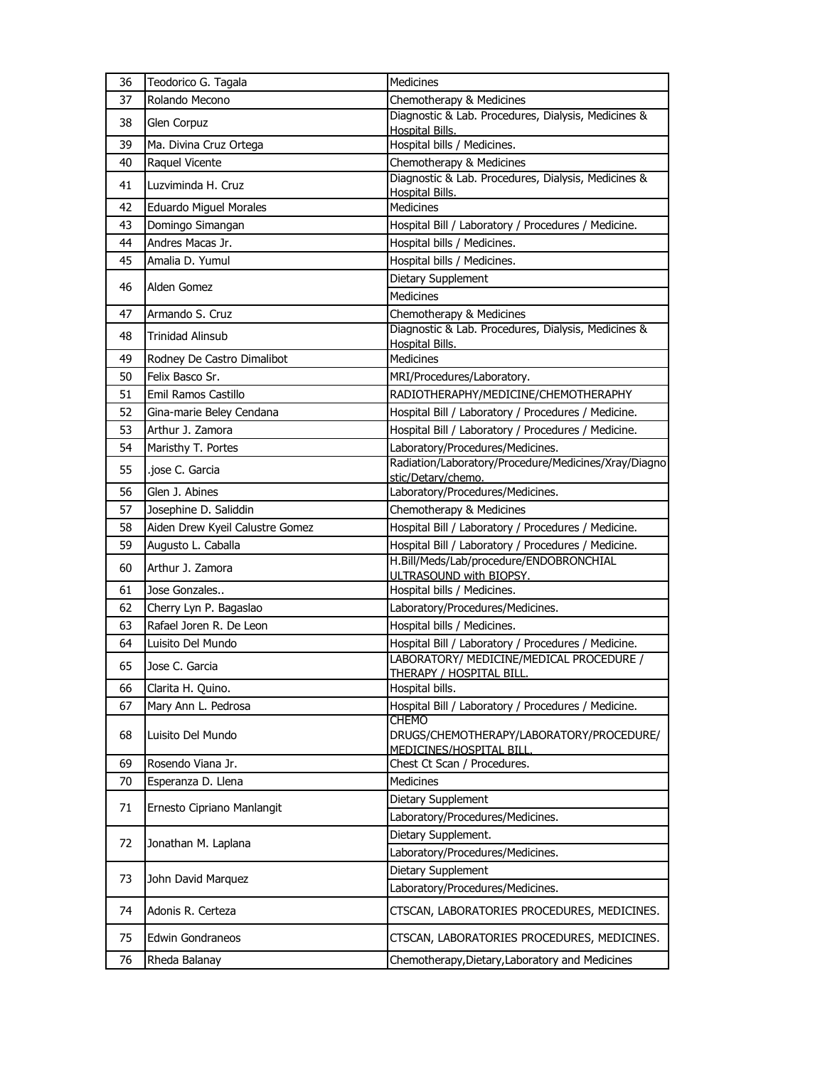| 36 | Teodorico G. Tagala             | <b>Medicines</b>                                                                            |
|----|---------------------------------|---------------------------------------------------------------------------------------------|
| 37 | Rolando Mecono                  | Chemotherapy & Medicines                                                                    |
| 38 | Glen Corpuz                     | Diagnostic & Lab. Procedures, Dialysis, Medicines &<br><b>Hospital Bills.</b>               |
| 39 | Ma. Divina Cruz Ortega          | Hospital bills / Medicines.                                                                 |
| 40 | Raquel Vicente                  | Chemotherapy & Medicines                                                                    |
| 41 | Luzviminda H. Cruz              | Diagnostic & Lab. Procedures, Dialysis, Medicines &<br><b>Hospital Bills.</b>               |
| 42 | Eduardo Miguel Morales          | Medicines                                                                                   |
| 43 | Domingo Simangan                | Hospital Bill / Laboratory / Procedures / Medicine.                                         |
| 44 | Andres Macas Jr.                | Hospital bills / Medicines.                                                                 |
| 45 | Amalia D. Yumul                 | Hospital bills / Medicines.                                                                 |
|    | Alden Gomez                     | Dietary Supplement                                                                          |
| 46 |                                 | <b>Medicines</b>                                                                            |
| 47 | Armando S. Cruz                 | Chemotherapy & Medicines                                                                    |
| 48 | <b>Trinidad Alinsub</b>         | Diagnostic & Lab. Procedures, Dialysis, Medicines &<br>Hospital Bills.                      |
| 49 | Rodney De Castro Dimalibot      | Medicines                                                                                   |
| 50 | Felix Basco Sr.                 | MRI/Procedures/Laboratory.                                                                  |
| 51 | Emil Ramos Castillo             | RADIOTHERAPHY/MEDICINE/CHEMOTHERAPHY                                                        |
| 52 | Gina-marie Beley Cendana        | Hospital Bill / Laboratory / Procedures / Medicine.                                         |
| 53 | Arthur J. Zamora                | Hospital Bill / Laboratory / Procedures / Medicine.                                         |
| 54 | Maristhy T. Portes              | Laboratory/Procedures/Medicines.                                                            |
| 55 | .jose C. Garcia                 | Radiation/Laboratory/Procedure/Medicines/Xray/Diagno<br>stic/Detary/chemo.                  |
| 56 | Glen J. Abines                  | Laboratory/Procedures/Medicines.                                                            |
| 57 | Josephine D. Saliddin           | Chemotherapy & Medicines                                                                    |
| 58 | Aiden Drew Kyeil Calustre Gomez | Hospital Bill / Laboratory / Procedures / Medicine.                                         |
| 59 | Augusto L. Caballa              | Hospital Bill / Laboratory / Procedures / Medicine.                                         |
| 60 | Arthur J. Zamora                | H.Bill/Meds/Lab/procedure/ENDOBRONCHIAL<br>ULTRASOUND with BIOPSY.                          |
| 61 | Jose Gonzales                   | Hospital bills / Medicines.                                                                 |
| 62 | Cherry Lyn P. Bagaslao          | Laboratory/Procedures/Medicines.                                                            |
| 63 | Rafael Joren R. De Leon         | Hospital bills / Medicines.                                                                 |
| 64 | Luisito Del Mundo               | Hospital Bill / Laboratory / Procedures / Medicine.                                         |
| 65 | Jose C. Garcia                  | LABORATORY/ MEDICINE/MEDICAL PROCEDURE /<br>THERAPY / HOSPITAL BILL.                        |
| 66 | Clarita H. Quino.               | Hospital bills.                                                                             |
| 67 | Mary Ann L. Pedrosa             | Hospital Bill / Laboratory / Procedures / Medicine.                                         |
| 68 | Luisito Del Mundo               | <b>CHEMO</b><br>DRUGS/CHEMOTHERAPY/LABORATORY/PROCEDURE/<br><b>MEDICINES/HOSPITAL BILL.</b> |
| 69 | Rosendo Viana Jr.               | Chest Ct Scan / Procedures.                                                                 |
| 70 | Esperanza D. Llena              | <b>Medicines</b>                                                                            |
|    |                                 | Dietary Supplement                                                                          |
| 71 | Ernesto Cipriano Manlangit      | Laboratory/Procedures/Medicines.                                                            |
| 72 | Jonathan M. Laplana             | Dietary Supplement.                                                                         |
|    |                                 | Laboratory/Procedures/Medicines.                                                            |
| 73 | John David Marquez              | Dietary Supplement                                                                          |
|    |                                 | Laboratory/Procedures/Medicines.                                                            |
| 74 | Adonis R. Certeza               | CTSCAN, LABORATORIES PROCEDURES, MEDICINES.                                                 |
| 75 | Edwin Gondraneos                | CTSCAN, LABORATORIES PROCEDURES, MEDICINES.                                                 |
| 76 | Rheda Balanay                   | Chemotherapy, Dietary, Laboratory and Medicines                                             |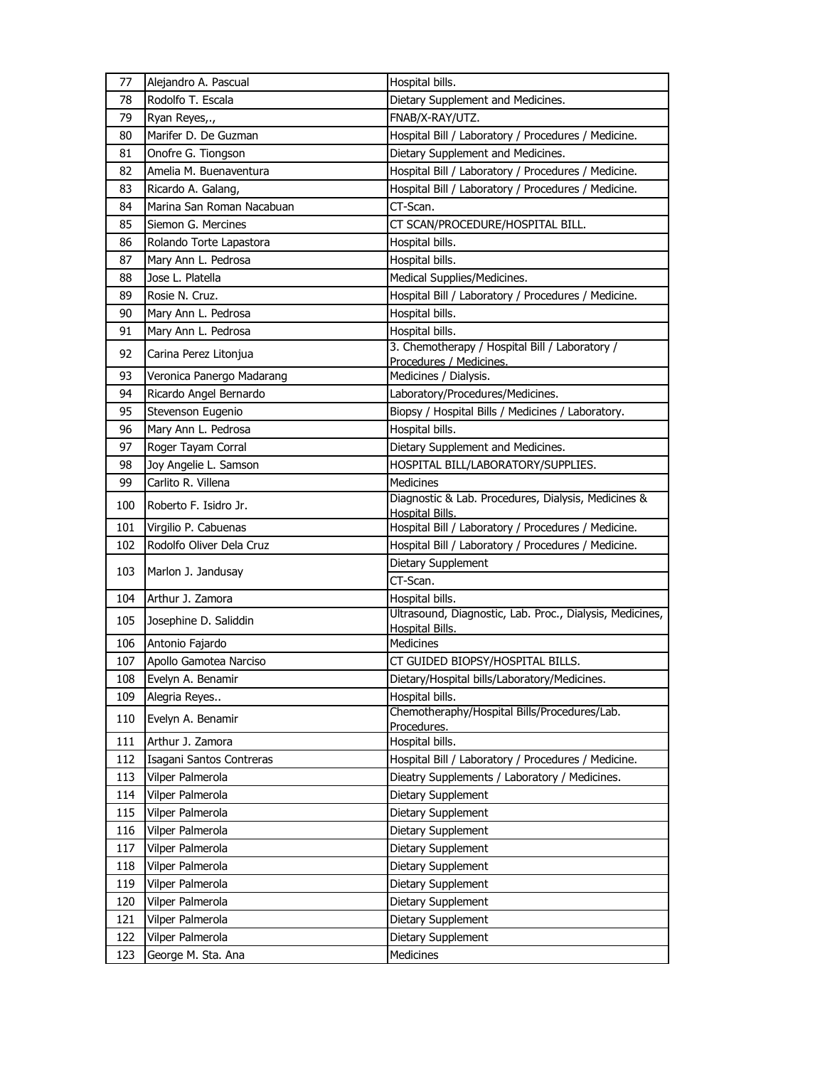| 77  | Alejandro A. Pascual      | Hospital bills.                                                                    |
|-----|---------------------------|------------------------------------------------------------------------------------|
| 78  | Rodolfo T. Escala         | Dietary Supplement and Medicines.                                                  |
| 79  | Ryan Reyes,.,             | FNAB/X-RAY/UTZ.                                                                    |
| 80  | Marifer D. De Guzman      | Hospital Bill / Laboratory / Procedures / Medicine.                                |
| 81  | Onofre G. Tiongson        | Dietary Supplement and Medicines.                                                  |
| 82  | Amelia M. Buenaventura    | Hospital Bill / Laboratory / Procedures / Medicine.                                |
| 83  | Ricardo A. Galang,        | Hospital Bill / Laboratory / Procedures / Medicine.                                |
| 84  | Marina San Roman Nacabuan | CT-Scan.                                                                           |
| 85  | Siemon G. Mercines        | CT SCAN/PROCEDURE/HOSPITAL BILL.                                                   |
| 86  | Rolando Torte Lapastora   | Hospital bills.                                                                    |
| 87  | Mary Ann L. Pedrosa       | Hospital bills.                                                                    |
| 88  | Jose L. Platella          | Medical Supplies/Medicines.                                                        |
| 89  | Rosie N. Cruz.            | Hospital Bill / Laboratory / Procedures / Medicine.                                |
| 90  | Mary Ann L. Pedrosa       | Hospital bills.                                                                    |
| 91  | Mary Ann L. Pedrosa       | Hospital bills.                                                                    |
| 92  | Carina Perez Litonjua     | 3. Chemotherapy / Hospital Bill / Laboratory /<br>Procedures / Medicines.          |
| 93  | Veronica Panergo Madarang | Medicines / Dialysis.                                                              |
| 94  | Ricardo Angel Bernardo    | Laboratory/Procedures/Medicines.                                                   |
| 95  | Stevenson Eugenio         | Biopsy / Hospital Bills / Medicines / Laboratory.                                  |
| 96  | Mary Ann L. Pedrosa       | Hospital bills.                                                                    |
| 97  | Roger Tayam Corral        | Dietary Supplement and Medicines.                                                  |
| 98  | Joy Angelie L. Samson     | HOSPITAL BILL/LABORATORY/SUPPLIES.                                                 |
| 99  | Carlito R. Villena        | <b>Medicines</b>                                                                   |
| 100 | Roberto F. Isidro Jr.     | Diagnostic & Lab. Procedures, Dialysis, Medicines &<br>Hospital Bills.             |
|     |                           |                                                                                    |
| 101 | Virgilio P. Cabuenas      | Hospital Bill / Laboratory / Procedures / Medicine.                                |
| 102 | Rodolfo Oliver Dela Cruz  | Hospital Bill / Laboratory / Procedures / Medicine.                                |
|     |                           | Dietary Supplement                                                                 |
| 103 | Marlon J. Jandusay        | CT-Scan.                                                                           |
| 104 | Arthur J. Zamora          | Hospital bills.                                                                    |
| 105 | Josephine D. Saliddin     | Ultrasound, Diagnostic, Lab. Proc., Dialysis, Medicines,<br><b>Hospital Bills.</b> |
| 106 | Antonio Fajardo           | Medicines                                                                          |
| 107 | Apollo Gamotea Narciso    | CT GUIDED BIOPSY/HOSPITAL BILLS.                                                   |
| 108 | Evelyn A. Benamir         | Dietary/Hospital bills/Laboratory/Medicines.                                       |
| 109 | Alegria Reyes             | Hospital bills.                                                                    |
| 110 | Evelyn A. Benamir         | Chemotheraphy/Hospital Bills/Procedures/Lab.<br>Procedures.                        |
| 111 | Arthur J. Zamora          | Hospital bills.                                                                    |
| 112 | Isagani Santos Contreras  | Hospital Bill / Laboratory / Procedures / Medicine.                                |
| 113 | Vilper Palmerola          | Dieatry Supplements / Laboratory / Medicines.                                      |
| 114 | Vilper Palmerola          | Dietary Supplement                                                                 |
| 115 | Vilper Palmerola          | Dietary Supplement                                                                 |
| 116 | Vilper Palmerola          | Dietary Supplement                                                                 |
| 117 | Vilper Palmerola          | Dietary Supplement                                                                 |
| 118 | Vilper Palmerola          | Dietary Supplement                                                                 |
| 119 | Vilper Palmerola          | Dietary Supplement                                                                 |
| 120 | Vilper Palmerola          | Dietary Supplement                                                                 |
| 121 | Vilper Palmerola          | Dietary Supplement                                                                 |
| 122 | Vilper Palmerola          | Dietary Supplement                                                                 |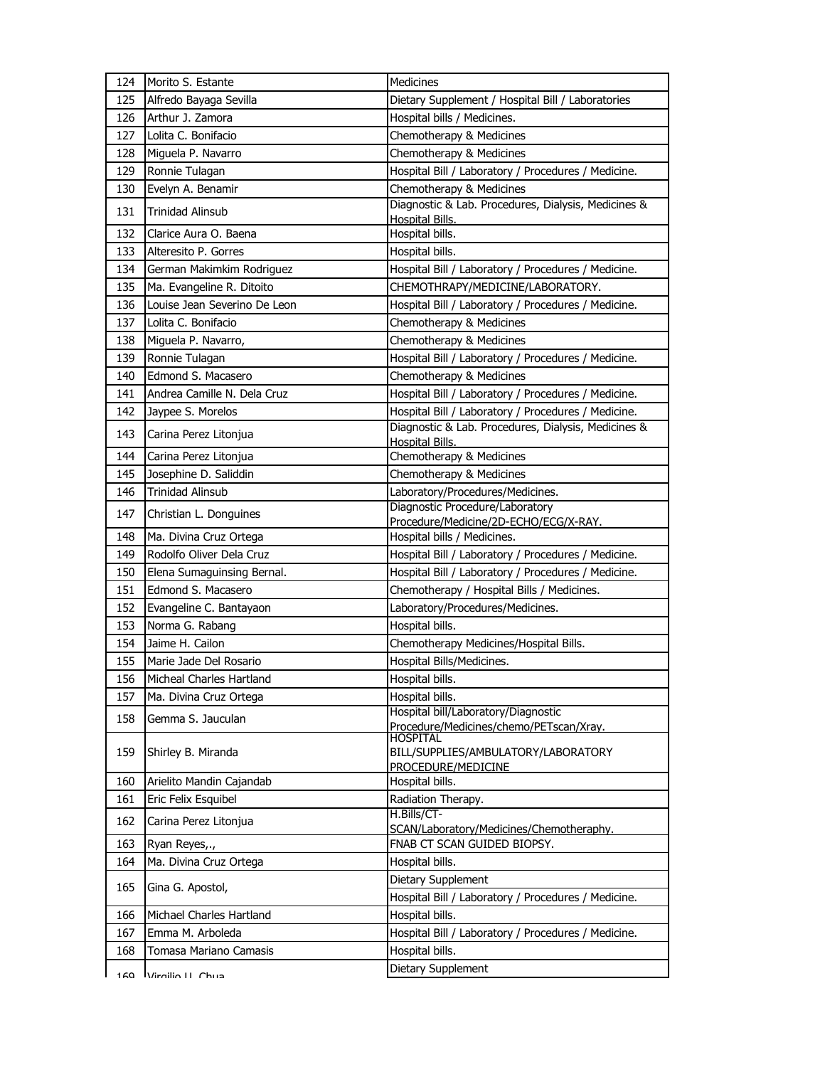| 124 | Morito S. Estante            | Medicines                                                              |
|-----|------------------------------|------------------------------------------------------------------------|
| 125 | Alfredo Bayaga Sevilla       | Dietary Supplement / Hospital Bill / Laboratories                      |
| 126 | Arthur J. Zamora             | Hospital bills / Medicines.                                            |
| 127 | Lolita C. Bonifacio          | Chemotherapy & Medicines                                               |
| 128 | Miguela P. Navarro           | Chemotherapy & Medicines                                               |
| 129 | Ronnie Tulagan               | Hospital Bill / Laboratory / Procedures / Medicine.                    |
| 130 | Evelyn A. Benamir            | Chemotherapy & Medicines                                               |
| 131 | <b>Trinidad Alinsub</b>      | Diagnostic & Lab. Procedures, Dialysis, Medicines &<br>Hospital Bills. |
| 132 | Clarice Aura O. Baena        | Hospital bills.                                                        |
| 133 | Alteresito P. Gorres         | Hospital bills.                                                        |
| 134 | German Makimkim Rodriguez    | Hospital Bill / Laboratory / Procedures / Medicine.                    |
| 135 | Ma. Evangeline R. Ditoito    | CHEMOTHRAPY/MEDICINE/LABORATORY.                                       |
| 136 | Louise Jean Severino De Leon | Hospital Bill / Laboratory / Procedures / Medicine.                    |
| 137 | Lolita C. Bonifacio          | Chemotherapy & Medicines                                               |
| 138 | Miguela P. Navarro,          | Chemotherapy & Medicines                                               |
| 139 | Ronnie Tulagan               | Hospital Bill / Laboratory / Procedures / Medicine.                    |
| 140 | Edmond S. Macasero           | Chemotherapy & Medicines                                               |
| 141 | Andrea Camille N. Dela Cruz  | Hospital Bill / Laboratory / Procedures / Medicine.                    |
| 142 | Jaypee S. Morelos            | Hospital Bill / Laboratory / Procedures / Medicine.                    |
| 143 | Carina Perez Litonjua        | Diagnostic & Lab. Procedures, Dialysis, Medicines &                    |
|     |                              | Hospital Bills.                                                        |
| 144 | Carina Perez Litonjua        | Chemotherapy & Medicines                                               |
| 145 | Josephine D. Saliddin        | Chemotherapy & Medicines                                               |
| 146 | Trinidad Alinsub             | Laboratory/Procedures/Medicines.<br>Diagnostic Procedure/Laboratory    |
| 147 | Christian L. Donguines       | Procedure/Medicine/2D-ECHO/ECG/X-RAY.                                  |
| 148 | Ma. Divina Cruz Ortega       | Hospital bills / Medicines.                                            |
| 149 | Rodolfo Oliver Dela Cruz     | Hospital Bill / Laboratory / Procedures / Medicine.                    |
| 150 | Elena Sumaguinsing Bernal.   | Hospital Bill / Laboratory / Procedures / Medicine.                    |
| 151 | Edmond S. Macasero           | Chemotherapy / Hospital Bills / Medicines.                             |
| 152 | Evangeline C. Bantayaon      | Laboratory/Procedures/Medicines.                                       |
| 153 | Norma G. Rabang              | Hospital bills.                                                        |
| 154 | Jaime H. Cailon              | Chemotherapy Medicines/Hospital Bills.                                 |
| 155 | Marie Jade Del Rosario       |                                                                        |
| 156 |                              | Hospital Bills/Medicines.                                              |
|     | Micheal Charles Hartland     | Hospital bills.                                                        |
| 157 | Ma. Divina Cruz Ortega       | Hospital bills.                                                        |
| 158 | Gemma S. Jauculan            | Hospital bill/Laboratory/Diagnostic                                    |
|     |                              | Procedure/Medicines/chemo/PETscan/Xray.<br>HOSPITAL                    |
| 159 | Shirley B. Miranda           | BILL/SUPPLIES/AMBULATORY/LABORATORY                                    |
|     |                              | PROCEDURE/MEDICINE                                                     |
| 160 | Arielito Mandin Cajandab     | Hospital bills.                                                        |
| 161 | Eric Felix Esquibel          | Radiation Therapy.                                                     |
| 162 | Carina Perez Litonjua        | H.Bills/CT-<br>SCAN/Laboratory/Medicines/Chemotheraphy.                |
| 163 | Ryan Reyes,.,                | FNAB CT SCAN GUIDED BIOPSY.                                            |
| 164 | Ma. Divina Cruz Ortega       | Hospital bills.                                                        |
|     |                              | Dietary Supplement                                                     |
| 165 | Gina G. Apostol,             | Hospital Bill / Laboratory / Procedures / Medicine.                    |
| 166 | Michael Charles Hartland     | Hospital bills.                                                        |
| 167 | Emma M. Arboleda             | Hospital Bill / Laboratory / Procedures / Medicine.                    |
| 168 | Tomasa Mariano Camasis       | Hospital bills.<br>Dietary Supplement                                  |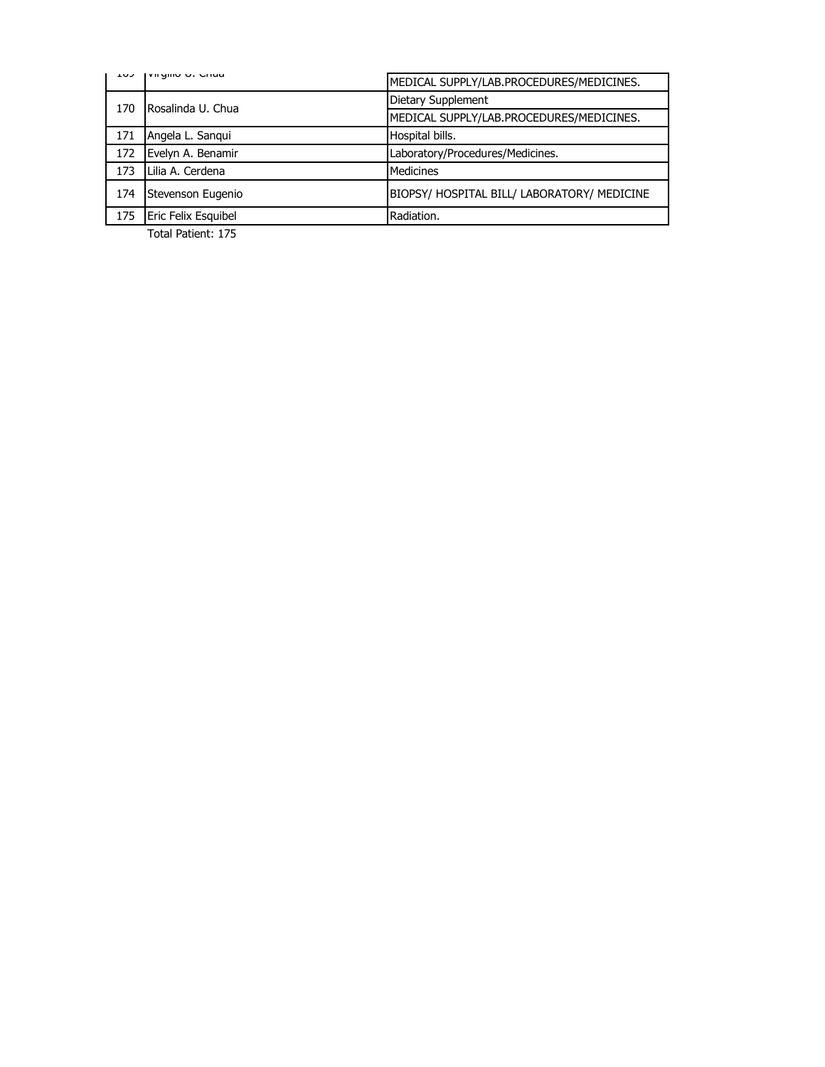|     | VII YIIIU U. CHUA<br>エリン | MEDICAL SUPPLY/LAB.PROCEDURES/MEDICINES.    |
|-----|--------------------------|---------------------------------------------|
| 170 | Rosalinda U. Chua        | Dietary Supplement                          |
|     |                          | MEDICAL SUPPLY/LAB.PROCEDURES/MEDICINES.    |
| 171 | Angela L. Sanqui         | Hospital bills.                             |
| 172 | Evelyn A. Benamir        | Laboratory/Procedures/Medicines.            |
| 173 | Lilia A. Cerdena         | <b>Medicines</b>                            |
| 174 | Stevenson Eugenio        | BIOPSY/ HOSPITAL BILL/ LABORATORY/ MEDICINE |
| 175 | Eric Felix Esquibel      | Radiation.                                  |
|     |                          |                                             |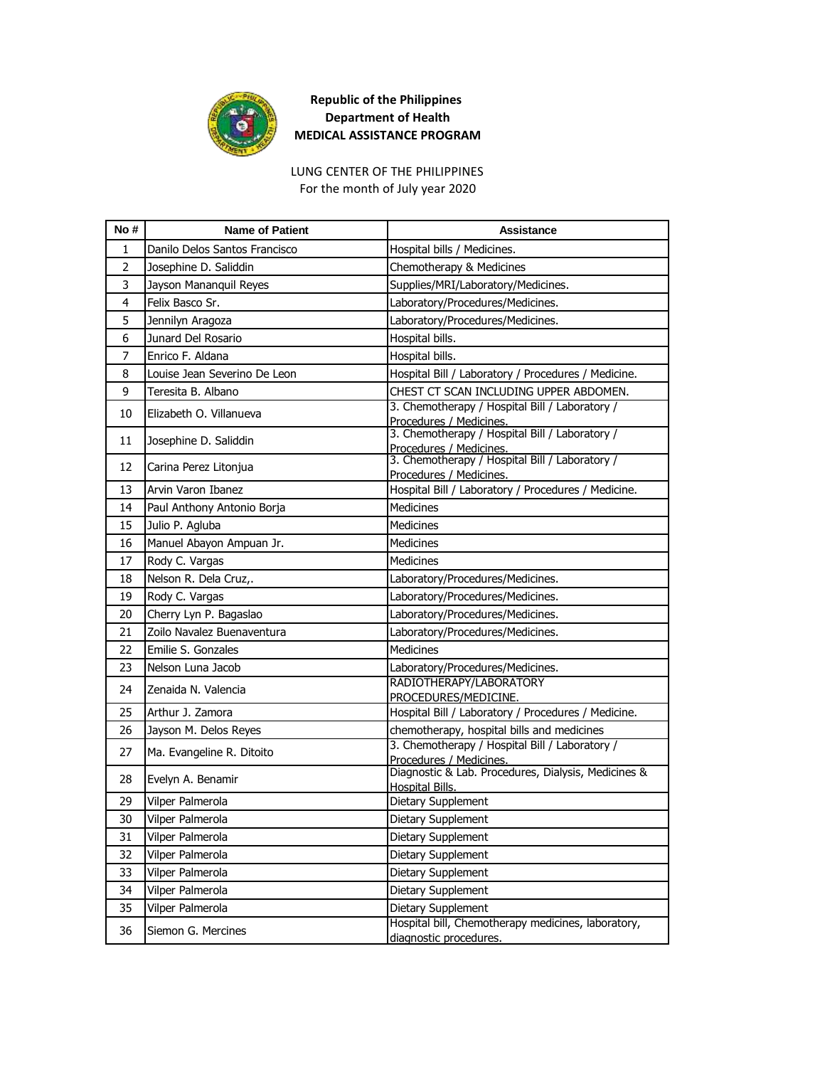

LUNG CENTER OF THE PHILIPPINES For the month of July year 2020

| No #           | <b>Name of Patient</b>        | <b>Assistance</b>                                                             |
|----------------|-------------------------------|-------------------------------------------------------------------------------|
| $\mathbf{1}$   | Danilo Delos Santos Francisco | Hospital bills / Medicines.                                                   |
| $\overline{2}$ | Josephine D. Saliddin         | Chemotherapy & Medicines                                                      |
| 3              | Jayson Mananquil Reyes        | Supplies/MRI/Laboratory/Medicines.                                            |
| 4              | Felix Basco Sr.               | Laboratory/Procedures/Medicines.                                              |
| 5              | Jennilyn Aragoza              | Laboratory/Procedures/Medicines.                                              |
| 6              | Junard Del Rosario            | Hospital bills.                                                               |
| 7              | Enrico F. Aldana              | Hospital bills.                                                               |
| 8              | Louise Jean Severino De Leon  | Hospital Bill / Laboratory / Procedures / Medicine.                           |
| 9              | Teresita B. Albano            | CHEST CT SCAN INCLUDING UPPER ABDOMEN.                                        |
| 10             | Elizabeth O. Villanueva       | 3. Chemotherapy / Hospital Bill / Laboratory /<br>Procedures / Medicines.     |
| 11             | Josephine D. Saliddin         | 3. Chemotherapy / Hospital Bill / Laboratory /<br>Procedures / Medicines.     |
| 12             | Carina Perez Litonjua         | 3. Chemotherapy / Hospital Bill / Laboratory /<br>Procedures / Medicines.     |
| 13             | Arvin Varon Ibanez            | Hospital Bill / Laboratory / Procedures / Medicine.                           |
| 14             | Paul Anthony Antonio Borja    | <b>Medicines</b>                                                              |
| 15             | Julio P. Agluba               | <b>Medicines</b>                                                              |
| 16             | Manuel Abayon Ampuan Jr.      | Medicines                                                                     |
| 17             | Rody C. Vargas                | <b>Medicines</b>                                                              |
| 18             | Nelson R. Dela Cruz,.         | Laboratory/Procedures/Medicines.                                              |
| 19             | Rody C. Vargas                | Laboratory/Procedures/Medicines.                                              |
| 20             | Cherry Lyn P. Bagaslao        | Laboratory/Procedures/Medicines.                                              |
| 21             | Zoilo Navalez Buenaventura    | Laboratory/Procedures/Medicines.                                              |
| 22             | Emilie S. Gonzales            | <b>Medicines</b>                                                              |
| 23             | Nelson Luna Jacob             | Laboratory/Procedures/Medicines.                                              |
| 24             | Zenaida N. Valencia           | RADIOTHERAPY/LABORATORY<br>PROCEDURES/MEDICINE.                               |
| 25             | Arthur J. Zamora              | Hospital Bill / Laboratory / Procedures / Medicine.                           |
| 26             | Jayson M. Delos Reyes         | chemotherapy, hospital bills and medicines                                    |
| 27             | Ma. Evangeline R. Ditoito     | 3. Chemotherapy / Hospital Bill / Laboratory /<br>Procedures / Medicines.     |
| 28             | Evelyn A. Benamir             | Diagnostic & Lab. Procedures, Dialysis, Medicines &<br><b>Hospital Bills.</b> |
| 29             | Vilper Palmerola              | Dietary Supplement                                                            |
| 30             | Vilper Palmerola              | Dietary Supplement                                                            |
| 31             | Vilper Palmerola              | Dietary Supplement                                                            |
| 32             | Vilper Palmerola              | Dietary Supplement                                                            |
| 33             | Vilper Palmerola              | Dietary Supplement                                                            |
| 34             | Vilper Palmerola              | Dietary Supplement                                                            |
| 35             | Vilper Palmerola              | Dietary Supplement                                                            |
| 36             | Siemon G. Mercines            | Hospital bill, Chemotherapy medicines, laboratory,<br>diagnostic procedures.  |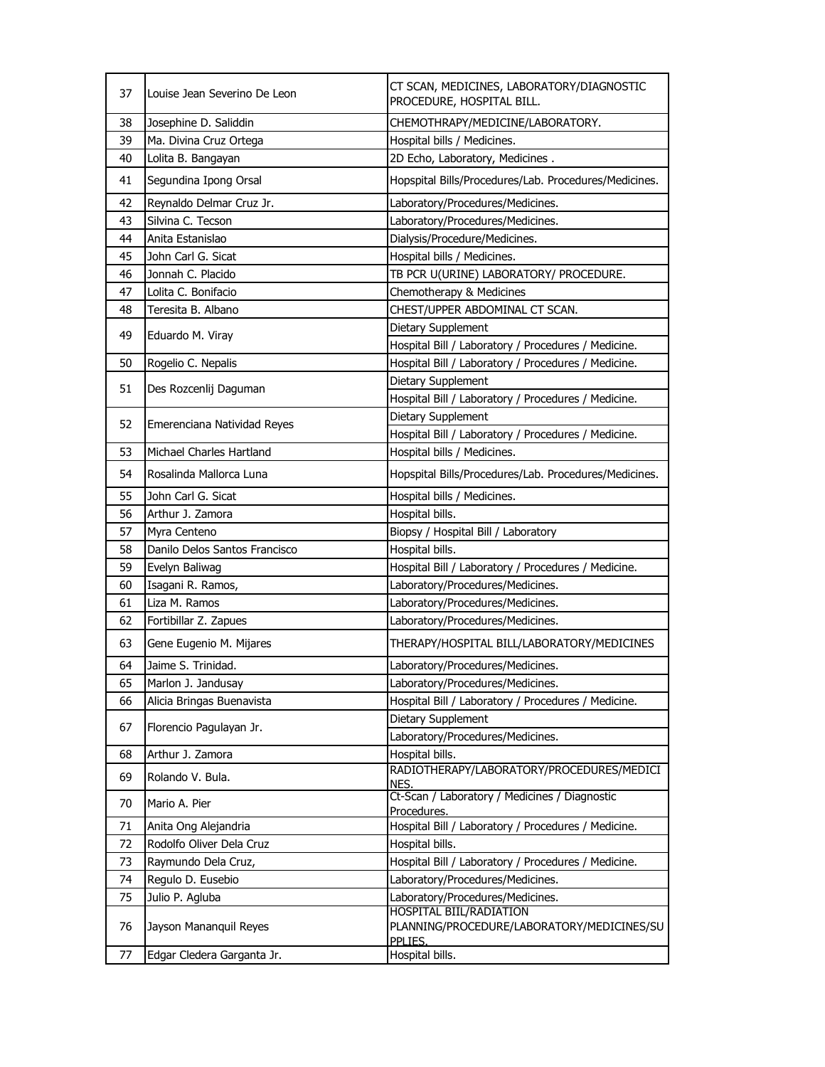| 37 | Louise Jean Severino De Leon  | CT SCAN, MEDICINES, LABORATORY/DIAGNOSTIC<br>PROCEDURE, HOSPITAL BILL.                  |
|----|-------------------------------|-----------------------------------------------------------------------------------------|
| 38 | Josephine D. Saliddin         | CHEMOTHRAPY/MEDICINE/LABORATORY.                                                        |
| 39 | Ma. Divina Cruz Ortega        | Hospital bills / Medicines.                                                             |
| 40 | Lolita B. Bangayan            | 2D Echo, Laboratory, Medicines.                                                         |
| 41 | Segundina Ipong Orsal         | Hopspital Bills/Procedures/Lab. Procedures/Medicines.                                   |
| 42 | Reynaldo Delmar Cruz Jr.      | Laboratory/Procedures/Medicines.                                                        |
| 43 | Silvina C. Tecson             | Laboratory/Procedures/Medicines.                                                        |
| 44 | Anita Estanislao              | Dialysis/Procedure/Medicines.                                                           |
| 45 | John Carl G. Sicat            | Hospital bills / Medicines.                                                             |
| 46 | Jonnah C. Placido             | TB PCR U(URINE) LABORATORY/ PROCEDURE.                                                  |
| 47 | Lolita C. Bonifacio           | Chemotherapy & Medicines                                                                |
| 48 | Teresita B. Albano            | CHEST/UPPER ABDOMINAL CT SCAN.                                                          |
| 49 |                               | Dietary Supplement                                                                      |
|    | Eduardo M. Viray              | Hospital Bill / Laboratory / Procedures / Medicine.                                     |
| 50 | Rogelio C. Nepalis            | Hospital Bill / Laboratory / Procedures / Medicine.                                     |
|    |                               | Dietary Supplement                                                                      |
| 51 | Des Rozcenlij Daguman         | Hospital Bill / Laboratory / Procedures / Medicine.                                     |
|    |                               | Dietary Supplement                                                                      |
| 52 | Emerenciana Natividad Reyes   | Hospital Bill / Laboratory / Procedures / Medicine.                                     |
| 53 | Michael Charles Hartland      | Hospital bills / Medicines.                                                             |
| 54 | Rosalinda Mallorca Luna       | Hopspital Bills/Procedures/Lab. Procedures/Medicines.                                   |
| 55 | John Carl G. Sicat            | Hospital bills / Medicines.                                                             |
| 56 | Arthur J. Zamora              | Hospital bills.                                                                         |
| 57 | Myra Centeno                  | Biopsy / Hospital Bill / Laboratory                                                     |
| 58 | Danilo Delos Santos Francisco | Hospital bills.                                                                         |
| 59 | Evelyn Baliwag                | Hospital Bill / Laboratory / Procedures / Medicine.                                     |
| 60 | Isagani R. Ramos,             | Laboratory/Procedures/Medicines.                                                        |
| 61 | Liza M. Ramos                 | Laboratory/Procedures/Medicines.                                                        |
| 62 | Fortibillar Z. Zapues         | Laboratory/Procedures/Medicines.                                                        |
| 63 | Gene Eugenio M. Mijares       | THERAPY/HOSPITAL BILL/LABORATORY/MEDICINES                                              |
| 64 | Jaime S. Trinidad.            | Laboratory/Procedures/Medicines.                                                        |
| 65 | Marlon J. Jandusay            | Laboratory/Procedures/Medicines.                                                        |
| 66 | Alicia Bringas Buenavista     | Hospital Bill / Laboratory / Procedures / Medicine.                                     |
| 67 | Florencio Pagulayan Jr.       | Dietary Supplement                                                                      |
|    |                               | Laboratory/Procedures/Medicines.                                                        |
| 68 | Arthur J. Zamora              | Hospital bills.                                                                         |
| 69 | Rolando V. Bula.              | RADIOTHERAPY/LABORATORY/PROCEDURES/MEDICI<br>NES.                                       |
| 70 | Mario A. Pier                 | Ct-Scan / Laboratory / Medicines / Diagnostic<br>Procedures.                            |
| 71 | Anita Ong Alejandria          | Hospital Bill / Laboratory / Procedures / Medicine.                                     |
| 72 | Rodolfo Oliver Dela Cruz      | Hospital bills.                                                                         |
| 73 | Raymundo Dela Cruz,           | Hospital Bill / Laboratory / Procedures / Medicine.                                     |
| 74 | Regulo D. Eusebio             | Laboratory/Procedures/Medicines.                                                        |
| 75 | Julio P. Agluba               | Laboratory/Procedures/Medicines.                                                        |
| 76 | Jayson Mananquil Reyes        | <b>HOSPITAL BIIL/RADIATION</b><br>PLANNING/PROCEDURE/LABORATORY/MEDICINES/SU<br>PPLIES. |
| 77 | Edgar Cledera Garganta Jr.    | Hospital bills.                                                                         |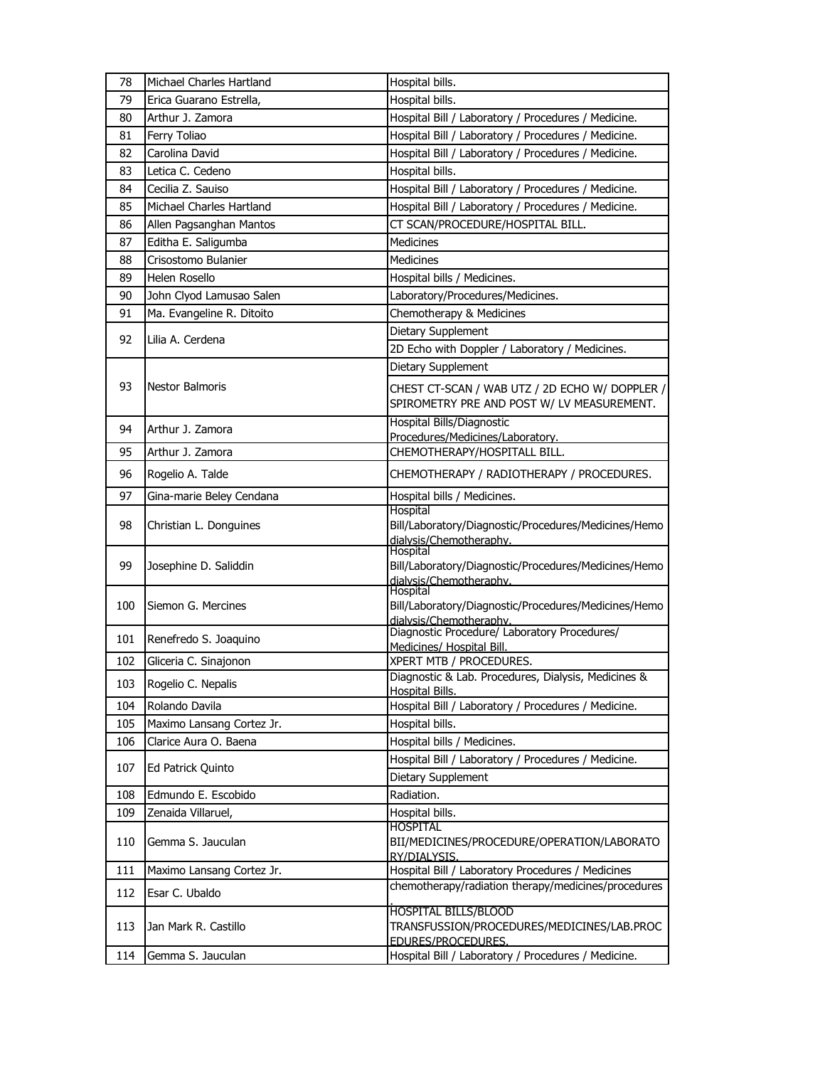| 78  | Michael Charles Hartland  | Hospital bills.                                                                              |
|-----|---------------------------|----------------------------------------------------------------------------------------------|
| 79  | Erica Guarano Estrella,   | Hospital bills.                                                                              |
| 80  | Arthur J. Zamora          | Hospital Bill / Laboratory / Procedures / Medicine.                                          |
| 81  | Ferry Toliao              | Hospital Bill / Laboratory / Procedures / Medicine.                                          |
| 82  | Carolina David            | Hospital Bill / Laboratory / Procedures / Medicine.                                          |
| 83  | Letica C. Cedeno          | Hospital bills.                                                                              |
| 84  | Cecilia Z. Sauiso         | Hospital Bill / Laboratory / Procedures / Medicine.                                          |
| 85  | Michael Charles Hartland  | Hospital Bill / Laboratory / Procedures / Medicine.                                          |
| 86  | Allen Pagsanghan Mantos   | CT SCAN/PROCEDURE/HOSPITAL BILL.                                                             |
| 87  | Editha E. Saligumba       | <b>Medicines</b>                                                                             |
| 88  | Crisostomo Bulanier       | <b>Medicines</b>                                                                             |
| 89  | Helen Rosello             | Hospital bills / Medicines.                                                                  |
| 90  | John Clyod Lamusao Salen  | Laboratory/Procedures/Medicines.                                                             |
| 91  | Ma. Evangeline R. Ditoito | Chemotherapy & Medicines                                                                     |
| 92  | Lilia A. Cerdena          | Dietary Supplement                                                                           |
|     |                           | 2D Echo with Doppler / Laboratory / Medicines.                                               |
|     |                           | Dietary Supplement                                                                           |
| 93  | <b>Nestor Balmoris</b>    | CHEST CT-SCAN / WAB UTZ / 2D ECHO W/ DOPPLER /<br>SPIROMETRY PRE AND POST W/ LV MEASUREMENT. |
| 94  | Arthur J. Zamora          | Hospital Bills/Diagnostic                                                                    |
|     |                           | Procedures/Medicines/Laboratory.                                                             |
| 95  | Arthur J. Zamora          | CHEMOTHERAPY/HOSPITALL BILL.                                                                 |
| 96  | Rogelio A. Talde          | CHEMOTHERAPY / RADIOTHERAPY / PROCEDURES.                                                    |
| 97  | Gina-marie Beley Cendana  | Hospital bills / Medicines.                                                                  |
| 98  | Christian L. Donguines    | Hospital<br>Bill/Laboratory/Diagnostic/Procedures/Medicines/Hemo                             |
|     |                           | dialysis/Chemotheraphy.                                                                      |
|     |                           | Hospital                                                                                     |
| 99  | Josephine D. Saliddin     | Bill/Laboratory/Diagnostic/Procedures/Medicines/Hemo<br>dialysis/Chemotheraphy.              |
|     |                           | Hospital                                                                                     |
| 100 | Siemon G. Mercines        | Bill/Laboratory/Diagnostic/Procedures/Medicines/Hemo                                         |
|     |                           | dialysis/Chemotheraphy.<br>Diagnostic Procedure/ Laboratory Procedures/                      |
| 101 | Renefredo S. Joaquino     | Medicines/ Hospital Bill.                                                                    |
| 102 | Gliceria C. Sinajonon     | XPERT MTB / PROCEDURES.                                                                      |
| 103 | Rogelio C. Nepalis        | Diagnostic & Lab. Procedures, Dialysis, Medicines &                                          |
| 104 | Rolando Davila            | <b>Hospital Bills.</b><br>Hospital Bill / Laboratory / Procedures / Medicine.                |
| 105 | Maximo Lansang Cortez Jr. | Hospital bills.                                                                              |
| 106 | Clarice Aura O. Baena     | Hospital bills / Medicines.                                                                  |
|     |                           | Hospital Bill / Laboratory / Procedures / Medicine.                                          |
| 107 | Ed Patrick Quinto         | Dietary Supplement                                                                           |
| 108 | Edmundo E. Escobido       | Radiation.                                                                                   |
| 109 | Zenaida Villaruel,        | Hospital bills.                                                                              |
|     |                           | <b>HOSPITAL</b>                                                                              |
| 110 | Gemma S. Jauculan         | BII/MEDICINES/PROCEDURE/OPERATION/LABORATO                                                   |
| 111 | Maximo Lansang Cortez Jr. | RY/DIALYSIS.<br>Hospital Bill / Laboratory Procedures / Medicines                            |
|     |                           | chemotherapy/radiation therapy/medicines/procedures                                          |
| 112 | Esar C. Ubaldo            |                                                                                              |
| 113 | Jan Mark R. Castillo      | <b>HOSPITAL BILLS/BLOOD</b><br>TRANSFUSSION/PROCEDURES/MEDICINES/LAB.PROC                    |
|     |                           | EDURES/PROCEDURES.                                                                           |
| 114 | Gemma S. Jauculan         | Hospital Bill / Laboratory / Procedures / Medicine.                                          |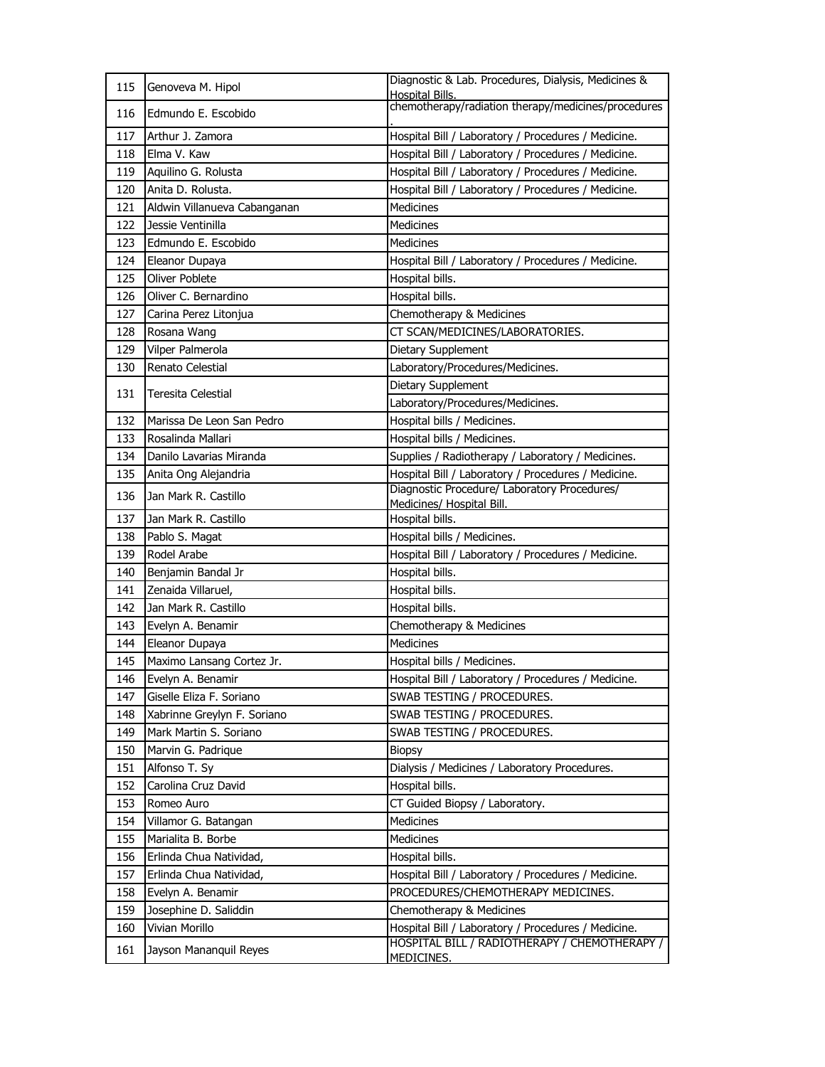| 115 | Genoveva M. Hipol            | Diagnostic & Lab. Procedures, Dialysis, Medicines &<br><b>Hospital Bills.</b> |
|-----|------------------------------|-------------------------------------------------------------------------------|
| 116 | Edmundo E. Escobido          | chemotherapy/radiation therapy/medicines/procedures                           |
| 117 | Arthur J. Zamora             | Hospital Bill / Laboratory / Procedures / Medicine.                           |
| 118 | Elma V. Kaw                  | Hospital Bill / Laboratory / Procedures / Medicine.                           |
| 119 | Aquilino G. Rolusta          | Hospital Bill / Laboratory / Procedures / Medicine.                           |
| 120 | Anita D. Rolusta.            | Hospital Bill / Laboratory / Procedures / Medicine.                           |
| 121 | Aldwin Villanueva Cabanganan | <b>Medicines</b>                                                              |
| 122 | Jessie Ventinilla            | Medicines                                                                     |
| 123 | Edmundo E. Escobido          | Medicines                                                                     |
| 124 | Eleanor Dupaya               | Hospital Bill / Laboratory / Procedures / Medicine.                           |
| 125 | Oliver Poblete               | Hospital bills.                                                               |
| 126 | Oliver C. Bernardino         | Hospital bills.                                                               |
| 127 | Carina Perez Litonjua        | Chemotherapy & Medicines                                                      |
| 128 | Rosana Wang                  | CT SCAN/MEDICINES/LABORATORIES.                                               |
| 129 | Vilper Palmerola             | Dietary Supplement                                                            |
| 130 | Renato Celestial             | Laboratory/Procedures/Medicines.                                              |
|     |                              | Dietary Supplement                                                            |
| 131 | <b>Teresita Celestial</b>    | Laboratory/Procedures/Medicines.                                              |
| 132 | Marissa De Leon San Pedro    | Hospital bills / Medicines.                                                   |
| 133 | Rosalinda Mallari            | Hospital bills / Medicines.                                                   |
| 134 | Danilo Lavarias Miranda      | Supplies / Radiotherapy / Laboratory / Medicines.                             |
| 135 | Anita Ong Alejandria         | Hospital Bill / Laboratory / Procedures / Medicine.                           |
| 136 | Jan Mark R. Castillo         | Diagnostic Procedure/ Laboratory Procedures/<br>Medicines/ Hospital Bill.     |
| 137 | Jan Mark R. Castillo         | Hospital bills.                                                               |
| 138 | Pablo S. Magat               | Hospital bills / Medicines.                                                   |
| 139 | Rodel Arabe                  | Hospital Bill / Laboratory / Procedures / Medicine.                           |
| 140 | Benjamin Bandal Jr           | Hospital bills.                                                               |
| 141 | Zenaida Villaruel,           | Hospital bills.                                                               |
| 142 | Jan Mark R. Castillo         | Hospital bills.                                                               |
| 143 | Evelyn A. Benamir            | Chemotherapy & Medicines                                                      |
| 144 | Eleanor Dupaya               | Medicines                                                                     |
| 145 | Maximo Lansang Cortez Jr.    | Hospital bills / Medicines.                                                   |
| 146 | Evelyn A. Benamir            | Hospital Bill / Laboratory / Procedures / Medicine.                           |
| 147 | Giselle Eliza F. Soriano     | SWAB TESTING / PROCEDURES.                                                    |
| 148 | Xabrinne Greylyn F. Soriano  | SWAB TESTING / PROCEDURES.                                                    |
| 149 | Mark Martin S. Soriano       | SWAB TESTING / PROCEDURES.                                                    |
| 150 | Marvin G. Padrique           | <b>Biopsy</b>                                                                 |
| 151 | Alfonso T. Sy                | Dialysis / Medicines / Laboratory Procedures.                                 |
| 152 | Carolina Cruz David          | Hospital bills.                                                               |
| 153 | Romeo Auro                   | CT Guided Biopsy / Laboratory.                                                |
| 154 | Villamor G. Batangan         | <b>Medicines</b>                                                              |
| 155 | Marialita B. Borbe           | <b>Medicines</b>                                                              |
| 156 | Erlinda Chua Natividad,      | Hospital bills.                                                               |
| 157 | Erlinda Chua Natividad,      | Hospital Bill / Laboratory / Procedures / Medicine.                           |
| 158 | Evelyn A. Benamir            | PROCEDURES/CHEMOTHERAPY MEDICINES.                                            |
| 159 | Josephine D. Saliddin        | Chemotherapy & Medicines                                                      |
| 160 | Vivian Morillo               | Hospital Bill / Laboratory / Procedures / Medicine.                           |
| 161 | Jayson Mananquil Reyes       | HOSPITAL BILL / RADIOTHERAPY / CHEMOTHERAPY /<br>MEDICINES.                   |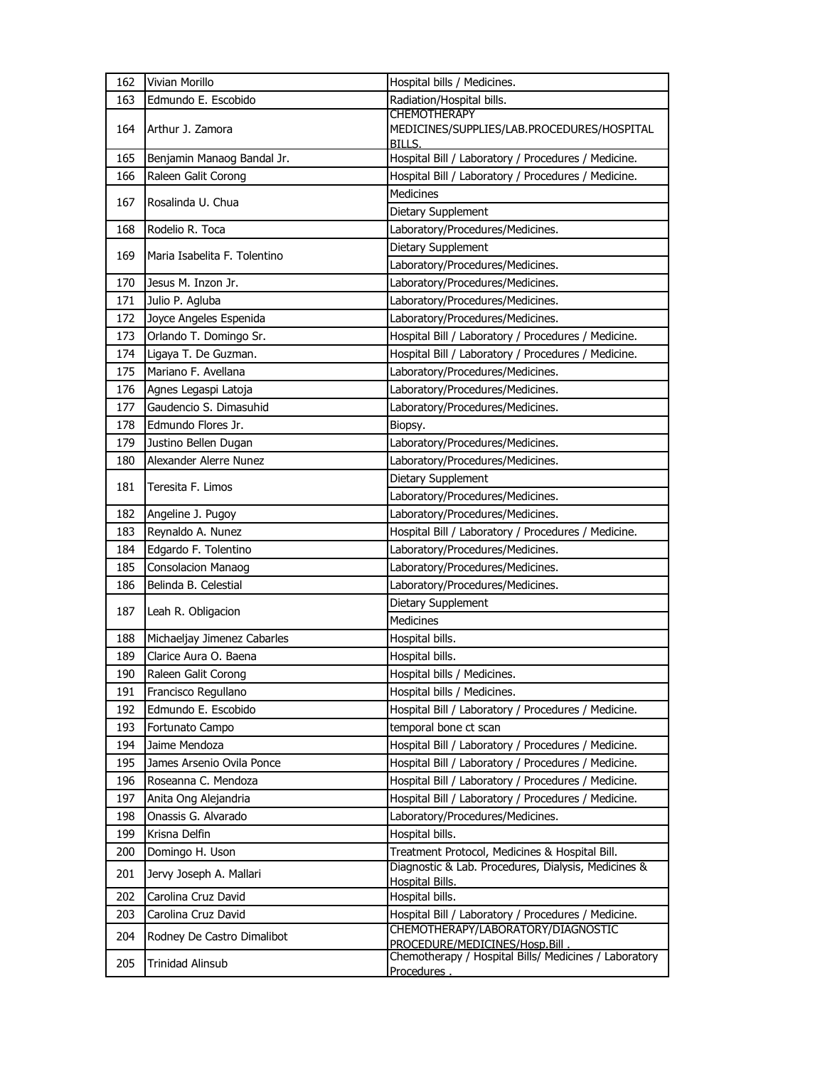| 162        | Vivian Morillo                                       | Hospital bills / Medicines.                                                        |
|------------|------------------------------------------------------|------------------------------------------------------------------------------------|
| 163        | Edmundo E. Escobido                                  | Radiation/Hospital bills.                                                          |
| 164        | Arthur J. Zamora                                     | <b>CHEMOTHERAPY</b><br>MEDICINES/SUPPLIES/LAB.PROCEDURES/HOSPITAL<br><b>BILLS.</b> |
| 165        | Benjamin Manaog Bandal Jr.                           | Hospital Bill / Laboratory / Procedures / Medicine.                                |
| 166        | Raleen Galit Corong                                  | Hospital Bill / Laboratory / Procedures / Medicine.                                |
|            |                                                      | <b>Medicines</b>                                                                   |
| 167        | Rosalinda U. Chua                                    | Dietary Supplement                                                                 |
| 168        | Rodelio R. Toca                                      | Laboratory/Procedures/Medicines.                                                   |
| 169        | Maria Isabelita F. Tolentino                         | Dietary Supplement                                                                 |
|            |                                                      | Laboratory/Procedures/Medicines.                                                   |
| 170        | Jesus M. Inzon Jr.                                   | Laboratory/Procedures/Medicines.                                                   |
| 171        | Julio P. Agluba                                      | Laboratory/Procedures/Medicines.                                                   |
| 172        | Joyce Angeles Espenida                               | Laboratory/Procedures/Medicines.                                                   |
| 173        | Orlando T. Domingo Sr.                               | Hospital Bill / Laboratory / Procedures / Medicine.                                |
| 174        | Ligaya T. De Guzman.                                 | Hospital Bill / Laboratory / Procedures / Medicine.                                |
| 175        | Mariano F. Avellana                                  | Laboratory/Procedures/Medicines.                                                   |
| 176        | Agnes Legaspi Latoja                                 | Laboratory/Procedures/Medicines.                                                   |
| 177        | Gaudencio S. Dimasuhid                               | Laboratory/Procedures/Medicines.                                                   |
| 178        | Edmundo Flores Jr.                                   | Biopsy.                                                                            |
| 179        | Justino Bellen Dugan                                 | Laboratory/Procedures/Medicines.                                                   |
| 180        | Alexander Alerre Nunez                               | Laboratory/Procedures/Medicines.                                                   |
| 181        | Teresita F. Limos                                    | Dietary Supplement                                                                 |
|            |                                                      | Laboratory/Procedures/Medicines.                                                   |
| 182        | Angeline J. Pugoy                                    | Laboratory/Procedures/Medicines.                                                   |
| 183        | Reynaldo A. Nunez                                    | Hospital Bill / Laboratory / Procedures / Medicine.                                |
| 184        | Edgardo F. Tolentino                                 | Laboratory/Procedures/Medicines.                                                   |
| 185        | <b>Consolacion Manaog</b>                            | Laboratory/Procedures/Medicines.                                                   |
| 186        | Belinda B. Celestial                                 | Laboratory/Procedures/Medicines.                                                   |
| 187        | Leah R. Obligacion                                   | Dietary Supplement                                                                 |
|            |                                                      | <b>Medicines</b>                                                                   |
| 188<br>189 | Michaeljay Jimenez Cabarles<br>Clarice Aura O. Baena | Hospital bills.<br>Hospital bills.                                                 |
| 190        | Raleen Galit Corong                                  |                                                                                    |
| 191        | Francisco Regullano                                  | Hospital bills / Medicines.<br>Hospital bills / Medicines.                         |
| 192        | Edmundo E. Escobido                                  | Hospital Bill / Laboratory / Procedures / Medicine.                                |
| 193        | Fortunato Campo                                      | temporal bone ct scan                                                              |
| 194        | Jaime Mendoza                                        | Hospital Bill / Laboratory / Procedures / Medicine.                                |
| 195        | James Arsenio Ovila Ponce                            | Hospital Bill / Laboratory / Procedures / Medicine.                                |
| 196        | Roseanna C. Mendoza                                  | Hospital Bill / Laboratory / Procedures / Medicine.                                |
| 197        | Anita Ong Alejandria                                 | Hospital Bill / Laboratory / Procedures / Medicine.                                |
| 198        | Onassis G. Alvarado                                  | Laboratory/Procedures/Medicines.                                                   |
| 199        | Krisna Delfin                                        | Hospital bills.                                                                    |
| 200        | Domingo H. Uson                                      | Treatment Protocol, Medicines & Hospital Bill.                                     |
| 201        | Jervy Joseph A. Mallari                              | Diagnostic & Lab. Procedures, Dialysis, Medicines &<br><b>Hospital Bills.</b>      |
| 202        | Carolina Cruz David                                  | Hospital bills.                                                                    |
| 203        | Carolina Cruz David                                  | Hospital Bill / Laboratory / Procedures / Medicine.                                |
| 204        | Rodney De Castro Dimalibot                           | CHEMOTHERAPY/LABORATORY/DIAGNOSTIC<br>PROCEDURE/MEDICINES/Hosp.Bill.               |
| 205        | <b>Trinidad Alinsub</b>                              | Chemotherapy / Hospital Bills/ Medicines / Laboratory<br>Procedures.               |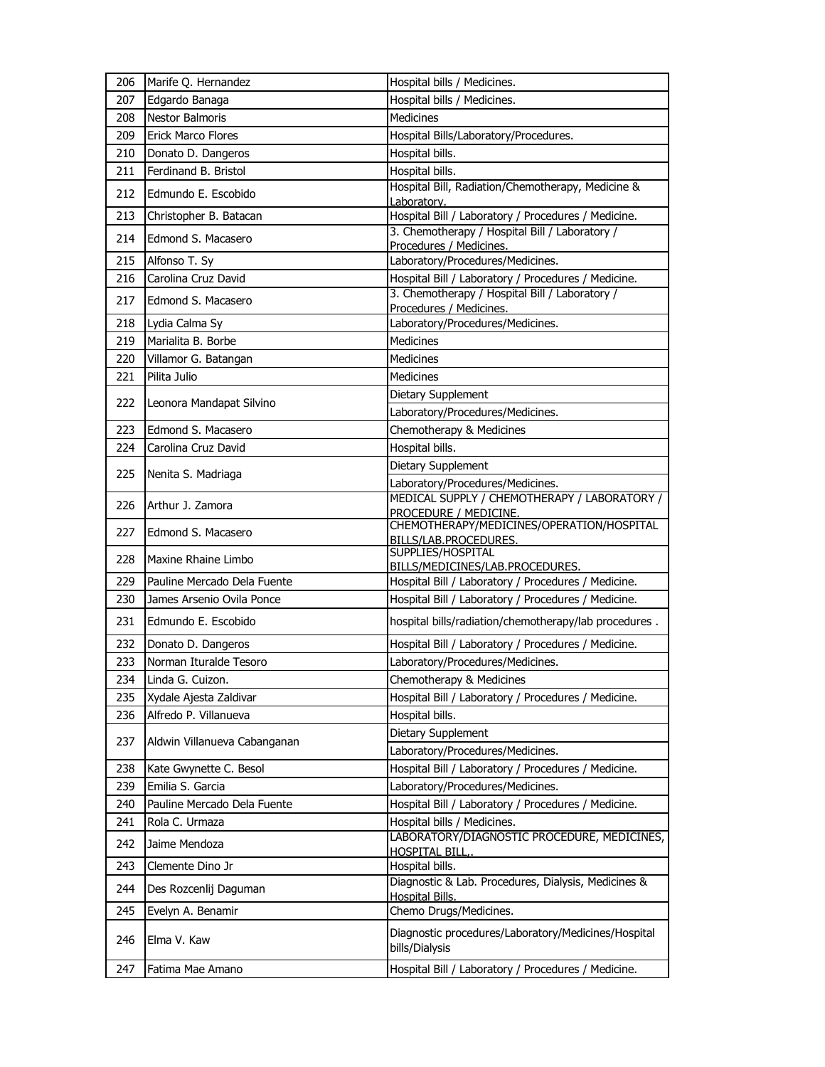| 206 | Marife Q. Hernandez          | Hospital bills / Medicines.                                                   |
|-----|------------------------------|-------------------------------------------------------------------------------|
| 207 | Edgardo Banaga               | Hospital bills / Medicines.                                                   |
| 208 | <b>Nestor Balmoris</b>       | <b>Medicines</b>                                                              |
| 209 | <b>Erick Marco Flores</b>    | Hospital Bills/Laboratory/Procedures.                                         |
| 210 | Donato D. Dangeros           | Hospital bills.                                                               |
| 211 | Ferdinand B. Bristol         | Hospital bills.                                                               |
| 212 | Edmundo E. Escobido          | Hospital Bill, Radiation/Chemotherapy, Medicine &<br>Laboratory.              |
| 213 | Christopher B. Batacan       | Hospital Bill / Laboratory / Procedures / Medicine.                           |
| 214 | Edmond S. Macasero           | 3. Chemotherapy / Hospital Bill / Laboratory /<br>Procedures / Medicines.     |
| 215 | Alfonso T. Sy                | Laboratory/Procedures/Medicines.                                              |
| 216 | Carolina Cruz David          | Hospital Bill / Laboratory / Procedures / Medicine.                           |
| 217 | Edmond S. Macasero           | 3. Chemotherapy / Hospital Bill / Laboratory /<br>Procedures / Medicines.     |
| 218 | Lydia Calma Sy               | Laboratory/Procedures/Medicines.                                              |
| 219 | Marialita B. Borbe           | <b>Medicines</b>                                                              |
| 220 | Villamor G. Batangan         | Medicines                                                                     |
| 221 | Pilita Julio                 | <b>Medicines</b>                                                              |
|     |                              | Dietary Supplement                                                            |
| 222 | Leonora Mandapat Silvino     | Laboratory/Procedures/Medicines.                                              |
| 223 | Edmond S. Macasero           | Chemotherapy & Medicines                                                      |
| 224 | Carolina Cruz David          | Hospital bills.                                                               |
|     |                              | Dietary Supplement                                                            |
| 225 | Nenita S. Madriaga           | Laboratory/Procedures/Medicines.                                              |
| 226 | Arthur J. Zamora             | MEDICAL SUPPLY / CHEMOTHERAPY / LABORATORY /<br>PROCEDURE / MEDICINE.         |
| 227 | Edmond S. Macasero           | CHEMOTHERAPY/MEDICINES/OPERATION/HOSPITAL<br>BILLS/LAB.PROCEDURES.            |
| 228 | Maxine Rhaine Limbo          | SUPPLIES/HOSPITAL<br>BILLS/MEDICINES/LAB.PROCEDURES.                          |
| 229 | Pauline Mercado Dela Fuente  | Hospital Bill / Laboratory / Procedures / Medicine.                           |
| 230 | James Arsenio Ovila Ponce    | Hospital Bill / Laboratory / Procedures / Medicine.                           |
| 231 | Edmundo E. Escobido          | hospital bills/radiation/chemotherapy/lab procedures.                         |
| 232 | Donato D. Dangeros           | Hospital Bill / Laboratory / Procedures / Medicine.                           |
| 233 | Norman Ituralde Tesoro       | Laboratory/Procedures/Medicines.                                              |
| 234 | Linda G. Cuizon.             | Chemotherapy & Medicines                                                      |
| 235 | Xydale Ajesta Zaldivar       | Hospital Bill / Laboratory / Procedures / Medicine.                           |
| 236 | Alfredo P. Villanueva        | Hospital bills.                                                               |
|     |                              | Dietary Supplement                                                            |
| 237 | Aldwin Villanueva Cabanganan | Laboratory/Procedures/Medicines.                                              |
| 238 | Kate Gwynette C. Besol       | Hospital Bill / Laboratory / Procedures / Medicine.                           |
| 239 | Emilia S. Garcia             | Laboratory/Procedures/Medicines.                                              |
| 240 | Pauline Mercado Dela Fuente  | Hospital Bill / Laboratory / Procedures / Medicine.                           |
| 241 | Rola C. Urmaza               | Hospital bills / Medicines.                                                   |
| 242 | Jaime Mendoza                | LABORATORY/DIAGNOSTIC PROCEDURE, MEDICINES,<br><b>HOSPITAL BILL,.</b>         |
| 243 | Clemente Dino Jr             | Hospital bills.                                                               |
| 244 | Des Rozcenlij Daguman        | Diagnostic & Lab. Procedures, Dialysis, Medicines &<br><b>Hospital Bills.</b> |
| 245 | Evelyn A. Benamir            | Chemo Drugs/Medicines.                                                        |
| 246 | Elma V. Kaw                  | Diagnostic procedures/Laboratory/Medicines/Hospital<br>bills/Dialysis         |
| 247 | Fatima Mae Amano             | Hospital Bill / Laboratory / Procedures / Medicine.                           |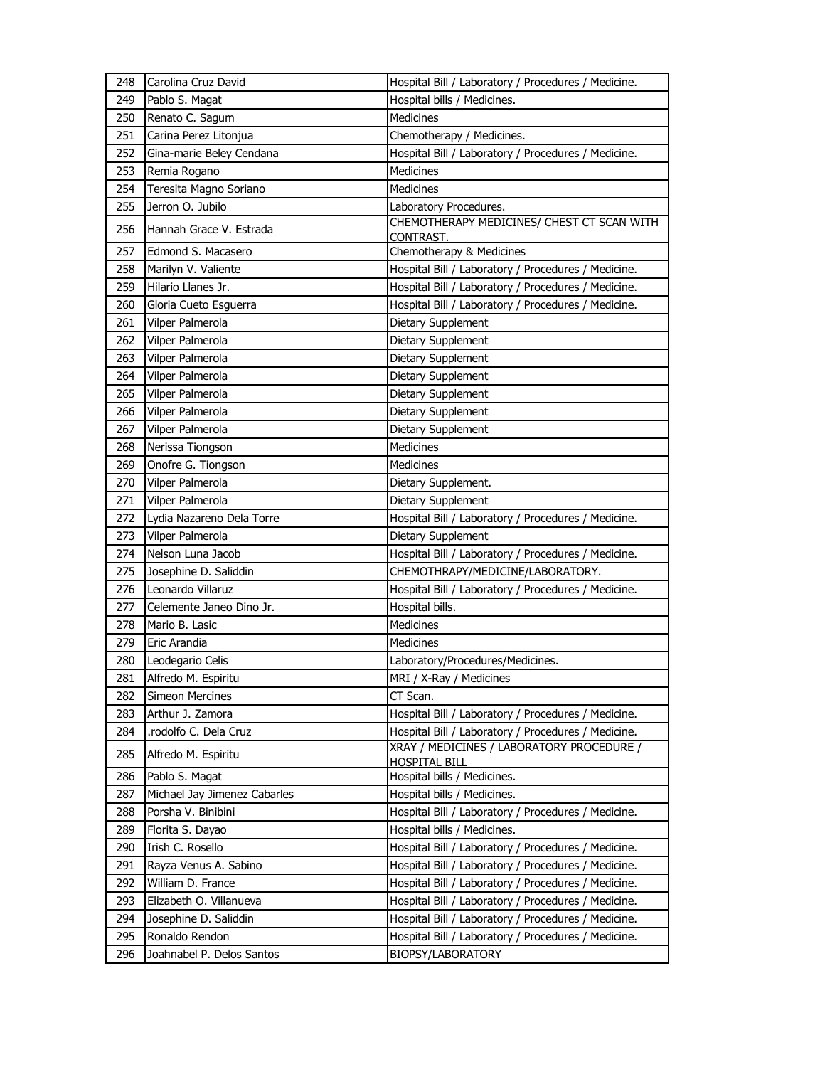| 248        | Carolina Cruz David                  | Hospital Bill / Laboratory / Procedures / Medicine.                                                        |
|------------|--------------------------------------|------------------------------------------------------------------------------------------------------------|
| 249        | Pablo S. Magat                       | Hospital bills / Medicines.                                                                                |
| 250        | Renato C. Sagum                      | <b>Medicines</b>                                                                                           |
| 251        | Carina Perez Litonjua                | Chemotherapy / Medicines.                                                                                  |
| 252        | Gina-marie Beley Cendana             | Hospital Bill / Laboratory / Procedures / Medicine.                                                        |
| 253        | Remia Rogano                         | Medicines                                                                                                  |
| 254        | Teresita Magno Soriano               | Medicines                                                                                                  |
| 255        | Jerron O. Jubilo                     | Laboratory Procedures.                                                                                     |
| 256        | Hannah Grace V. Estrada              | CHEMOTHERAPY MEDICINES/ CHEST CT SCAN WITH                                                                 |
| 257        | Edmond S. Macasero                   | CONTRAST.<br>Chemotherapy & Medicines                                                                      |
| 258        | Marilyn V. Valiente                  |                                                                                                            |
| 259        | Hilario Llanes Jr.                   | Hospital Bill / Laboratory / Procedures / Medicine.<br>Hospital Bill / Laboratory / Procedures / Medicine. |
| 260        | Gloria Cueto Esguerra                | Hospital Bill / Laboratory / Procedures / Medicine.                                                        |
|            |                                      |                                                                                                            |
| 261<br>262 | Vilper Palmerola<br>Vilper Palmerola | Dietary Supplement                                                                                         |
|            |                                      | Dietary Supplement                                                                                         |
| 263        | Vilper Palmerola                     | Dietary Supplement                                                                                         |
| 264        | Vilper Palmerola                     | Dietary Supplement                                                                                         |
| 265        | Vilper Palmerola                     | Dietary Supplement                                                                                         |
| 266        | Vilper Palmerola                     | Dietary Supplement                                                                                         |
| 267        | Vilper Palmerola                     | Dietary Supplement                                                                                         |
| 268        | Nerissa Tiongson                     | Medicines                                                                                                  |
| 269        | Onofre G. Tiongson                   | Medicines                                                                                                  |
| 270        | Vilper Palmerola                     | Dietary Supplement.                                                                                        |
| 271        | Vilper Palmerola                     | Dietary Supplement                                                                                         |
| 272        | Lydia Nazareno Dela Torre            | Hospital Bill / Laboratory / Procedures / Medicine.                                                        |
| 273        | Vilper Palmerola                     | Dietary Supplement                                                                                         |
| 274        | Nelson Luna Jacob                    | Hospital Bill / Laboratory / Procedures / Medicine.                                                        |
| 275        | Josephine D. Saliddin                | CHEMOTHRAPY/MEDICINE/LABORATORY.                                                                           |
| 276        | Leonardo Villaruz                    | Hospital Bill / Laboratory / Procedures / Medicine.                                                        |
| 277        | Celemente Janeo Dino Jr.             | Hospital bills.                                                                                            |
| 278        | Mario B. Lasic                       | Medicines                                                                                                  |
| 279        | Eric Arandia                         | <b>Medicines</b>                                                                                           |
| 280        | Leodegario Celis                     | Laboratory/Procedures/Medicines.                                                                           |
| 281        | Alfredo M. Espiritu                  | MRI / X-Ray / Medicines                                                                                    |
| 282        | <b>Simeon Mercines</b>               | CT Scan.                                                                                                   |
| 283        | Arthur J. Zamora                     | Hospital Bill / Laboratory / Procedures / Medicine.                                                        |
| 284        | .rodolfo C. Dela Cruz                | Hospital Bill / Laboratory / Procedures / Medicine.                                                        |
| 285        | Alfredo M. Espiritu                  | XRAY / MEDICINES / LABORATORY PROCEDURE /<br><b>HOSPITAL BILL</b>                                          |
| 286        | Pablo S. Magat                       | Hospital bills / Medicines.                                                                                |
| 287        | Michael Jay Jimenez Cabarles         | Hospital bills / Medicines.                                                                                |
| 288        | Porsha V. Binibini                   | Hospital Bill / Laboratory / Procedures / Medicine.                                                        |
| 289        | Florita S. Dayao                     | Hospital bills / Medicines.                                                                                |
| 290        | Irish C. Rosello                     | Hospital Bill / Laboratory / Procedures / Medicine.                                                        |
| 291        | Rayza Venus A. Sabino                | Hospital Bill / Laboratory / Procedures / Medicine.                                                        |
| 292        | William D. France                    | Hospital Bill / Laboratory / Procedures / Medicine.                                                        |
| 293        | Elizabeth O. Villanueva              | Hospital Bill / Laboratory / Procedures / Medicine.                                                        |
| 294        | Josephine D. Saliddin                | Hospital Bill / Laboratory / Procedures / Medicine.                                                        |
| 295        | Ronaldo Rendon                       | Hospital Bill / Laboratory / Procedures / Medicine.                                                        |
| 296        | Joahnabel P. Delos Santos            | BIOPSY/LABORATORY                                                                                          |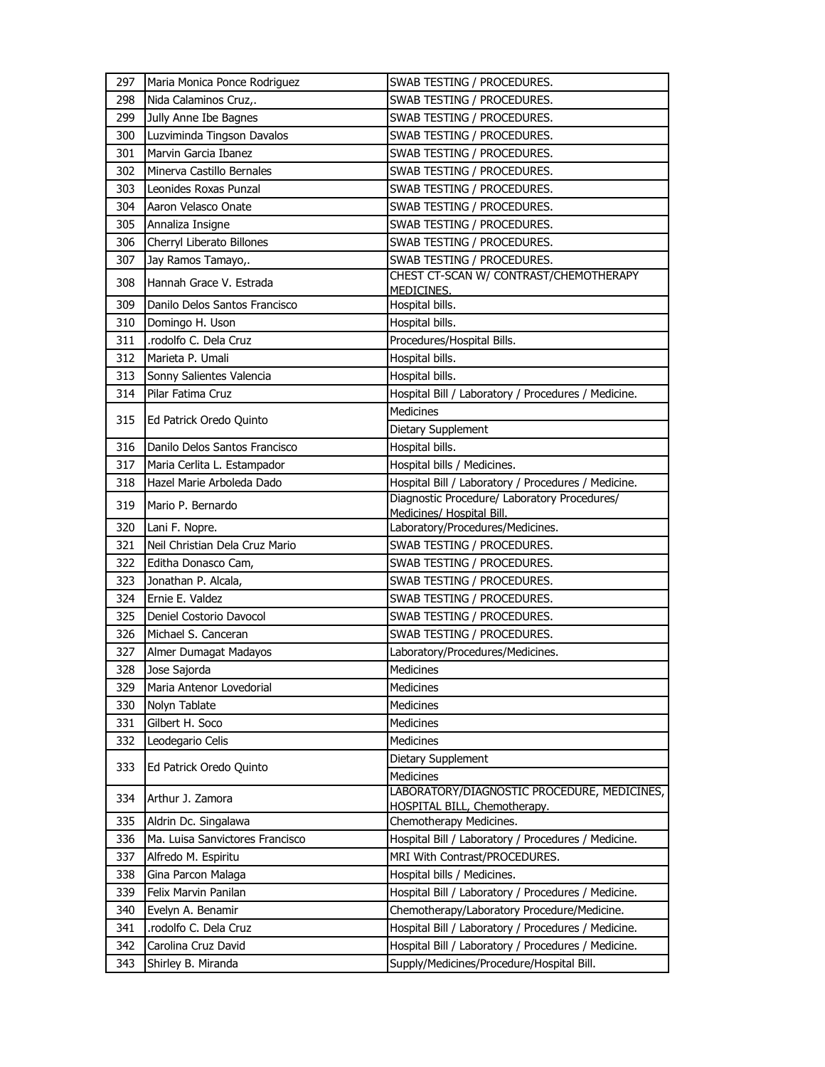| 297 | Maria Monica Ponce Rodriguez    | SWAB TESTING / PROCEDURES.                                                  |
|-----|---------------------------------|-----------------------------------------------------------------------------|
| 298 | Nida Calaminos Cruz,.           | SWAB TESTING / PROCEDURES.                                                  |
| 299 | Jully Anne Ibe Bagnes           | SWAB TESTING / PROCEDURES.                                                  |
| 300 | Luzviminda Tingson Davalos      | SWAB TESTING / PROCEDURES.                                                  |
| 301 | Marvin Garcia Ibanez            | SWAB TESTING / PROCEDURES.                                                  |
| 302 | Minerva Castillo Bernales       | SWAB TESTING / PROCEDURES.                                                  |
| 303 | Leonides Roxas Punzal           | SWAB TESTING / PROCEDURES.                                                  |
| 304 | Aaron Velasco Onate             | SWAB TESTING / PROCEDURES.                                                  |
| 305 | Annaliza Insigne                | SWAB TESTING / PROCEDURES.                                                  |
| 306 | Cherryl Liberato Billones       | SWAB TESTING / PROCEDURES.                                                  |
| 307 | Jay Ramos Tamayo,.              | SWAB TESTING / PROCEDURES.                                                  |
| 308 | Hannah Grace V. Estrada         | CHEST CT-SCAN W/ CONTRAST/CHEMOTHERAPY<br>MEDICINES.                        |
| 309 | Danilo Delos Santos Francisco   | Hospital bills.                                                             |
| 310 | Domingo H. Uson                 | Hospital bills.                                                             |
| 311 | rodolfo C. Dela Cruz            | Procedures/Hospital Bills.                                                  |
| 312 | Marieta P. Umali                | Hospital bills.                                                             |
| 313 | Sonny Salientes Valencia        | Hospital bills.                                                             |
| 314 | Pilar Fatima Cruz               | Hospital Bill / Laboratory / Procedures / Medicine.                         |
|     |                                 | <b>Medicines</b>                                                            |
| 315 | Ed Patrick Oredo Quinto         | Dietary Supplement                                                          |
| 316 | Danilo Delos Santos Francisco   | Hospital bills.                                                             |
| 317 | Maria Cerlita L. Estampador     | Hospital bills / Medicines.                                                 |
| 318 | Hazel Marie Arboleda Dado       | Hospital Bill / Laboratory / Procedures / Medicine.                         |
| 319 | Mario P. Bernardo               | Diagnostic Procedure/ Laboratory Procedures/<br>Medicines/ Hospital Bill.   |
| 320 | Lani F. Nopre.                  | Laboratory/Procedures/Medicines.                                            |
| 321 | Neil Christian Dela Cruz Mario  | SWAB TESTING / PROCEDURES.                                                  |
| 322 | Editha Donasco Cam,             | SWAB TESTING / PROCEDURES.                                                  |
| 323 | Jonathan P. Alcala,             | SWAB TESTING / PROCEDURES.                                                  |
| 324 | Ernie E. Valdez                 | SWAB TESTING / PROCEDURES.                                                  |
| 325 | Deniel Costorio Davocol         | SWAB TESTING / PROCEDURES.                                                  |
| 326 | Michael S. Canceran             | SWAB TESTING / PROCEDURES.                                                  |
| 327 | Almer Dumagat Madayos           | Laboratory/Procedures/Medicines.                                            |
| 328 | Jose Sajorda                    | Medicines                                                                   |
| 329 | Maria Antenor Lovedorial        | Medicines                                                                   |
| 330 | Nolyn Tablate                   | Medicines                                                                   |
| 331 | Gilbert H. Soco                 | Medicines                                                                   |
| 332 | Leodegario Celis                | Medicines                                                                   |
| 333 | Ed Patrick Oredo Quinto         | Dietary Supplement<br>Medicines                                             |
| 334 | Arthur J. Zamora                | LABORATORY/DIAGNOSTIC PROCEDURE, MEDICINES,<br>HOSPITAL BILL, Chemotherapy. |
| 335 | Aldrin Dc. Singalawa            | Chemotherapy Medicines.                                                     |
| 336 | Ma. Luisa Sanvictores Francisco | Hospital Bill / Laboratory / Procedures / Medicine.                         |
| 337 | Alfredo M. Espiritu             | MRI With Contrast/PROCEDURES.                                               |
| 338 | Gina Parcon Malaga              | Hospital bills / Medicines.                                                 |
| 339 | Felix Marvin Panilan            | Hospital Bill / Laboratory / Procedures / Medicine.                         |
| 340 | Evelyn A. Benamir               | Chemotherapy/Laboratory Procedure/Medicine.                                 |
| 341 | .rodolfo C. Dela Cruz           | Hospital Bill / Laboratory / Procedures / Medicine.                         |
| 342 | Carolina Cruz David             | Hospital Bill / Laboratory / Procedures / Medicine.                         |
| 343 | Shirley B. Miranda              | Supply/Medicines/Procedure/Hospital Bill.                                   |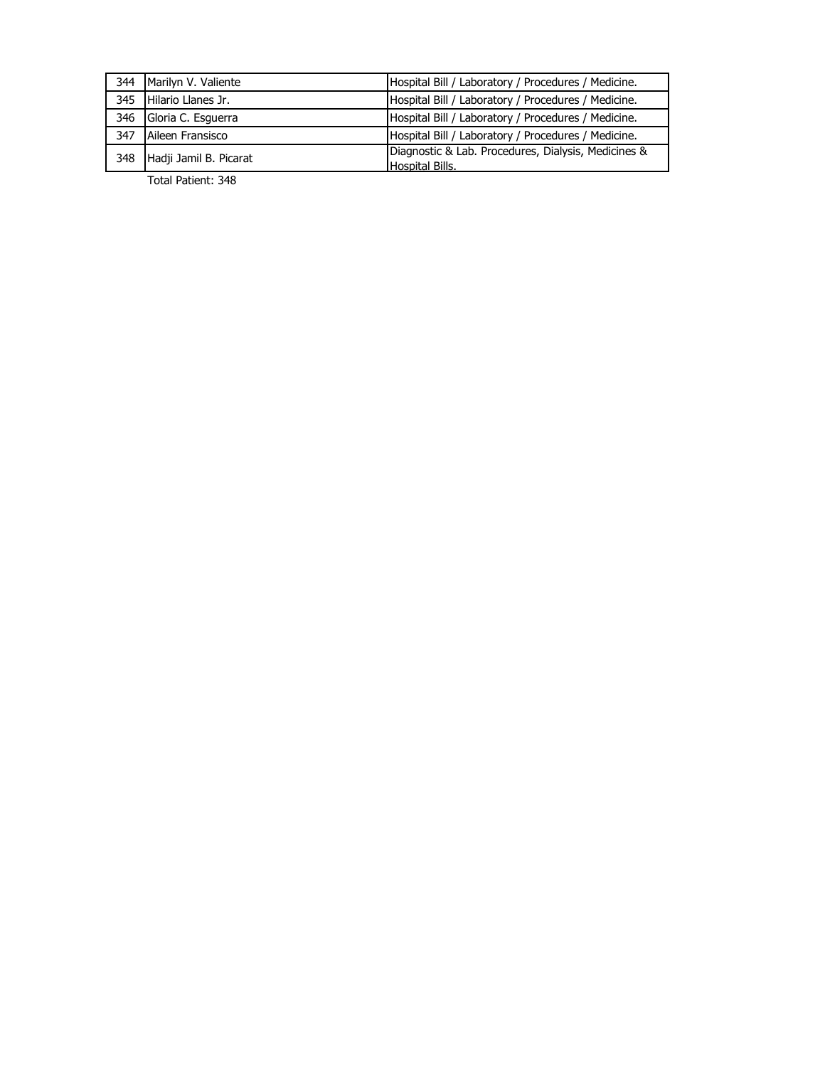|     | 344 Marilyn V. Valiente | Hospital Bill / Laboratory / Procedures / Medicine.                           |
|-----|-------------------------|-------------------------------------------------------------------------------|
| 345 | Hilario Llanes Jr.      | Hospital Bill / Laboratory / Procedures / Medicine.                           |
| 346 | Gloria C. Esguerra      | Hospital Bill / Laboratory / Procedures / Medicine.                           |
| 347 | Aileen Fransisco        | Hospital Bill / Laboratory / Procedures / Medicine.                           |
| 348 | Hadji Jamil B. Picarat  | Diagnostic & Lab. Procedures, Dialysis, Medicines &<br><b>Hospital Bills.</b> |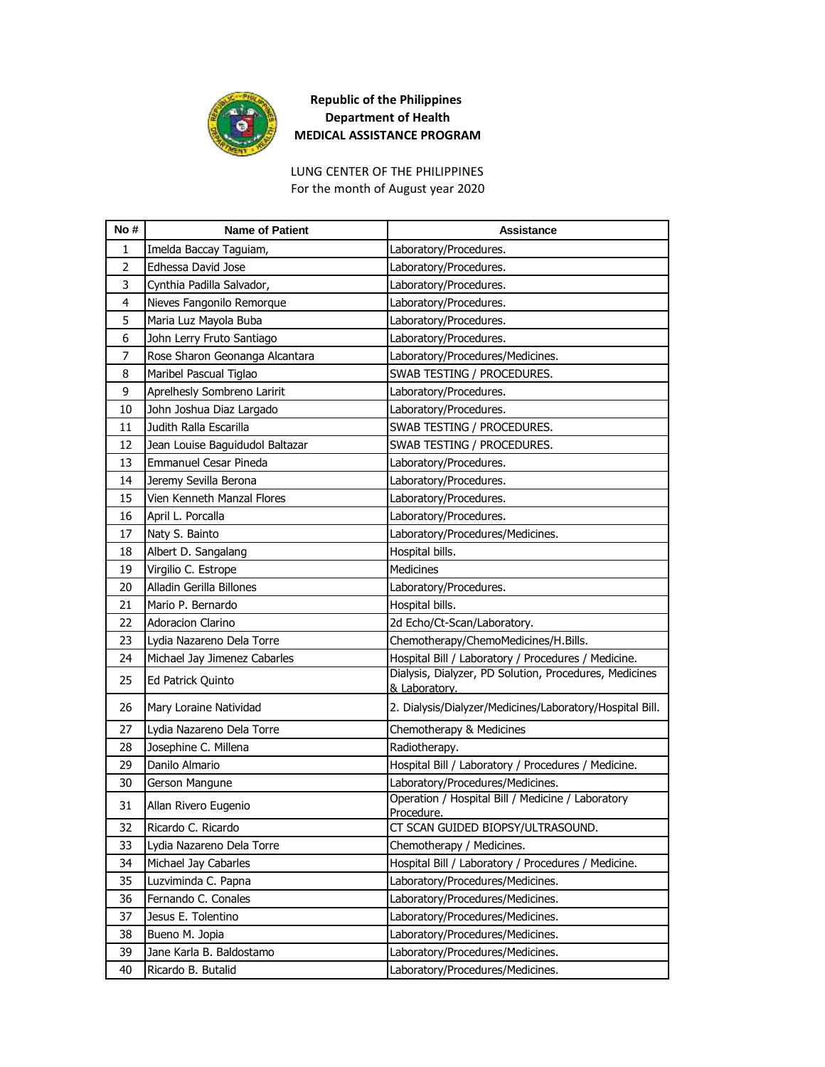

LUNG CENTER OF THE PHILIPPINES For the month of August year 2020

| No #           | <b>Name of Patient</b>          | Assistance                                                              |
|----------------|---------------------------------|-------------------------------------------------------------------------|
| 1              | Imelda Baccay Taguiam,          | Laboratory/Procedures.                                                  |
| $\overline{2}$ | Edhessa David Jose              | Laboratory/Procedures.                                                  |
| 3              | Cynthia Padilla Salvador,       | Laboratory/Procedures.                                                  |
| 4              | Nieves Fangonilo Remorque       | Laboratory/Procedures.                                                  |
| 5              | Maria Luz Mayola Buba           | Laboratory/Procedures.                                                  |
| 6              | John Lerry Fruto Santiago       | Laboratory/Procedures.                                                  |
| 7              | Rose Sharon Geonanga Alcantara  | Laboratory/Procedures/Medicines.                                        |
| 8              | Maribel Pascual Tiglao          | SWAB TESTING / PROCEDURES.                                              |
| 9              | Aprelhesly Sombreno Laririt     | Laboratory/Procedures.                                                  |
| 10             | John Joshua Diaz Largado        | Laboratory/Procedures.                                                  |
| 11             | Judith Ralla Escarilla          | SWAB TESTING / PROCEDURES.                                              |
| 12             | Jean Louise Baguidudol Baltazar | SWAB TESTING / PROCEDURES.                                              |
| 13             | <b>Emmanuel Cesar Pineda</b>    | Laboratory/Procedures.                                                  |
| 14             | Jeremy Sevilla Berona           | Laboratory/Procedures.                                                  |
| 15             | Vien Kenneth Manzal Flores      | Laboratory/Procedures.                                                  |
| 16             | April L. Porcalla               | Laboratory/Procedures.                                                  |
| 17             | Naty S. Bainto                  | Laboratory/Procedures/Medicines.                                        |
| 18             | Albert D. Sangalang             | Hospital bills.                                                         |
| 19             | Virgilio C. Estrope             | <b>Medicines</b>                                                        |
| 20             | Alladin Gerilla Billones        | Laboratory/Procedures.                                                  |
| 21             | Mario P. Bernardo               | Hospital bills.                                                         |
| 22             | <b>Adoracion Clarino</b>        | 2d Echo/Ct-Scan/Laboratory.                                             |
| 23             | Lydia Nazareno Dela Torre       | Chemotherapy/ChemoMedicines/H.Bills.                                    |
| 24             | Michael Jay Jimenez Cabarles    | Hospital Bill / Laboratory / Procedures / Medicine.                     |
| 25             | Ed Patrick Quinto               | Dialysis, Dialyzer, PD Solution, Procedures, Medicines<br>& Laboratory. |
| 26             | Mary Loraine Natividad          | 2. Dialysis/Dialyzer/Medicines/Laboratory/Hospital Bill.                |
| 27             | Lydia Nazareno Dela Torre       | Chemotherapy & Medicines                                                |
| 28             | Josephine C. Millena            | Radiotherapy.                                                           |
| 29             | Danilo Almario                  | Hospital Bill / Laboratory / Procedures / Medicine.                     |
| 30             | Gerson Mangune                  | Laboratory/Procedures/Medicines.                                        |
| 31             | Allan Rivero Eugenio            | Operation / Hospital Bill / Medicine / Laboratory<br>Procedure.         |
| 32             | Ricardo C. Ricardo              | CT SCAN GUIDED BIOPSY/ULTRASOUND.                                       |
| 33             | Lydia Nazareno Dela Torre       | Chemotherapy / Medicines.                                               |
| 34             | Michael Jay Cabarles            | Hospital Bill / Laboratory / Procedures / Medicine.                     |
| 35             | Luzviminda C. Papna             | Laboratory/Procedures/Medicines.                                        |
| 36             | Fernando C. Conales             | Laboratory/Procedures/Medicines.                                        |
| 37             | Jesus E. Tolentino              | Laboratory/Procedures/Medicines.                                        |
| 38             | Bueno M. Jopia                  | Laboratory/Procedures/Medicines.                                        |
| 39             | Jane Karla B. Baldostamo        | Laboratory/Procedures/Medicines.                                        |
| 40             | Ricardo B. Butalid              | Laboratory/Procedures/Medicines.                                        |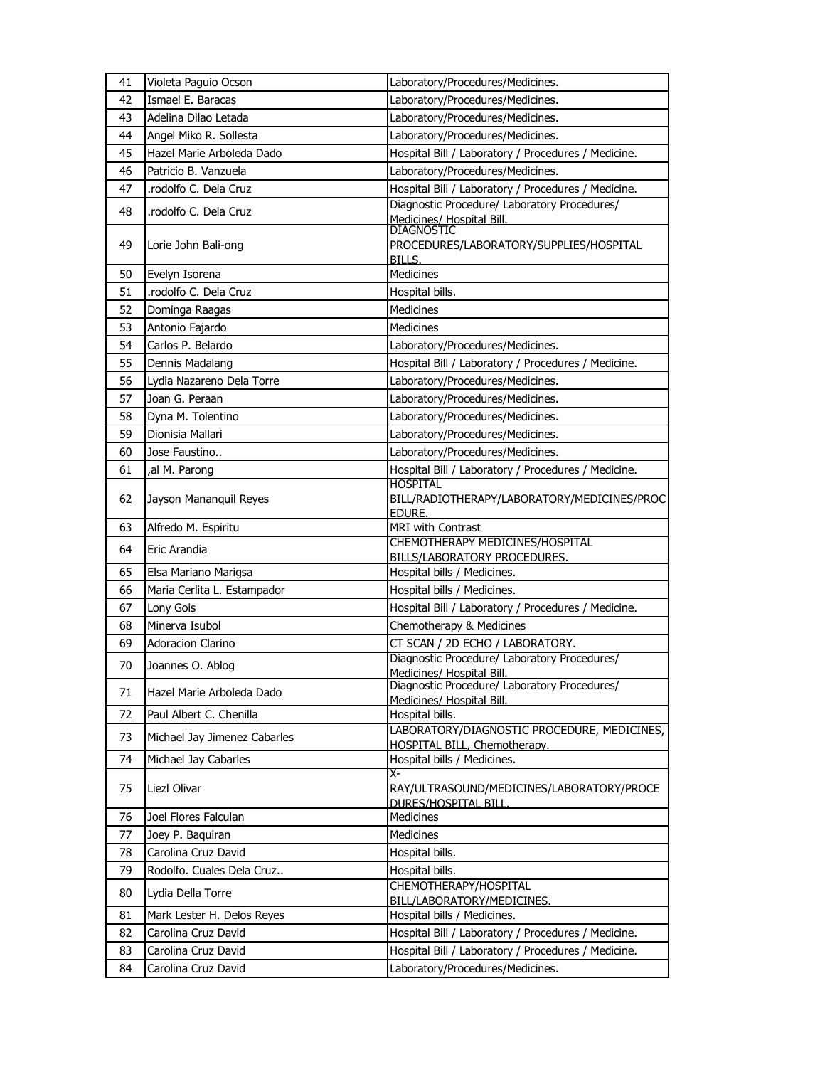| 41 | Violeta Paguio Ocson         | Laboratory/Procedures/Medicines.                                          |
|----|------------------------------|---------------------------------------------------------------------------|
| 42 | Ismael E. Baracas            | Laboratory/Procedures/Medicines.                                          |
| 43 | Adelina Dilao Letada         | Laboratory/Procedures/Medicines.                                          |
| 44 | Angel Miko R. Sollesta       | Laboratory/Procedures/Medicines.                                          |
| 45 | Hazel Marie Arboleda Dado    | Hospital Bill / Laboratory / Procedures / Medicine.                       |
| 46 | Patricio B. Vanzuela         | Laboratory/Procedures/Medicines.                                          |
| 47 | rodolfo C. Dela Cruz         | Hospital Bill / Laboratory / Procedures / Medicine.                       |
| 48 | .rodolfo C. Dela Cruz        | Diagnostic Procedure/ Laboratory Procedures/                              |
|    |                              | Medicines/ Hospital Bill.<br><b>DIAGNOSTIC</b>                            |
| 49 | Lorie John Bali-ong          | PROCEDURES/LABORATORY/SUPPLIES/HOSPITAL<br>BILLS.                         |
| 50 | Evelyn Isorena               | Medicines                                                                 |
| 51 | .rodolfo C. Dela Cruz        | Hospital bills.                                                           |
| 52 | Dominga Raagas               | <b>Medicines</b>                                                          |
| 53 | Antonio Fajardo              | <b>Medicines</b>                                                          |
| 54 | Carlos P. Belardo            | Laboratory/Procedures/Medicines.                                          |
| 55 | Dennis Madalang              | Hospital Bill / Laboratory / Procedures / Medicine.                       |
| 56 | Lydia Nazareno Dela Torre    | Laboratory/Procedures/Medicines.                                          |
| 57 | Joan G. Peraan               | Laboratory/Procedures/Medicines.                                          |
| 58 | Dyna M. Tolentino            | Laboratory/Procedures/Medicines.                                          |
| 59 | Dionisia Mallari             | Laboratory/Procedures/Medicines.                                          |
| 60 | Jose Faustino                | Laboratory/Procedures/Medicines.                                          |
| 61 | al M. Parong,                | Hospital Bill / Laboratory / Procedures / Medicine.                       |
|    |                              | <b>HOSPITAL</b>                                                           |
| 62 | Jayson Mananquil Reyes       | BILL/RADIOTHERAPY/LABORATORY/MEDICINES/PROC<br>EDURE.                     |
| 63 | Alfredo M. Espiritu          | <b>MRI with Contrast</b>                                                  |
| 64 | Eric Arandia                 | CHEMOTHERAPY MEDICINES/HOSPITAL                                           |
|    |                              | <b>BILLS/LABORATORY PROCEDURES</b>                                        |
| 65 | Elsa Mariano Marigsa         | Hospital bills / Medicines.                                               |
| 66 | Maria Cerlita L. Estampador  | Hospital bills / Medicines.                                               |
| 67 | Lony Gois                    | Hospital Bill / Laboratory / Procedures / Medicine.                       |
| 68 | Minerva Isubol               | Chemotherapy & Medicines                                                  |
| 69 | <b>Adoracion Clarino</b>     | CT SCAN / 2D ECHO / LABORATORY.                                           |
| 70 | Joannes O. Ablog             | Diagnostic Procedure/ Laboratory Procedures/<br>Medicines/ Hospital Bill. |
| 71 | Hazel Marie Arboleda Dado    | Diagnostic Procedure/ Laboratory Procedures/                              |
|    |                              | Medicines/ Hospital Bill.                                                 |
| 72 | Paul Albert C. Chenilla      | Hospital bills.<br>LABORATORY/DIAGNOSTIC PROCEDURE, MEDICINES,            |
| 73 | Michael Jay Jimenez Cabarles | HOSPITAL BILL, Chemotherapy.                                              |
| 74 | Michael Jay Cabarles         | Hospital bills / Medicines.                                               |
|    |                              | χ-                                                                        |
| 75 | Liezl Olivar                 | RAY/ULTRASOUND/MEDICINES/LABORATORY/PROCE<br>DURES/HOSPITAL BILL.         |
| 76 | Joel Flores Falculan         | Medicines                                                                 |
| 77 | Joey P. Baquiran             | Medicines                                                                 |
| 78 | Carolina Cruz David          | Hospital bills.                                                           |
| 79 | Rodolfo. Cuales Dela Cruz    | Hospital bills.                                                           |
| 80 | Lydia Della Torre            | CHEMOTHERAPY/HOSPITAL                                                     |
| 81 | Mark Lester H. Delos Reyes   | BILL/LABORATORY/MEDICINES.<br>Hospital bills / Medicines.                 |
| 82 | Carolina Cruz David          | Hospital Bill / Laboratory / Procedures / Medicine.                       |
| 83 | Carolina Cruz David          | Hospital Bill / Laboratory / Procedures / Medicine.                       |
| 84 | Carolina Cruz David          | Laboratory/Procedures/Medicines.                                          |
|    |                              |                                                                           |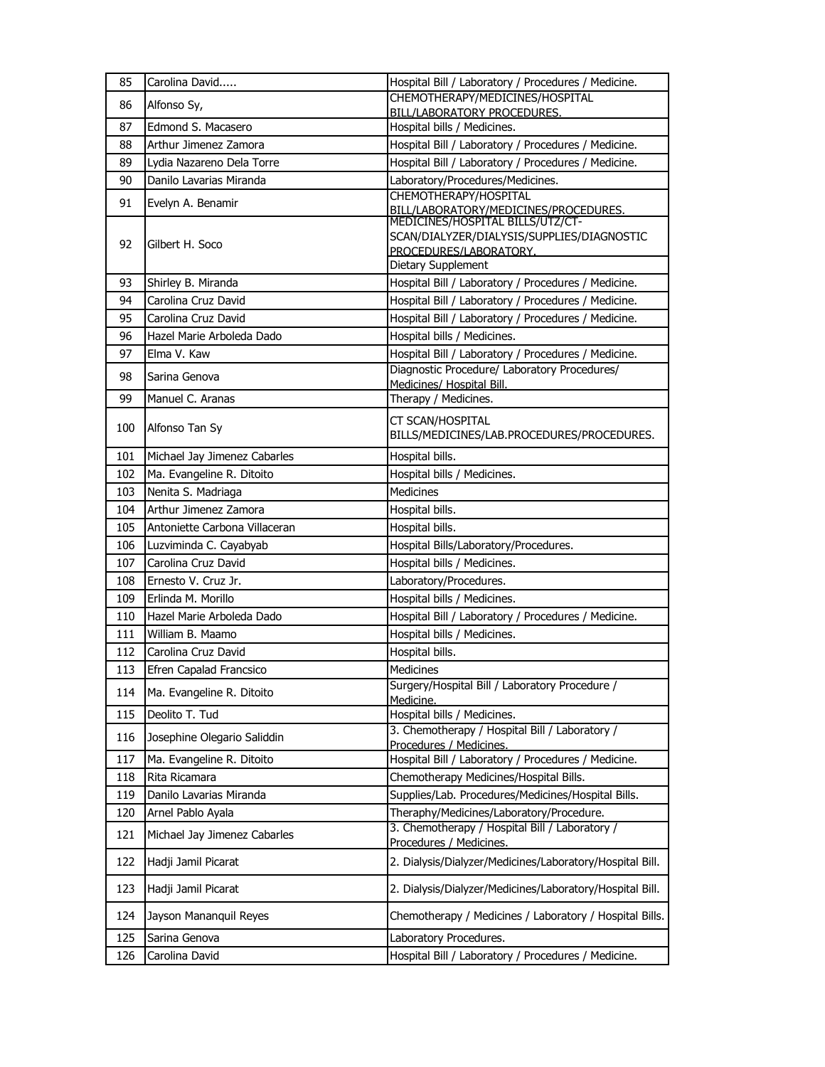| 85  | Carolina David                | Hospital Bill / Laboratory / Procedures / Medicine.                            |
|-----|-------------------------------|--------------------------------------------------------------------------------|
| 86  | Alfonso Sy,                   | CHEMOTHERAPY/MEDICINES/HOSPITAL<br><b>BILL/LABORATORY PROCEDURES.</b>          |
| 87  | Edmond S. Macasero            | Hospital bills / Medicines.                                                    |
| 88  | Arthur Jimenez Zamora         | Hospital Bill / Laboratory / Procedures / Medicine.                            |
| 89  | Lydia Nazareno Dela Torre     | Hospital Bill / Laboratory / Procedures / Medicine.                            |
| 90  | Danilo Lavarias Miranda       | Laboratory/Procedures/Medicines.                                               |
|     |                               | CHEMOTHERAPY/HOSPITAL                                                          |
| 91  | Evelyn A. Benamir             | BILL/LABORATORY/MEDICINES/PROCEDURES.<br>MEDICINES/HOSPITAL BILLS/UTZ/CT-      |
|     |                               | SCAN/DIALYZER/DIALYSIS/SUPPLIES/DIAGNOSTIC                                     |
| 92  | Gilbert H. Soco               | PROCEDURES/LABORATORY.                                                         |
|     |                               | Dietary Supplement                                                             |
| 93  | Shirley B. Miranda            | Hospital Bill / Laboratory / Procedures / Medicine.                            |
| 94  | Carolina Cruz David           | Hospital Bill / Laboratory / Procedures / Medicine.                            |
| 95  | Carolina Cruz David           | Hospital Bill / Laboratory / Procedures / Medicine.                            |
| 96  | Hazel Marie Arboleda Dado     | Hospital bills / Medicines.                                                    |
| 97  | Elma V. Kaw                   | Hospital Bill / Laboratory / Procedures / Medicine.                            |
| 98  | Sarina Genova                 | Diagnostic Procedure/ Laboratory Procedures/                                   |
| 99  | Manuel C. Aranas              | Medicines/ Hospital Bill.                                                      |
|     |                               | Therapy / Medicines.                                                           |
| 100 | Alfonso Tan Sy                | CT SCAN/HOSPITAL<br>BILLS/MEDICINES/LAB.PROCEDURES/PROCEDURES.                 |
| 101 | Michael Jay Jimenez Cabarles  | Hospital bills.                                                                |
| 102 | Ma. Evangeline R. Ditoito     | Hospital bills / Medicines.                                                    |
| 103 | Nenita S. Madriaga            | Medicines                                                                      |
| 104 | Arthur Jimenez Zamora         | Hospital bills.                                                                |
|     |                               |                                                                                |
| 105 | Antoniette Carbona Villaceran | Hospital bills.                                                                |
| 106 | Luzviminda C. Cayabyab        | Hospital Bills/Laboratory/Procedures.                                          |
| 107 | Carolina Cruz David           | Hospital bills / Medicines.                                                    |
| 108 | Ernesto V. Cruz Jr.           | Laboratory/Procedures.                                                         |
| 109 | Erlinda M. Morillo            | Hospital bills / Medicines.                                                    |
| 110 | Hazel Marie Arboleda Dado     | Hospital Bill / Laboratory / Procedures / Medicine.                            |
| 111 | William B. Maamo              | Hospital bills / Medicines.                                                    |
| 112 | Carolina Cruz David           | Hospital bills.                                                                |
| 113 | Efren Capalad Francsico       | Medicines                                                                      |
| 114 | Ma. Evangeline R. Ditoito     | Surgery/Hospital Bill / Laboratory Procedure /<br>Medicine.                    |
| 115 | Deolito T. Tud                | Hospital bills / Medicines.                                                    |
| 116 | Josephine Olegario Saliddin   | 3. Chemotherapy / Hospital Bill / Laboratory /                                 |
| 117 | Ma. Evangeline R. Ditoito     | Procedures / Medicines.<br>Hospital Bill / Laboratory / Procedures / Medicine. |
| 118 | Rita Ricamara                 | Chemotherapy Medicines/Hospital Bills.                                         |
| 119 | Danilo Lavarias Miranda       | Supplies/Lab. Procedures/Medicines/Hospital Bills.                             |
| 120 | Arnel Pablo Ayala             | Theraphy/Medicines/Laboratory/Procedure.                                       |
| 121 | Michael Jay Jimenez Cabarles  | 3. Chemotherapy / Hospital Bill / Laboratory /<br>Procedures / Medicines.      |
| 122 | Hadji Jamil Picarat           | 2. Dialysis/Dialyzer/Medicines/Laboratory/Hospital Bill.                       |
| 123 | Hadji Jamil Picarat           | 2. Dialysis/Dialyzer/Medicines/Laboratory/Hospital Bill.                       |
| 124 | Jayson Mananquil Reyes        | Chemotherapy / Medicines / Laboratory / Hospital Bills.                        |
| 125 | Sarina Genova                 | Laboratory Procedures.                                                         |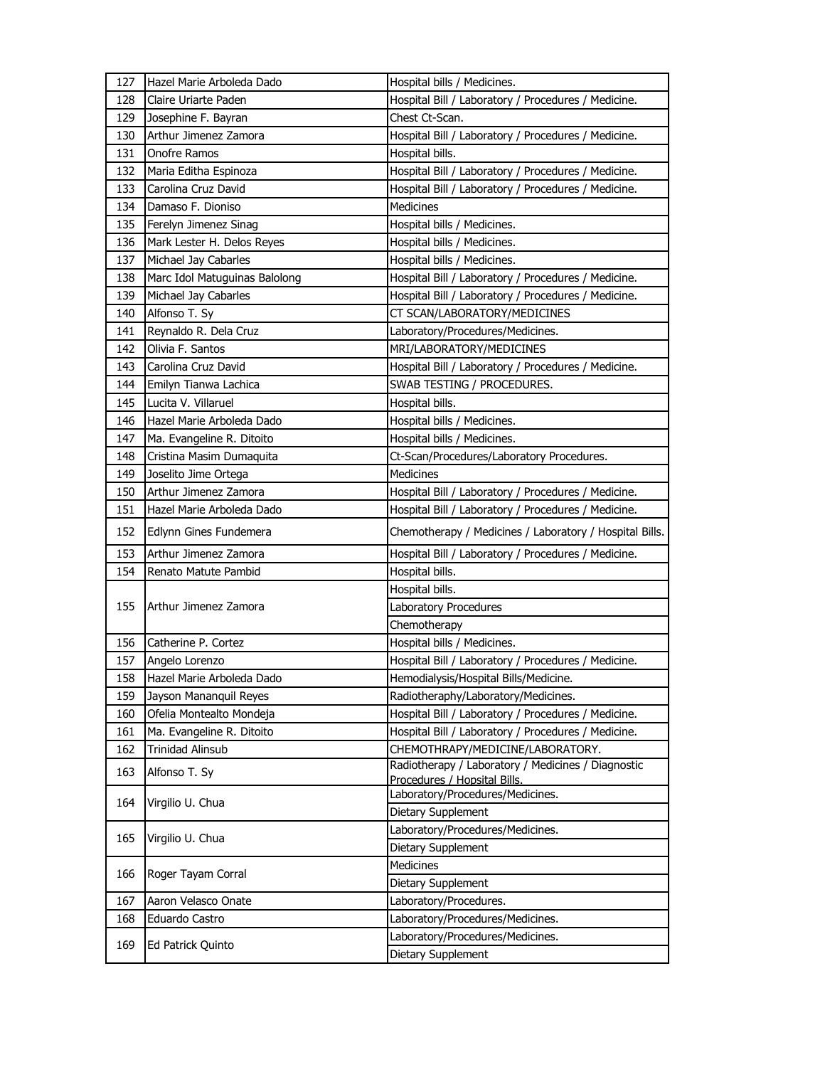| 127 | Hazel Marie Arboleda Dado     | Hospital bills / Medicines.                                                        |
|-----|-------------------------------|------------------------------------------------------------------------------------|
| 128 | Claire Uriarte Paden          | Hospital Bill / Laboratory / Procedures / Medicine.                                |
| 129 | Josephine F. Bayran           | Chest Ct-Scan.                                                                     |
| 130 | Arthur Jimenez Zamora         | Hospital Bill / Laboratory / Procedures / Medicine.                                |
| 131 | Onofre Ramos                  | Hospital bills.                                                                    |
| 132 | Maria Editha Espinoza         | Hospital Bill / Laboratory / Procedures / Medicine.                                |
| 133 | Carolina Cruz David           | Hospital Bill / Laboratory / Procedures / Medicine.                                |
| 134 | Damaso F. Dioniso             | Medicines                                                                          |
| 135 | Ferelyn Jimenez Sinag         | Hospital bills / Medicines.                                                        |
| 136 | Mark Lester H. Delos Reyes    | Hospital bills / Medicines.                                                        |
| 137 | Michael Jay Cabarles          | Hospital bills / Medicines.                                                        |
| 138 | Marc Idol Matuguinas Balolong | Hospital Bill / Laboratory / Procedures / Medicine.                                |
| 139 | Michael Jay Cabarles          | Hospital Bill / Laboratory / Procedures / Medicine.                                |
| 140 | Alfonso T. Sy                 | CT SCAN/LABORATORY/MEDICINES                                                       |
| 141 | Reynaldo R. Dela Cruz         | Laboratory/Procedures/Medicines.                                                   |
| 142 | Olivia F. Santos              | MRI/LABORATORY/MEDICINES                                                           |
| 143 | Carolina Cruz David           | Hospital Bill / Laboratory / Procedures / Medicine.                                |
| 144 | Emilyn Tianwa Lachica         | SWAB TESTING / PROCEDURES.                                                         |
| 145 | Lucita V. Villaruel           | Hospital bills.                                                                    |
| 146 | Hazel Marie Arboleda Dado     | Hospital bills / Medicines.                                                        |
| 147 | Ma. Evangeline R. Ditoito     | Hospital bills / Medicines.                                                        |
| 148 | Cristina Masim Dumaquita      | Ct-Scan/Procedures/Laboratory Procedures.                                          |
| 149 | Joselito Jime Ortega          | <b>Medicines</b>                                                                   |
| 150 | Arthur Jimenez Zamora         | Hospital Bill / Laboratory / Procedures / Medicine.                                |
| 151 | Hazel Marie Arboleda Dado     | Hospital Bill / Laboratory / Procedures / Medicine.                                |
|     |                               |                                                                                    |
| 152 | Edlynn Gines Fundemera        | Chemotherapy / Medicines / Laboratory / Hospital Bills.                            |
| 153 | Arthur Jimenez Zamora         | Hospital Bill / Laboratory / Procedures / Medicine.                                |
| 154 | Renato Matute Pambid          | Hospital bills.                                                                    |
|     |                               | Hospital bills.                                                                    |
| 155 | Arthur Jimenez Zamora         | Laboratory Procedures                                                              |
|     |                               | Chemotherapy                                                                       |
| 156 | Catherine P. Cortez           | Hospital bills / Medicines.                                                        |
| 157 | Angelo Lorenzo                | Hospital Bill / Laboratory / Procedures / Medicine.                                |
| 158 | Hazel Marie Arboleda Dado     | Hemodialysis/Hospital Bills/Medicine.                                              |
| 159 | Jayson Mananquil Reyes        | Radiotheraphy/Laboratory/Medicines.                                                |
| 160 | Ofelia Montealto Mondeja      | Hospital Bill / Laboratory / Procedures / Medicine.                                |
| 161 | Ma. Evangeline R. Ditoito     | Hospital Bill / Laboratory / Procedures / Medicine.                                |
| 162 | <b>Trinidad Alinsub</b>       | CHEMOTHRAPY/MEDICINE/LABORATORY.                                                   |
| 163 | Alfonso T. Sy                 | Radiotherapy / Laboratory / Medicines / Diagnostic<br>Procedures / Hopsital Bills. |
|     |                               | Laboratory/Procedures/Medicines.                                                   |
| 164 | Virgilio U. Chua              | Dietary Supplement                                                                 |
| 165 | Virgilio U. Chua              | Laboratory/Procedures/Medicines.                                                   |
|     |                               | Dietary Supplement                                                                 |
| 166 | Roger Tayam Corral            | <b>Medicines</b>                                                                   |
|     |                               | Dietary Supplement                                                                 |
| 167 | Aaron Velasco Onate           | Laboratory/Procedures.                                                             |
| 168 | Eduardo Castro                | Laboratory/Procedures/Medicines.                                                   |
| 169 | Ed Patrick Quinto             | Laboratory/Procedures/Medicines.<br>Dietary Supplement                             |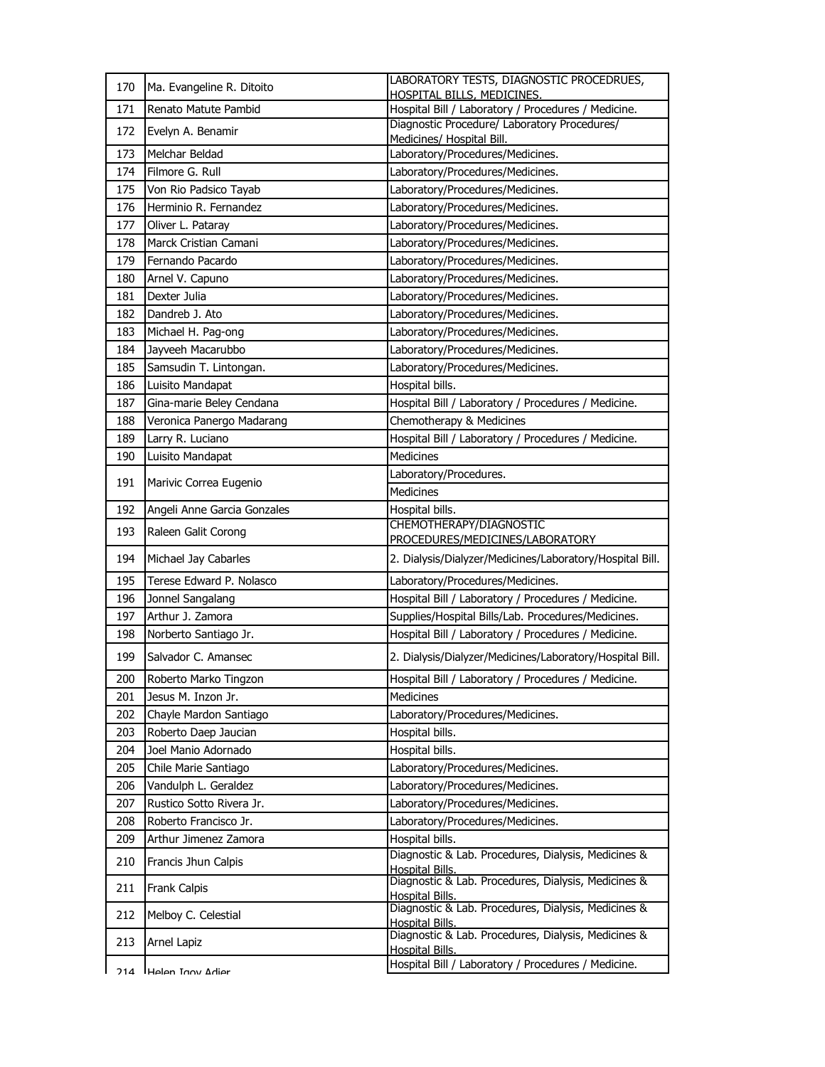| 170 | Ma. Evangeline R. Ditoito   | LABORATORY TESTS, DIAGNOSTIC PROCEDRUES,<br>HOSPITAL BILLS, MEDICINES. |
|-----|-----------------------------|------------------------------------------------------------------------|
| 171 | Renato Matute Pambid        | Hospital Bill / Laboratory / Procedures / Medicine.                    |
| 172 | Evelyn A. Benamir           | Diagnostic Procedure/ Laboratory Procedures/                           |
|     |                             | Medicines/ Hospital Bill.                                              |
| 173 | Melchar Beldad              | Laboratory/Procedures/Medicines.                                       |
| 174 | Filmore G. Rull             | Laboratory/Procedures/Medicines.                                       |
| 175 | Von Rio Padsico Tayab       | Laboratory/Procedures/Medicines.                                       |
| 176 | Herminio R. Fernandez       | Laboratory/Procedures/Medicines.                                       |
| 177 | Oliver L. Pataray           | Laboratory/Procedures/Medicines.                                       |
| 178 | Marck Cristian Camani       | Laboratory/Procedures/Medicines.                                       |
| 179 | Fernando Pacardo            | Laboratory/Procedures/Medicines.                                       |
| 180 | Arnel V. Capuno             | Laboratory/Procedures/Medicines.                                       |
| 181 | Dexter Julia                | Laboratory/Procedures/Medicines.                                       |
| 182 | Dandreb J. Ato              | Laboratory/Procedures/Medicines.                                       |
| 183 | Michael H. Pag-ong          | Laboratory/Procedures/Medicines.                                       |
| 184 | Jayveeh Macarubbo           | Laboratory/Procedures/Medicines.                                       |
| 185 | Samsudin T. Lintongan.      | Laboratory/Procedures/Medicines.                                       |
| 186 | Luisito Mandapat            | Hospital bills.                                                        |
| 187 | Gina-marie Beley Cendana    | Hospital Bill / Laboratory / Procedures / Medicine.                    |
| 188 | Veronica Panergo Madarang   | Chemotherapy & Medicines                                               |
| 189 | Larry R. Luciano            | Hospital Bill / Laboratory / Procedures / Medicine.                    |
| 190 | Luisito Mandapat            | <b>Medicines</b>                                                       |
| 191 | Marivic Correa Eugenio      | Laboratory/Procedures.                                                 |
|     |                             | <b>Medicines</b>                                                       |
| 192 | Angeli Anne Garcia Gonzales | Hospital bills.                                                        |
| 193 | Raleen Galit Corong         | CHEMOTHERAPY/DIAGNOSTIC                                                |
|     |                             | PROCEDURES/MEDICINES/LABORATORY                                        |
| 194 | Michael Jay Cabarles        | 2. Dialysis/Dialyzer/Medicines/Laboratory/Hospital Bill.               |
| 195 | Terese Edward P. Nolasco    | Laboratory/Procedures/Medicines.                                       |
| 196 | Jonnel Sangalang            | Hospital Bill / Laboratory / Procedures / Medicine.                    |
| 197 | Arthur J. Zamora            | Supplies/Hospital Bills/Lab. Procedures/Medicines.                     |
| 198 | Norberto Santiago Jr.       | Hospital Bill / Laboratory / Procedures / Medicine.                    |
| 199 | Salvador C. Amansec         | 2. Dialysis/Dialyzer/Medicines/Laboratory/Hospital Bill.               |
| 200 | Roberto Marko Tingzon       | Hospital Bill / Laboratory / Procedures / Medicine.                    |
| 201 | Jesus M. Inzon Jr.          | Medicines                                                              |
| 202 | Chayle Mardon Santiago      | Laboratory/Procedures/Medicines.                                       |
| 203 | Roberto Daep Jaucian        | Hospital bills.                                                        |
| 204 | Joel Manio Adornado         | Hospital bills.                                                        |
| 205 | Chile Marie Santiago        | Laboratory/Procedures/Medicines.                                       |
| 206 | Vandulph L. Geraldez        | Laboratory/Procedures/Medicines.                                       |
| 207 | Rustico Sotto Rivera Jr.    | Laboratory/Procedures/Medicines.                                       |
| 208 | Roberto Francisco Jr.       | Laboratory/Procedures/Medicines.                                       |
| 209 | Arthur Jimenez Zamora       | Hospital bills.                                                        |
| 210 | Francis Jhun Calpis         | Diagnostic & Lab. Procedures, Dialysis, Medicines &<br>Hospital Bills. |
| 211 | <b>Frank Calpis</b>         | Diagnostic & Lab. Procedures, Dialysis, Medicines &<br>Hospital Bills. |
| 212 | Melboy C. Celestial         | Diagnostic & Lab. Procedures, Dialysis, Medicines &<br>Hospital Bills. |
| 213 | <b>Arnel Lapiz</b>          | Diagnostic & Lab. Procedures, Dialysis, Medicines &<br>Hospital Bills. |
|     | 714 Halan Tany Adiar        | Hospital Bill / Laboratory / Procedures / Medicine.                    |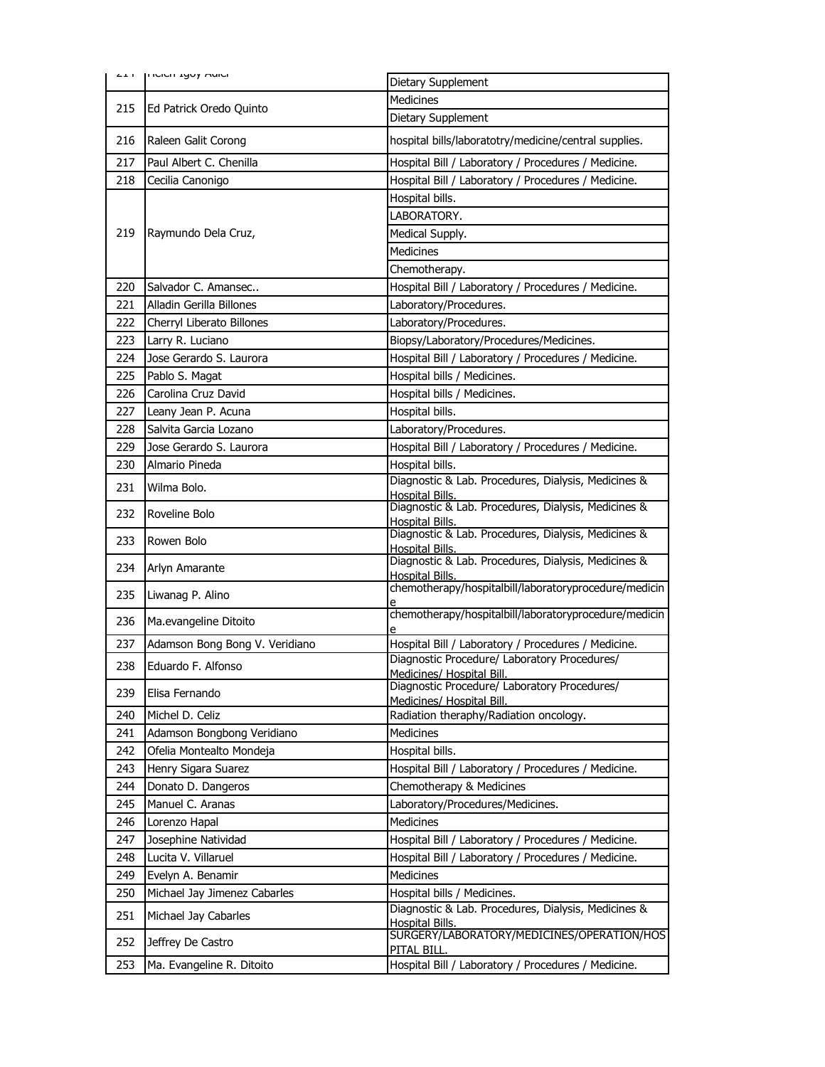|     | <b>LIT   IICICII LYUY MUICI</b> | Dietary Supplement                                                            |
|-----|---------------------------------|-------------------------------------------------------------------------------|
|     |                                 | Medicines                                                                     |
| 215 | Ed Patrick Oredo Quinto         | Dietary Supplement                                                            |
| 216 | Raleen Galit Corong             | hospital bills/laboratotry/medicine/central supplies.                         |
| 217 | Paul Albert C. Chenilla         | Hospital Bill / Laboratory / Procedures / Medicine.                           |
| 218 | Cecilia Canonigo                | Hospital Bill / Laboratory / Procedures / Medicine.                           |
|     |                                 | Hospital bills.                                                               |
|     |                                 | LABORATORY.                                                                   |
| 219 | Raymundo Dela Cruz,             | Medical Supply.                                                               |
|     |                                 | <b>Medicines</b>                                                              |
|     |                                 | Chemotherapy.                                                                 |
| 220 | Salvador C. Amansec             | Hospital Bill / Laboratory / Procedures / Medicine.                           |
| 221 | Alladin Gerilla Billones        | Laboratory/Procedures.                                                        |
| 222 | Cherryl Liberato Billones       | Laboratory/Procedures.                                                        |
| 223 | Larry R. Luciano                | Biopsy/Laboratory/Procedures/Medicines.                                       |
| 224 | Jose Gerardo S. Laurora         | Hospital Bill / Laboratory / Procedures / Medicine.                           |
| 225 | Pablo S. Magat                  | Hospital bills / Medicines.                                                   |
| 226 | Carolina Cruz David             | Hospital bills / Medicines.                                                   |
| 227 | Leany Jean P. Acuna             | Hospital bills.                                                               |
| 228 | Salvita Garcia Lozano           | Laboratory/Procedures.                                                        |
| 229 | Jose Gerardo S. Laurora         | Hospital Bill / Laboratory / Procedures / Medicine.                           |
| 230 | Almario Pineda                  | Hospital bills.                                                               |
| 231 | Wilma Bolo.                     | Diagnostic & Lab. Procedures, Dialysis, Medicines &<br>Hospital Bills.        |
| 232 | Roveline Bolo                   | Diagnostic & Lab. Procedures, Dialysis, Medicines &<br>Hospital Bills.        |
| 233 | Rowen Bolo                      | Diagnostic & Lab. Procedures, Dialysis, Medicines &<br>Hospital Bills.        |
| 234 | Arlyn Amarante                  | Diagnostic & Lab. Procedures, Dialysis, Medicines &<br><b>Hospital Bills.</b> |
| 235 | Liwanag P. Alino                | chemotherapy/hospitalbill/laboratoryprocedure/medicin                         |
| 236 | Ma.evangeline Ditoito           | chemotherapy/hospitalbill/laboratoryprocedure/medicin                         |
| 237 | Adamson Bong Bong V. Veridiano  | Hospital Bill / Laboratory / Procedures / Medicine.                           |
| 238 | Eduardo F. Alfonso              | Diagnostic Procedure/ Laboratory Procedures/<br>Medicines/ Hospital Bill.     |
| 239 | Elisa Fernando                  | Diagnostic Procedure/ Laboratory Procedures/<br>Medicines/ Hospital Bill.     |
| 240 | Michel D. Celiz                 | Radiation theraphy/Radiation oncology.                                        |
| 241 | Adamson Bongbong Veridiano      | Medicines                                                                     |
| 242 | Ofelia Montealto Mondeja        | Hospital bills.                                                               |
| 243 | Henry Sigara Suarez             | Hospital Bill / Laboratory / Procedures / Medicine.                           |
| 244 | Donato D. Dangeros              | Chemotherapy & Medicines                                                      |
| 245 | Manuel C. Aranas                | Laboratory/Procedures/Medicines.                                              |
| 246 | Lorenzo Hapal                   | Medicines                                                                     |
| 247 | Josephine Natividad             | Hospital Bill / Laboratory / Procedures / Medicine.                           |
| 248 | Lucita V. Villaruel             | Hospital Bill / Laboratory / Procedures / Medicine.                           |
| 249 | Evelyn A. Benamir               | Medicines                                                                     |
| 250 | Michael Jay Jimenez Cabarles    | Hospital bills / Medicines.                                                   |
| 251 | Michael Jay Cabarles            | Diagnostic & Lab. Procedures, Dialysis, Medicines &<br><b>Hospital Bills.</b> |
| 252 | Jeffrey De Castro               | SURGERY/LABORATORY/MEDICINES/OPERATION/HOS                                    |
|     |                                 | PITAL BILL.                                                                   |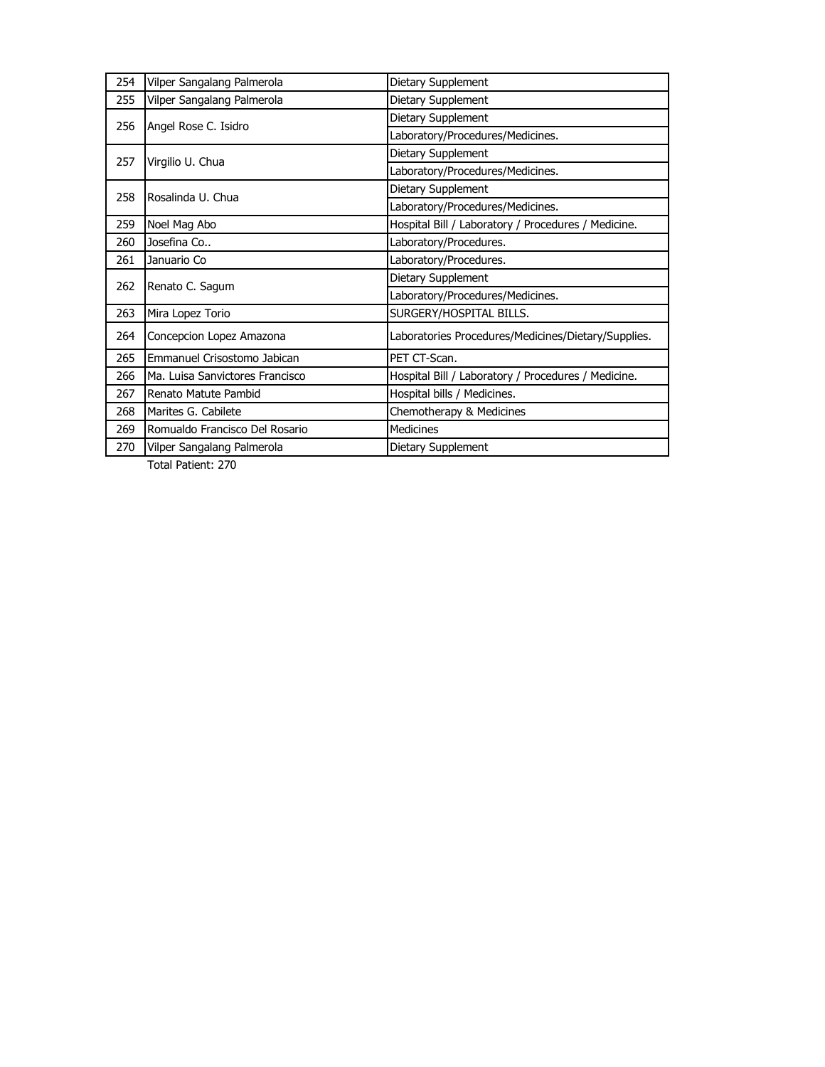| 254                         | Vilper Sangalang Palmerola      | Dietary Supplement                                  |
|-----------------------------|---------------------------------|-----------------------------------------------------|
| 255                         | Vilper Sangalang Palmerola      | Dietary Supplement                                  |
| Angel Rose C. Isidro<br>256 | Dietary Supplement              |                                                     |
|                             |                                 | Laboratory/Procedures/Medicines.                    |
| 257                         | Virgilio U. Chua                | Dietary Supplement                                  |
|                             |                                 | Laboratory/Procedures/Medicines.                    |
| 258                         | Rosalinda U. Chua               | Dietary Supplement                                  |
|                             |                                 | Laboratory/Procedures/Medicines.                    |
| 259                         | Noel Mag Abo                    | Hospital Bill / Laboratory / Procedures / Medicine. |
| 260                         | Josefina Co                     | Laboratory/Procedures.                              |
| 261                         | Januario Co                     | Laboratory/Procedures.                              |
| 262                         | Renato C. Sagum                 | Dietary Supplement                                  |
|                             |                                 | Laboratory/Procedures/Medicines.                    |
| 263                         | Mira Lopez Torio                | SURGERY/HOSPITAL BILLS.                             |
| 264                         | Concepcion Lopez Amazona        | Laboratories Procedures/Medicines/Dietary/Supplies. |
| 265                         | Emmanuel Crisostomo Jabican     | PET CT-Scan.                                        |
| 266                         | Ma. Luisa Sanvictores Francisco | Hospital Bill / Laboratory / Procedures / Medicine. |
| 267                         | Renato Matute Pambid            | Hospital bills / Medicines.                         |
| 268                         | Marites G. Cabilete             | Chemotherapy & Medicines                            |
| 269                         | Romualdo Francisco Del Rosario  | <b>Medicines</b>                                    |
| 270                         | Vilper Sangalang Palmerola      | Dietary Supplement                                  |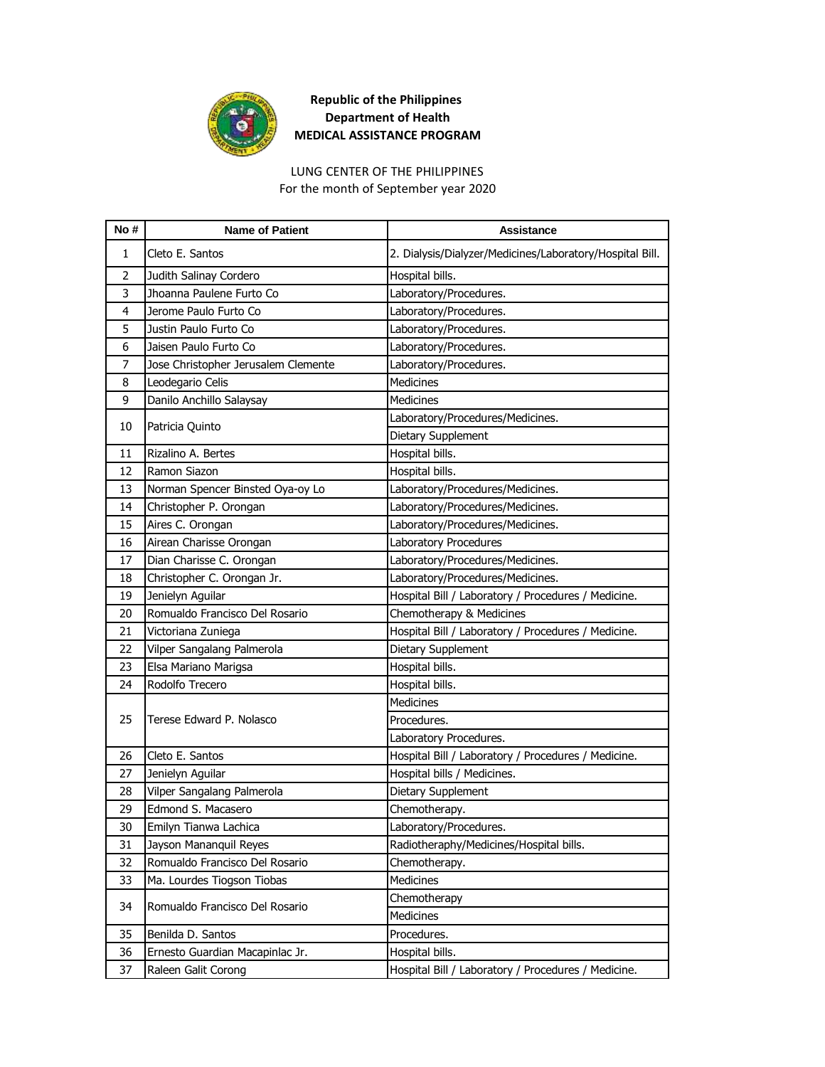

LUNG CENTER OF THE PHILIPPINES For the month of September year 2020

| No# | <b>Name of Patient</b>              | <b>Assistance</b>                                        |
|-----|-------------------------------------|----------------------------------------------------------|
| 1   | Cleto E. Santos                     | 2. Dialysis/Dialyzer/Medicines/Laboratory/Hospital Bill. |
| 2   | Judith Salinay Cordero              | Hospital bills.                                          |
| 3   | Jhoanna Paulene Furto Co            | Laboratory/Procedures.                                   |
| 4   | Jerome Paulo Furto Co               | Laboratory/Procedures.                                   |
| 5   | Justin Paulo Furto Co               | Laboratory/Procedures.                                   |
| 6   | Jaisen Paulo Furto Co               | Laboratory/Procedures.                                   |
| 7   | Jose Christopher Jerusalem Clemente | Laboratory/Procedures.                                   |
| 8   | Leodegario Celis                    | <b>Medicines</b>                                         |
| 9   | Danilo Anchillo Salaysay            | Medicines                                                |
| 10  | Patricia Quinto                     | Laboratory/Procedures/Medicines.                         |
|     |                                     | Dietary Supplement                                       |
| 11  | Rizalino A. Bertes                  | Hospital bills.                                          |
| 12  | Ramon Siazon                        | Hospital bills.                                          |
| 13  | Norman Spencer Binsted Oya-oy Lo    | Laboratory/Procedures/Medicines.                         |
| 14  | Christopher P. Orongan              | Laboratory/Procedures/Medicines.                         |
| 15  | Aires C. Orongan                    | Laboratory/Procedures/Medicines.                         |
| 16  | Airean Charisse Orongan             | Laboratory Procedures                                    |
| 17  | Dian Charisse C. Orongan            | Laboratory/Procedures/Medicines.                         |
| 18  | Christopher C. Orongan Jr.          | Laboratory/Procedures/Medicines.                         |
| 19  | Jenielyn Aguilar                    | Hospital Bill / Laboratory / Procedures / Medicine.      |
| 20  | Romualdo Francisco Del Rosario      | Chemotherapy & Medicines                                 |
| 21  | Victoriana Zuniega                  | Hospital Bill / Laboratory / Procedures / Medicine.      |
| 22  | Vilper Sangalang Palmerola          | Dietary Supplement                                       |
| 23  | Elsa Mariano Marigsa                | Hospital bills.                                          |
| 24  | Rodolfo Trecero                     | Hospital bills.                                          |
|     |                                     | Medicines                                                |
| 25  | Terese Edward P. Nolasco            | Procedures.                                              |
|     |                                     | Laboratory Procedures.                                   |
| 26  | Cleto E. Santos                     | Hospital Bill / Laboratory / Procedures / Medicine.      |
| 27  | Jenielyn Aguilar                    | Hospital bills / Medicines.                              |
| 28  | Vilper Sangalang Palmerola          | Dietary Supplement                                       |
| 29  | Edmond S. Macasero                  | Chemotherapy.                                            |
| 30  | Emilyn Tianwa Lachica               | Laboratory/Procedures.                                   |
| 31  | Jayson Mananquil Reyes              | Radiotheraphy/Medicines/Hospital bills.                  |
| 32  | Romualdo Francisco Del Rosario      | Chemotherapy.                                            |
| 33  | Ma. Lourdes Tiogson Tiobas          | Medicines                                                |
| 34  | Romualdo Francisco Del Rosario      | Chemotherapy                                             |
|     |                                     | Medicines                                                |
| 35  | Benilda D. Santos                   | Procedures.                                              |
| 36  | Ernesto Guardian Macapinlac Jr.     | Hospital bills.                                          |
| 37  | Raleen Galit Corong                 | Hospital Bill / Laboratory / Procedures / Medicine.      |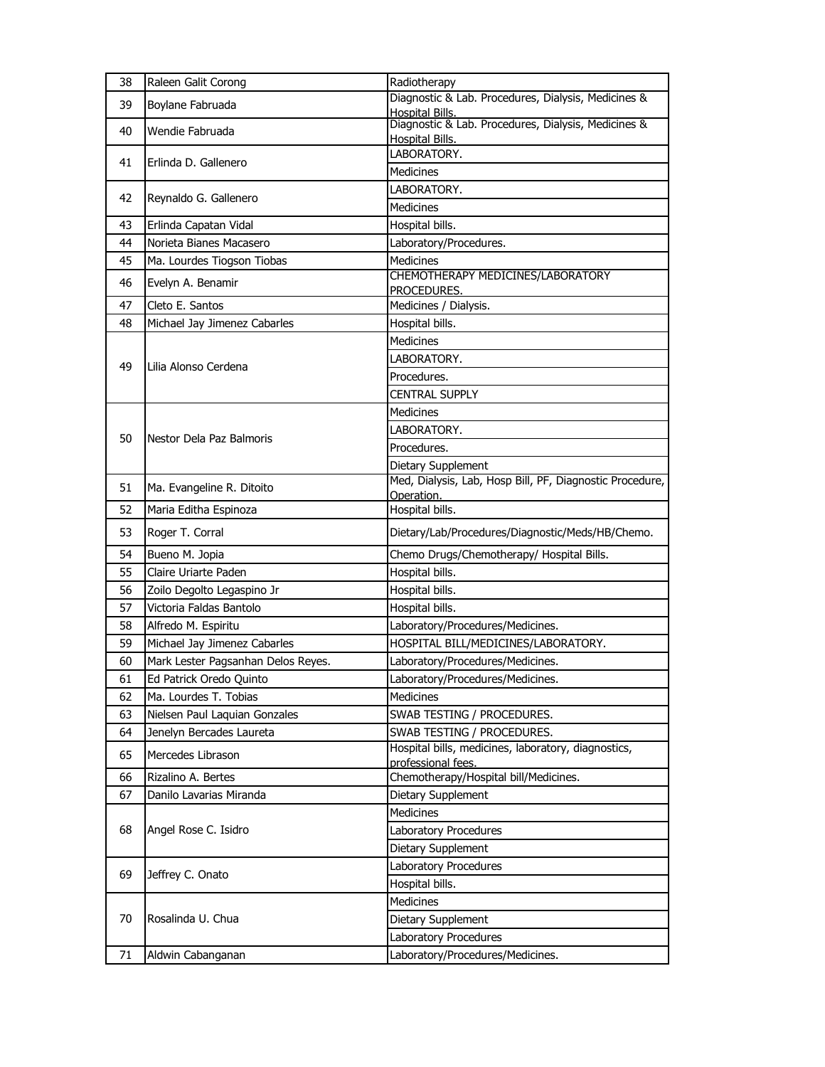| 38       | Raleen Galit Corong                                   | Radiotherapy                                                                      |
|----------|-------------------------------------------------------|-----------------------------------------------------------------------------------|
| 39       | Boylane Fabruada                                      | Diagnostic & Lab. Procedures, Dialysis, Medicines &<br>Hospital Bills.            |
| 40       | Wendie Fabruada                                       | Diagnostic & Lab. Procedures, Dialysis, Medicines &<br><b>Hospital Bills.</b>     |
| 41       | Erlinda D. Gallenero                                  | LABORATORY.<br>Medicines                                                          |
| 42       | Reynaldo G. Gallenero                                 | LABORATORY.                                                                       |
|          |                                                       | Medicines                                                                         |
| 43       | Erlinda Capatan Vidal                                 | Hospital bills.                                                                   |
| 44       | Norieta Bianes Macasero                               | Laboratory/Procedures.                                                            |
| 45       | Ma. Lourdes Tiogson Tiobas                            | <b>Medicines</b>                                                                  |
| 46       | Evelyn A. Benamir                                     | CHEMOTHERAPY MEDICINES/LABORATORY<br>PROCEDURES.                                  |
| 47       | Cleto E. Santos                                       | Medicines / Dialysis.                                                             |
| 48       | Michael Jay Jimenez Cabarles                          | Hospital bills.                                                                   |
|          |                                                       | <b>Medicines</b>                                                                  |
| 49       | Lilia Alonso Cerdena                                  | LABORATORY.                                                                       |
|          |                                                       | Procedures.                                                                       |
|          |                                                       | <b>CENTRAL SUPPLY</b>                                                             |
|          |                                                       | Medicines                                                                         |
| 50       | Nestor Dela Paz Balmoris                              | LABORATORY.                                                                       |
|          |                                                       | Procedures.                                                                       |
|          |                                                       | Dietary Supplement                                                                |
| 51       | Ma. Evangeline R. Ditoito                             | Med, Dialysis, Lab, Hosp Bill, PF, Diagnostic Procedure,                          |
| 52       | Maria Editha Espinoza                                 | Operation.<br>Hospital bills.                                                     |
| 53       | Roger T. Corral                                       | Dietary/Lab/Procedures/Diagnostic/Meds/HB/Chemo.                                  |
|          |                                                       |                                                                                   |
|          |                                                       |                                                                                   |
| 54       | Bueno M. Jopia<br>Claire Uriarte Paden                | Chemo Drugs/Chemotherapy/ Hospital Bills.                                         |
| 55       |                                                       | Hospital bills.                                                                   |
| 56       | Zoilo Degolto Legaspino Jr<br>Victoria Faldas Bantolo | Hospital bills.                                                                   |
| 57       |                                                       | Hospital bills.                                                                   |
| 58       | Alfredo M. Espiritu                                   | Laboratory/Procedures/Medicines.                                                  |
| 59<br>60 | Michael Jay Jimenez Cabarles                          | HOSPITAL BILL/MEDICINES/LABORATORY.                                               |
|          | Mark Lester Pagsanhan Delos Reyes.                    | Laboratory/Procedures/Medicines.                                                  |
| 61       | Ed Patrick Oredo Quinto                               | Laboratory/Procedures/Medicines.                                                  |
| 62<br>63 | Ma. Lourdes T. Tobias                                 | Medicines                                                                         |
| 64       | Nielsen Paul Laquian Gonzales                         | SWAB TESTING / PROCEDURES.                                                        |
| 65       | Jenelyn Bercades Laureta<br>Mercedes Librason         | SWAB TESTING / PROCEDURES.<br>Hospital bills, medicines, laboratory, diagnostics, |
| 66       | Rizalino A. Bertes                                    | professional fees.                                                                |
| 67       | Danilo Lavarias Miranda                               | Chemotherapy/Hospital bill/Medicines.                                             |
|          |                                                       | Dietary Supplement<br><b>Medicines</b>                                            |
| 68       | Angel Rose C. Isidro                                  | Laboratory Procedures                                                             |
|          |                                                       | Dietary Supplement                                                                |
|          |                                                       | Laboratory Procedures                                                             |
| 69       | Jeffrey C. Onato                                      | Hospital bills.                                                                   |
|          |                                                       | <b>Medicines</b>                                                                  |
| 70       | Rosalinda U. Chua                                     | Dietary Supplement                                                                |
|          |                                                       | Laboratory Procedures                                                             |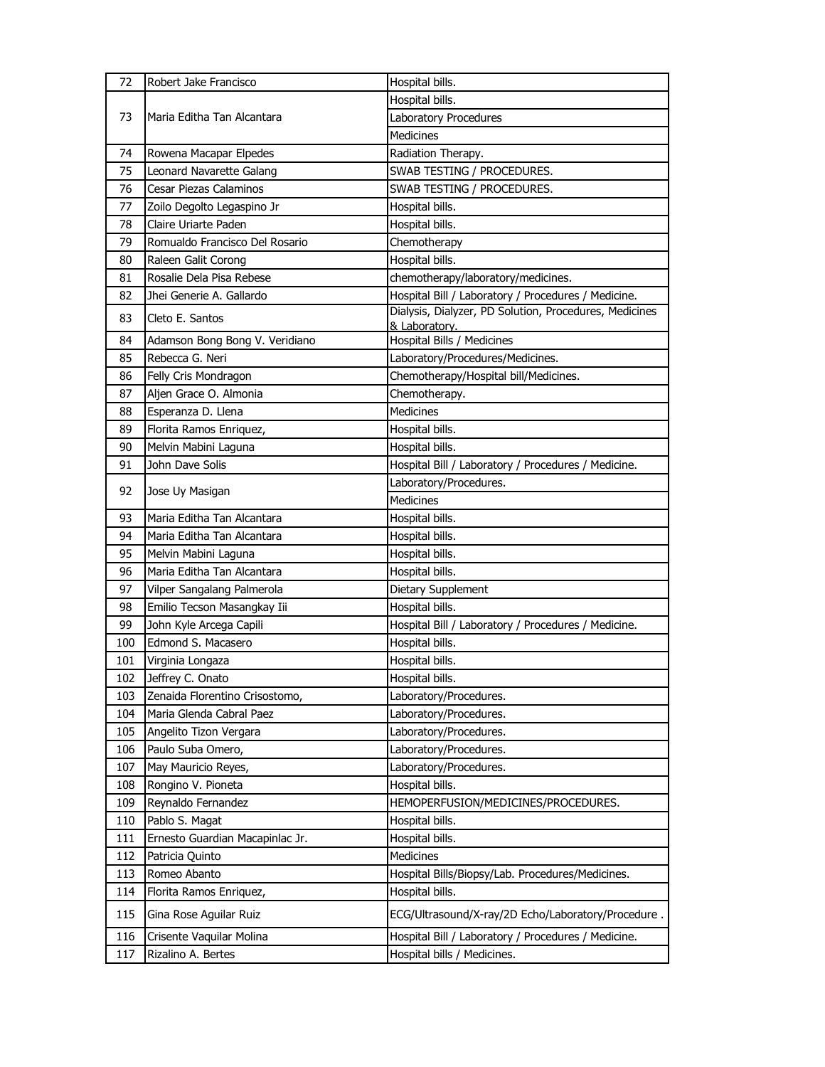| 72  | Robert Jake Francisco           | Hospital bills.                                        |
|-----|---------------------------------|--------------------------------------------------------|
|     |                                 | Hospital bills.                                        |
| 73  | Maria Editha Tan Alcantara      | Laboratory Procedures                                  |
|     |                                 | <b>Medicines</b>                                       |
| 74  | Rowena Macapar Elpedes          | Radiation Therapy.                                     |
| 75  | Leonard Navarette Galang        | SWAB TESTING / PROCEDURES.                             |
| 76  | Cesar Piezas Calaminos          | SWAB TESTING / PROCEDURES.                             |
| 77  | Zoilo Degolto Legaspino Jr      | Hospital bills.                                        |
| 78  | Claire Uriarte Paden            | Hospital bills.                                        |
| 79  | Romualdo Francisco Del Rosario  | Chemotherapy                                           |
| 80  | Raleen Galit Corong             | Hospital bills.                                        |
| 81  | Rosalie Dela Pisa Rebese        | chemotherapy/laboratory/medicines.                     |
| 82  | Jhei Generie A. Gallardo        | Hospital Bill / Laboratory / Procedures / Medicine.    |
| 83  | Cleto E. Santos                 | Dialysis, Dialyzer, PD Solution, Procedures, Medicines |
| 84  | Adamson Bong Bong V. Veridiano  | & Laboratory.<br>Hospital Bills / Medicines            |
| 85  | Rebecca G. Neri                 | Laboratory/Procedures/Medicines.                       |
| 86  | Felly Cris Mondragon            | Chemotherapy/Hospital bill/Medicines.                  |
| 87  | Aljen Grace O. Almonia          | Chemotherapy.                                          |
| 88  | Esperanza D. Llena              | <b>Medicines</b>                                       |
| 89  | Florita Ramos Enriquez,         | Hospital bills.                                        |
| 90  | Melvin Mabini Laguna            | Hospital bills.                                        |
| 91  | John Dave Solis                 | Hospital Bill / Laboratory / Procedures / Medicine.    |
|     |                                 | Laboratory/Procedures.                                 |
| 92  | Jose Uy Masigan                 | <b>Medicines</b>                                       |
| 93  | Maria Editha Tan Alcantara      | Hospital bills.                                        |
| 94  | Maria Editha Tan Alcantara      | Hospital bills.                                        |
| 95  | Melvin Mabini Laguna            | Hospital bills.                                        |
| 96  | Maria Editha Tan Alcantara      | Hospital bills.                                        |
| 97  | Vilper Sangalang Palmerola      | Dietary Supplement                                     |
| 98  | Emilio Tecson Masangkay Iii     | Hospital bills.                                        |
| 99  | John Kyle Arcega Capili         | Hospital Bill / Laboratory / Procedures / Medicine.    |
| 100 | Edmond S. Macasero              | Hospital bills.                                        |
| 101 | Virginia Longaza                | Hospital bills.                                        |
| 102 | Jeffrey C. Onato                | Hospital bills.                                        |
| 103 | Zenaida Florentino Crisostomo,  | Laboratory/Procedures.                                 |
| 104 | Maria Glenda Cabral Paez        | Laboratory/Procedures.                                 |
| 105 | Angelito Tizon Vergara          | Laboratory/Procedures.                                 |
| 106 | Paulo Suba Omero,               | Laboratory/Procedures.                                 |
| 107 | May Mauricio Reyes,             | Laboratory/Procedures.                                 |
| 108 | Rongino V. Pioneta              | Hospital bills.                                        |
| 109 | Reynaldo Fernandez              | HEMOPERFUSION/MEDICINES/PROCEDURES.                    |
| 110 | Pablo S. Magat                  | Hospital bills.                                        |
| 111 | Ernesto Guardian Macapinlac Jr. | Hospital bills.                                        |
| 112 | Patricia Quinto                 | Medicines                                              |
| 113 | Romeo Abanto                    | Hospital Bills/Biopsy/Lab. Procedures/Medicines.       |
| 114 | Florita Ramos Enriquez,         | Hospital bills.                                        |
| 115 | Gina Rose Aguilar Ruiz          | ECG/Ultrasound/X-ray/2D Echo/Laboratory/Procedure.     |
| 116 | Crisente Vaquilar Molina        | Hospital Bill / Laboratory / Procedures / Medicine.    |
| 117 | Rizalino A. Bertes              | Hospital bills / Medicines.                            |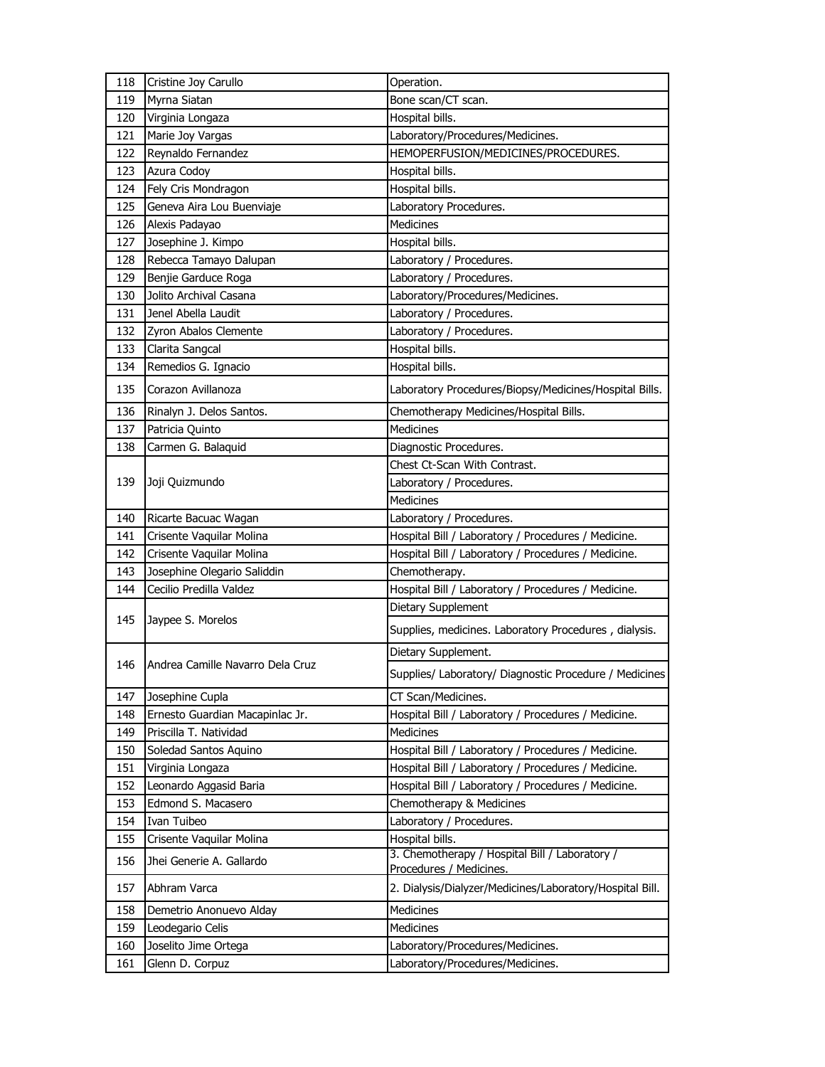| 118 | Cristine Joy Carullo             | Operation.                                                                |
|-----|----------------------------------|---------------------------------------------------------------------------|
| 119 | Myrna Siatan                     | Bone scan/CT scan.                                                        |
| 120 | Virginia Longaza                 | Hospital bills.                                                           |
| 121 | Marie Joy Vargas                 | Laboratory/Procedures/Medicines.                                          |
| 122 | Reynaldo Fernandez               | HEMOPERFUSION/MEDICINES/PROCEDURES.                                       |
| 123 | Azura Codoy                      | Hospital bills.                                                           |
| 124 | Fely Cris Mondragon              | Hospital bills.                                                           |
| 125 | Geneva Aira Lou Buenviaje        | Laboratory Procedures.                                                    |
| 126 | Alexis Padayao                   | <b>Medicines</b>                                                          |
| 127 | Josephine J. Kimpo               | Hospital bills.                                                           |
| 128 | Rebecca Tamayo Dalupan           | Laboratory / Procedures.                                                  |
| 129 | Benjie Garduce Roga              | Laboratory / Procedures.                                                  |
| 130 | Jolito Archival Casana           | Laboratory/Procedures/Medicines.                                          |
| 131 | Jenel Abella Laudit              | Laboratory / Procedures.                                                  |
| 132 | Zyron Abalos Clemente            | Laboratory / Procedures.                                                  |
| 133 | Clarita Sangcal                  | Hospital bills.                                                           |
| 134 | Remedios G. Ignacio              | Hospital bills.                                                           |
| 135 | Corazon Avillanoza               | Laboratory Procedures/Biopsy/Medicines/Hospital Bills.                    |
| 136 | Rinalyn J. Delos Santos.         | Chemotherapy Medicines/Hospital Bills.                                    |
| 137 | Patricia Quinto                  | Medicines                                                                 |
| 138 | Carmen G. Balaquid               | Diagnostic Procedures.                                                    |
|     |                                  | Chest Ct-Scan With Contrast.                                              |
| 139 | Joji Quizmundo                   | Laboratory / Procedures.                                                  |
|     |                                  | <b>Medicines</b>                                                          |
| 140 | Ricarte Bacuac Wagan             | Laboratory / Procedures.                                                  |
| 141 | Crisente Vaquilar Molina         | Hospital Bill / Laboratory / Procedures / Medicine.                       |
| 142 | Crisente Vaquilar Molina         | Hospital Bill / Laboratory / Procedures / Medicine.                       |
| 143 | Josephine Olegario Saliddin      | Chemotherapy.                                                             |
| 144 | Cecilio Predilla Valdez          | Hospital Bill / Laboratory / Procedures / Medicine.                       |
|     |                                  | Dietary Supplement                                                        |
| 145 | Jaypee S. Morelos                | Supplies, medicines. Laboratory Procedures, dialysis.                     |
|     |                                  | Dietary Supplement.                                                       |
| 146 | Andrea Camille Navarro Dela Cruz | Supplies/ Laboratory/ Diagnostic Procedure / Medicines                    |
| 147 | Josephine Cupla                  | CT Scan/Medicines.                                                        |
| 148 | Ernesto Guardian Macapinlac Jr.  | Hospital Bill / Laboratory / Procedures / Medicine.                       |
| 149 | Priscilla T. Natividad           | Medicines                                                                 |
| 150 | Soledad Santos Aquino            | Hospital Bill / Laboratory / Procedures / Medicine.                       |
| 151 | Virginia Longaza                 | Hospital Bill / Laboratory / Procedures / Medicine.                       |
| 152 | Leonardo Aggasid Baria           | Hospital Bill / Laboratory / Procedures / Medicine.                       |
| 153 | Edmond S. Macasero               | Chemotherapy & Medicines                                                  |
| 154 | Ivan Tuibeo                      | Laboratory / Procedures.                                                  |
| 155 | Crisente Vaquilar Molina         | Hospital bills.                                                           |
| 156 | Jhei Generie A. Gallardo         | 3. Chemotherapy / Hospital Bill / Laboratory /<br>Procedures / Medicines. |
| 157 | Abhram Varca                     | 2. Dialysis/Dialyzer/Medicines/Laboratory/Hospital Bill.                  |
| 158 | Demetrio Anonuevo Alday          | Medicines                                                                 |
| 159 | Leodegario Celis                 | Medicines                                                                 |
| 160 | Joselito Jime Ortega             | Laboratory/Procedures/Medicines.                                          |
| 161 | Glenn D. Corpuz                  | Laboratory/Procedures/Medicines.                                          |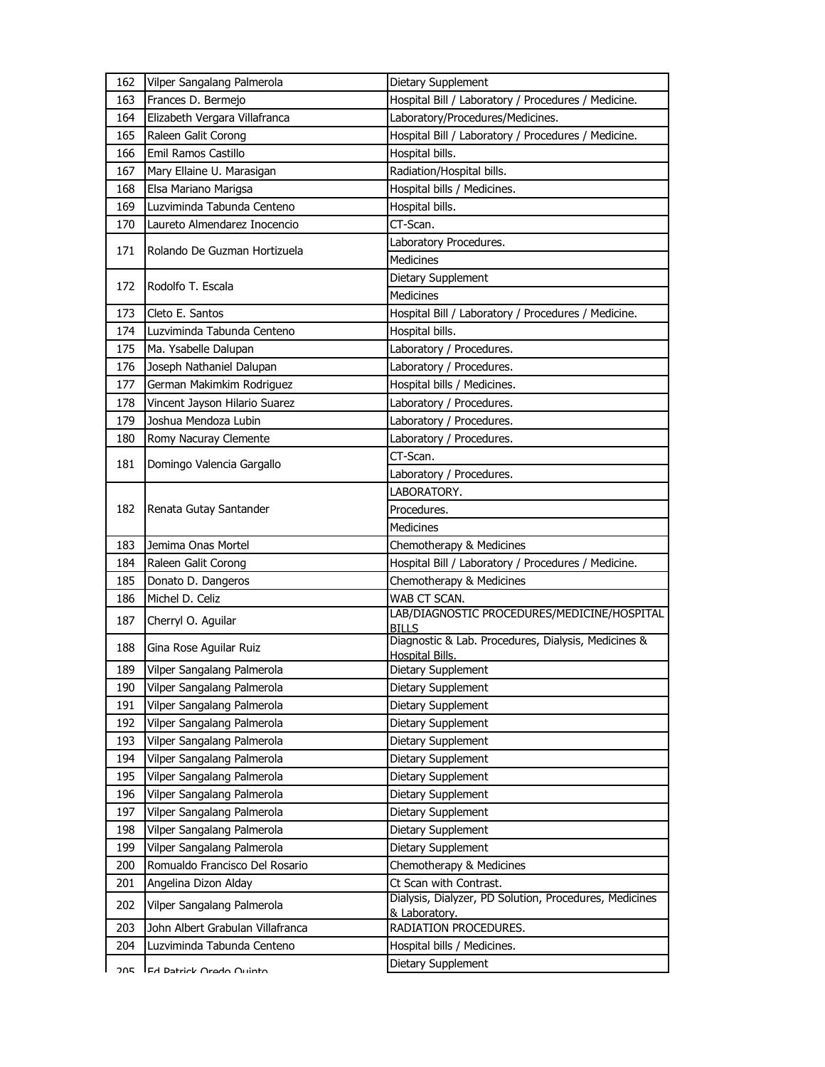| 162 | Vilper Sangalang Palmerola       | Dietary Supplement                                                            |
|-----|----------------------------------|-------------------------------------------------------------------------------|
| 163 | Frances D. Bermejo               | Hospital Bill / Laboratory / Procedures / Medicine.                           |
| 164 | Elizabeth Vergara Villafranca    | Laboratory/Procedures/Medicines.                                              |
| 165 | Raleen Galit Corong              | Hospital Bill / Laboratory / Procedures / Medicine.                           |
| 166 | Emil Ramos Castillo              | Hospital bills.                                                               |
| 167 | Mary Ellaine U. Marasigan        | Radiation/Hospital bills.                                                     |
| 168 | Elsa Mariano Marigsa             | Hospital bills / Medicines.                                                   |
| 169 | Luzviminda Tabunda Centeno       | Hospital bills.                                                               |
| 170 | Laureto Almendarez Inocencio     | CT-Scan.                                                                      |
| 171 | Rolando De Guzman Hortizuela     | Laboratory Procedures.                                                        |
|     |                                  | <b>Medicines</b>                                                              |
| 172 | Rodolfo T. Escala                | Dietary Supplement                                                            |
|     |                                  | <b>Medicines</b>                                                              |
| 173 | Cleto E. Santos                  | Hospital Bill / Laboratory / Procedures / Medicine.                           |
| 174 | Luzviminda Tabunda Centeno       | Hospital bills.                                                               |
| 175 | Ma. Ysabelle Dalupan             | Laboratory / Procedures.                                                      |
| 176 | Joseph Nathaniel Dalupan         | Laboratory / Procedures.                                                      |
| 177 | German Makimkim Rodriguez        | Hospital bills / Medicines.                                                   |
| 178 | Vincent Jayson Hilario Suarez    | Laboratory / Procedures.                                                      |
| 179 | Joshua Mendoza Lubin             | Laboratory / Procedures.                                                      |
| 180 | Romy Nacuray Clemente            | Laboratory / Procedures.                                                      |
| 181 | Domingo Valencia Gargallo        | CT-Scan.                                                                      |
|     |                                  | Laboratory / Procedures.                                                      |
|     |                                  | LABORATORY.                                                                   |
| 182 | Renata Gutay Santander           | Procedures.                                                                   |
|     |                                  | Medicines                                                                     |
| 183 | Jemima Onas Mortel               | Chemotherapy & Medicines                                                      |
| 184 | Raleen Galit Corong              | Hospital Bill / Laboratory / Procedures / Medicine.                           |
| 185 | Donato D. Dangeros               | Chemotherapy & Medicines                                                      |
| 186 | Michel D. Celiz                  | WAB CT SCAN.                                                                  |
| 187 | Cherryl O. Aguilar               | LAB/DIAGNOSTIC PROCEDURES/MEDICINE/HOSPITAL<br><b>BILLS</b>                   |
| 188 | Gina Rose Aguilar Ruiz           | Diagnostic & Lab. Procedures, Dialysis, Medicines &<br><b>Hospital Bills.</b> |
| 189 | Vilper Sangalang Palmerola       | Dietary Supplement                                                            |
| 190 | Vilper Sangalang Palmerola       | Dietary Supplement                                                            |
| 191 | Vilper Sangalang Palmerola       | Dietary Supplement                                                            |
| 192 | Vilper Sangalang Palmerola       | Dietary Supplement                                                            |
| 193 | Vilper Sangalang Palmerola       | Dietary Supplement                                                            |
| 194 | Vilper Sangalang Palmerola       | Dietary Supplement                                                            |
| 195 | Vilper Sangalang Palmerola       | Dietary Supplement                                                            |
| 196 | Vilper Sangalang Palmerola       | Dietary Supplement                                                            |
| 197 | Vilper Sangalang Palmerola       | Dietary Supplement                                                            |
| 198 | Vilper Sangalang Palmerola       | Dietary Supplement                                                            |
| 199 | Vilper Sangalang Palmerola       | Dietary Supplement                                                            |
| 200 | Romualdo Francisco Del Rosario   | Chemotherapy & Medicines                                                      |
| 201 | Angelina Dizon Alday             | Ct Scan with Contrast.                                                        |
| 202 |                                  |                                                                               |
|     | Vilper Sangalang Palmerola       | Dialysis, Dialyzer, PD Solution, Procedures, Medicines                        |
| 203 | John Albert Grabulan Villafranca | & Laboratory.<br>RADIATION PROCEDURES.                                        |
| 204 | Luzviminda Tabunda Centeno       | Hospital bills / Medicines.                                                   |
| ገበፍ | IFA Datrick Arado Auinto         | Dietary Supplement                                                            |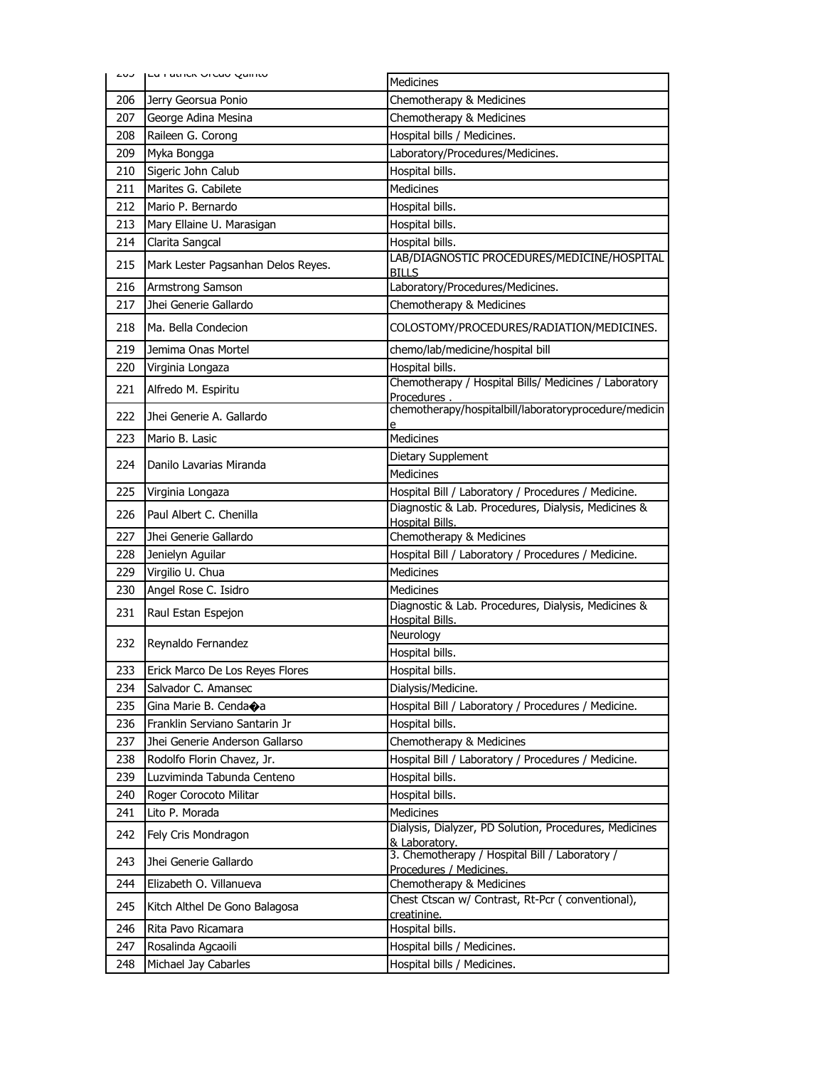| د∪∠ | <b>LU FOUIUN VICUU QUIFILU</b>     | <b>Medicines</b>                                                              |
|-----|------------------------------------|-------------------------------------------------------------------------------|
| 206 | Jerry Georsua Ponio                | Chemotherapy & Medicines                                                      |
| 207 | George Adina Mesina                | Chemotherapy & Medicines                                                      |
| 208 | Raileen G. Corong                  | Hospital bills / Medicines.                                                   |
| 209 | Myka Bongga                        | Laboratory/Procedures/Medicines.                                              |
| 210 | Sigeric John Calub                 | Hospital bills.                                                               |
| 211 | Marites G. Cabilete                | Medicines                                                                     |
| 212 | Mario P. Bernardo                  | Hospital bills.                                                               |
| 213 | Mary Ellaine U. Marasigan          | Hospital bills.                                                               |
| 214 | Clarita Sangcal                    | Hospital bills.                                                               |
| 215 | Mark Lester Pagsanhan Delos Reyes. | LAB/DIAGNOSTIC PROCEDURES/MEDICINE/HOSPITAL<br><b>BILLS</b>                   |
| 216 | Armstrong Samson                   | Laboratory/Procedures/Medicines.                                              |
| 217 | Jhei Generie Gallardo              | Chemotherapy & Medicines                                                      |
| 218 | Ma. Bella Condecion                | COLOSTOMY/PROCEDURES/RADIATION/MEDICINES.                                     |
| 219 | Jemima Onas Mortel                 | chemo/lab/medicine/hospital bill                                              |
| 220 | Virginia Longaza                   | Hospital bills.                                                               |
| 221 | Alfredo M. Espiritu                | Chemotherapy / Hospital Bills/ Medicines / Laboratory<br>Procedures           |
| 222 | Jhei Generie A. Gallardo           | chemotherapy/hospitalbill/laboratoryprocedure/medicin                         |
| 223 | Mario B. Lasic                     | <b>Medicines</b>                                                              |
| 224 | Danilo Lavarias Miranda            | Dietary Supplement                                                            |
|     |                                    | <b>Medicines</b>                                                              |
| 225 | Virginia Longaza                   | Hospital Bill / Laboratory / Procedures / Medicine.                           |
| 226 | Paul Albert C. Chenilla            | Diagnostic & Lab. Procedures, Dialysis, Medicines &<br><b>Hospital Bills.</b> |
| 227 | Jhei Generie Gallardo              | Chemotherapy & Medicines                                                      |
| 228 | Jenielyn Aguilar                   | Hospital Bill / Laboratory / Procedures / Medicine.                           |
| 229 | Virgilio U. Chua                   | <b>Medicines</b>                                                              |
| 230 | Angel Rose C. Isidro               | <b>Medicines</b>                                                              |
| 231 | Raul Estan Espejon                 | Diagnostic & Lab. Procedures, Dialysis, Medicines &<br><b>Hospital Bills.</b> |
| 232 | Reynaldo Fernandez                 | Neurology                                                                     |
|     |                                    | Hospital bills.                                                               |
| 233 | Erick Marco De Los Reyes Flores    | Hospital bills.                                                               |
| 234 | Salvador C. Amansec                | Dialysis/Medicine.                                                            |
| 235 | Gina Marie B. Cendaoa              | Hospital Bill / Laboratory / Procedures / Medicine.                           |
| 236 | Franklin Serviano Santarin Jr      | Hospital bills.                                                               |
| 237 | Jhei Generie Anderson Gallarso     | Chemotherapy & Medicines                                                      |
| 238 | Rodolfo Florin Chavez, Jr.         | Hospital Bill / Laboratory / Procedures / Medicine.                           |
| 239 | Luzviminda Tabunda Centeno         | Hospital bills.                                                               |
| 240 | Roger Corocoto Militar             | Hospital bills.                                                               |
| 241 | Lito P. Morada                     | Medicines                                                                     |
| 242 | Fely Cris Mondragon                | Dialysis, Dialyzer, PD Solution, Procedures, Medicines<br>& Laboratory.       |
| 243 | Jhei Generie Gallardo              | 3. Chemotherapy / Hospital Bill / Laboratory /<br>Procedures / Medicines.     |
| 244 | Elizabeth O. Villanueva            | Chemotherapy & Medicines                                                      |
| 245 | Kitch Althel De Gono Balagosa      | Chest Ctscan w/ Contrast, Rt-Pcr (conventional),<br>creatinine.               |
| 246 | Rita Pavo Ricamara                 | Hospital bills.                                                               |
| 247 | Rosalinda Agcaoili                 | Hospital bills / Medicines.                                                   |
| 248 | Michael Jay Cabarles               | Hospital bills / Medicines.                                                   |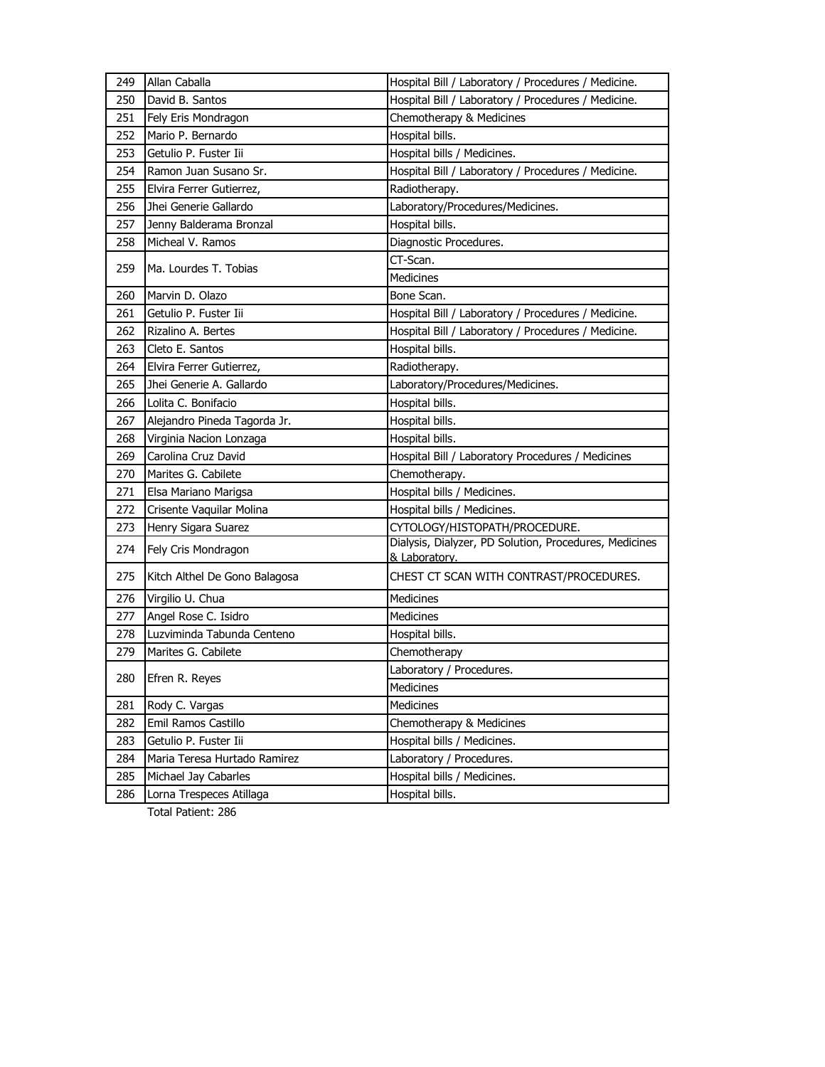| 249 | Allan Caballa                 | Hospital Bill / Laboratory / Procedures / Medicine.                     |
|-----|-------------------------------|-------------------------------------------------------------------------|
| 250 | David B. Santos               | Hospital Bill / Laboratory / Procedures / Medicine.                     |
| 251 | Fely Eris Mondragon           | Chemotherapy & Medicines                                                |
| 252 | Mario P. Bernardo             | Hospital bills.                                                         |
| 253 | Getulio P. Fuster Iii         | Hospital bills / Medicines.                                             |
| 254 | Ramon Juan Susano Sr.         | Hospital Bill / Laboratory / Procedures / Medicine.                     |
| 255 | Elvira Ferrer Gutierrez,      | Radiotherapy.                                                           |
| 256 | Jhei Generie Gallardo         | Laboratory/Procedures/Medicines.                                        |
| 257 | Jenny Balderama Bronzal       | Hospital bills.                                                         |
| 258 | Micheal V. Ramos              | Diagnostic Procedures.                                                  |
| 259 | Ma. Lourdes T. Tobias         | CT-Scan.                                                                |
|     |                               | Medicines                                                               |
| 260 | Marvin D. Olazo               | Bone Scan.                                                              |
| 261 | Getulio P. Fuster Iii         | Hospital Bill / Laboratory / Procedures / Medicine.                     |
| 262 | Rizalino A. Bertes            | Hospital Bill / Laboratory / Procedures / Medicine.                     |
| 263 | Cleto E. Santos               | Hospital bills.                                                         |
| 264 | Elvira Ferrer Gutierrez,      | Radiotherapy.                                                           |
| 265 | Jhei Generie A. Gallardo      | Laboratory/Procedures/Medicines.                                        |
| 266 | Lolita C. Bonifacio           | Hospital bills.                                                         |
| 267 | Alejandro Pineda Tagorda Jr.  | Hospital bills.                                                         |
| 268 | Virginia Nacion Lonzaga       | Hospital bills.                                                         |
| 269 | Carolina Cruz David           | Hospital Bill / Laboratory Procedures / Medicines                       |
| 270 | Marites G. Cabilete           | Chemotherapy.                                                           |
| 271 | Elsa Mariano Marigsa          | Hospital bills / Medicines.                                             |
| 272 | Crisente Vaquilar Molina      | Hospital bills / Medicines.                                             |
| 273 | Henry Sigara Suarez           | CYTOLOGY/HISTOPATH/PROCEDURE.                                           |
| 274 | Fely Cris Mondragon           | Dialysis, Dialyzer, PD Solution, Procedures, Medicines<br>& Laboratory. |
| 275 | Kitch Althel De Gono Balagosa | CHEST CT SCAN WITH CONTRAST/PROCEDURES.                                 |
| 276 | Virgilio U. Chua              | <b>Medicines</b>                                                        |
| 277 | Angel Rose C. Isidro          | Medicines                                                               |
| 278 | Luzviminda Tabunda Centeno    | Hospital bills.                                                         |
| 279 | Marites G. Cabilete           | Chemotherapy                                                            |
| 280 | Efren R. Reyes                | Laboratory / Procedures.                                                |
|     |                               | Medicines                                                               |
| 281 | Rody C. Vargas                | Medicines                                                               |
| 282 | Emil Ramos Castillo           | Chemotherapy & Medicines                                                |
| 283 | Getulio P. Fuster Iii         | Hospital bills / Medicines.                                             |
| 284 | Maria Teresa Hurtado Ramirez  | Laboratory / Procedures.                                                |
| 285 | Michael Jay Cabarles          | Hospital bills / Medicines.                                             |
| 286 | Lorna Trespeces Atillaga      | Hospital bills.                                                         |
|     |                               |                                                                         |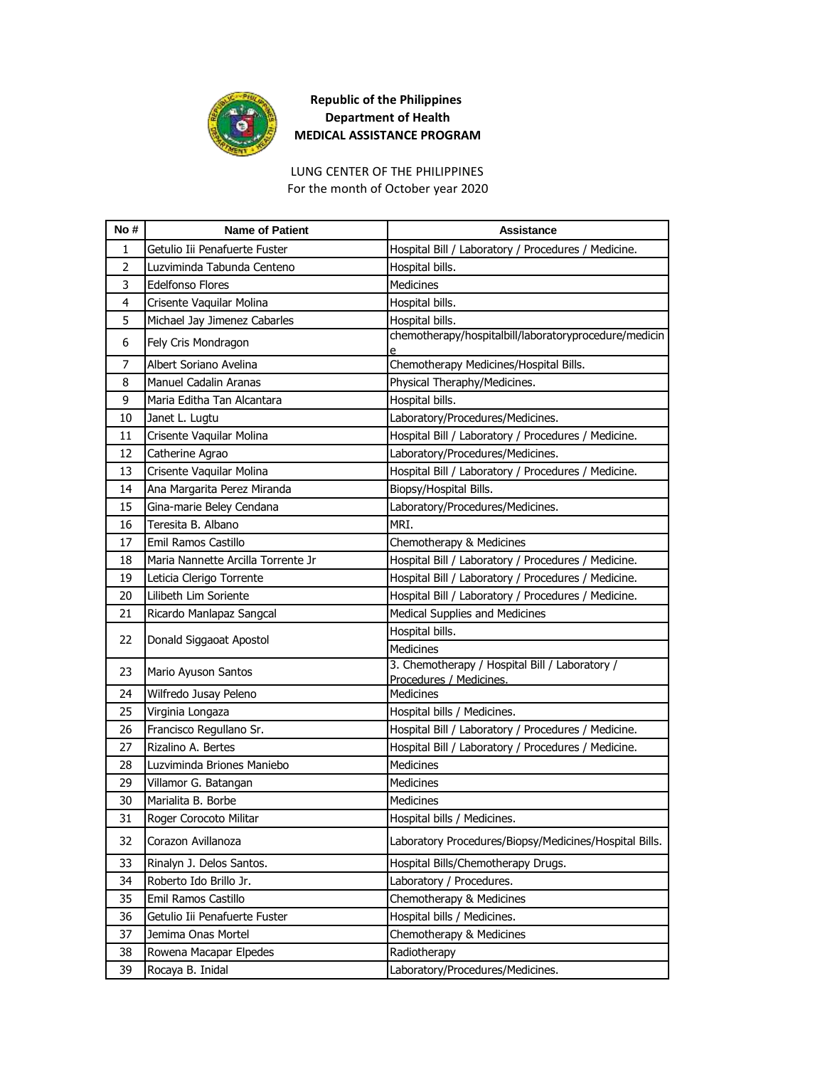

LUNG CENTER OF THE PHILIPPINES For the month of October year 2020

| No#            | <b>Name of Patient</b>             | <b>Assistance</b>                                                         |
|----------------|------------------------------------|---------------------------------------------------------------------------|
| 1              | Getulio Iii Penafuerte Fuster      | Hospital Bill / Laboratory / Procedures / Medicine.                       |
| $\overline{2}$ | Luzviminda Tabunda Centeno         | Hospital bills.                                                           |
| 3              | <b>Edelfonso Flores</b>            | <b>Medicines</b>                                                          |
| 4              | Crisente Vaquilar Molina           | Hospital bills.                                                           |
| 5              | Michael Jay Jimenez Cabarles       | Hospital bills.                                                           |
| 6              | Fely Cris Mondragon                | chemotherapy/hospitalbill/laboratoryprocedure/medicin                     |
| $\overline{7}$ | Albert Soriano Avelina             | Chemotherapy Medicines/Hospital Bills.                                    |
| 8              | <b>Manuel Cadalin Aranas</b>       | Physical Theraphy/Medicines.                                              |
| 9              | Maria Editha Tan Alcantara         | Hospital bills.                                                           |
| 10             | Janet L. Lugtu                     | Laboratory/Procedures/Medicines.                                          |
| 11             | Crisente Vaquilar Molina           | Hospital Bill / Laboratory / Procedures / Medicine.                       |
| 12             | Catherine Agrao                    | Laboratory/Procedures/Medicines.                                          |
| 13             | Crisente Vaquilar Molina           | Hospital Bill / Laboratory / Procedures / Medicine.                       |
| 14             | Ana Margarita Perez Miranda        | Biopsy/Hospital Bills.                                                    |
| 15             | Gina-marie Beley Cendana           | Laboratory/Procedures/Medicines.                                          |
| 16             | Teresita B. Albano                 | MRI.                                                                      |
| 17             | Emil Ramos Castillo                | Chemotherapy & Medicines                                                  |
| 18             | Maria Nannette Arcilla Torrente Jr | Hospital Bill / Laboratory / Procedures / Medicine.                       |
| 19             | Leticia Clerigo Torrente           | Hospital Bill / Laboratory / Procedures / Medicine.                       |
| 20             | Lilibeth Lim Soriente              | Hospital Bill / Laboratory / Procedures / Medicine.                       |
| 21             | Ricardo Manlapaz Sangcal           | Medical Supplies and Medicines                                            |
| 22             | Donald Siggaoat Apostol            | Hospital bills.                                                           |
|                |                                    | Medicines                                                                 |
| 23             | Mario Ayuson Santos                | 3. Chemotherapy / Hospital Bill / Laboratory /<br>Procedures / Medicines. |
| 24             | Wilfredo Jusay Peleno              | Medicines                                                                 |
| 25             | Virginia Longaza                   | Hospital bills / Medicines.                                               |
| 26             | Francisco Regullano Sr.            | Hospital Bill / Laboratory / Procedures / Medicine.                       |
| 27             | Rizalino A. Bertes                 | Hospital Bill / Laboratory / Procedures / Medicine.                       |
| 28             | Luzviminda Briones Maniebo         | <b>Medicines</b>                                                          |
| 29             | Villamor G. Batangan               | <b>Medicines</b>                                                          |
| 30             | Marialita B. Borbe                 | Medicines                                                                 |
| 31             | Roger Corocoto Militar             | Hospital bills / Medicines.                                               |
| 32             | Corazon Avillanoza                 | Laboratory Procedures/Biopsy/Medicines/Hospital Bills.                    |
| 33             | Rinalyn J. Delos Santos.           | Hospital Bills/Chemotherapy Drugs.                                        |
| 34             | Roberto Ido Brillo Jr.             | Laboratory / Procedures.                                                  |
| 35             | Emil Ramos Castillo                | Chemotherapy & Medicines                                                  |
| 36             | Getulio Iii Penafuerte Fuster      | Hospital bills / Medicines.                                               |
| 37             | Jemima Onas Mortel                 | Chemotherapy & Medicines                                                  |
| 38             | Rowena Macapar Elpedes             | Radiotherapy                                                              |
| 39             | Rocaya B. Inidal                   | Laboratory/Procedures/Medicines.                                          |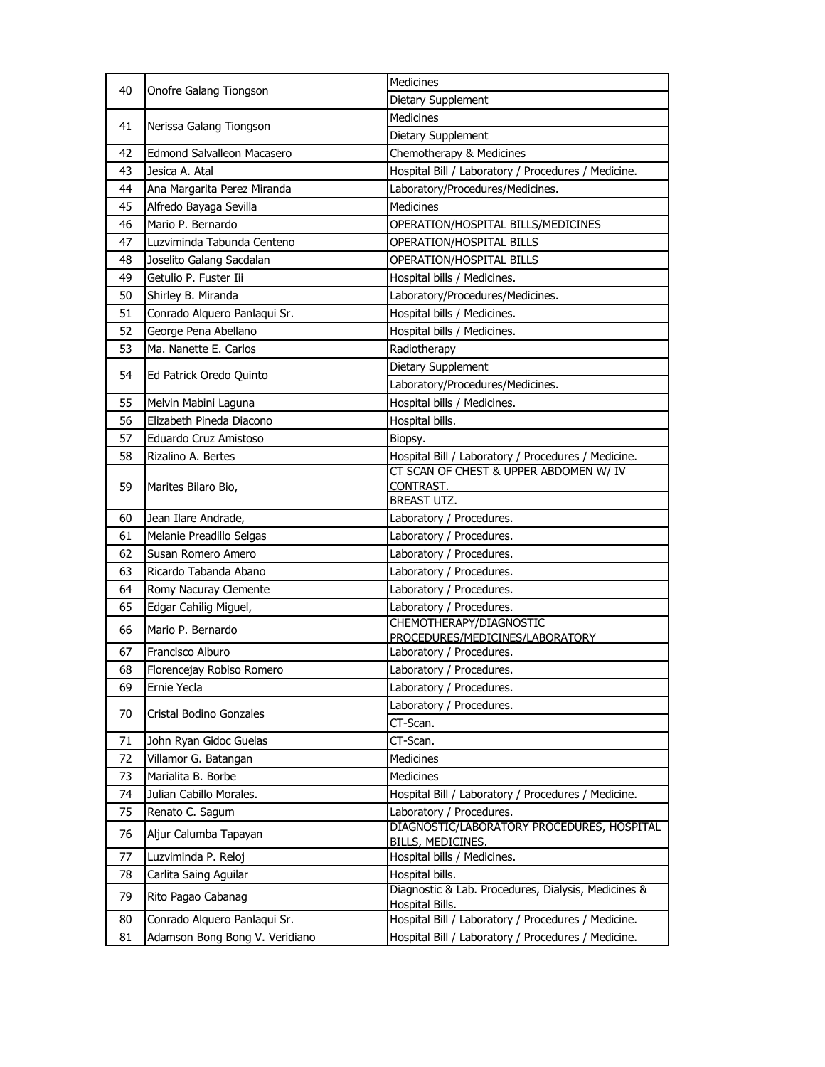|          |                                                                | <b>Medicines</b>                                                                                           |
|----------|----------------------------------------------------------------|------------------------------------------------------------------------------------------------------------|
| 40       | Onofre Galang Tiongson                                         | Dietary Supplement                                                                                         |
|          |                                                                | <b>Medicines</b>                                                                                           |
| 41       | Nerissa Galang Tiongson                                        | Dietary Supplement                                                                                         |
| 42       | <b>Edmond Salvalleon Macasero</b>                              | Chemotherapy & Medicines                                                                                   |
| 43       | Jesica A. Atal                                                 | Hospital Bill / Laboratory / Procedures / Medicine.                                                        |
| 44       | Ana Margarita Perez Miranda                                    | Laboratory/Procedures/Medicines.                                                                           |
| 45       | Alfredo Bayaga Sevilla                                         | Medicines                                                                                                  |
| 46       | Mario P. Bernardo                                              | OPERATION/HOSPITAL BILLS/MEDICINES                                                                         |
| 47       | Luzviminda Tabunda Centeno                                     | OPERATION/HOSPITAL BILLS                                                                                   |
| 48       | Joselito Galang Sacdalan                                       | <b>OPERATION/HOSPITAL BILLS</b>                                                                            |
| 49       | Getulio P. Fuster Iii                                          | Hospital bills / Medicines.                                                                                |
| 50       | Shirley B. Miranda                                             | Laboratory/Procedures/Medicines.                                                                           |
| 51       | Conrado Alquero Panlaqui Sr.                                   | Hospital bills / Medicines.                                                                                |
| 52       | George Pena Abellano                                           | Hospital bills / Medicines.                                                                                |
| 53       | Ma. Nanette E. Carlos                                          | Radiotherapy                                                                                               |
|          |                                                                | Dietary Supplement                                                                                         |
| 54       | Ed Patrick Oredo Quinto                                        | Laboratory/Procedures/Medicines.                                                                           |
| 55       | Melvin Mabini Laguna                                           | Hospital bills / Medicines.                                                                                |
| 56       | Elizabeth Pineda Diacono                                       | Hospital bills.                                                                                            |
| 57       | Eduardo Cruz Amistoso                                          | Biopsy.                                                                                                    |
| 58       | Rizalino A. Bertes                                             | Hospital Bill / Laboratory / Procedures / Medicine.                                                        |
|          |                                                                | CT SCAN OF CHEST & UPPER ABDOMEN W/ IV                                                                     |
| 59       | Marites Bilaro Bio,                                            | CONTRAST.                                                                                                  |
|          |                                                                | BREAST UTZ.                                                                                                |
| 60       | Jean Ilare Andrade,                                            | Laboratory / Procedures.                                                                                   |
|          |                                                                |                                                                                                            |
| 61       | Melanie Preadillo Selgas                                       | Laboratory / Procedures.                                                                                   |
| 62       | Susan Romero Amero                                             | Laboratory / Procedures.                                                                                   |
| 63       | Ricardo Tabanda Abano                                          | Laboratory / Procedures.                                                                                   |
| 64       | Romy Nacuray Clemente                                          | Laboratory / Procedures.                                                                                   |
| 65       | Edgar Cahilig Miguel,                                          | Laboratory / Procedures.                                                                                   |
| 66       | Mario P. Bernardo                                              | CHEMOTHERAPY/DIAGNOSTIC                                                                                    |
|          |                                                                | PROCEDURES/MEDICINES/LABORATORY                                                                            |
| 67       | Francisco Alburo                                               | Laboratory / Procedures.                                                                                   |
| 68       | Florencejay Robiso Romero                                      | Laboratory / Procedures.                                                                                   |
| 69       | Ernie Yecla                                                    | Laboratory / Procedures.                                                                                   |
| 70       | Cristal Bodino Gonzales                                        | Laboratory / Procedures.                                                                                   |
|          |                                                                | CT-Scan.                                                                                                   |
| 71       | John Ryan Gidoc Guelas                                         | CT-Scan.                                                                                                   |
| 72       | Villamor G. Batangan                                           | <b>Medicines</b>                                                                                           |
| 73       | Marialita B. Borbe                                             | Medicines                                                                                                  |
| 74       | Julian Cabillo Morales.                                        | Hospital Bill / Laboratory / Procedures / Medicine.                                                        |
| 75<br>76 | Renato C. Sagum<br>Aljur Calumba Tapayan                       | Laboratory / Procedures.<br>DIAGNOSTIC/LABORATORY PROCEDURES, HOSPITAL                                     |
| 77       | Luzviminda P. Reloj                                            | <b>BILLS, MEDICINES.</b><br>Hospital bills / Medicines.                                                    |
| 78       | Carlita Saing Aguilar                                          | Hospital bills.                                                                                            |
|          |                                                                | Diagnostic & Lab. Procedures, Dialysis, Medicines &                                                        |
| 79       | Rito Pagao Cabanag                                             | <b>Hospital Bills.</b>                                                                                     |
| 80<br>81 | Conrado Alquero Panlaqui Sr.<br>Adamson Bong Bong V. Veridiano | Hospital Bill / Laboratory / Procedures / Medicine.<br>Hospital Bill / Laboratory / Procedures / Medicine. |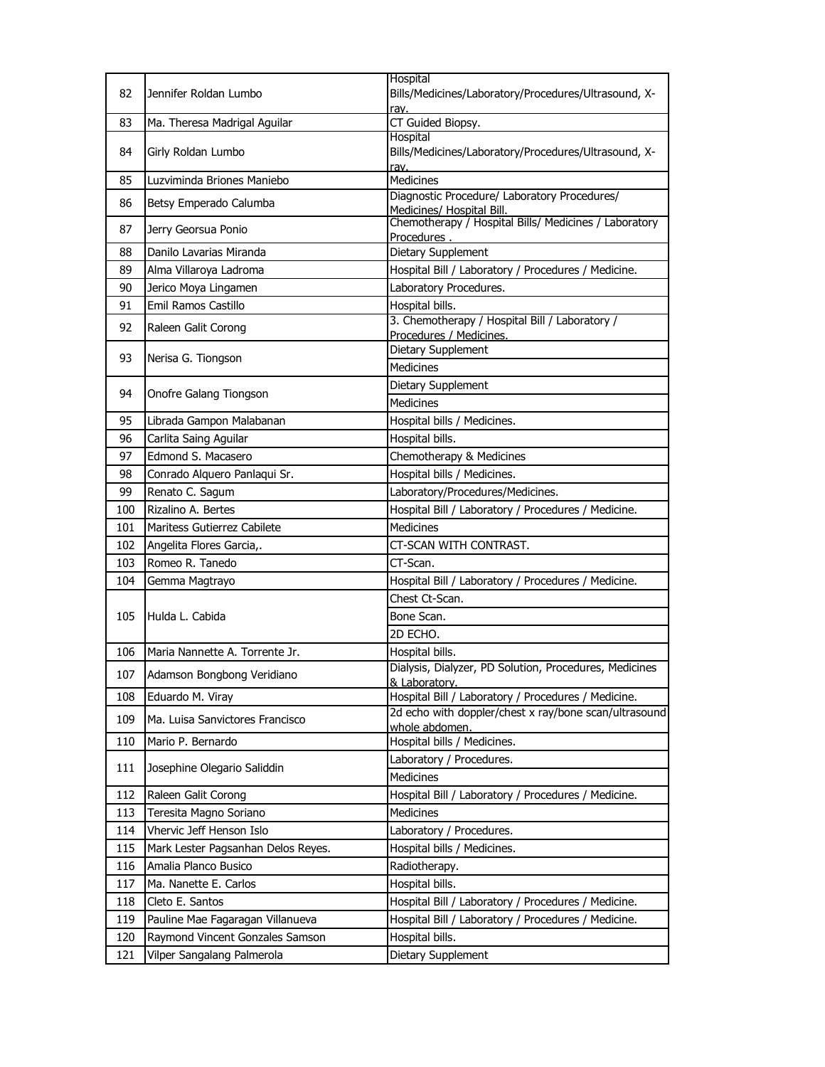|            |                                                               | Hospital                                                                  |
|------------|---------------------------------------------------------------|---------------------------------------------------------------------------|
| 82         | Jennifer Roldan Lumbo                                         | Bills/Medicines/Laboratory/Procedures/Ultrasound, X-<br>rav.              |
| 83         | Ma. Theresa Madrigal Aguilar                                  | CT Guided Biopsy.                                                         |
|            |                                                               | Hospital                                                                  |
| 84         | Girly Roldan Lumbo                                            | Bills/Medicines/Laboratory/Procedures/Ultrasound, X-<br>rav.              |
| 85         | Luzviminda Briones Maniebo                                    | Medicines                                                                 |
| 86         | Betsy Emperado Calumba                                        | Diagnostic Procedure/ Laboratory Procedures/<br>Medicines/ Hospital Bill. |
| 87         | Jerry Georsua Ponio                                           | Chemotherapy / Hospital Bills/ Medicines / Laboratory                     |
| 88         | Danilo Lavarias Miranda                                       | Procedures.<br>Dietary Supplement                                         |
| 89         | Alma Villaroya Ladroma                                        | Hospital Bill / Laboratory / Procedures / Medicine.                       |
| 90         | Jerico Moya Lingamen                                          | Laboratory Procedures.                                                    |
| 91         | Emil Ramos Castillo                                           | Hospital bills.                                                           |
|            |                                                               | 3. Chemotherapy / Hospital Bill / Laboratory /                            |
| 92         | Raleen Galit Corong                                           | Procedures / Medicines.                                                   |
| 93         | Nerisa G. Tiongson                                            | Dietary Supplement                                                        |
|            |                                                               | Medicines                                                                 |
| 94         |                                                               | Dietary Supplement                                                        |
|            | Onofre Galang Tiongson                                        | Medicines                                                                 |
| 95         | Librada Gampon Malabanan                                      | Hospital bills / Medicines.                                               |
| 96         | Carlita Saing Aguilar                                         | Hospital bills.                                                           |
| 97         | Edmond S. Macasero                                            | Chemotherapy & Medicines                                                  |
| 98         | Conrado Alquero Panlaqui Sr.                                  | Hospital bills / Medicines.                                               |
| 99         | Renato C. Sagum                                               | Laboratory/Procedures/Medicines.                                          |
| 100        | Rizalino A. Bertes                                            | Hospital Bill / Laboratory / Procedures / Medicine.                       |
| 101        | Maritess Gutierrez Cabilete                                   | Medicines                                                                 |
| 102        | Angelita Flores Garcia,.                                      | CT-SCAN WITH CONTRAST.                                                    |
|            |                                                               |                                                                           |
| 103        | Romeo R. Tanedo                                               | CT-Scan.                                                                  |
| 104        |                                                               |                                                                           |
|            | Gemma Magtrayo                                                | Hospital Bill / Laboratory / Procedures / Medicine.<br>Chest Ct-Scan.     |
| 105        | Hulda L. Cabida                                               | Bone Scan.                                                                |
|            |                                                               | 2D ECHO.                                                                  |
| 106        |                                                               |                                                                           |
|            | Maria Nannette A. Torrente Jr.                                | Hospital bills.<br>Dialysis, Dialyzer, PD Solution, Procedures, Medicines |
| 107        | Adamson Bongbong Veridiano                                    | & Laboratory.                                                             |
| 108        | Eduardo M. Viray                                              | Hospital Bill / Laboratory / Procedures / Medicine.                       |
| 109        | Ma. Luisa Sanvictores Francisco                               | 2d echo with doppler/chest x ray/bone scan/ultrasound<br>whole abdomen.   |
| 110        | Mario P. Bernardo                                             | Hospital bills / Medicines.                                               |
| 111        | Josephine Olegario Saliddin                                   | Laboratory / Procedures.                                                  |
|            |                                                               | Medicines                                                                 |
| 112        | Raleen Galit Corong                                           | Hospital Bill / Laboratory / Procedures / Medicine.                       |
| 113        | Teresita Magno Soriano                                        | Medicines                                                                 |
| 114        | Vhervic Jeff Henson Islo                                      | Laboratory / Procedures.                                                  |
| 115        | Mark Lester Pagsanhan Delos Reyes.                            | Hospital bills / Medicines.                                               |
| 116        | Amalia Planco Busico                                          | Radiotherapy.                                                             |
| 117        | Ma. Nanette E. Carlos                                         | Hospital bills.                                                           |
| 118        | Cleto E. Santos                                               | Hospital Bill / Laboratory / Procedures / Medicine.                       |
| 119        | Pauline Mae Fagaragan Villanueva                              | Hospital Bill / Laboratory / Procedures / Medicine.                       |
| 120<br>121 | Raymond Vincent Gonzales Samson<br>Vilper Sangalang Palmerola | Hospital bills.<br>Dietary Supplement                                     |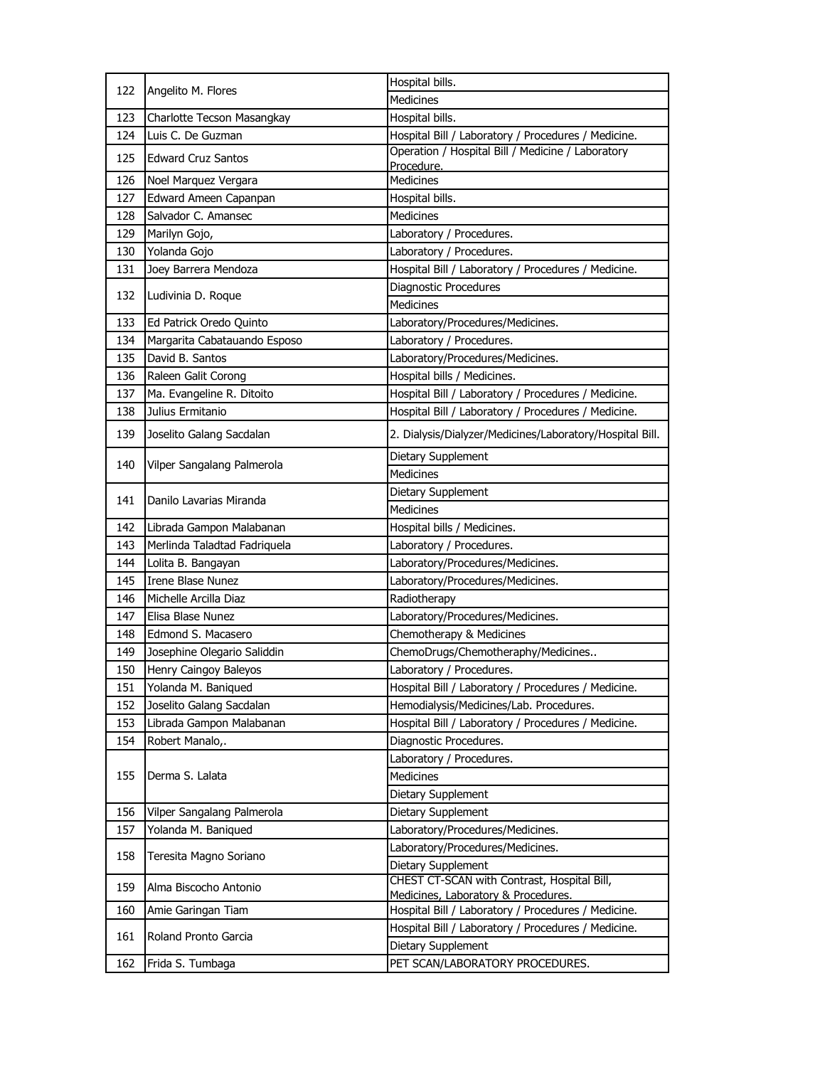| 122 | Angelito M. Flores           | Hospital bills.                                                 |
|-----|------------------------------|-----------------------------------------------------------------|
|     |                              | <b>Medicines</b>                                                |
| 123 | Charlotte Tecson Masangkay   | Hospital bills.                                                 |
| 124 | Luis C. De Guzman            | Hospital Bill / Laboratory / Procedures / Medicine.             |
| 125 | <b>Edward Cruz Santos</b>    | Operation / Hospital Bill / Medicine / Laboratory<br>Procedure. |
| 126 | Noel Marquez Vergara         | <b>Medicines</b>                                                |
| 127 | Edward Ameen Capanpan        | Hospital bills.                                                 |
| 128 | Salvador C. Amansec          | <b>Medicines</b>                                                |
| 129 | Marilyn Gojo,                | Laboratory / Procedures.                                        |
| 130 | Yolanda Gojo                 | Laboratory / Procedures.                                        |
| 131 | Joey Barrera Mendoza         | Hospital Bill / Laboratory / Procedures / Medicine.             |
|     | Ludivinia D. Roque           | Diagnostic Procedures                                           |
| 132 |                              | <b>Medicines</b>                                                |
| 133 | Ed Patrick Oredo Quinto      | Laboratory/Procedures/Medicines.                                |
| 134 | Margarita Cabatauando Esposo | Laboratory / Procedures.                                        |
| 135 | David B. Santos              | Laboratory/Procedures/Medicines.                                |
| 136 | Raleen Galit Corong          | Hospital bills / Medicines.                                     |
| 137 | Ma. Evangeline R. Ditoito    | Hospital Bill / Laboratory / Procedures / Medicine.             |
| 138 | Julius Ermitanio             | Hospital Bill / Laboratory / Procedures / Medicine.             |
| 139 | Joselito Galang Sacdalan     | 2. Dialysis/Dialyzer/Medicines/Laboratory/Hospital Bill.        |
|     |                              | Dietary Supplement                                              |
| 140 | Vilper Sangalang Palmerola   | <b>Medicines</b>                                                |
|     | Danilo Lavarias Miranda      | Dietary Supplement                                              |
| 141 |                              | <b>Medicines</b>                                                |
| 142 | Librada Gampon Malabanan     | Hospital bills / Medicines.                                     |
| 143 | Merlinda Taladtad Fadriquela | Laboratory / Procedures.                                        |
| 144 | Lolita B. Bangayan           | Laboratory/Procedures/Medicines.                                |
| 145 | Irene Blase Nunez            | Laboratory/Procedures/Medicines.                                |
| 146 | Michelle Arcilla Diaz        | Radiotherapy                                                    |
| 147 | Elisa Blase Nunez            | Laboratory/Procedures/Medicines.                                |
| 148 | Edmond S. Macasero           | Chemotherapy & Medicines                                        |
| 149 | Josephine Olegario Saliddin  | ChemoDrugs/Chemotheraphy/Medicines                              |
| 150 | Henry Caingoy Baleyos        | Laboratory / Procedures.                                        |
| 151 | Yolanda M. Baniqued          | Hospital Bill / Laboratory / Procedures / Medicine.             |
| 152 | Joselito Galang Sacdalan     | Hemodialysis/Medicines/Lab. Procedures.                         |
| 153 | Librada Gampon Malabanan     | Hospital Bill / Laboratory / Procedures / Medicine.             |
| 154 | Robert Manalo,.              | Diagnostic Procedures.                                          |
|     | Derma S. Lalata              | Laboratory / Procedures.                                        |
| 155 |                              | <b>Medicines</b>                                                |
|     |                              | Dietary Supplement                                              |
| 156 | Vilper Sangalang Palmerola   | Dietary Supplement                                              |
| 157 | Yolanda M. Baniqued          | Laboratory/Procedures/Medicines.                                |
|     | Teresita Magno Soriano       | Laboratory/Procedures/Medicines.                                |
| 158 |                              | Dietary Supplement                                              |
| 159 | Alma Biscocho Antonio        | CHEST CT-SCAN with Contrast, Hospital Bill,                     |
|     |                              | Medicines, Laboratory & Procedures.                             |
| 160 | Amie Garingan Tiam           | Hospital Bill / Laboratory / Procedures / Medicine.             |
| 161 | Roland Pronto Garcia         | Hospital Bill / Laboratory / Procedures / Medicine.             |
|     |                              | Dietary Supplement                                              |
| 162 | Frida S. Tumbaga             | PET SCAN/LABORATORY PROCEDURES.                                 |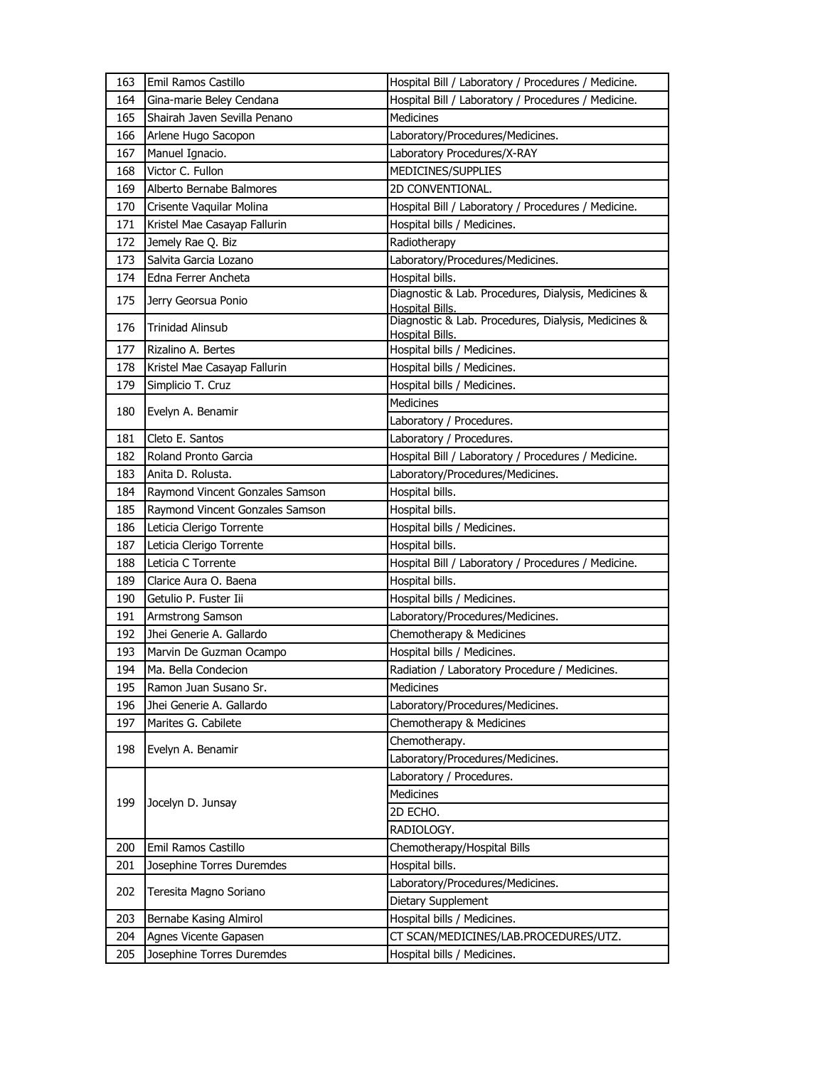| 163 | Emil Ramos Castillo                               | Hospital Bill / Laboratory / Procedures / Medicine.                    |
|-----|---------------------------------------------------|------------------------------------------------------------------------|
| 164 | Gina-marie Beley Cendana                          | Hospital Bill / Laboratory / Procedures / Medicine.                    |
| 165 | Shairah Javen Sevilla Penano                      | <b>Medicines</b>                                                       |
| 166 | Arlene Hugo Sacopon                               | Laboratory/Procedures/Medicines.                                       |
| 167 | Manuel Ignacio.                                   | Laboratory Procedures/X-RAY                                            |
| 168 | Victor C. Fullon                                  | MEDICINES/SUPPLIES                                                     |
| 169 | Alberto Bernabe Balmores                          | 2D CONVENTIONAL.                                                       |
| 170 | Crisente Vaquilar Molina                          | Hospital Bill / Laboratory / Procedures / Medicine.                    |
| 171 | Kristel Mae Casayap Fallurin                      | Hospital bills / Medicines.                                            |
| 172 | Jemely Rae Q. Biz                                 | Radiotherapy                                                           |
| 173 | Salvita Garcia Lozano                             | Laboratory/Procedures/Medicines.                                       |
| 174 | Edna Ferrer Ancheta                               | Hospital bills.                                                        |
| 175 | Jerry Georsua Ponio                               | Diagnostic & Lab. Procedures, Dialysis, Medicines &                    |
| 176 | <b>Trinidad Alinsub</b>                           | Hospital Bills.<br>Diagnostic & Lab. Procedures, Dialysis, Medicines & |
| 177 | Rizalino A. Bertes                                | Hospital Bills.<br>Hospital bills / Medicines.                         |
| 178 |                                                   |                                                                        |
| 179 | Kristel Mae Casayap Fallurin<br>Simplicio T. Cruz | Hospital bills / Medicines.<br>Hospital bills / Medicines.             |
|     |                                                   | <b>Medicines</b>                                                       |
| 180 | Evelyn A. Benamir                                 | Laboratory / Procedures.                                               |
| 181 | Cleto E. Santos                                   | Laboratory / Procedures.                                               |
| 182 | Roland Pronto Garcia                              | Hospital Bill / Laboratory / Procedures / Medicine.                    |
| 183 | Anita D. Rolusta.                                 | Laboratory/Procedures/Medicines.                                       |
| 184 | Raymond Vincent Gonzales Samson                   | Hospital bills.                                                        |
| 185 | Raymond Vincent Gonzales Samson                   | Hospital bills.                                                        |
| 186 | Leticia Clerigo Torrente                          | Hospital bills / Medicines.                                            |
| 187 | Leticia Clerigo Torrente                          | Hospital bills.                                                        |
| 188 | Leticia C Torrente                                | Hospital Bill / Laboratory / Procedures / Medicine.                    |
| 189 | Clarice Aura O. Baena                             | Hospital bills.                                                        |
| 190 | Getulio P. Fuster Iii                             | Hospital bills / Medicines.                                            |
| 191 | Armstrong Samson                                  | Laboratory/Procedures/Medicines.                                       |
| 192 | Jhei Generie A. Gallardo                          | Chemotherapy & Medicines                                               |
| 193 | Marvin De Guzman Ocampo                           | Hospital bills / Medicines.                                            |
| 194 | Ma. Bella Condecion                               | Radiation / Laboratory Procedure / Medicines.                          |
| 195 | Ramon Juan Susano Sr.                             | Medicines                                                              |
| 196 | Jhei Generie A. Gallardo                          | Laboratory/Procedures/Medicines.                                       |
| 197 | Marites G. Cabilete                               | Chemotherapy & Medicines                                               |
|     |                                                   | Chemotherapy.                                                          |
| 198 | Evelyn A. Benamir                                 | Laboratory/Procedures/Medicines.                                       |
|     | Jocelyn D. Junsay                                 | Laboratory / Procedures.                                               |
| 199 |                                                   | Medicines                                                              |
|     |                                                   | 2D ECHO.                                                               |
|     |                                                   | RADIOLOGY.                                                             |
| 200 | Emil Ramos Castillo                               | Chemotherapy/Hospital Bills                                            |
| 201 | Josephine Torres Duremdes                         | Hospital bills.                                                        |
| 202 | Teresita Magno Soriano                            | Laboratory/Procedures/Medicines.                                       |
|     |                                                   | Dietary Supplement                                                     |
| 203 | Bernabe Kasing Almirol                            | Hospital bills / Medicines.                                            |
| 204 | Agnes Vicente Gapasen                             | CT SCAN/MEDICINES/LAB.PROCEDURES/UTZ.                                  |
| 205 | Josephine Torres Duremdes                         | Hospital bills / Medicines.                                            |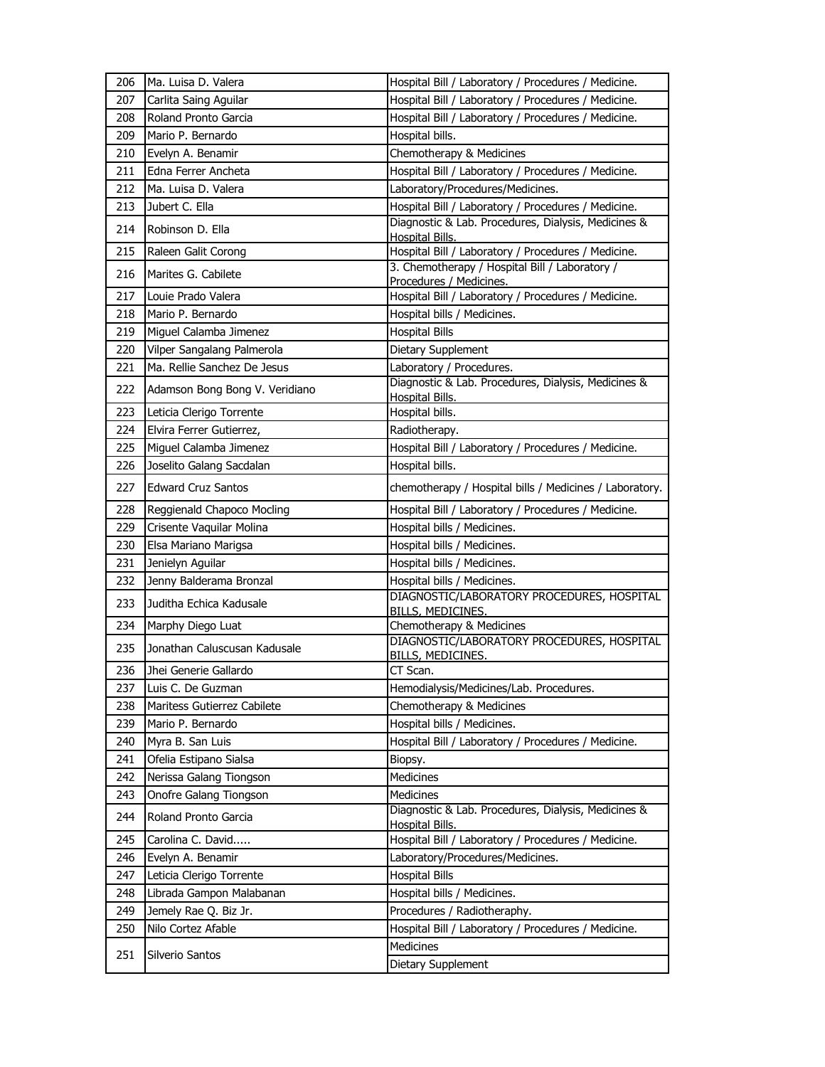| 206 | Ma. Luisa D. Valera                                  | Hospital Bill / Laboratory / Procedures / Medicine.                           |
|-----|------------------------------------------------------|-------------------------------------------------------------------------------|
| 207 | Carlita Saing Aguilar                                | Hospital Bill / Laboratory / Procedures / Medicine.                           |
| 208 | Roland Pronto Garcia                                 | Hospital Bill / Laboratory / Procedures / Medicine.                           |
| 209 | Mario P. Bernardo                                    | Hospital bills.                                                               |
| 210 | Evelyn A. Benamir                                    | Chemotherapy & Medicines                                                      |
| 211 | Edna Ferrer Ancheta                                  | Hospital Bill / Laboratory / Procedures / Medicine.                           |
| 212 | Ma. Luisa D. Valera                                  | Laboratory/Procedures/Medicines.                                              |
| 213 | Jubert C. Ella                                       | Hospital Bill / Laboratory / Procedures / Medicine.                           |
| 214 | Robinson D. Ella                                     | Diagnostic & Lab. Procedures, Dialysis, Medicines &                           |
|     |                                                      | Hospital Bills.<br>Hospital Bill / Laboratory / Procedures / Medicine.        |
| 215 | Raleen Galit Corong                                  | 3. Chemotherapy / Hospital Bill / Laboratory /                                |
| 216 | Marites G. Cabilete                                  | Procedures / Medicines.                                                       |
| 217 | Louie Prado Valera                                   | Hospital Bill / Laboratory / Procedures / Medicine.                           |
| 218 | Mario P. Bernardo                                    | Hospital bills / Medicines.                                                   |
| 219 | Miguel Calamba Jimenez                               | <b>Hospital Bills</b>                                                         |
| 220 | Vilper Sangalang Palmerola                           | Dietary Supplement                                                            |
| 221 | Ma. Rellie Sanchez De Jesus                          | Laboratory / Procedures.                                                      |
| 222 | Adamson Bong Bong V. Veridiano                       | Diagnostic & Lab. Procedures, Dialysis, Medicines &                           |
|     |                                                      | Hospital Bills.                                                               |
| 223 | Leticia Clerigo Torrente<br>Elvira Ferrer Gutierrez, | Hospital bills.                                                               |
| 224 |                                                      | Radiotherapy.                                                                 |
| 225 | Miguel Calamba Jimenez                               | Hospital Bill / Laboratory / Procedures / Medicine.<br>Hospital bills.        |
| 226 | Joselito Galang Sacdalan                             |                                                                               |
| 227 | <b>Edward Cruz Santos</b>                            | chemotherapy / Hospital bills / Medicines / Laboratory.                       |
| 228 | Reggienald Chapoco Mocling                           | Hospital Bill / Laboratory / Procedures / Medicine.                           |
| 229 | Crisente Vaquilar Molina                             | Hospital bills / Medicines.                                                   |
| 230 | Elsa Mariano Marigsa                                 | Hospital bills / Medicines.                                                   |
| 231 | Jenielyn Aguilar                                     | Hospital bills / Medicines.                                                   |
| 232 | Jenny Balderama Bronzal                              | Hospital bills / Medicines.                                                   |
| 233 | Juditha Echica Kadusale                              | DIAGNOSTIC/LABORATORY PROCEDURES, HOSPITAL<br><b>BILLS, MEDICINES.</b>        |
| 234 | Marphy Diego Luat                                    | Chemotherapy & Medicines                                                      |
| 235 | Jonathan Caluscusan Kadusale                         | DIAGNOSTIC/LABORATORY PROCEDURES, HOSPITAL<br>BILLS, MEDICINES.               |
| 236 | Jhei Generie Gallardo                                | CT Scan.                                                                      |
| 237 | Luis C. De Guzman                                    | Hemodialysis/Medicines/Lab. Procedures.                                       |
| 238 | Maritess Gutierrez Cabilete                          | Chemotherapy & Medicines                                                      |
| 239 | Mario P. Bernardo                                    | Hospital bills / Medicines.                                                   |
| 240 | Myra B. San Luis                                     | Hospital Bill / Laboratory / Procedures / Medicine.                           |
| 241 | Ofelia Estipano Sialsa                               | Biopsy.                                                                       |
| 242 | Nerissa Galang Tiongson                              | Medicines                                                                     |
| 243 | Onofre Galang Tiongson                               | Medicines                                                                     |
| 244 | Roland Pronto Garcia                                 | Diagnostic & Lab. Procedures, Dialysis, Medicines &<br><b>Hospital Bills.</b> |
| 245 | Carolina C. David                                    | Hospital Bill / Laboratory / Procedures / Medicine.                           |
| 246 | Evelyn A. Benamir                                    | Laboratory/Procedures/Medicines.                                              |
| 247 | Leticia Clerigo Torrente                             | <b>Hospital Bills</b>                                                         |
| 248 | Librada Gampon Malabanan                             | Hospital bills / Medicines.                                                   |
| 249 | Jemely Rae Q. Biz Jr.                                | Procedures / Radiotheraphy.                                                   |
| 250 | Nilo Cortez Afable                                   | Hospital Bill / Laboratory / Procedures / Medicine.                           |
|     |                                                      | Medicines                                                                     |
| 251 | Silverio Santos                                      | Dietary Supplement                                                            |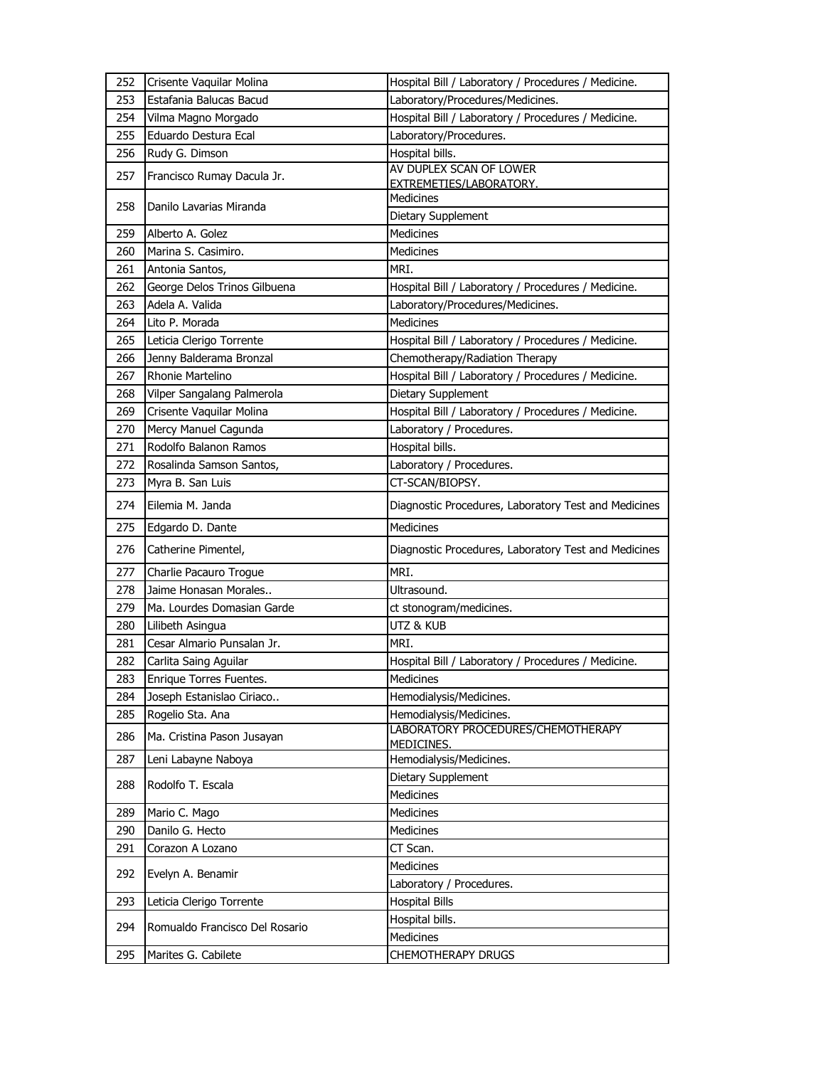| 252        | Crisente Vaquilar Molina                        | Hospital Bill / Laboratory / Procedures / Medicine.  |
|------------|-------------------------------------------------|------------------------------------------------------|
| 253        | Estafania Balucas Bacud                         | Laboratory/Procedures/Medicines.                     |
| 254        | Vilma Magno Morgado                             | Hospital Bill / Laboratory / Procedures / Medicine.  |
| 255        | Eduardo Destura Ecal                            | Laboratory/Procedures.                               |
| 256        | Rudy G. Dimson                                  | Hospital bills.                                      |
| 257        | Francisco Rumay Dacula Jr.                      | AV DUPLEX SCAN OF LOWER                              |
|            |                                                 | EXTREMETIES/LABORATORY.                              |
| 258        | Danilo Lavarias Miranda                         | Medicines                                            |
|            | Alberto A. Golez                                | Dietary Supplement<br><b>Medicines</b>               |
| 259<br>260 | Marina S. Casimiro.                             | Medicines                                            |
|            | Antonia Santos,                                 | MRI.                                                 |
| 261        |                                                 |                                                      |
| 262<br>263 | George Delos Trinos Gilbuena<br>Adela A. Valida | Hospital Bill / Laboratory / Procedures / Medicine.  |
|            | Lito P. Morada                                  | Laboratory/Procedures/Medicines.<br>Medicines        |
| 264        |                                                 |                                                      |
| 265        | Leticia Clerigo Torrente                        | Hospital Bill / Laboratory / Procedures / Medicine.  |
| 266        | Jenny Balderama Bronzal<br>Rhonie Martelino     | Chemotherapy/Radiation Therapy                       |
| 267        |                                                 | Hospital Bill / Laboratory / Procedures / Medicine.  |
| 268        | Vilper Sangalang Palmerola                      | Dietary Supplement                                   |
| 269        | Crisente Vaquilar Molina                        | Hospital Bill / Laboratory / Procedures / Medicine.  |
| 270        | Mercy Manuel Cagunda                            | Laboratory / Procedures.                             |
| 271        | Rodolfo Balanon Ramos                           | Hospital bills.                                      |
| 272        | Rosalinda Samson Santos,                        | Laboratory / Procedures.                             |
| 273        | Myra B. San Luis                                | CT-SCAN/BIOPSY.                                      |
| 274        | Eilemia M. Janda                                | Diagnostic Procedures, Laboratory Test and Medicines |
|            |                                                 |                                                      |
| 275        | Edgardo D. Dante                                | Medicines                                            |
| 276        | Catherine Pimentel,                             | Diagnostic Procedures, Laboratory Test and Medicines |
| 277        | Charlie Pacauro Trogue                          | MRI.                                                 |
| 278        | Jaime Honasan Morales                           | Ultrasound.                                          |
| 279        | Ma. Lourdes Domasian Garde                      | ct stonogram/medicines.                              |
| 280        | Lilibeth Asingua                                | UTZ & KUB                                            |
| 281        | Cesar Almario Punsalan Jr.                      | MRT.                                                 |
| 282        | Carlita Saing Aguilar                           | Hospital Bill / Laboratory / Procedures / Medicine.  |
| 283        | Enrique Torres Fuentes.                         | Medicines                                            |
| 284        | Joseph Estanislao Ciriaco                       | Hemodialysis/Medicines.                              |
| 285        | Rogelio Sta. Ana                                | Hemodialysis/Medicines.                              |
| 286        | Ma. Cristina Pason Jusayan                      | LABORATORY PROCEDURES/CHEMOTHERAPY<br>MEDICINES.     |
| 287        | Leni Labayne Naboya                             | Hemodialysis/Medicines.                              |
| 288        | Rodolfo T. Escala                               | Dietary Supplement                                   |
|            |                                                 | Medicines                                            |
| 289        | Mario C. Mago                                   | Medicines                                            |
| 290        | Danilo G. Hecto                                 | Medicines                                            |
| 291        | Corazon A Lozano                                | CT Scan.                                             |
| 292        | Evelyn A. Benamir                               | Medicines                                            |
|            |                                                 | Laboratory / Procedures.                             |
| 293        | Leticia Clerigo Torrente                        | <b>Hospital Bills</b>                                |
| 294        | Romualdo Francisco Del Rosario                  | Hospital bills.                                      |
| 295        | Marites G. Cabilete                             | Medicines<br>CHEMOTHERAPY DRUGS                      |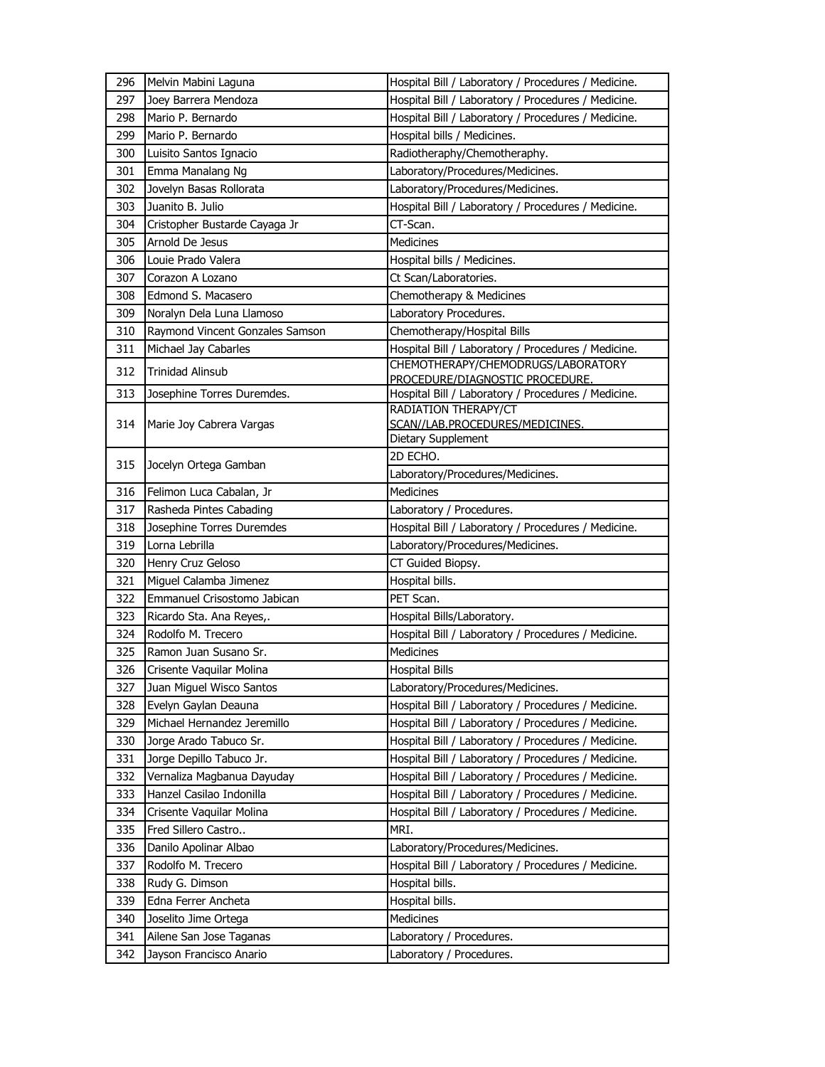| 296        | Melvin Mabini Laguna            | Hospital Bill / Laboratory / Procedures / Medicine.                                |
|------------|---------------------------------|------------------------------------------------------------------------------------|
| 297        | Joey Barrera Mendoza            | Hospital Bill / Laboratory / Procedures / Medicine.                                |
| 298        | Mario P. Bernardo               | Hospital Bill / Laboratory / Procedures / Medicine.                                |
| 299        | Mario P. Bernardo               | Hospital bills / Medicines.                                                        |
| 300        | Luisito Santos Ignacio          | Radiotheraphy/Chemotheraphy.                                                       |
| 301        | Emma Manalang Ng                | Laboratory/Procedures/Medicines.                                                   |
| 302        | Jovelyn Basas Rollorata         | Laboratory/Procedures/Medicines.                                                   |
| 303        | Juanito B. Julio                | Hospital Bill / Laboratory / Procedures / Medicine.                                |
| 304        | Cristopher Bustarde Cayaga Jr   | CT-Scan.                                                                           |
| 305        | Arnold De Jesus                 | <b>Medicines</b>                                                                   |
| 306        | Louie Prado Valera              | Hospital bills / Medicines.                                                        |
| 307        | Corazon A Lozano                | Ct Scan/Laboratories.                                                              |
| 308        | Edmond S. Macasero              | Chemotherapy & Medicines                                                           |
| 309        | Noralyn Dela Luna Llamoso       | Laboratory Procedures.                                                             |
| 310        | Raymond Vincent Gonzales Samson | Chemotherapy/Hospital Bills                                                        |
| 311        | Michael Jay Cabarles            | Hospital Bill / Laboratory / Procedures / Medicine.                                |
| 312        | <b>Trinidad Alinsub</b>         | CHEMOTHERAPY/CHEMODRUGS/LABORATORY                                                 |
|            |                                 | PROCEDURE/DIAGNOSTIC PROCEDURE.                                                    |
| 313        | Josephine Torres Duremdes.      | Hospital Bill / Laboratory / Procedures / Medicine.<br><b>RADIATION THERAPY/CT</b> |
| 314        | Marie Joy Cabrera Vargas        | SCAN//LAB.PROCEDURES/MEDICINES.                                                    |
|            |                                 | Dietary Supplement                                                                 |
| 315        |                                 | 2D ECHO.                                                                           |
|            | Jocelyn Ortega Gamban           | Laboratory/Procedures/Medicines.                                                   |
| 316        | Felimon Luca Cabalan, Jr        | <b>Medicines</b>                                                                   |
| 317        | Rasheda Pintes Cabading         | Laboratory / Procedures.                                                           |
|            |                                 |                                                                                    |
| 318        | Josephine Torres Duremdes       | Hospital Bill / Laboratory / Procedures / Medicine.                                |
| 319        | Lorna Lebrilla                  | Laboratory/Procedures/Medicines.                                                   |
| 320        | Henry Cruz Geloso               | CT Guided Biopsy.                                                                  |
| 321        | Miquel Calamba Jimenez          | Hospital bills.                                                                    |
| 322        | Emmanuel Crisostomo Jabican     | PET Scan.                                                                          |
| 323        | Ricardo Sta. Ana Reyes,.        | Hospital Bills/Laboratory.                                                         |
| 324        | Rodolfo M. Trecero              | Hospital Bill / Laboratory / Procedures / Medicine.                                |
| 325        | Ramon Juan Susano Sr.           | <b>Medicines</b>                                                                   |
| 326        | Crisente Vaquilar Molina        | <b>Hospital Bills</b>                                                              |
| 327        | Juan Miguel Wisco Santos        | Laboratory/Procedures/Medicines.                                                   |
| 328        | Evelyn Gaylan Deauna            | Hospital Bill / Laboratory / Procedures / Medicine.                                |
| 329        | Michael Hernandez Jeremillo     | Hospital Bill / Laboratory / Procedures / Medicine.                                |
| 330        | Jorge Arado Tabuco Sr.          | Hospital Bill / Laboratory / Procedures / Medicine.                                |
| 331        | Jorge Depillo Tabuco Jr.        | Hospital Bill / Laboratory / Procedures / Medicine.                                |
| 332        | Vernaliza Magbanua Dayuday      | Hospital Bill / Laboratory / Procedures / Medicine.                                |
| 333        | Hanzel Casilao Indonilla        | Hospital Bill / Laboratory / Procedures / Medicine.                                |
| 334        | Crisente Vaquilar Molina        | Hospital Bill / Laboratory / Procedures / Medicine.                                |
| 335        | Fred Sillero Castro             | MRI.                                                                               |
| 336        | Danilo Apolinar Albao           | Laboratory/Procedures/Medicines.                                                   |
| 337        | Rodolfo M. Trecero              | Hospital Bill / Laboratory / Procedures / Medicine.                                |
| 338        | Rudy G. Dimson                  | Hospital bills.                                                                    |
| 339        | Edna Ferrer Ancheta             | Hospital bills.                                                                    |
| 340        | Joselito Jime Ortega            | Medicines                                                                          |
| 341<br>342 | Ailene San Jose Taganas         | Laboratory / Procedures.                                                           |